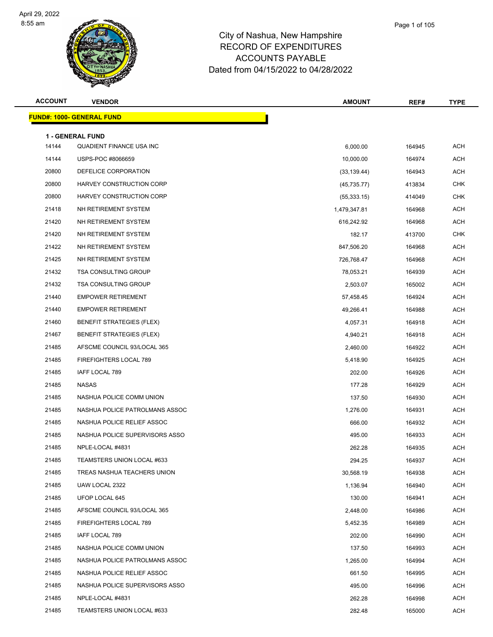

| Page 1 of 105 |  |
|---------------|--|
|               |  |
|               |  |

| <b>ACCOUNT</b> | <b>VENDOR</b>                                       | <b>AMOUNT</b> | REF#   | <b>TYPE</b> |
|----------------|-----------------------------------------------------|---------------|--------|-------------|
|                | <u> FUND#: 1000- GENERAL FUND</u>                   |               |        |             |
|                |                                                     |               |        |             |
| 14144          | <b>1 - GENERAL FUND</b><br>QUADIENT FINANCE USA INC | 6,000.00      | 164945 | <b>ACH</b>  |
| 14144          | USPS-POC #8066659                                   | 10,000.00     | 164974 | <b>ACH</b>  |
| 20800          | DEFELICE CORPORATION                                | (33, 139.44)  | 164943 | ACH         |
| 20800          | HARVEY CONSTRUCTION CORP                            | (45, 735.77)  | 413834 | <b>CHK</b>  |
| 20800          | HARVEY CONSTRUCTION CORP                            | (55, 333.15)  | 414049 | <b>CHK</b>  |
| 21418          | NH RETIREMENT SYSTEM                                | 1,479,347.81  | 164968 | ACH         |
| 21420          | NH RETIREMENT SYSTEM                                | 616,242.92    | 164968 | <b>ACH</b>  |
| 21420          | NH RETIREMENT SYSTEM                                | 182.17        | 413700 | <b>CHK</b>  |
| 21422          | NH RETIREMENT SYSTEM                                | 847,506.20    | 164968 | <b>ACH</b>  |
| 21425          | NH RETIREMENT SYSTEM                                | 726,768.47    | 164968 | <b>ACH</b>  |
| 21432          | <b>TSA CONSULTING GROUP</b>                         | 78,053.21     | 164939 | ACH         |
| 21432          | <b>TSA CONSULTING GROUP</b>                         | 2,503.07      | 165002 | <b>ACH</b>  |
| 21440          | <b>EMPOWER RETIREMENT</b>                           | 57,458.45     | 164924 | ACH         |
| 21440          | <b>EMPOWER RETIREMENT</b>                           | 49,266.41     | 164988 | <b>ACH</b>  |
| 21460          | <b>BENEFIT STRATEGIES (FLEX)</b>                    | 4,057.31      | 164918 | <b>ACH</b>  |
| 21467          | <b>BENEFIT STRATEGIES (FLEX)</b>                    | 4,940.21      | 164918 | ACH         |
| 21485          | AFSCME COUNCIL 93/LOCAL 365                         | 2,460.00      | 164922 | ACH         |
| 21485          | FIREFIGHTERS LOCAL 789                              | 5,418.90      | 164925 | ACH         |
| 21485          | IAFF LOCAL 789                                      | 202.00        | 164926 | <b>ACH</b>  |
| 21485          | <b>NASAS</b>                                        | 177.28        | 164929 | <b>ACH</b>  |
| 21485          | NASHUA POLICE COMM UNION                            | 137.50        | 164930 | ACH         |
| 21485          | NASHUA POLICE PATROLMANS ASSOC                      | 1,276.00      | 164931 | <b>ACH</b>  |
| 21485          | NASHUA POLICE RELIEF ASSOC                          | 666.00        | 164932 | ACH         |
| 21485          | NASHUA POLICE SUPERVISORS ASSO                      | 495.00        | 164933 | <b>ACH</b>  |
| 21485          | NPLE-LOCAL #4831                                    | 262.28        | 164935 | <b>ACH</b>  |
| 21485          | TEAMSTERS UNION LOCAL #633                          | 294.25        | 164937 | ACH         |
| 21485          | TREAS NASHUA TEACHERS UNION                         | 30,568.19     | 164938 | <b>ACH</b>  |
| 21485          | UAW LOCAL 2322                                      | 1,136.94      | 164940 | ACH         |
| 21485          | UFOP LOCAL 645                                      | 130.00        | 164941 | ACH         |
| 21485          | AFSCME COUNCIL 93/LOCAL 365                         | 2,448.00      | 164986 | ACH         |
| 21485          | FIREFIGHTERS LOCAL 789                              | 5,452.35      | 164989 | ACH         |
| 21485          | IAFF LOCAL 789                                      | 202.00        | 164990 | ACH         |
| 21485          | NASHUA POLICE COMM UNION                            | 137.50        | 164993 | ACH         |
| 21485          | NASHUA POLICE PATROLMANS ASSOC                      | 1,265.00      | 164994 | ACH         |
| 21485          | NASHUA POLICE RELIEF ASSOC                          | 661.50        | 164995 | ACH         |
| 21485          | NASHUA POLICE SUPERVISORS ASSO                      | 495.00        | 164996 | ACH         |
| 21485          | NPLE-LOCAL #4831                                    | 262.28        | 164998 | ACH         |
| 21485          | TEAMSTERS UNION LOCAL #633                          | 282.48        | 165000 | ACH         |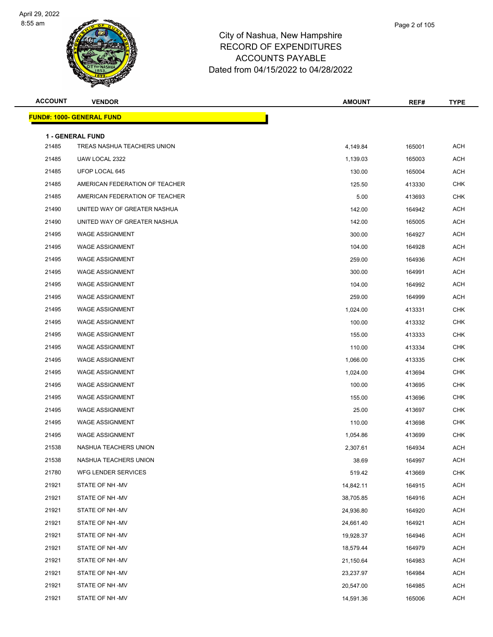

| Page 2 of 105 |  |
|---------------|--|
|               |  |

| <b>ACCOUNT</b> | <b>VENDOR</b>                                          | <b>AMOUNT</b> | REF#   | <b>TYPE</b> |
|----------------|--------------------------------------------------------|---------------|--------|-------------|
|                | <b>FUND#: 1000- GENERAL FUND</b>                       |               |        |             |
|                |                                                        |               |        |             |
| 21485          | <b>1 - GENERAL FUND</b><br>TREAS NASHUA TEACHERS UNION | 4,149.84      | 165001 | <b>ACH</b>  |
| 21485          | UAW LOCAL 2322                                         | 1,139.03      | 165003 | <b>ACH</b>  |
| 21485          | UFOP LOCAL 645                                         | 130.00        | 165004 | <b>ACH</b>  |
| 21485          | AMERICAN FEDERATION OF TEACHER                         | 125.50        | 413330 | <b>CHK</b>  |
| 21485          | AMERICAN FEDERATION OF TEACHER                         | 5.00          | 413693 | <b>CHK</b>  |
| 21490          | UNITED WAY OF GREATER NASHUA                           | 142.00        | 164942 | <b>ACH</b>  |
| 21490          | UNITED WAY OF GREATER NASHUA                           | 142.00        | 165005 | ACH         |
| 21495          | <b>WAGE ASSIGNMENT</b>                                 | 300.00        | 164927 | <b>ACH</b>  |
| 21495          | <b>WAGE ASSIGNMENT</b>                                 | 104.00        | 164928 | <b>ACH</b>  |
| 21495          | <b>WAGE ASSIGNMENT</b>                                 | 259.00        | 164936 | ACH         |
| 21495          | <b>WAGE ASSIGNMENT</b>                                 | 300.00        | 164991 | <b>ACH</b>  |
| 21495          | <b>WAGE ASSIGNMENT</b>                                 | 104.00        | 164992 | <b>ACH</b>  |
| 21495          | <b>WAGE ASSIGNMENT</b>                                 | 259.00        | 164999 | <b>ACH</b>  |
| 21495          | <b>WAGE ASSIGNMENT</b>                                 | 1,024.00      | 413331 | <b>CHK</b>  |
| 21495          | <b>WAGE ASSIGNMENT</b>                                 | 100.00        | 413332 | <b>CHK</b>  |
| 21495          | <b>WAGE ASSIGNMENT</b>                                 | 155.00        | 413333 | <b>CHK</b>  |
| 21495          | <b>WAGE ASSIGNMENT</b>                                 | 110.00        | 413334 | <b>CHK</b>  |
| 21495          | <b>WAGE ASSIGNMENT</b>                                 | 1,066.00      | 413335 | <b>CHK</b>  |
| 21495          | <b>WAGE ASSIGNMENT</b>                                 | 1,024.00      | 413694 | <b>CHK</b>  |
| 21495          | <b>WAGE ASSIGNMENT</b>                                 | 100.00        | 413695 | <b>CHK</b>  |
| 21495          | <b>WAGE ASSIGNMENT</b>                                 | 155.00        | 413696 | <b>CHK</b>  |
| 21495          | <b>WAGE ASSIGNMENT</b>                                 | 25.00         | 413697 | <b>CHK</b>  |
| 21495          | <b>WAGE ASSIGNMENT</b>                                 | 110.00        | 413698 | <b>CHK</b>  |
| 21495          | <b>WAGE ASSIGNMENT</b>                                 | 1,054.86      | 413699 | <b>CHK</b>  |
| 21538          | NASHUA TEACHERS UNION                                  | 2,307.61      | 164934 | ACH         |
| 21538          | NASHUA TEACHERS UNION                                  | 38.69         | 164997 | <b>ACH</b>  |
| 21780          | WFG LENDER SERVICES                                    | 519.42        | 413669 | <b>CHK</b>  |
| 21921          | STATE OF NH -MV                                        | 14,842.11     | 164915 | <b>ACH</b>  |
| 21921          | STATE OF NH -MV                                        | 38,705.85     | 164916 | <b>ACH</b>  |
| 21921          | STATE OF NH -MV                                        | 24,936.80     | 164920 | ACH         |
| 21921          | STATE OF NH -MV                                        | 24,661.40     | 164921 | ACH         |
| 21921          | STATE OF NH -MV                                        | 19,928.37     | 164946 | ACH         |
| 21921          | STATE OF NH -MV                                        | 18,579.44     | 164979 | ACH         |
| 21921          | STATE OF NH -MV                                        | 21,150.64     | 164983 | <b>ACH</b>  |
| 21921          | STATE OF NH -MV                                        | 23,237.97     | 164984 | ACH         |
| 21921          | STATE OF NH -MV                                        | 20,547.00     | 164985 | ACH         |
| 21921          | STATE OF NH -MV                                        | 14,591.36     | 165006 | <b>ACH</b>  |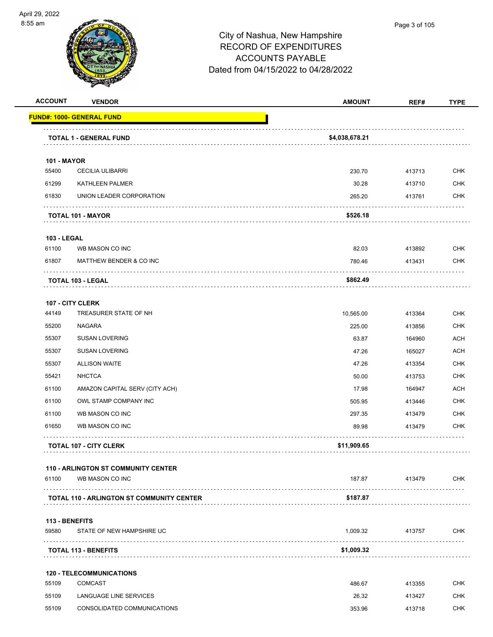

| <b>ACCOUNT</b>              | <b>VENDOR</b>                                    | <b>AMOUNT</b>  | REF#   | <b>TYPE</b> |
|-----------------------------|--------------------------------------------------|----------------|--------|-------------|
|                             | <u> FUND#: 1000- GENERAL FUND</u>                |                |        |             |
|                             | <b>TOTAL 1 - GENERAL FUND</b>                    | \$4,038,678.21 |        |             |
|                             |                                                  |                |        |             |
| <b>101 - MAYOR</b><br>55400 | <b>CECILIA ULIBARRI</b>                          | 230.70         | 413713 | <b>CHK</b>  |
| 61299                       | KATHLEEN PALMER                                  | 30.28          | 413710 | <b>CHK</b>  |
| 61830                       | UNION LEADER CORPORATION                         | 265.20         | 413761 | CHK         |
|                             | <b>TOTAL 101 - MAYOR</b>                         | \$526.18       |        |             |
| <b>103 - LEGAL</b>          |                                                  |                |        |             |
| 61100                       | WB MASON CO INC                                  | 82.03          | 413892 | <b>CHK</b>  |
| 61807                       | MATTHEW BENDER & CO INC                          | 780.46         | 413431 | <b>CHK</b>  |
|                             | <b>TOTAL 103 - LEGAL</b>                         | \$862.49       |        |             |
|                             | 107 - CITY CLERK                                 |                |        |             |
| 44149                       | TREASURER STATE OF NH                            | 10,565.00      | 413364 | <b>CHK</b>  |
| 55200                       | <b>NAGARA</b>                                    | 225.00         | 413856 | <b>CHK</b>  |
| 55307                       | <b>SUSAN LOVERING</b>                            | 63.87          | 164960 | ACH         |
| 55307                       | <b>SUSAN LOVERING</b>                            | 47.26          | 165027 | <b>ACH</b>  |
| 55307                       | <b>ALLISON WAITE</b>                             | 47.26          | 413354 | <b>CHK</b>  |
| 55421                       | <b>NHCTCA</b>                                    | 50.00          | 413753 | <b>CHK</b>  |
| 61100                       | AMAZON CAPITAL SERV (CITY ACH)                   | 17.98          | 164947 | <b>ACH</b>  |
| 61100                       | OWL STAMP COMPANY INC                            | 505.95         | 413446 | <b>CHK</b>  |
| 61100                       | WB MASON CO INC                                  | 297.35         | 413479 | <b>CHK</b>  |
| 61650                       | WB MASON CO INC                                  | 89.98          | 413479 | CHK         |
|                             | <b>TOTAL 107 - CITY CLERK</b>                    | \$11,909.65    |        |             |
|                             | <b>110 - ARLINGTON ST COMMUNITY CENTER</b>       |                |        |             |
| 61100                       | WB MASON CO INC                                  | 187.87         | 413479 | <b>CHK</b>  |
|                             | <b>TOTAL 110 - ARLINGTON ST COMMUNITY CENTER</b> | \$187.87       |        |             |
| 113 - BENEFITS              |                                                  |                |        |             |
| 59580                       | STATE OF NEW HAMPSHIRE UC                        | 1,009.32       | 413757 | <b>CHK</b>  |
|                             | <b>TOTAL 113 - BENEFITS</b>                      | \$1,009.32     |        |             |
|                             | <b>120 - TELECOMMUNICATIONS</b>                  |                |        |             |
| 55109                       | <b>COMCAST</b>                                   | 486.67         | 413355 | <b>CHK</b>  |
| 55109                       | LANGUAGE LINE SERVICES                           | 26.32          | 413427 | <b>CHK</b>  |
| 55109                       | CONSOLIDATED COMMUNICATIONS                      | 353.96         | 413718 | CHK         |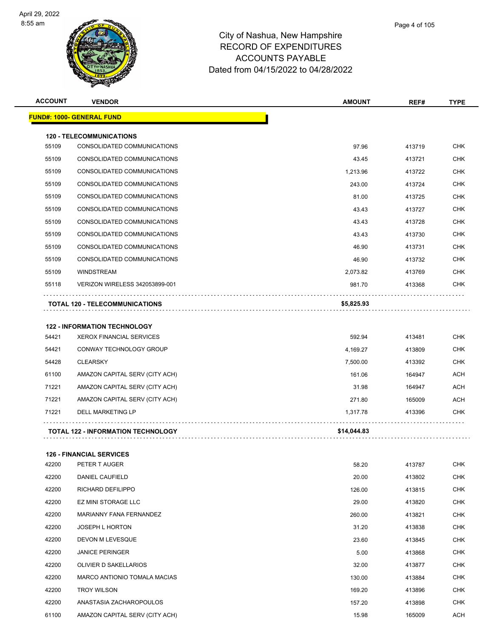

| <b>ACCOUNT</b> | <b>VENDOR</b>                         | <b>AMOUNT</b> | REF#   | <b>TYPE</b> |
|----------------|---------------------------------------|---------------|--------|-------------|
|                | <u> FUND#: 1000- GENERAL FUND</u>     |               |        |             |
|                | <b>120 - TELECOMMUNICATIONS</b>       |               |        |             |
| 55109          | CONSOLIDATED COMMUNICATIONS           | 97.96         | 413719 | <b>CHK</b>  |
| 55109          | CONSOLIDATED COMMUNICATIONS           | 43.45         | 413721 | <b>CHK</b>  |
| 55109          | CONSOLIDATED COMMUNICATIONS           | 1,213.96      | 413722 | <b>CHK</b>  |
| 55109          | CONSOLIDATED COMMUNICATIONS           | 243.00        | 413724 | <b>CHK</b>  |
| 55109          | CONSOLIDATED COMMUNICATIONS           | 81.00         | 413725 | <b>CHK</b>  |
| 55109          | CONSOLIDATED COMMUNICATIONS           | 43.43         | 413727 | <b>CHK</b>  |
| 55109          | CONSOLIDATED COMMUNICATIONS           | 43.43         | 413728 | <b>CHK</b>  |
| 55109          | CONSOLIDATED COMMUNICATIONS           | 43.43         | 413730 | <b>CHK</b>  |
| 55109          | CONSOLIDATED COMMUNICATIONS           | 46.90         | 413731 | <b>CHK</b>  |
| 55109          | CONSOLIDATED COMMUNICATIONS           | 46.90         | 413732 | <b>CHK</b>  |
| 55109          | <b>WINDSTREAM</b>                     | 2,073.82      | 413769 | <b>CHK</b>  |
| 55118          | VERIZON WIRELESS 342053899-001        | 981.70        | 413368 | <b>CHK</b>  |
|                | <b>TOTAL 120 - TELECOMMUNICATIONS</b> | \$5,825.93    |        |             |
|                | <b>122 - INFORMATION TECHNOLOGY</b>   |               |        |             |
| 54421          | <b>XEROX FINANCIAL SERVICES</b>       | 592.94        | 413481 | <b>CHK</b>  |
| 54421          | CONWAY TECHNOLOGY GROUP               | 4,169.27      | 413809 | CHK         |
| 54428          | <b>CLEARSKY</b>                       | 7,500.00      | 413392 | <b>CHK</b>  |
| 61100          | AMAZON CAPITAL SERV (CITY ACH)        | 161.06        | 164947 | <b>ACH</b>  |
| 71221          | AMAZON CAPITAL SERV (CITY ACH)        | 31.98         | 164947 | <b>ACH</b>  |
| 71221          | AMAZON CAPITAL SERV (CITY ACH)        | 271.80        | 165009 | <b>ACH</b>  |
| 71221          | <b>DELL MARKETING LP</b>              | 1,317.78      | 413396 | <b>CHK</b>  |
|                | TOTAL 122 - INFORMATION TECHNOLOGY    | \$14,044.83   |        |             |
|                | <b>126 - FINANCIAL SERVICES</b>       |               |        |             |
| 42200          | PETER T AUGER                         | 58.20         | 413787 | <b>CHK</b>  |
| 42200          | DANIEL CAUFIELD                       | 20.00         | 413802 | <b>CHK</b>  |
| 42200          | RICHARD DEFILIPPO                     | 126.00        | 413815 | CHK         |
| 42200          | <b>EZ MINI STORAGE LLC</b>            | 29.00         | 413820 | <b>CHK</b>  |
| 42200          | MARIANNY FANA FERNANDEZ               | 260.00        | 413821 | <b>CHK</b>  |
| 42200          | JOSEPH L HORTON                       | 31.20         | 413838 | <b>CHK</b>  |
| 42200          | DEVON M LEVESQUE                      | 23.60         | 413845 | <b>CHK</b>  |
| 42200          | <b>JANICE PERINGER</b>                | 5.00          | 413868 | CHK         |
| 42200          | OLIVIER D SAKELLARIOS                 | 32.00         | 413877 | <b>CHK</b>  |
| 42200          | MARCO ANTIONIO TOMALA MACIAS          | 130.00        | 413884 | CHK         |
| 42200          | <b>TROY WILSON</b>                    | 169.20        | 413896 | <b>CHK</b>  |
| 42200          | ANASTASIA ZACHAROPOULOS               | 157.20        | 413898 | <b>CHK</b>  |

61100 AMAZON CAPITAL SERV (CITY ACH) 15.98 165009 ACH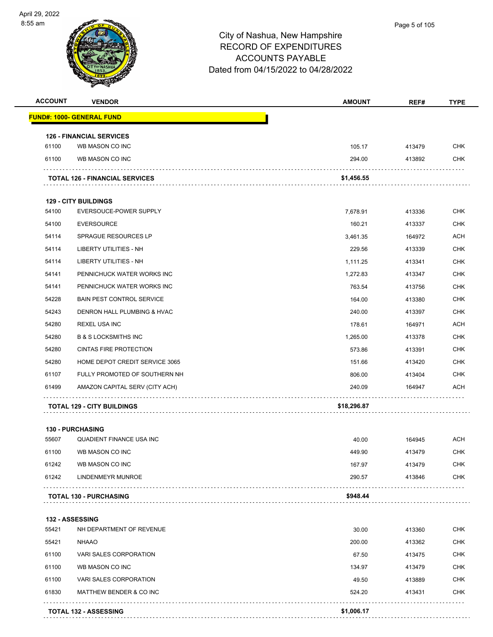

| <b>ACCOUNT</b> | <b>VENDOR</b>                         | <b>AMOUNT</b> | REF#   | <b>TYPE</b> |
|----------------|---------------------------------------|---------------|--------|-------------|
|                | <u> FUND#: 1000- GENERAL FUND</u>     |               |        |             |
|                | <b>126 - FINANCIAL SERVICES</b>       |               |        |             |
| 61100          | WB MASON CO INC                       | 105.17        | 413479 | <b>CHK</b>  |
| 61100          | WB MASON CO INC                       | 294.00        | 413892 | <b>CHK</b>  |
|                | <b>TOTAL 126 - FINANCIAL SERVICES</b> | \$1,456.55    |        |             |
|                | <b>129 - CITY BUILDINGS</b>           |               |        |             |
| 54100          | EVERSOUCE-POWER SUPPLY                | 7,678.91      | 413336 | <b>CHK</b>  |
| 54100          | <b>EVERSOURCE</b>                     | 160.21        | 413337 | <b>CHK</b>  |
| 54114          | SPRAGUE RESOURCES LP                  | 3,461.35      | 164972 | <b>ACH</b>  |
| 54114          | LIBERTY UTILITIES - NH                | 229.56        | 413339 | <b>CHK</b>  |
| 54114          | <b>LIBERTY UTILITIES - NH</b>         | 1,111.25      | 413341 | <b>CHK</b>  |
| 54141          | PENNICHUCK WATER WORKS INC            | 1,272.83      | 413347 | <b>CHK</b>  |
| 54141          | PENNICHUCK WATER WORKS INC            | 763.54        | 413756 | <b>CHK</b>  |
| 54228          | <b>BAIN PEST CONTROL SERVICE</b>      | 164.00        | 413380 | <b>CHK</b>  |
| 54243          | DENRON HALL PLUMBING & HVAC           | 240.00        | 413397 | <b>CHK</b>  |
| 54280          | <b>REXEL USA INC</b>                  | 178.61        | 164971 | <b>ACH</b>  |
| 54280          | <b>B &amp; S LOCKSMITHS INC</b>       | 1,265.00      | 413378 | <b>CHK</b>  |
| 54280          | <b>CINTAS FIRE PROTECTION</b>         | 573.86        | 413391 | <b>CHK</b>  |
| 54280          | HOME DEPOT CREDIT SERVICE 3065        | 151.66        | 413420 | <b>CHK</b>  |
| 61107          | FULLY PROMOTED OF SOUTHERN NH         | 806.00        | 413404 | <b>CHK</b>  |
| 61499          | AMAZON CAPITAL SERV (CITY ACH)        | 240.09        | 164947 | <b>ACH</b>  |
|                | <b>TOTAL 129 - CITY BUILDINGS</b>     | \$18,296.87   |        |             |
|                | <b>130 - PURCHASING</b>               |               |        |             |
| 55607          | <b>QUADIENT FINANCE USA INC</b>       | 40.00         | 164945 | <b>ACH</b>  |
| 61100          | WB MASON CO INC                       | 449.90        | 413479 | <b>CHK</b>  |
| 61242          | WB MASON CO INC                       | 167.97        | 413479 | <b>CHK</b>  |
| 61242          | LINDENMEYR MUNROE                     | 290.57        | 413846 | <b>CHK</b>  |
|                | <b>TOTAL 130 - PURCHASING</b>         | \$948.44      |        |             |
|                |                                       |               |        |             |

| <b>132 - ASSESSING</b> |                          |        |        |            |
|------------------------|--------------------------|--------|--------|------------|
| 55421                  | NH DEPARTMENT OF REVENUE | 30.00  | 413360 | <b>CHK</b> |
| 55421                  | <b>NHAAO</b>             | 200.00 | 413362 | <b>CHK</b> |
| 61100                  | VARI SALES CORPORATION   | 67.50  | 413475 | <b>CHK</b> |
| 61100                  | WB MASON CO INC          | 134.97 | 413479 | <b>CHK</b> |
| 61100                  | VARI SALES CORPORATION   | 49.50  | 413889 | <b>CHK</b> |
| 61830                  | MATTHEW BENDER & CO INC  | 524.20 | 413431 | <b>CHK</b> |
|                        |                          | .      |        |            |

**TOTAL 132 - ASSESSING \$1,006.17**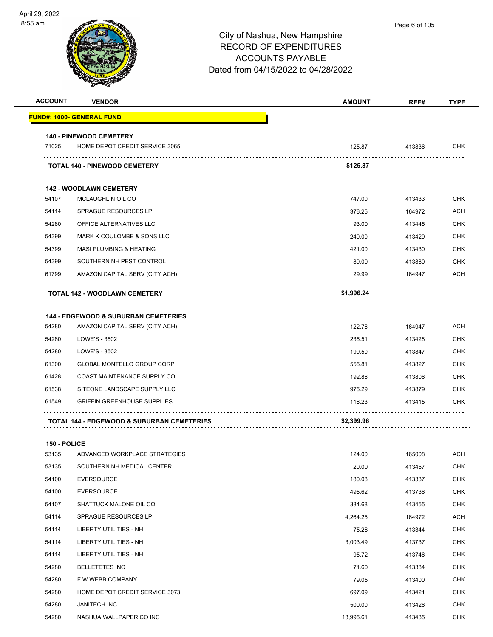| <b>ACCOUNT</b> | <b>VENDOR</b>                                         | <b>AMOUNT</b> | REF#   | <b>TYPE</b> |
|----------------|-------------------------------------------------------|---------------|--------|-------------|
|                | FUND#: 1000- GENERAL FUND                             |               |        |             |
|                | <b>140 - PINEWOOD CEMETERY</b>                        |               |        |             |
| 71025          | HOME DEPOT CREDIT SERVICE 3065                        | 125.87        | 413836 | <b>CHK</b>  |
|                | <b>TOTAL 140 - PINEWOOD CEMETERY</b>                  | \$125.87      |        |             |
|                | <b>142 - WOODLAWN CEMETERY</b>                        |               |        |             |
| 54107          | MCLAUGHLIN OIL CO                                     | 747.00        | 413433 | <b>CHK</b>  |
| 54114          | <b>SPRAGUE RESOURCES LP</b>                           | 376.25        | 164972 | <b>ACH</b>  |
| 54280          | OFFICE ALTERNATIVES LLC                               | 93.00         | 413445 | <b>CHK</b>  |
| 54399          | <b>MARK K COULOMBE &amp; SONS LLC</b>                 | 240.00        | 413429 | <b>CHK</b>  |
| 54399          | <b>MASI PLUMBING &amp; HEATING</b>                    | 421.00        | 413430 | <b>CHK</b>  |
| 54399          | SOUTHERN NH PEST CONTROL                              | 89.00         | 413880 | <b>CHK</b>  |
| 61799          | AMAZON CAPITAL SERV (CITY ACH)                        | 29.99         | 164947 | <b>ACH</b>  |
|                | <b>TOTAL 142 - WOODLAWN CEMETERY</b>                  | \$1,996.24    |        |             |
|                |                                                       |               |        |             |
|                | <b>144 - EDGEWOOD &amp; SUBURBAN CEMETERIES</b>       |               |        |             |
| 54280          | AMAZON CAPITAL SERV (CITY ACH)                        | 122.76        | 164947 | <b>ACH</b>  |
| 54280          | LOWE'S - 3502                                         | 235.51        | 413428 | <b>CHK</b>  |
| 54280          | LOWE'S - 3502                                         | 199.50        | 413847 | <b>CHK</b>  |
| 61300          | <b>GLOBAL MONTELLO GROUP CORP</b>                     | 555.81        | 413827 | <b>CHK</b>  |
| 61428          | COAST MAINTENANCE SUPPLY CO                           | 192.86        | 413806 | <b>CHK</b>  |
| 61538          | SITEONE LANDSCAPE SUPPLY LLC                          | 975.29        | 413879 | <b>CHK</b>  |
| 61549          | <b>GRIFFIN GREENHOUSE SUPPLIES</b>                    | 118.23        | 413415 | <b>CHK</b>  |
|                | <b>TOTAL 144 - EDGEWOOD &amp; SUBURBAN CEMETERIES</b> | \$2,399.96    |        |             |
|                |                                                       |               |        |             |
| 150 - POLICE   |                                                       |               |        |             |
| 53135          | ADVANCED WORKPLACE STRATEGIES                         | 124.00        | 165008 | <b>ACH</b>  |
| 53135          | SOUTHERN NH MEDICAL CENTER                            | 20.00         | 413457 | <b>CHK</b>  |
| 54100          | <b>EVERSOURCE</b>                                     | 180.08        | 413337 | <b>CHK</b>  |

| 54100 | <b>EVERSOURCE</b>              | 495.62    | 413736 | <b>CHK</b> |
|-------|--------------------------------|-----------|--------|------------|
| 54107 | SHATTUCK MALONE OIL CO         | 384.68    | 413455 | <b>CHK</b> |
| 54114 | <b>SPRAGUE RESOURCES LP</b>    | 4,264.25  | 164972 | ACH        |
| 54114 | LIBERTY UTILITIES - NH         | 75.28     | 413344 | <b>CHK</b> |
| 54114 | <b>LIBERTY UTILITIES - NH</b>  | 3,003.49  | 413737 | <b>CHK</b> |
| 54114 | LIBERTY UTILITIES - NH         | 95.72     | 413746 | <b>CHK</b> |
| 54280 | <b>BELLETETES INC</b>          | 71.60     | 413384 | <b>CHK</b> |
| 54280 | F W WEBB COMPANY               | 79.05     | 413400 | <b>CHK</b> |
| 54280 | HOME DEPOT CREDIT SERVICE 3073 | 697.09    | 413421 | <b>CHK</b> |
| 54280 | <b>JANITECH INC</b>            | 500.00    | 413426 | <b>CHK</b> |
| 54280 | NASHUA WALLPAPER CO INC        | 13,995.61 | 413435 | <b>CHK</b> |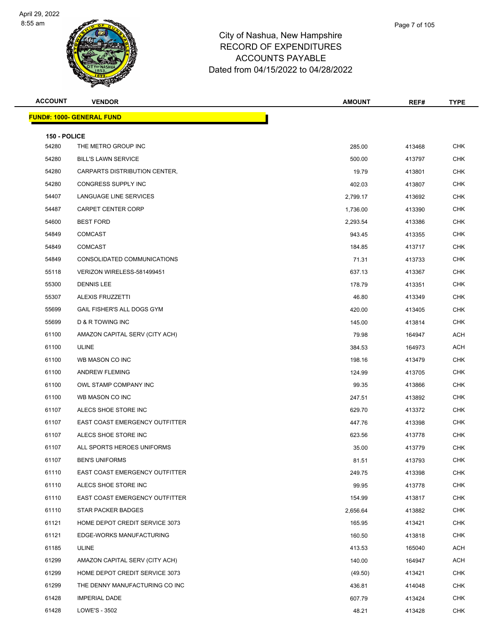

| Page 7 of 105 |  |
|---------------|--|
|               |  |
|               |  |
|               |  |

| <b>ACCOUNT</b> | <b>VENDOR</b>                         | <b>AMOUNT</b> | REF#   | <b>TYPE</b> |
|----------------|---------------------------------------|---------------|--------|-------------|
|                | <u> FUND#: 1000- GENERAL FUND</u>     |               |        |             |
| 150 - POLICE   |                                       |               |        |             |
| 54280          | THE METRO GROUP INC                   | 285.00        | 413468 | <b>CHK</b>  |
| 54280          | <b>BILL'S LAWN SERVICE</b>            | 500.00        | 413797 | <b>CHK</b>  |
| 54280          | CARPARTS DISTRIBUTION CENTER,         | 19.79         | 413801 | <b>CHK</b>  |
| 54280          | <b>CONGRESS SUPPLY INC</b>            | 402.03        | 413807 | <b>CHK</b>  |
| 54407          | LANGUAGE LINE SERVICES                | 2,799.17      | 413692 | <b>CHK</b>  |
| 54487          | <b>CARPET CENTER CORP</b>             | 1,736.00      | 413390 | <b>CHK</b>  |
| 54600          | <b>BEST FORD</b>                      | 2,293.54      | 413386 | <b>CHK</b>  |
| 54849          | <b>COMCAST</b>                        | 943.45        | 413355 | <b>CHK</b>  |
| 54849          | <b>COMCAST</b>                        | 184.85        | 413717 | <b>CHK</b>  |
| 54849          | CONSOLIDATED COMMUNICATIONS           | 71.31         | 413733 | <b>CHK</b>  |
| 55118          | VERIZON WIRELESS-581499451            | 637.13        | 413367 | <b>CHK</b>  |
| 55300          | <b>DENNIS LEE</b>                     | 178.79        | 413351 | <b>CHK</b>  |
| 55307          | <b>ALEXIS FRUZZETTI</b>               | 46.80         | 413349 | <b>CHK</b>  |
| 55699          | GAIL FISHER'S ALL DOGS GYM            | 420.00        | 413405 | <b>CHK</b>  |
| 55699          | D & R TOWING INC                      | 145.00        | 413814 | <b>CHK</b>  |
| 61100          | AMAZON CAPITAL SERV (CITY ACH)        | 79.98         | 164947 | <b>ACH</b>  |
| 61100          | <b>ULINE</b>                          | 384.53        | 164973 | ACH         |
| 61100          | WB MASON CO INC                       | 198.16        | 413479 | <b>CHK</b>  |
| 61100          | <b>ANDREW FLEMING</b>                 | 124.99        | 413705 | <b>CHK</b>  |
| 61100          | OWL STAMP COMPANY INC                 | 99.35         | 413866 | <b>CHK</b>  |
| 61100          | WB MASON CO INC                       | 247.51        | 413892 | <b>CHK</b>  |
| 61107          | ALECS SHOE STORE INC                  | 629.70        | 413372 | <b>CHK</b>  |
| 61107          | <b>EAST COAST EMERGENCY OUTFITTER</b> | 447.76        | 413398 | <b>CHK</b>  |
| 61107          | ALECS SHOE STORE INC                  | 623.56        | 413778 | <b>CHK</b>  |
| 61107          | ALL SPORTS HEROES UNIFORMS            | 35.00         | 413779 | <b>CHK</b>  |
| 61107          | <b>BEN'S UNIFORMS</b>                 | 81.51         | 413793 | CHK         |
| 61110          | EAST COAST EMERGENCY OUTFITTER        | 249.75        | 413398 | <b>CHK</b>  |
| 61110          | ALECS SHOE STORE INC                  | 99.95         | 413778 | <b>CHK</b>  |
| 61110          | EAST COAST EMERGENCY OUTFITTER        | 154.99        | 413817 | <b>CHK</b>  |
| 61110          | <b>STAR PACKER BADGES</b>             | 2,656.64      | 413882 | <b>CHK</b>  |
| 61121          | HOME DEPOT CREDIT SERVICE 3073        | 165.95        | 413421 | <b>CHK</b>  |
| 61121          | EDGE-WORKS MANUFACTURING              | 160.50        | 413818 | <b>CHK</b>  |
| 61185          | ULINE                                 | 413.53        | 165040 | ACH         |
| 61299          | AMAZON CAPITAL SERV (CITY ACH)        | 140.00        | 164947 | ACH         |
| 61299          | HOME DEPOT CREDIT SERVICE 3073        | (49.50)       | 413421 | CHK         |
| 61299          | THE DENNY MANUFACTURING CO INC        | 436.81        | 414048 | <b>CHK</b>  |
| 61428          | <b>IMPERIAL DADE</b>                  | 607.79        | 413424 | <b>CHK</b>  |
| 61428          | LOWE'S - 3502                         | 48.21         | 413428 | <b>CHK</b>  |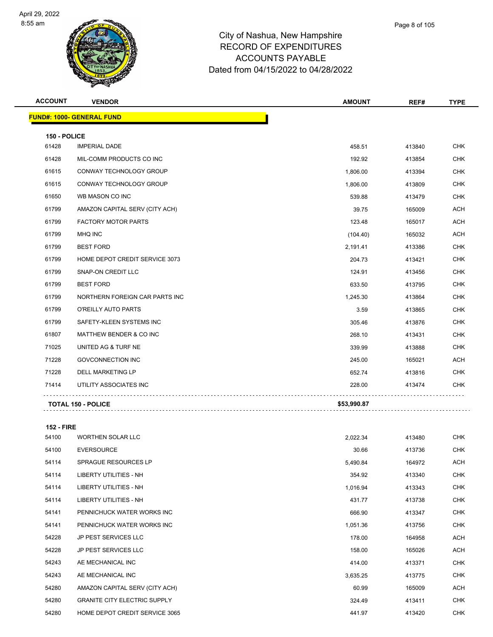

|       | Page 8 of 105 |
|-------|---------------|
| shire |               |

| <b>ACCOUNT</b> | <b>VENDOR</b>                      | <b>AMOUNT</b> | REF#   | <b>TYPE</b> |
|----------------|------------------------------------|---------------|--------|-------------|
|                | <b>FUND#: 1000- GENERAL FUND</b>   |               |        |             |
| 150 - POLICE   |                                    |               |        |             |
| 61428          | <b>IMPERIAL DADE</b>               | 458.51        | 413840 | <b>CHK</b>  |
| 61428          | MIL-COMM PRODUCTS CO INC           | 192.92        | 413854 | <b>CHK</b>  |
| 61615          | CONWAY TECHNOLOGY GROUP            | 1,806.00      | 413394 | <b>CHK</b>  |
| 61615          | CONWAY TECHNOLOGY GROUP            | 1,806.00      | 413809 | <b>CHK</b>  |
| 61650          | WB MASON CO INC                    | 539.88        | 413479 | <b>CHK</b>  |
| 61799          | AMAZON CAPITAL SERV (CITY ACH)     | 39.75         | 165009 | <b>ACH</b>  |
| 61799          | <b>FACTORY MOTOR PARTS</b>         | 123.48        | 165017 | <b>ACH</b>  |
| 61799          | <b>MHQ INC</b>                     | (104.40)      | 165032 | <b>ACH</b>  |
| 61799          | <b>BEST FORD</b>                   | 2,191.41      | 413386 | <b>CHK</b>  |
| 61799          | HOME DEPOT CREDIT SERVICE 3073     | 204.73        | 413421 | <b>CHK</b>  |
| 61799          | <b>SNAP-ON CREDIT LLC</b>          | 124.91        | 413456 | <b>CHK</b>  |
| 61799          | <b>BEST FORD</b>                   | 633.50        | 413795 | <b>CHK</b>  |
| 61799          | NORTHERN FOREIGN CAR PARTS INC     | 1,245.30      | 413864 | <b>CHK</b>  |
| 61799          | O'REILLY AUTO PARTS                | 3.59          | 413865 | <b>CHK</b>  |
| 61799          | SAFETY-KLEEN SYSTEMS INC           | 305.46        | 413876 | <b>CHK</b>  |
| 61807          | <b>MATTHEW BENDER &amp; CO INC</b> | 268.10        | 413431 | <b>CHK</b>  |
| 71025          | UNITED AG & TURF NE                | 339.99        | 413888 | <b>CHK</b>  |
| 71228          | <b>GOVCONNECTION INC</b>           | 245.00        | 165021 | <b>ACH</b>  |
| 71228          | <b>DELL MARKETING LP</b>           | 652.74        | 413816 | <b>CHK</b>  |
| 71414          | UTILITY ASSOCIATES INC             | 228.00        | 413474 | <b>CHK</b>  |
|                | <b>TOTAL 150 - POLICE</b>          | \$53,990.87   |        |             |

**152 - FIRE**

| 54100 | <b>WORTHEN SOLAR LLC</b>            | 2,022.34 | 413480 | <b>CHK</b> |
|-------|-------------------------------------|----------|--------|------------|
| 54100 | <b>EVERSOURCE</b>                   | 30.66    | 413736 | <b>CHK</b> |
| 54114 | SPRAGUE RESOURCES LP                | 5,490.84 | 164972 | ACH        |
| 54114 | <b>LIBERTY UTILITIES - NH</b>       | 354.92   | 413340 | <b>CHK</b> |
| 54114 | <b>LIBERTY UTILITIES - NH</b>       | 1,016.94 | 413343 | <b>CHK</b> |
| 54114 | LIBERTY UTILITIES - NH              | 431.77   | 413738 | <b>CHK</b> |
| 54141 | PENNICHUCK WATER WORKS INC          | 666.90   | 413347 | <b>CHK</b> |
| 54141 | PENNICHUCK WATER WORKS INC          | 1,051.36 | 413756 | <b>CHK</b> |
| 54228 | <b>JP PEST SERVICES LLC</b>         | 178.00   | 164958 | ACH        |
| 54228 | <b>JP PEST SERVICES LLC</b>         | 158.00   | 165026 | ACH        |
| 54243 | AE MECHANICAL INC                   | 414.00   | 413371 | <b>CHK</b> |
| 54243 | AE MECHANICAL INC                   | 3,635.25 | 413775 | <b>CHK</b> |
| 54280 | AMAZON CAPITAL SERV (CITY ACH)      | 60.99    | 165009 | ACH        |
| 54280 | <b>GRANITE CITY ELECTRIC SUPPLY</b> | 324.49   | 413411 | <b>CHK</b> |
| 54280 | HOME DEPOT CREDIT SERVICE 3065      | 441.97   | 413420 | <b>CHK</b> |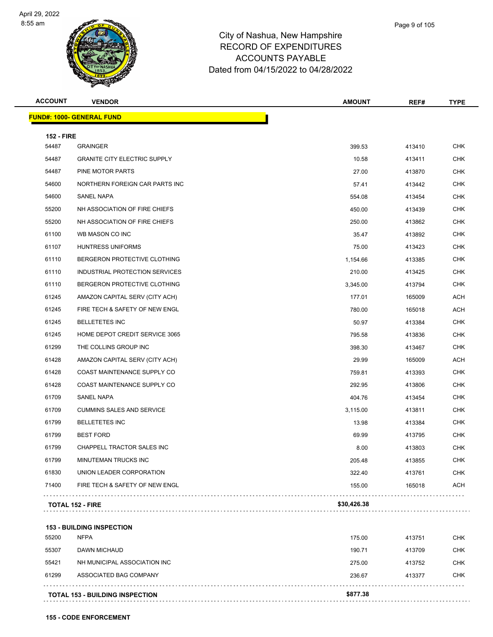

| Page 9 of 105 |
|---------------|
|               |

| <b>ACCOUNT</b>             | <b>VENDOR</b>                       | <b>AMOUNT</b> | REF#   | <b>TYPE</b> |
|----------------------------|-------------------------------------|---------------|--------|-------------|
|                            | <b>FUND#: 1000- GENERAL FUND</b>    |               |        |             |
|                            |                                     |               |        |             |
| <b>152 - FIRE</b><br>54487 | <b>GRAINGER</b>                     | 399.53        | 413410 | <b>CHK</b>  |
| 54487                      | <b>GRANITE CITY ELECTRIC SUPPLY</b> | 10.58         | 413411 | <b>CHK</b>  |
| 54487                      | PINE MOTOR PARTS                    | 27.00         | 413870 | <b>CHK</b>  |
| 54600                      | NORTHERN FOREIGN CAR PARTS INC      | 57.41         | 413442 | <b>CHK</b>  |
| 54600                      | SANEL NAPA                          | 554.08        | 413454 | <b>CHK</b>  |
| 55200                      | NH ASSOCIATION OF FIRE CHIEFS       | 450.00        | 413439 | <b>CHK</b>  |
| 55200                      | NH ASSOCIATION OF FIRE CHIEFS       | 250.00        | 413862 | <b>CHK</b>  |
| 61100                      | WB MASON CO INC                     | 35.47         | 413892 | <b>CHK</b>  |
| 61107                      | <b>HUNTRESS UNIFORMS</b>            | 75.00         | 413423 | <b>CHK</b>  |
| 61110                      | BERGERON PROTECTIVE CLOTHING        | 1,154.66      | 413385 | <b>CHK</b>  |
| 61110                      | INDUSTRIAL PROTECTION SERVICES      | 210.00        | 413425 | <b>CHK</b>  |
| 61110                      | BERGERON PROTECTIVE CLOTHING        | 3,345.00      | 413794 | <b>CHK</b>  |
| 61245                      | AMAZON CAPITAL SERV (CITY ACH)      | 177.01        | 165009 | <b>ACH</b>  |
| 61245                      | FIRE TECH & SAFETY OF NEW ENGL      | 780.00        | 165018 | <b>ACH</b>  |
| 61245                      | <b>BELLETETES INC</b>               | 50.97         | 413384 | <b>CHK</b>  |
| 61245                      | HOME DEPOT CREDIT SERVICE 3065      | 795.58        | 413836 | <b>CHK</b>  |
| 61299                      | THE COLLINS GROUP INC               | 398.30        | 413467 | <b>CHK</b>  |
| 61428                      | AMAZON CAPITAL SERV (CITY ACH)      | 29.99         | 165009 | <b>ACH</b>  |
| 61428                      | COAST MAINTENANCE SUPPLY CO         | 759.81        | 413393 | <b>CHK</b>  |
| 61428                      | COAST MAINTENANCE SUPPLY CO         | 292.95        | 413806 | <b>CHK</b>  |
| 61709                      | <b>SANEL NAPA</b>                   | 404.76        | 413454 | <b>CHK</b>  |
| 61709                      | <b>CUMMINS SALES AND SERVICE</b>    | 3,115.00      | 413811 | <b>CHK</b>  |
| 61799                      | <b>BELLETETES INC</b>               | 13.98         | 413384 | <b>CHK</b>  |
| 61799                      | <b>BEST FORD</b>                    | 69.99         | 413795 | <b>CHK</b>  |
| 61799                      | CHAPPELL TRACTOR SALES INC          | 8.00          | 413803 | <b>CHK</b>  |
| 61799                      | MINUTEMAN TRUCKS INC                | 205.48        | 413855 | <b>CHK</b>  |
| 61830                      | UNION LEADER CORPORATION            | 322.40        | 413761 | CHK         |
| 71400                      | FIRE TECH & SAFETY OF NEW ENGL      | 155.00        | 165018 | <b>ACH</b>  |
|                            | <b>TOTAL 152 - FIRE</b>             | \$30,426.38   |        |             |

#### **153 - BUILDING INSPECTION**

|       | <b>TOTAL 153 - BUILDING INSPECTION</b> | \$877.38 |        |            |
|-------|----------------------------------------|----------|--------|------------|
| 61299 | ASSOCIATED BAG COMPANY                 | 236.67   | 413377 | <b>CHK</b> |
| 55421 | NH MUNICIPAL ASSOCIATION INC           | 275.00   | 413752 | CHK        |
| 55307 | DAWN MICHAUD                           | 190.71   | 413709 | <b>CHK</b> |
| 55200 | <b>NFPA</b>                            | 175.00   | 413751 | <b>CHK</b> |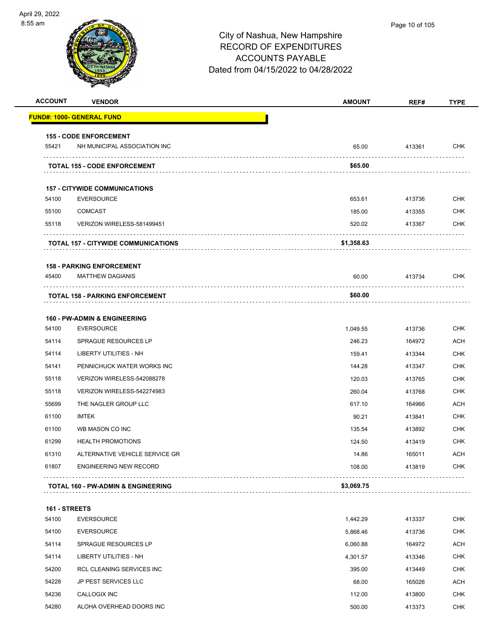

| <b>ACCOUNT</b> | <b>VENDOR</b>                                                   | <b>AMOUNT</b>   | REF#             | <b>TYPE</b>              |
|----------------|-----------------------------------------------------------------|-----------------|------------------|--------------------------|
|                | <u> FUND#: 1000- GENERAL FUND</u>                               |                 |                  |                          |
|                | <b>155 - CODE ENFORCEMENT</b>                                   |                 |                  |                          |
| 55421          | NH MUNICIPAL ASSOCIATION INC                                    | 65.00           | 413361           | <b>CHK</b>               |
|                | <b>TOTAL 155 - CODE ENFORCEMENT</b>                             | \$65.00         | .                |                          |
|                | <b>157 - CITYWIDE COMMUNICATIONS</b>                            |                 |                  |                          |
| 54100          | <b>EVERSOURCE</b>                                               | 653.61          | 413736           | <b>CHK</b>               |
| 55100          | <b>COMCAST</b>                                                  | 185.00          | 413355           | <b>CHK</b>               |
| 55118          | VERIZON WIRELESS-581499451                                      | 520.02          | 413367           | <b>CHK</b>               |
|                | <b>TOTAL 157 - CITYWIDE COMMUNICATIONS</b>                      | \$1,358.63      |                  |                          |
|                | <b>158 - PARKING ENFORCEMENT</b>                                |                 |                  |                          |
| 45400          | <b>MATTHEW DAGIANIS</b>                                         | 60.00           | 413734           | <b>CHK</b>               |
|                | <b>TOTAL 158 - PARKING ENFORCEMENT</b>                          | \$60.00         |                  |                          |
|                |                                                                 |                 |                  |                          |
|                | <b>160 - PW-ADMIN &amp; ENGINEERING</b>                         |                 |                  |                          |
| 54100          | <b>EVERSOURCE</b>                                               | 1,049.55        | 413736           | <b>CHK</b>               |
| 54114          | <b>SPRAGUE RESOURCES LP</b>                                     | 246.23          | 164972           | <b>ACH</b>               |
| 54114          | LIBERTY UTILITIES - NH                                          | 159.41          | 413344           | <b>CHK</b>               |
| 54141          | PENNICHUCK WATER WORKS INC                                      | 144.28          | 413347           | <b>CHK</b><br><b>CHK</b> |
| 55118          | VERIZON WIRELESS-542088278                                      | 120.03          | 413765           | <b>CHK</b>               |
| 55118<br>55699 | VERIZON WIRELESS-542274983<br>THE NAGLER GROUP LLC              | 260.04          | 413768           | <b>ACH</b>               |
|                |                                                                 | 617.10          | 164966           |                          |
| 61100<br>61100 | IMTEK<br>WB MASON CO INC                                        | 90.21           | 413841           | <b>CHK</b>               |
|                |                                                                 | 135.54          | 413892           | <b>CHK</b>               |
| 61299          | <b>HEALTH PROMOTIONS</b>                                        | 124.50          | 413419           | <b>CHK</b>               |
| 61310<br>61807 | ALTERNATIVE VEHICLE SERVICE GR<br><b>ENGINEERING NEW RECORD</b> | 14.86<br>108.00 | 165011<br>413819 | <b>ACH</b><br><b>CHK</b> |
|                |                                                                 |                 |                  |                          |
|                | <b>TOTAL 160 - PW-ADMIN &amp; ENGINEERING</b>                   | \$3,069.75      |                  |                          |
| 161 - STREETS  |                                                                 |                 |                  |                          |
| 54100          | <b>EVERSOURCE</b>                                               | 1,442.29        | 413337           | <b>CHK</b>               |
| 54100          | <b>EVERSOURCE</b>                                               | 5,868.46        | 413736           | <b>CHK</b>               |
| 54114          | SPRAGUE RESOURCES LP                                            | 6,060.88        | 164972           | ACH                      |
| 54114          | <b>LIBERTY UTILITIES - NH</b>                                   | 4,301.57        | 413346           | <b>CHK</b>               |
| 54200          | RCL CLEANING SERVICES INC                                       | 395.00          | 413449           | <b>CHK</b>               |
| 54228          | JP PEST SERVICES LLC                                            | 68.00           | 165026           | ACH                      |
| 54236          | CALLOGIX INC                                                    | 112.00          | 413800           | <b>CHK</b>               |
| 54280          | ALOHA OVERHEAD DOORS INC                                        | 500.00          | 413373           | <b>CHK</b>               |
|                |                                                                 |                 |                  |                          |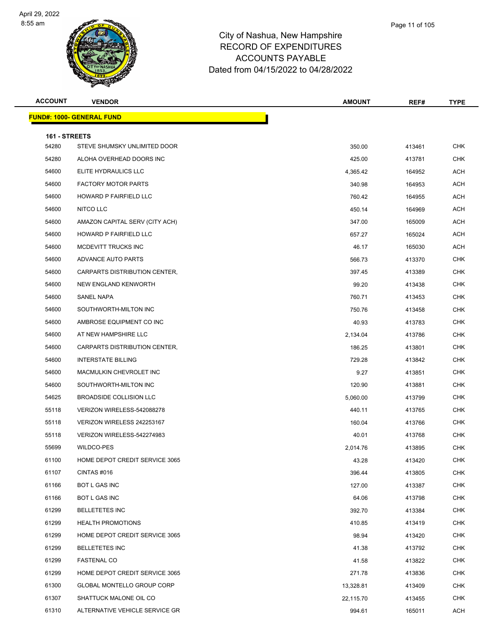

| Page 11 of 105 |  |
|----------------|--|
|                |  |

| <b>ACCOUNT</b>         | <b>VENDOR</b>                     | <b>AMOUNT</b> | REF#   | <b>TYPE</b> |
|------------------------|-----------------------------------|---------------|--------|-------------|
|                        | <b>FUND#: 1000- GENERAL FUND</b>  |               |        |             |
|                        |                                   |               |        |             |
| 161 - STREETS<br>54280 | STEVE SHUMSKY UNLIMITED DOOR      | 350.00        | 413461 | <b>CHK</b>  |
| 54280                  | ALOHA OVERHEAD DOORS INC          | 425.00        | 413781 | <b>CHK</b>  |
| 54600                  | ELITE HYDRAULICS LLC              | 4,365.42      | 164952 | <b>ACH</b>  |
| 54600                  | <b>FACTORY MOTOR PARTS</b>        | 340.98        | 164953 | <b>ACH</b>  |
| 54600                  | HOWARD P FAIRFIELD LLC            | 760.42        | 164955 | ACH         |
| 54600                  | NITCO LLC                         | 450.14        | 164969 | <b>ACH</b>  |
| 54600                  | AMAZON CAPITAL SERV (CITY ACH)    | 347.00        | 165009 | ACH         |
| 54600                  | HOWARD P FAIRFIELD LLC            | 657.27        | 165024 | <b>ACH</b>  |
| 54600                  | MCDEVITT TRUCKS INC               | 46.17         | 165030 | ACH         |
| 54600                  | ADVANCE AUTO PARTS                | 566.73        | 413370 | <b>CHK</b>  |
| 54600                  | CARPARTS DISTRIBUTION CENTER,     | 397.45        | 413389 | <b>CHK</b>  |
| 54600                  | NEW ENGLAND KENWORTH              | 99.20         | 413438 | <b>CHK</b>  |
| 54600                  | SANEL NAPA                        | 760.71        | 413453 | <b>CHK</b>  |
| 54600                  | SOUTHWORTH-MILTON INC             | 750.76        | 413458 | <b>CHK</b>  |
| 54600                  | AMBROSE EQUIPMENT CO INC          | 40.93         | 413783 | <b>CHK</b>  |
| 54600                  | AT NEW HAMPSHIRE LLC              | 2,134.04      | 413786 | <b>CHK</b>  |
| 54600                  | CARPARTS DISTRIBUTION CENTER,     | 186.25        | 413801 | CHK         |
| 54600                  | <b>INTERSTATE BILLING</b>         | 729.28        | 413842 | <b>CHK</b>  |
| 54600                  | MACMULKIN CHEVROLET INC           | 9.27          | 413851 | <b>CHK</b>  |
| 54600                  | SOUTHWORTH-MILTON INC             | 120.90        | 413881 | <b>CHK</b>  |
| 54625                  | BROADSIDE COLLISION LLC           | 5,060.00      | 413799 | <b>CHK</b>  |
| 55118                  | VERIZON WIRELESS-542088278        | 440.11        | 413765 | <b>CHK</b>  |
| 55118                  | VERIZON WIRELESS 242253167        | 160.04        | 413766 | CHK         |
| 55118                  | VERIZON WIRELESS-542274983        | 40.01         | 413768 | <b>CHK</b>  |
| 55699                  | WILDCO-PES                        | 2,014.76      | 413895 | <b>CHK</b>  |
| 61100                  | HOME DEPOT CREDIT SERVICE 3065    | 43.28         | 413420 | <b>CHK</b>  |
| 61107                  | CINTAS#016                        | 396.44        | 413805 | <b>CHK</b>  |
| 61166                  | <b>BOT L GAS INC</b>              | 127.00        | 413387 | <b>CHK</b>  |
| 61166                  | BOT L GAS INC                     | 64.06         | 413798 | <b>CHK</b>  |
| 61299                  | <b>BELLETETES INC</b>             | 392.70        | 413384 | CHK         |
| 61299                  | <b>HEALTH PROMOTIONS</b>          | 410.85        | 413419 | <b>CHK</b>  |
| 61299                  | HOME DEPOT CREDIT SERVICE 3065    | 98.94         | 413420 | CHK         |
| 61299                  | <b>BELLETETES INC</b>             | 41.38         | 413792 | <b>CHK</b>  |
| 61299                  | <b>FASTENAL CO</b>                | 41.58         | 413822 | <b>CHK</b>  |
| 61299                  | HOME DEPOT CREDIT SERVICE 3065    | 271.78        | 413836 | CHK         |
| 61300                  | <b>GLOBAL MONTELLO GROUP CORP</b> | 13,328.81     | 413409 | <b>CHK</b>  |
| 61307                  | SHATTUCK MALONE OIL CO            | 22,115.70     | 413455 | CHK         |
| 61310                  | ALTERNATIVE VEHICLE SERVICE GR    | 994.61        | 165011 | <b>ACH</b>  |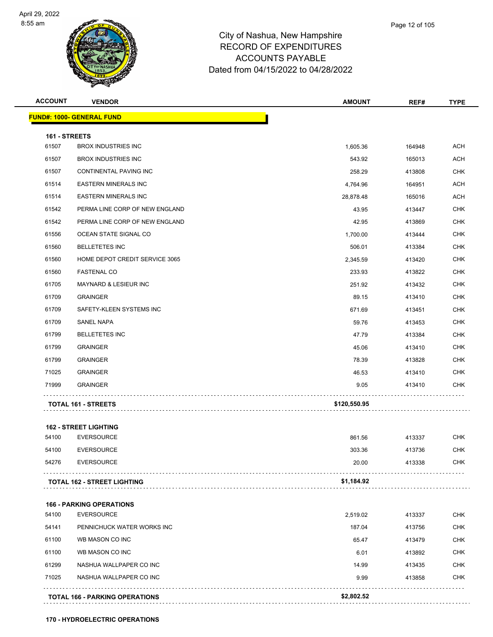

| <b>ACCOUNT</b> | <b>VENDOR</b>                         | <b>AMOUNT</b> | REF#   | <b>TYPE</b> |
|----------------|---------------------------------------|---------------|--------|-------------|
|                | <b>FUND#: 1000- GENERAL FUND</b>      |               |        |             |
| 161 - STREETS  |                                       |               |        |             |
| 61507          | <b>BROX INDUSTRIES INC</b>            | 1,605.36      | 164948 | <b>ACH</b>  |
| 61507          | <b>BROX INDUSTRIES INC</b>            | 543.92        | 165013 | <b>ACH</b>  |
| 61507          | CONTINENTAL PAVING INC                | 258.29        | 413808 | <b>CHK</b>  |
| 61514          | <b>EASTERN MINERALS INC</b>           | 4,764.96      | 164951 | <b>ACH</b>  |
| 61514          | <b>EASTERN MINERALS INC</b>           | 28,878.48     | 165016 | <b>ACH</b>  |
| 61542          | PERMA LINE CORP OF NEW ENGLAND        | 43.95         | 413447 | <b>CHK</b>  |
| 61542          | PERMA LINE CORP OF NEW ENGLAND        | 42.95         | 413869 | CHK         |
| 61556          | OCEAN STATE SIGNAL CO                 | 1,700.00      | 413444 | <b>CHK</b>  |
| 61560          | <b>BELLETETES INC</b>                 | 506.01        | 413384 | <b>CHK</b>  |
| 61560          | HOME DEPOT CREDIT SERVICE 3065        | 2,345.59      | 413420 | <b>CHK</b>  |
| 61560          | <b>FASTENAL CO</b>                    | 233.93        | 413822 | <b>CHK</b>  |
| 61705          | MAYNARD & LESIEUR INC                 | 251.92        | 413432 | CHK         |
| 61709          | <b>GRAINGER</b>                       | 89.15         | 413410 | <b>CHK</b>  |
| 61709          | SAFETY-KLEEN SYSTEMS INC              | 671.69        | 413451 | <b>CHK</b>  |
| 61709          | <b>SANEL NAPA</b>                     | 59.76         | 413453 | <b>CHK</b>  |
| 61799          | <b>BELLETETES INC</b>                 | 47.79         | 413384 | <b>CHK</b>  |
| 61799          | <b>GRAINGER</b>                       | 45.06         | 413410 | CHK         |
| 61799          | <b>GRAINGER</b>                       | 78.39         | 413828 | <b>CHK</b>  |
| 71025          | <b>GRAINGER</b>                       | 46.53         | 413410 | <b>CHK</b>  |
| 71999          | <b>GRAINGER</b>                       | 9.05          | 413410 | <b>CHK</b>  |
|                | <b>TOTAL 161 - STREETS</b>            | \$120,550.95  |        |             |
|                | <b>162 - STREET LIGHTING</b>          |               |        |             |
| 54100          | <b>EVERSOURCE</b>                     | 861.56        | 413337 | <b>CHK</b>  |
| 54100          | <b>EVERSOURCE</b>                     | 303.36        | 413736 | <b>CHK</b>  |
| 54276          | <b>EVERSOURCE</b>                     | 20.00         | 413338 | <b>CHK</b>  |
|                | <b>TOTAL 162 - STREET LIGHTING</b>    | \$1,184.92    |        |             |
|                | <b>166 - PARKING OPERATIONS</b>       |               |        |             |
| 54100          | <b>EVERSOURCE</b>                     | 2,519.02      | 413337 | <b>CHK</b>  |
| 54141          | PENNICHUCK WATER WORKS INC            | 187.04        | 413756 | <b>CHK</b>  |
| 61100          | WB MASON CO INC                       | 65.47         | 413479 | <b>CHK</b>  |
| 61100          | WB MASON CO INC                       | 6.01          | 413892 | <b>CHK</b>  |
| 61299          | NASHUA WALLPAPER CO INC               | 14.99         | 413435 | <b>CHK</b>  |
| 71025          | NASHUA WALLPAPER CO INC               | 9.99          | 413858 | CHK         |
|                |                                       |               |        |             |
|                | <b>TOTAL 166 - PARKING OPERATIONS</b> | \$2,802.52    |        |             |

**170 - HYDROELECTRIC OPERATIONS**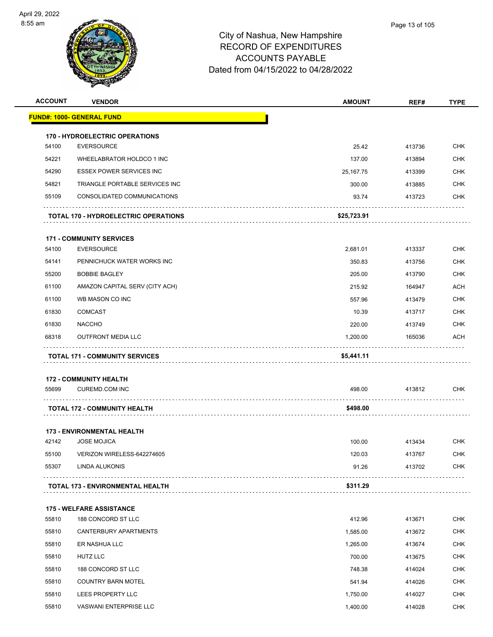

| <b>ACCOUNT</b> | <b>VENDOR</b>                                          | <b>AMOUNT</b> | REF#   | <b>TYPE</b> |
|----------------|--------------------------------------------------------|---------------|--------|-------------|
|                | <b>FUND#: 1000- GENERAL FUND</b>                       |               |        |             |
|                | <b>170 - HYDROELECTRIC OPERATIONS</b>                  |               |        |             |
| 54100          | <b>EVERSOURCE</b>                                      | 25.42         | 413736 | <b>CHK</b>  |
| 54221          | WHEELABRATOR HOLDCO 1 INC                              | 137.00        | 413894 | <b>CHK</b>  |
| 54290          | <b>ESSEX POWER SERVICES INC</b>                        | 25,167.75     | 413399 | <b>CHK</b>  |
| 54821          | TRIANGLE PORTABLE SERVICES INC                         | 300.00        | 413885 | <b>CHK</b>  |
| 55109          | CONSOLIDATED COMMUNICATIONS                            | 93.74         | 413723 | <b>CHK</b>  |
|                | <b>TOTAL 170 - HYDROELECTRIC OPERATIONS</b>            | \$25,723.91   |        |             |
|                | <b>171 - COMMUNITY SERVICES</b>                        |               |        |             |
| 54100          | <b>EVERSOURCE</b>                                      | 2,681.01      | 413337 | <b>CHK</b>  |
| 54141          | PENNICHUCK WATER WORKS INC                             | 350.83        | 413756 | <b>CHK</b>  |
| 55200          | <b>BOBBIE BAGLEY</b>                                   | 205.00        | 413790 | <b>CHK</b>  |
| 61100          | AMAZON CAPITAL SERV (CITY ACH)                         | 215.92        | 164947 | <b>ACH</b>  |
| 61100          | WB MASON CO INC                                        | 557.96        | 413479 | <b>CHK</b>  |
| 61830          | <b>COMCAST</b>                                         | 10.39         | 413717 | <b>CHK</b>  |
| 61830          | <b>NACCHO</b>                                          | 220.00        | 413749 | CHK         |
| 68318          | <b>OUTFRONT MEDIA LLC</b>                              | 1,200.00      | 165036 | ACH         |
|                | <b>TOTAL 171 - COMMUNITY SERVICES</b>                  | \$5,441.11    |        |             |
|                |                                                        |               |        |             |
| 55699          | <b>172 - COMMUNITY HEALTH</b><br><b>CUREMD.COM INC</b> | 498.00        | 413812 | CHK         |
|                |                                                        |               |        |             |
|                | <b>TOTAL 172 - COMMUNITY HEALTH</b>                    | \$498.00      |        |             |
|                | <b>173 - ENVIRONMENTAL HEALTH</b>                      |               |        |             |
| 42142          | <b>JOSE MOJICA</b>                                     | 100.00        | 413434 | <b>CHK</b>  |
| 55100          | VERIZON WIRELESS-642274605                             | 120.03        | 413767 | <b>CHK</b>  |
| 55307          | LINDA ALUKONIS                                         | 91.26         | 413702 | CHK         |
|                | TOTAL 173 - ENVIRONMENTAL HEALTH                       | \$311.29      |        |             |
|                | <b>175 - WELFARE ASSISTANCE</b>                        |               |        |             |
| 55810          | 188 CONCORD ST LLC                                     | 412.96        | 413671 | <b>CHK</b>  |
| 55810          | CANTERBURY APARTMENTS                                  | 1,585.00      | 413672 | <b>CHK</b>  |
| 55810          | ER NASHUA LLC                                          | 1,265.00      | 413674 | <b>CHK</b>  |
| 55810          | <b>HUTZ LLC</b>                                        | 700.00        | 413675 | <b>CHK</b>  |
| 55810          | 188 CONCORD ST LLC                                     | 748.38        | 414024 | <b>CHK</b>  |
| 55810          | <b>COUNTRY BARN MOTEL</b>                              | 541.94        | 414026 | <b>CHK</b>  |
| 55810          | LEES PROPERTY LLC                                      | 1,750.00      | 414027 | <b>CHK</b>  |
| 55810          | VASWANI ENTERPRISE LLC                                 | 1,400.00      | 414028 | <b>CHK</b>  |
|                |                                                        |               |        |             |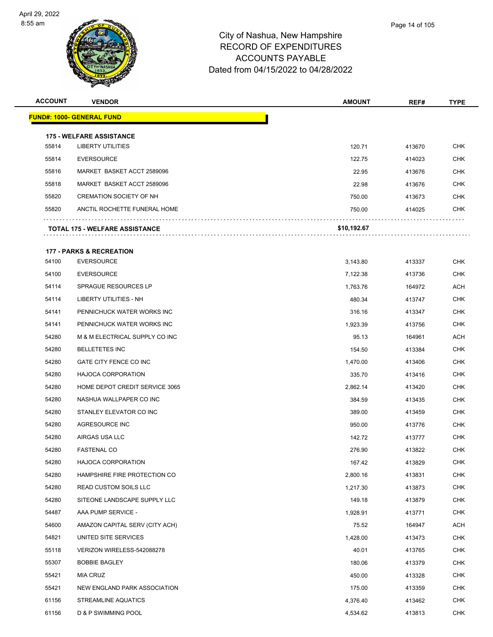

| <b>ACCOUNT</b> | <b>VENDOR</b>                                               | <b>AMOUNT</b> | REF#   | <b>TYPE</b> |
|----------------|-------------------------------------------------------------|---------------|--------|-------------|
|                | <u> FUND#: 1000- GENERAL FUND</u>                           |               |        |             |
|                |                                                             |               |        |             |
| 55814          | <b>175 - WELFARE ASSISTANCE</b><br><b>LIBERTY UTILITIES</b> | 120.71        | 413670 | <b>CHK</b>  |
| 55814          | <b>EVERSOURCE</b>                                           | 122.75        | 414023 | <b>CHK</b>  |
| 55816          | MARKET BASKET ACCT 2589096                                  | 22.95         | 413676 | <b>CHK</b>  |
| 55818          | MARKET BASKET ACCT 2589096                                  | 22.98         | 413676 | CHK         |
| 55820          | <b>CREMATION SOCIETY OF NH</b>                              | 750.00        | 413673 | <b>CHK</b>  |
| 55820          | ANCTIL ROCHETTE FUNERAL HOME                                | 750.00        | 414025 | <b>CHK</b>  |
|                | TOTAL 175 - WELFARE ASSISTANCE                              | \$10,192.67   |        |             |
|                |                                                             |               |        |             |
|                | <b>177 - PARKS &amp; RECREATION</b>                         |               |        |             |
| 54100          | <b>EVERSOURCE</b>                                           | 3,143.80      | 413337 | CHK         |
| 54100          | <b>EVERSOURCE</b>                                           | 7,122.38      | 413736 | <b>CHK</b>  |
| 54114          | <b>SPRAGUE RESOURCES LP</b>                                 | 1,763.76      | 164972 | ACH         |
| 54114          | LIBERTY UTILITIES - NH                                      | 480.34        | 413747 | CHK         |
| 54141          | PENNICHUCK WATER WORKS INC                                  | 316.16        | 413347 | <b>CHK</b>  |
| 54141          | PENNICHUCK WATER WORKS INC                                  | 1,923.39      | 413756 | CHK         |
| 54280          | M & M ELECTRICAL SUPPLY CO INC                              | 95.13         | 164961 | ACH         |
| 54280          | <b>BELLETETES INC</b>                                       | 154.50        | 413384 | <b>CHK</b>  |
| 54280          | GATE CITY FENCE CO INC                                      | 1,470.00      | 413406 | CHK         |
| 54280          | <b>HAJOCA CORPORATION</b>                                   | 335.70        | 413416 | <b>CHK</b>  |
| 54280          | HOME DEPOT CREDIT SERVICE 3065                              | 2,862.14      | 413420 | CHK         |
| 54280          | NASHUA WALLPAPER CO INC                                     | 384.59        | 413435 | <b>CHK</b>  |
| 54280          | STANLEY ELEVATOR CO INC                                     | 389.00        | 413459 | <b>CHK</b>  |
| 54280          | AGRESOURCE INC                                              | 950.00        | 413776 | CHK         |
| 54280          | AIRGAS USA LLC                                              | 142.72        | 413777 | <b>CHK</b>  |
| 54280          | <b>FASTENAL CO</b>                                          | 276.90        | 413822 | <b>CHK</b>  |
| 54280          | HAJOCA CORPORATION                                          | 167.42        | 413829 | <b>CHK</b>  |
| 54280          | HAMPSHIRE FIRE PROTECTION CO                                | 2,800.16      | 413831 | <b>CHK</b>  |
| 54280          | <b>READ CUSTOM SOILS LLC</b>                                | 1,217.30      | 413873 | <b>CHK</b>  |
| 54280          | SITEONE LANDSCAPE SUPPLY LLC                                | 149.18        | 413879 | <b>CHK</b>  |
| 54487          | AAA PUMP SERVICE -                                          | 1,928.91      | 413771 | <b>CHK</b>  |
| 54600          | AMAZON CAPITAL SERV (CITY ACH)                              | 75.52         | 164947 | ACH         |
| 54821          | UNITED SITE SERVICES                                        | 1,428.00      | 413473 | <b>CHK</b>  |
| 55118          | VERIZON WIRELESS-542088278                                  | 40.01         | 413765 | <b>CHK</b>  |
| 55307          | <b>BOBBIE BAGLEY</b>                                        | 180.06        | 413379 | <b>CHK</b>  |
| 55421          | MIA CRUZ                                                    | 450.00        | 413328 | <b>CHK</b>  |
| 55421          | NEW ENGLAND PARK ASSOCIATION                                | 175.00        | 413359 | <b>CHK</b>  |
| 61156          | STREAMLINE AQUATICS                                         | 4,376.40      | 413462 | <b>CHK</b>  |
| 61156          | D & P SWIMMING POOL                                         | 4,534.62      | 413813 | <b>CHK</b>  |
|                |                                                             |               |        |             |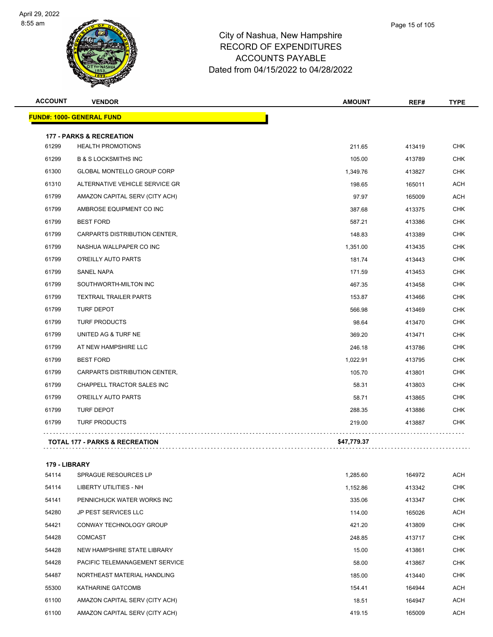

| <b>ACCOUNT</b> | <b>VENDOR</b>                             | <b>AMOUNT</b> | REF#   | <b>TYPE</b> |
|----------------|-------------------------------------------|---------------|--------|-------------|
|                | <b>FUND#: 1000- GENERAL FUND</b>          |               |        |             |
|                | <b>177 - PARKS &amp; RECREATION</b>       |               |        |             |
| 61299          | <b>HEALTH PROMOTIONS</b>                  | 211.65        | 413419 | <b>CHK</b>  |
| 61299          | <b>B &amp; S LOCKSMITHS INC</b>           | 105.00        | 413789 | <b>CHK</b>  |
| 61300          | <b>GLOBAL MONTELLO GROUP CORP</b>         | 1,349.76      | 413827 | <b>CHK</b>  |
| 61310          | ALTERNATIVE VEHICLE SERVICE GR            | 198.65        | 165011 | <b>ACH</b>  |
| 61799          | AMAZON CAPITAL SERV (CITY ACH)            | 97.97         | 165009 | <b>ACH</b>  |
| 61799          | AMBROSE EQUIPMENT CO INC                  | 387.68        | 413375 | <b>CHK</b>  |
| 61799          | <b>BEST FORD</b>                          | 587.21        | 413386 | <b>CHK</b>  |
| 61799          | CARPARTS DISTRIBUTION CENTER,             | 148.83        | 413389 | <b>CHK</b>  |
| 61799          | NASHUA WALLPAPER CO INC                   | 1,351.00      | 413435 | <b>CHK</b>  |
| 61799          | O'REILLY AUTO PARTS                       | 181.74        | 413443 | <b>CHK</b>  |
| 61799          | <b>SANEL NAPA</b>                         | 171.59        | 413453 | <b>CHK</b>  |
| 61799          | SOUTHWORTH-MILTON INC                     | 467.35        | 413458 | <b>CHK</b>  |
| 61799          | <b>TEXTRAIL TRAILER PARTS</b>             | 153.87        | 413466 | <b>CHK</b>  |
| 61799          | <b>TURF DEPOT</b>                         | 566.98        | 413469 | <b>CHK</b>  |
| 61799          | <b>TURF PRODUCTS</b>                      | 98.64         | 413470 | <b>CHK</b>  |
| 61799          | UNITED AG & TURF NE                       | 369.20        | 413471 | <b>CHK</b>  |
| 61799          | AT NEW HAMPSHIRE LLC                      | 246.18        | 413786 | <b>CHK</b>  |
| 61799          | <b>BEST FORD</b>                          | 1,022.91      | 413795 | <b>CHK</b>  |
| 61799          | CARPARTS DISTRIBUTION CENTER,             | 105.70        | 413801 | <b>CHK</b>  |
| 61799          | CHAPPELL TRACTOR SALES INC                | 58.31         | 413803 | <b>CHK</b>  |
| 61799          | O'REILLY AUTO PARTS                       | 58.71         | 413865 | <b>CHK</b>  |
| 61799          | <b>TURF DEPOT</b>                         | 288.35        | 413886 | CHK         |
| 61799          | <b>TURF PRODUCTS</b>                      | 219.00        | 413887 | CHK.        |
|                | <b>TOTAL 177 - PARKS &amp; RECREATION</b> | \$47,779.37   |        |             |
|                |                                           |               |        |             |

#### **179 - LIBRARY**

| 54114 | SPRAGUE RESOURCES LP           | 1,285.60 | 164972 | ACH        |
|-------|--------------------------------|----------|--------|------------|
| 54114 | LIBERTY UTILITIES - NH         | 1,152.86 | 413342 | <b>CHK</b> |
| 54141 | PENNICHUCK WATER WORKS INC     | 335.06   | 413347 | <b>CHK</b> |
| 54280 | <b>JP PEST SERVICES LLC</b>    | 114.00   | 165026 | ACH        |
| 54421 | CONWAY TECHNOLOGY GROUP        | 421.20   | 413809 | <b>CHK</b> |
| 54428 | <b>COMCAST</b>                 | 248.85   | 413717 | <b>CHK</b> |
| 54428 | NEW HAMPSHIRE STATE LIBRARY    | 15.00    | 413861 | <b>CHK</b> |
| 54428 | PACIFIC TELEMANAGEMENT SERVICE | 58.00    | 413867 | <b>CHK</b> |
| 54487 | NORTHEAST MATERIAL HANDLING    | 185.00   | 413440 | <b>CHK</b> |
| 55300 | <b>KATHARINE GATCOMB</b>       | 154.41   | 164944 | ACH        |
| 61100 | AMAZON CAPITAL SERV (CITY ACH) | 18.51    | 164947 | <b>ACH</b> |
| 61100 | AMAZON CAPITAL SERV (CITY ACH) | 419.15   | 165009 | ACH        |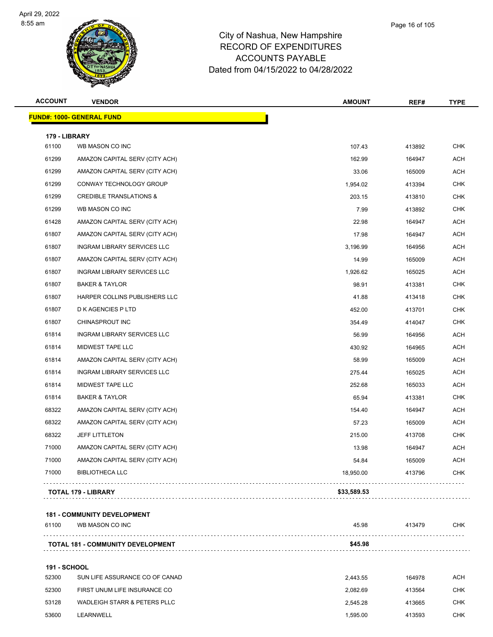

|        | Page 16 of 105 |
|--------|----------------|
| bshire |                |
| החחו   |                |

| <b>ACCOUNT</b> | <b>VENDOR</b>                      | <b>AMOUNT</b> | REF#   | <b>TYPE</b> |
|----------------|------------------------------------|---------------|--------|-------------|
|                | <b>FUND#: 1000- GENERAL FUND</b>   |               |        |             |
| 179 - LIBRARY  |                                    |               |        |             |
| 61100          | WB MASON CO INC                    | 107.43        | 413892 | <b>CHK</b>  |
| 61299          | AMAZON CAPITAL SERV (CITY ACH)     | 162.99        | 164947 | ACH         |
| 61299          | AMAZON CAPITAL SERV (CITY ACH)     | 33.06         | 165009 | <b>ACH</b>  |
| 61299          | CONWAY TECHNOLOGY GROUP            | 1,954.02      | 413394 | <b>CHK</b>  |
| 61299          | <b>CREDIBLE TRANSLATIONS &amp;</b> | 203.15        | 413810 | <b>CHK</b>  |
| 61299          | WB MASON CO INC                    | 7.99          | 413892 | <b>CHK</b>  |
| 61428          | AMAZON CAPITAL SERV (CITY ACH)     | 22.98         | 164947 | <b>ACH</b>  |
| 61807          | AMAZON CAPITAL SERV (CITY ACH)     | 17.98         | 164947 | <b>ACH</b>  |
| 61807          | INGRAM LIBRARY SERVICES LLC        | 3,196.99      | 164956 | ACH         |
| 61807          | AMAZON CAPITAL SERV (CITY ACH)     | 14.99         | 165009 | <b>ACH</b>  |
| 61807          | <b>INGRAM LIBRARY SERVICES LLC</b> | 1,926.62      | 165025 | <b>ACH</b>  |
| 61807          | <b>BAKER &amp; TAYLOR</b>          | 98.91         | 413381 | <b>CHK</b>  |
| 61807          | HARPER COLLINS PUBLISHERS LLC      | 41.88         | 413418 | <b>CHK</b>  |
| 61807          | D K AGENCIES P LTD                 | 452.00        | 413701 | <b>CHK</b>  |
| 61807          | CHINASPROUT INC                    | 354.49        | 414047 | <b>CHK</b>  |
| 61814          | <b>INGRAM LIBRARY SERVICES LLC</b> | 56.99         | 164956 | <b>ACH</b>  |
| 61814          | MIDWEST TAPE LLC                   | 430.92        | 164965 | <b>ACH</b>  |
| 61814          | AMAZON CAPITAL SERV (CITY ACH)     | 58.99         | 165009 | ACH         |
| 61814          | INGRAM LIBRARY SERVICES LLC        | 275.44        | 165025 | <b>ACH</b>  |
| 61814          | MIDWEST TAPE LLC                   | 252.68        | 165033 | <b>ACH</b>  |
| 61814          | <b>BAKER &amp; TAYLOR</b>          | 65.94         | 413381 | <b>CHK</b>  |
| 68322          | AMAZON CAPITAL SERV (CITY ACH)     | 154.40        | 164947 | <b>ACH</b>  |
| 68322          | AMAZON CAPITAL SERV (CITY ACH)     | 57.23         | 165009 | <b>ACH</b>  |
| 68322          | <b>JEFF LITTLETON</b>              | 215.00        | 413708 | <b>CHK</b>  |
| 71000          | AMAZON CAPITAL SERV (CITY ACH)     | 13.98         | 164947 | ACH         |
| 71000          | AMAZON CAPITAL SERV (CITY ACH)     | 54.84         | 165009 | <b>ACH</b>  |
| 71000          | <b>BIBLIOTHECA LLC</b>             | 18,950.00     | 413796 | <b>CHK</b>  |
|                | <b>TOTAL 179 - LIBRARY</b>         | \$33,589.53   |        |             |

#### **181 - COMMUNITY DEVELOPMENT**

| <b>TOTAL 181 - COMMUNITY DEVELOPMENT</b> | \$45.98 |  |
|------------------------------------------|---------|--|

#### **191 - SCHOOL**

| 52300 | SUN LIFE ASSURANCE CO OF CANAD | 2.443.55 | 164978 | ACH |
|-------|--------------------------------|----------|--------|-----|
| 52300 | FIRST UNUM LIFE INSURANCE CO   | 2.082.69 | 413564 | CHK |
| 53128 | WADLEIGH STARR & PETERS PLLC   | 2.545.28 | 413665 | СНК |
| 53600 | LEARNWELL                      | 1.595.00 | 413593 | СНК |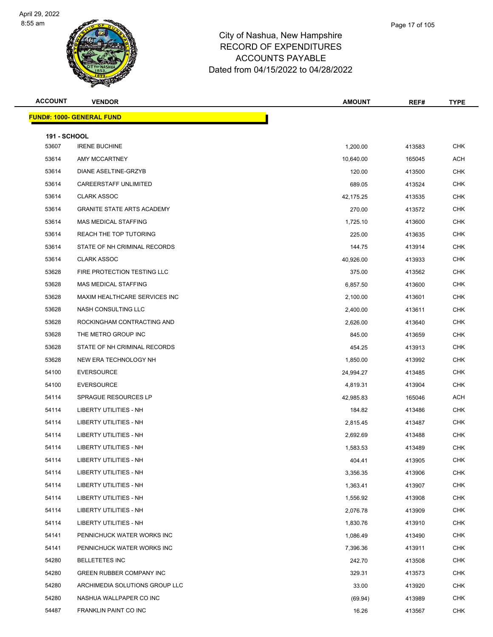

| Page 17 of 105 |  |
|----------------|--|
|                |  |

| <b>ACCOUNT</b>               | <b>VENDOR</b>                     | <b>AMOUNT</b> | REF#   | <b>TYPE</b> |
|------------------------------|-----------------------------------|---------------|--------|-------------|
|                              | <b>FUND#: 1000- GENERAL FUND</b>  |               |        |             |
|                              |                                   |               |        |             |
| <b>191 - SCHOOL</b><br>53607 | <b>IRENE BUCHINE</b>              | 1,200.00      | 413583 | <b>CHK</b>  |
| 53614                        | AMY MCCARTNEY                     | 10,640.00     | 165045 | ACH         |
| 53614                        | DIANE ASELTINE-GRZYB              | 120.00        | 413500 | CHK         |
| 53614                        | CAREERSTAFF UNLIMITED             | 689.05        | 413524 | <b>CHK</b>  |
| 53614                        | CLARK ASSOC                       | 42,175.25     | 413535 | <b>CHK</b>  |
| 53614                        | <b>GRANITE STATE ARTS ACADEMY</b> | 270.00        | 413572 | <b>CHK</b>  |
| 53614                        | MAS MEDICAL STAFFING              | 1,725.10      | 413600 | <b>CHK</b>  |
| 53614                        | REACH THE TOP TUTORING            | 225.00        | 413635 | <b>CHK</b>  |
| 53614                        | STATE OF NH CRIMINAL RECORDS      | 144.75        | 413914 | <b>CHK</b>  |
| 53614                        | <b>CLARK ASSOC</b>                | 40,926.00     | 413933 | <b>CHK</b>  |
| 53628                        | FIRE PROTECTION TESTING LLC       | 375.00        | 413562 | CHK         |
| 53628                        | <b>MAS MEDICAL STAFFING</b>       | 6,857.50      | 413600 | <b>CHK</b>  |
| 53628                        | MAXIM HEALTHCARE SERVICES INC     | 2,100.00      | 413601 | CHK         |
| 53628                        | NASH CONSULTING LLC               | 2,400.00      | 413611 | <b>CHK</b>  |
| 53628                        | ROCKINGHAM CONTRACTING AND        | 2,626.00      | 413640 | <b>CHK</b>  |
| 53628                        | THE METRO GROUP INC               | 845.00        | 413659 | <b>CHK</b>  |
| 53628                        | STATE OF NH CRIMINAL RECORDS      | 454.25        | 413913 | CHK         |
| 53628                        | NEW ERA TECHNOLOGY NH             | 1,850.00      | 413992 | <b>CHK</b>  |
| 54100                        | <b>EVERSOURCE</b>                 | 24,994.27     | 413485 | <b>CHK</b>  |
| 54100                        | <b>EVERSOURCE</b>                 | 4,819.31      | 413904 | <b>CHK</b>  |
| 54114                        | <b>SPRAGUE RESOURCES LP</b>       | 42,985.83     | 165046 | ACH         |
| 54114                        | LIBERTY UTILITIES - NH            | 184.82        | 413486 | CHK         |
| 54114                        | <b>LIBERTY UTILITIES - NH</b>     | 2,815.45      | 413487 | CHK         |
| 54114                        | <b>LIBERTY UTILITIES - NH</b>     | 2,692.69      | 413488 | <b>CHK</b>  |
| 54114                        | LIBERTY UTILITIES - NH            | 1,583.53      | 413489 | <b>CHK</b>  |
| 54114                        | LIBERTY UTILITIES - NH            | 404.41        | 413905 | <b>CHK</b>  |
| 54114                        | <b>LIBERTY UTILITIES - NH</b>     | 3,356.35      | 413906 | <b>CHK</b>  |
| 54114                        | <b>LIBERTY UTILITIES - NH</b>     | 1,363.41      | 413907 | <b>CHK</b>  |
| 54114                        | LIBERTY UTILITIES - NH            | 1,556.92      | 413908 | <b>CHK</b>  |
| 54114                        | <b>LIBERTY UTILITIES - NH</b>     | 2,076.78      | 413909 | <b>CHK</b>  |
| 54114                        | <b>LIBERTY UTILITIES - NH</b>     | 1,830.76      | 413910 | CHK         |
| 54141                        | PENNICHUCK WATER WORKS INC        | 1,086.49      | 413490 | CHK         |
| 54141                        | PENNICHUCK WATER WORKS INC        | 7,396.36      | 413911 | CHK         |
| 54280                        | <b>BELLETETES INC</b>             | 242.70        | 413508 | <b>CHK</b>  |
| 54280                        | GREEN RUBBER COMPANY INC          | 329.31        | 413573 | CHK         |
| 54280                        | ARCHIMEDIA SOLUTIONS GROUP LLC    | 33.00         | 413920 | CHK         |
| 54280                        | NASHUA WALLPAPER CO INC           | (69.94)       | 413989 | CHK         |
| 54487                        | FRANKLIN PAINT CO INC             | 16.26         | 413567 | <b>CHK</b>  |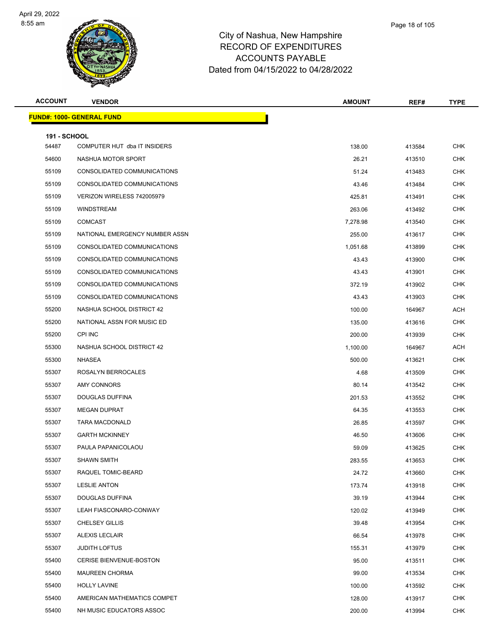

| Page 18 of 105 |  |
|----------------|--|
|                |  |

| <b>ACCOUNT</b>               | <b>VENDOR</b>                    | <b>AMOUNT</b> | REF#   | <b>TYPE</b> |
|------------------------------|----------------------------------|---------------|--------|-------------|
|                              | <b>FUND#: 1000- GENERAL FUND</b> |               |        |             |
|                              |                                  |               |        |             |
| <b>191 - SCHOOL</b><br>54487 | COMPUTER HUT dba IT INSIDERS     | 138.00        | 413584 | <b>CHK</b>  |
| 54600                        | NASHUA MOTOR SPORT               | 26.21         | 413510 | <b>CHK</b>  |
| 55109                        | CONSOLIDATED COMMUNICATIONS      | 51.24         | 413483 | <b>CHK</b>  |
| 55109                        | CONSOLIDATED COMMUNICATIONS      | 43.46         | 413484 | <b>CHK</b>  |
| 55109                        | VERIZON WIRELESS 742005979       | 425.81        | 413491 | <b>CHK</b>  |
| 55109                        | <b>WINDSTREAM</b>                | 263.06        | 413492 | <b>CHK</b>  |
| 55109                        | <b>COMCAST</b>                   | 7,278.98      | 413540 | <b>CHK</b>  |
| 55109                        | NATIONAL EMERGENCY NUMBER ASSN   | 255.00        | 413617 | <b>CHK</b>  |
| 55109                        | CONSOLIDATED COMMUNICATIONS      | 1,051.68      | 413899 | <b>CHK</b>  |
| 55109                        | CONSOLIDATED COMMUNICATIONS      | 43.43         | 413900 | <b>CHK</b>  |
| 55109                        | CONSOLIDATED COMMUNICATIONS      | 43.43         | 413901 | <b>CHK</b>  |
| 55109                        | CONSOLIDATED COMMUNICATIONS      | 372.19        | 413902 | <b>CHK</b>  |
| 55109                        | CONSOLIDATED COMMUNICATIONS      | 43.43         | 413903 | <b>CHK</b>  |
| 55200                        | NASHUA SCHOOL DISTRICT 42        | 100.00        | 164967 | ACH         |
| 55200                        | NATIONAL ASSN FOR MUSIC ED       | 135.00        | 413616 | <b>CHK</b>  |
| 55200                        | CPI INC                          | 200.00        | 413939 | <b>CHK</b>  |
| 55300                        | NASHUA SCHOOL DISTRICT 42        | 1,100.00      | 164967 | <b>ACH</b>  |
| 55300                        | NHASEA                           | 500.00        | 413621 | <b>CHK</b>  |
| 55307                        | ROSALYN BERROCALES               | 4.68          | 413509 | <b>CHK</b>  |
| 55307                        | AMY CONNORS                      | 80.14         | 413542 | <b>CHK</b>  |
| 55307                        | DOUGLAS DUFFINA                  | 201.53        | 413552 | <b>CHK</b>  |
| 55307                        | <b>MEGAN DUPRAT</b>              | 64.35         | 413553 | <b>CHK</b>  |
| 55307                        | <b>TARA MACDONALD</b>            | 26.85         | 413597 | CHK         |
| 55307                        | <b>GARTH MCKINNEY</b>            | 46.50         | 413606 | <b>CHK</b>  |
| 55307                        | PAULA PAPANICOLAOU               | 59.09         | 413625 | <b>CHK</b>  |
| 55307                        | <b>SHAWN SMITH</b>               | 283.55        | 413653 | <b>CHK</b>  |
| 55307                        | RAQUEL TOMIC-BEARD               | 24.72         | 413660 | <b>CHK</b>  |
| 55307                        | <b>LESLIE ANTON</b>              | 173.74        | 413918 | <b>CHK</b>  |
| 55307                        | DOUGLAS DUFFINA                  | 39.19         | 413944 | <b>CHK</b>  |
| 55307                        | LEAH FIASCONARO-CONWAY           | 120.02        | 413949 | <b>CHK</b>  |
| 55307                        | <b>CHELSEY GILLIS</b>            | 39.48         | 413954 | <b>CHK</b>  |
| 55307                        | <b>ALEXIS LECLAIR</b>            | 66.54         | 413978 | <b>CHK</b>  |
| 55307                        | <b>JUDITH LOFTUS</b>             | 155.31        | 413979 | <b>CHK</b>  |
| 55400                        | CERISE BIENVENUE-BOSTON          | 95.00         | 413511 | <b>CHK</b>  |
| 55400                        | <b>MAUREEN CHORMA</b>            | 99.00         | 413534 | <b>CHK</b>  |
| 55400                        | <b>HOLLY LAVINE</b>              | 100.00        | 413592 | <b>CHK</b>  |
| 55400                        | AMERICAN MATHEMATICS COMPET      | 128.00        | 413917 | <b>CHK</b>  |
| 55400                        | NH MUSIC EDUCATORS ASSOC         | 200.00        | 413994 | <b>CHK</b>  |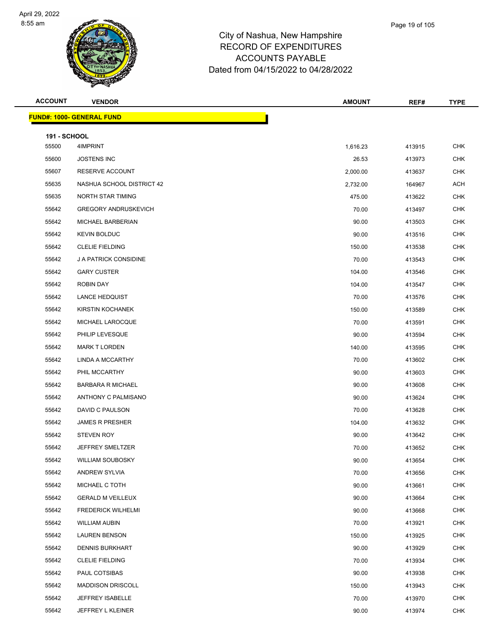

|       | Page 19 of 105 |
|-------|----------------|
| shire |                |
| DES   |                |

| <b>ACCOUNT</b>               | <b>VENDOR</b>                    | <b>AMOUNT</b> | REF#   | <b>TYPE</b> |
|------------------------------|----------------------------------|---------------|--------|-------------|
|                              | <b>FUND#: 1000- GENERAL FUND</b> |               |        |             |
|                              |                                  |               |        |             |
| <b>191 - SCHOOL</b><br>55500 | 4IMPRINT                         | 1,616.23      | 413915 | <b>CHK</b>  |
| 55600                        | <b>JOSTENS INC</b>               | 26.53         | 413973 | <b>CHK</b>  |
| 55607                        | RESERVE ACCOUNT                  | 2,000.00      | 413637 | <b>CHK</b>  |
| 55635                        | NASHUA SCHOOL DISTRICT 42        | 2,732.00      | 164967 | <b>ACH</b>  |
| 55635                        | <b>NORTH STAR TIMING</b>         | 475.00        | 413622 | <b>CHK</b>  |
| 55642                        | <b>GREGORY ANDRUSKEVICH</b>      | 70.00         | 413497 | <b>CHK</b>  |
| 55642                        | MICHAEL BARBERIAN                | 90.00         | 413503 | <b>CHK</b>  |
| 55642                        | <b>KEVIN BOLDUC</b>              | 90.00         | 413516 | <b>CHK</b>  |
| 55642                        | <b>CLELIE FIELDING</b>           | 150.00        | 413538 | <b>CHK</b>  |
| 55642                        | J A PATRICK CONSIDINE            | 70.00         | 413543 | <b>CHK</b>  |
| 55642                        | <b>GARY CUSTER</b>               | 104.00        | 413546 | <b>CHK</b>  |
| 55642                        | ROBIN DAY                        | 104.00        | 413547 | <b>CHK</b>  |
| 55642                        | LANCE HEDQUIST                   | 70.00         | 413576 | <b>CHK</b>  |
| 55642                        | KIRSTIN KOCHANEK                 | 150.00        | 413589 | <b>CHK</b>  |
| 55642                        | MICHAEL LAROCQUE                 | 70.00         | 413591 | <b>CHK</b>  |
| 55642                        | PHILIP LEVESQUE                  | 90.00         | 413594 | <b>CHK</b>  |
| 55642                        | <b>MARK T LORDEN</b>             | 140.00        | 413595 | <b>CHK</b>  |
| 55642                        | LINDA A MCCARTHY                 | 70.00         | 413602 | <b>CHK</b>  |
| 55642                        | PHIL MCCARTHY                    | 90.00         | 413603 | <b>CHK</b>  |
| 55642                        | <b>BARBARA R MICHAEL</b>         | 90.00         | 413608 | <b>CHK</b>  |
| 55642                        | ANTHONY C PALMISANO              | 90.00         | 413624 | <b>CHK</b>  |
| 55642                        | DAVID C PAULSON                  | 70.00         | 413628 | <b>CHK</b>  |
| 55642                        | <b>JAMES R PRESHER</b>           | 104.00        | 413632 | CHK         |
| 55642                        | <b>STEVEN ROY</b>                | 90.00         | 413642 | <b>CHK</b>  |
| 55642                        | <b>JEFFREY SMELTZER</b>          | 70.00         | 413652 | <b>CHK</b>  |
| 55642                        | <b>WILLIAM SOUBOSKY</b>          | 90.00         | 413654 | <b>CHK</b>  |
| 55642                        | ANDREW SYLVIA                    | 70.00         | 413656 | <b>CHK</b>  |
| 55642                        | MICHAEL C TOTH                   | 90.00         | 413661 | <b>CHK</b>  |
| 55642                        | <b>GERALD M VEILLEUX</b>         | 90.00         | 413664 | <b>CHK</b>  |
| 55642                        | <b>FREDERICK WILHELMI</b>        | 90.00         | 413668 | <b>CHK</b>  |
| 55642                        | <b>WILLIAM AUBIN</b>             | 70.00         | 413921 | <b>CHK</b>  |
| 55642                        | <b>LAUREN BENSON</b>             | 150.00        | 413925 | <b>CHK</b>  |
| 55642                        | <b>DENNIS BURKHART</b>           | 90.00         | 413929 | <b>CHK</b>  |
| 55642                        | <b>CLELIE FIELDING</b>           | 70.00         | 413934 | <b>CHK</b>  |
| 55642                        | PAUL COTSIBAS                    | 90.00         | 413938 | <b>CHK</b>  |
| 55642                        | <b>MADDISON DRISCOLL</b>         | 150.00        | 413943 | <b>CHK</b>  |
| 55642                        | JEFFREY ISABELLE                 | 70.00         | 413970 | <b>CHK</b>  |
| 55642                        | JEFFREY L KLEINER                | 90.00         | 413974 | <b>CHK</b>  |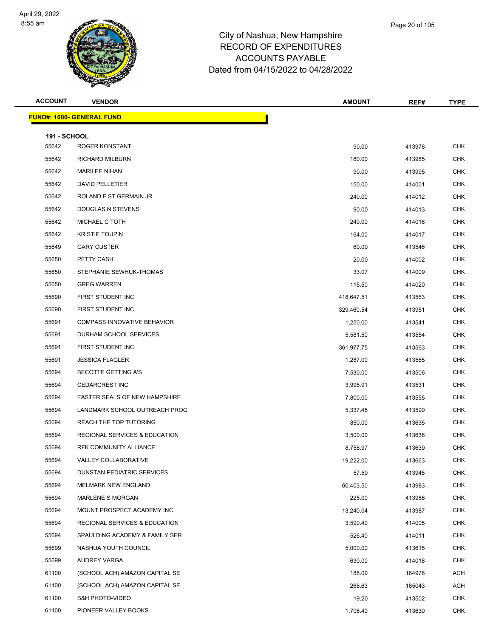

Page 20 of 105

| <b>ACCOUNT</b>      | <b>VENDOR</b>                            | <b>AMOUNT</b> | REF#   | <b>TYPE</b> |
|---------------------|------------------------------------------|---------------|--------|-------------|
|                     | <b>FUND#: 1000- GENERAL FUND</b>         |               |        |             |
| <b>191 - SCHOOL</b> |                                          |               |        |             |
| 55642               | <b>ROGER KONSTANT</b>                    | 90.00         | 413976 | <b>CHK</b>  |
| 55642               | <b>RICHARD MILBURN</b>                   | 180.00        | 413985 | <b>CHK</b>  |
| 55642               | <b>MARILEE NIHAN</b>                     | 90.00         | 413995 | <b>CHK</b>  |
| 55642               | DAVID PELLETIER                          | 150.00        | 414001 | <b>CHK</b>  |
| 55642               | ROLAND F ST GERMAIN JR                   | 240.00        | 414012 | <b>CHK</b>  |
| 55642               | <b>DOUGLAS N STEVENS</b>                 | 90.00         | 414013 | <b>CHK</b>  |
| 55642               | MICHAEL C TOTH                           | 240.00        | 414016 | <b>CHK</b>  |
| 55642               | <b>KRISTIE TOUPIN</b>                    | 164.00        | 414017 | CHK         |
| 55649               | <b>GARY CUSTER</b>                       | 60.00         | 413546 | <b>CHK</b>  |
| 55650               | PETTY CASH                               | 20.00         | 414002 | <b>CHK</b>  |
| 55650               | STEPHANIE SEWHUK-THOMAS                  | 33.07         | 414009 | <b>CHK</b>  |
| 55650               | <b>GREG WARREN</b>                       | 115.50        | 414020 | <b>CHK</b>  |
| 55690               | FIRST STUDENT INC                        | 418,647.51    | 413563 | <b>CHK</b>  |
| 55690               | FIRST STUDENT INC                        | 329,460.54    | 413951 | <b>CHK</b>  |
| 55691               | <b>COMPASS INNOVATIVE BEHAVIOR</b>       | 1,250.00      | 413541 | <b>CHK</b>  |
| 55691               | DURHAM SCHOOL SERVICES                   | 5,581.50      | 413554 | <b>CHK</b>  |
| 55691               | FIRST STUDENT INC                        | 361,977.75    | 413563 | <b>CHK</b>  |
| 55691               | <b>JESSICA FLAGLER</b>                   | 1,287.00      | 413565 | <b>CHK</b>  |
| 55694               | <b>BECOTTE GETTING A'S</b>               | 7,530.00      | 413506 | <b>CHK</b>  |
| 55694               | <b>CEDARCREST INC</b>                    | 3,995.91      | 413531 | <b>CHK</b>  |
| 55694               | EASTER SEALS OF NEW HAMPSHIRE            | 7,800.00      | 413555 | <b>CHK</b>  |
| 55694               | LANDMARK SCHOOL OUTREACH PROG            | 5,337.45      | 413590 | <b>CHK</b>  |
| 55694               | REACH THE TOP TUTORING                   | 850.00        | 413635 | <b>CHK</b>  |
| 55694               | <b>REGIONAL SERVICES &amp; EDUCATION</b> | 3,500.00      | 413636 | <b>CHK</b>  |
| 55694               | RFK COMMUNITY ALLIANCE                   | 8,758.97      | 413639 | <b>CHK</b>  |
| 55694               | VALLEY COLLABORATIVE                     | 19,222.00     | 413663 | <b>CHK</b>  |
| 55694               | DUNSTAN PEDIATRIC SERVICES               | 57.50         | 413945 | <b>CHK</b>  |
| 55694               | MELMARK NEW ENGLAND                      | 60,403.50     | 413983 | <b>CHK</b>  |
| 55694               | <b>MARLENE S MORGAN</b>                  | 225.00        | 413986 | <b>CHK</b>  |
| 55694               | MOUNT PROSPECT ACADEMY INC               | 13,240.04     | 413987 | <b>CHK</b>  |
| 55694               | <b>REGIONAL SERVICES &amp; EDUCATION</b> | 3,590.40      | 414005 | <b>CHK</b>  |
| 55694               | SPAULDING ACADEMY & FAMILY SER           | 526.40        | 414011 | <b>CHK</b>  |
| 55699               | NASHUA YOUTH COUNCIL                     | 5,000.00      | 413615 | CHK         |
| 55699               | AUDREY VARGA                             | 630.00        | 414018 | <b>CHK</b>  |
| 61100               | (SCHOOL ACH) AMAZON CAPITAL SE           | 188.09        | 164976 | ACH         |
| 61100               | (SCHOOL ACH) AMAZON CAPITAL SE           | 268.63        | 165043 | ACH         |
| 61100               | <b>B&amp;H PHOTO-VIDEO</b>               | 19.20         | 413502 | <b>CHK</b>  |
| 61100               | PIONEER VALLEY BOOKS                     | 1,706.40      | 413630 | <b>CHK</b>  |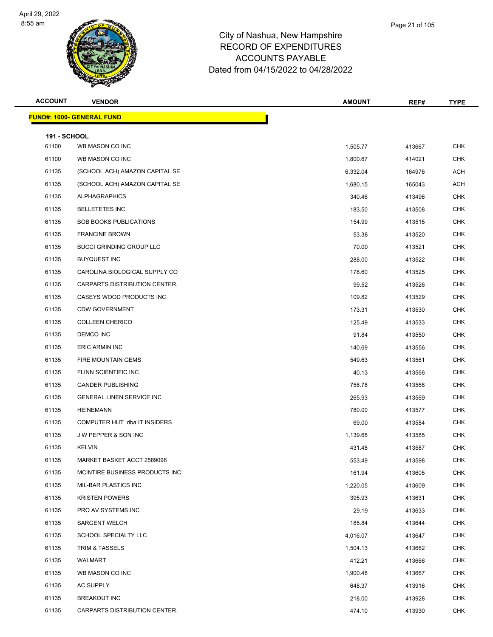

| <b>ACCOUNT</b>               | <b>VENDOR</b>                    | <b>AMOUNT</b>   | REF#             | <b>TYPE</b>              |
|------------------------------|----------------------------------|-----------------|------------------|--------------------------|
|                              | <b>FUND#: 1000- GENERAL FUND</b> |                 |                  |                          |
|                              |                                  |                 |                  |                          |
| <b>191 - SCHOOL</b><br>61100 | WB MASON CO INC                  | 1,505.77        | 413667           | <b>CHK</b>               |
| 61100                        | WB MASON CO INC                  | 1,800.67        | 414021           | <b>CHK</b>               |
| 61135                        | (SCHOOL ACH) AMAZON CAPITAL SE   | 6,332.04        | 164976           | <b>ACH</b>               |
| 61135                        | (SCHOOL ACH) AMAZON CAPITAL SE   | 1,680.15        | 165043           | <b>ACH</b>               |
| 61135                        | <b>ALPHAGRAPHICS</b>             | 340.46          | 413496           | <b>CHK</b>               |
| 61135                        | <b>BELLETETES INC</b>            | 183.50          | 413508           | <b>CHK</b>               |
| 61135                        | <b>BOB BOOKS PUBLICATIONS</b>    | 154.99          | 413515           | <b>CHK</b>               |
| 61135                        | <b>FRANCINE BROWN</b>            | 53.38           | 413520           | <b>CHK</b>               |
| 61135                        | <b>BUCCI GRINDING GROUP LLC</b>  | 70.00           | 413521           | <b>CHK</b>               |
| 61135                        | <b>BUYQUEST INC</b>              | 288.00          |                  | <b>CHK</b>               |
| 61135                        | CAROLINA BIOLOGICAL SUPPLY CO    | 178.60          | 413522<br>413525 | <b>CHK</b>               |
| 61135                        | CARPARTS DISTRIBUTION CENTER,    |                 |                  | <b>CHK</b>               |
| 61135                        | CASEYS WOOD PRODUCTS INC         | 99.52           | 413526           | <b>CHK</b>               |
| 61135                        | <b>CDW GOVERNMENT</b>            | 109.82          | 413529           |                          |
|                              |                                  | 173.31          | 413530           | <b>CHK</b><br><b>CHK</b> |
| 61135                        | <b>COLLEEN CHERICO</b>           | 125.49<br>91.84 | 413533           |                          |
| 61135                        | DEMCO INC                        |                 | 413550           | <b>CHK</b><br><b>CHK</b> |
| 61135                        | ERIC ARMIN INC                   | 140.69          | 413556           |                          |
| 61135                        | FIRE MOUNTAIN GEMS               | 549.63          | 413561           | <b>CHK</b>               |
| 61135                        | FLINN SCIENTIFIC INC             | 40.13           | 413566           | <b>CHK</b>               |
| 61135                        | <b>GANDER PUBLISHING</b>         | 758.78          | 413568           | <b>CHK</b>               |
| 61135                        | <b>GENERAL LINEN SERVICE INC</b> | 265.93          | 413569           | <b>CHK</b>               |
| 61135                        | <b>HEINEMANN</b>                 | 780.00          | 413577           | <b>CHK</b>               |
| 61135                        | COMPUTER HUT dba IT INSIDERS     | 69.00           | 413584           | <b>CHK</b>               |
| 61135                        | J W PEPPER & SON INC             | 1,139.68        | 413585           | <b>CHK</b>               |
| 61135                        | <b>KELVIN</b>                    | 431.48          | 413587           | <b>CHK</b>               |
| 61135                        | MARKET BASKET ACCT 2589096       | 553.49          | 413598           | <b>CHK</b>               |
| 61135                        | MCINTIRE BUSINESS PRODUCTS INC   | 161.94          | 413605           | <b>CHK</b>               |
| 61135                        | MIL-BAR PLASTICS INC             | 1,220.05        | 413609           | <b>CHK</b>               |
| 61135                        | <b>KRISTEN POWERS</b>            | 395.93          | 413631           | <b>CHK</b>               |
| 61135                        | PRO AV SYSTEMS INC               | 29.19           | 413633           | <b>CHK</b>               |
| 61135                        | <b>SARGENT WELCH</b>             | 185.84          | 413644           | <b>CHK</b>               |
| 61135                        | SCHOOL SPECIALTY LLC             | 4,016.07        | 413647           | <b>CHK</b>               |
| 61135                        | <b>TRIM &amp; TASSELS</b>        | 1,504.13        | 413662           | <b>CHK</b>               |
| 61135                        | WALMART                          | 412.21          | 413666           | CHK                      |
| 61135                        | WB MASON CO INC                  | 1,900.48        | 413667           | CHK                      |
| 61135                        | AC SUPPLY                        | 648.37          | 413916           | <b>CHK</b>               |
| 61135                        | <b>BREAKOUT INC</b>              | 218.00          | 413928           | <b>CHK</b>               |
| 61135                        | CARPARTS DISTRIBUTION CENTER,    | 474.10          | 413930           | <b>CHK</b>               |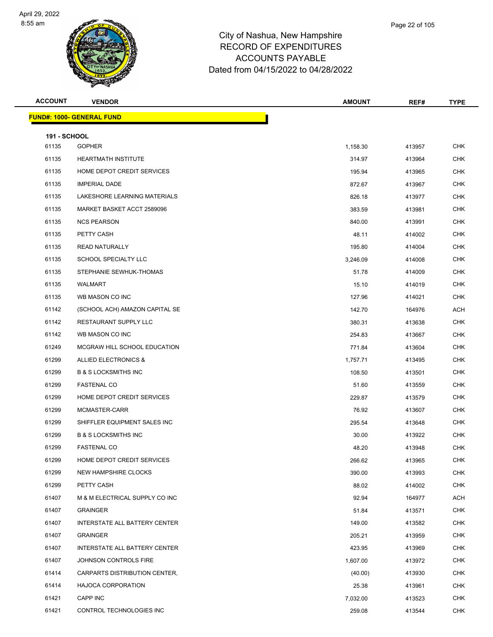

| <b>ACCOUNT</b>               | <b>VENDOR</b>                        | <b>AMOUNT</b> | REF#   | <b>TYPE</b> |
|------------------------------|--------------------------------------|---------------|--------|-------------|
|                              | <b>FUND#: 1000- GENERAL FUND</b>     |               |        |             |
|                              |                                      |               |        |             |
| <b>191 - SCHOOL</b><br>61135 | <b>GOPHER</b>                        | 1,158.30      | 413957 | <b>CHK</b>  |
| 61135                        | <b>HEARTMATH INSTITUTE</b>           | 314.97        | 413964 | <b>CHK</b>  |
| 61135                        | HOME DEPOT CREDIT SERVICES           |               |        | <b>CHK</b>  |
| 61135                        | <b>IMPERIAL DADE</b>                 | 195.94        | 413965 |             |
|                              |                                      | 872.67        | 413967 | <b>CHK</b>  |
| 61135                        | LAKESHORE LEARNING MATERIALS         | 826.18        | 413977 | <b>CHK</b>  |
| 61135                        | MARKET BASKET ACCT 2589096           | 383.59        | 413981 | <b>CHK</b>  |
| 61135                        | <b>NCS PEARSON</b>                   | 840.00        | 413991 | <b>CHK</b>  |
| 61135                        | PETTY CASH                           | 48.11         | 414002 | <b>CHK</b>  |
| 61135                        | <b>READ NATURALLY</b>                | 195.80        | 414004 | <b>CHK</b>  |
| 61135                        | SCHOOL SPECIALTY LLC                 | 3,246.09      | 414008 | <b>CHK</b>  |
| 61135                        | STEPHANIE SEWHUK-THOMAS              | 51.78         | 414009 | <b>CHK</b>  |
| 61135                        | WALMART                              | 15.10         | 414019 | CHK         |
| 61135                        | WB MASON CO INC                      | 127.96        | 414021 | <b>CHK</b>  |
| 61142                        | (SCHOOL ACH) AMAZON CAPITAL SE       | 142.70        | 164976 | ACH         |
| 61142                        | <b>RESTAURANT SUPPLY LLC</b>         | 380.31        | 413638 | <b>CHK</b>  |
| 61142                        | WB MASON CO INC                      | 254.83        | 413667 | <b>CHK</b>  |
| 61249                        | MCGRAW HILL SCHOOL EDUCATION         | 771.84        | 413604 | CHK         |
| 61299                        | ALLIED ELECTRONICS &                 | 1,757.71      | 413495 | <b>CHK</b>  |
| 61299                        | <b>B &amp; S LOCKSMITHS INC</b>      | 108.50        | 413501 | <b>CHK</b>  |
| 61299                        | <b>FASTENAL CO</b>                   | 51.60         | 413559 | <b>CHK</b>  |
| 61299                        | HOME DEPOT CREDIT SERVICES           | 229.87        | 413579 | <b>CHK</b>  |
| 61299                        | MCMASTER-CARR                        | 76.92         | 413607 | CHK         |
| 61299                        | SHIFFLER EQUIPMENT SALES INC         | 295.54        | 413648 | <b>CHK</b>  |
| 61299                        | <b>B &amp; S LOCKSMITHS INC</b>      | 30.00         | 413922 | <b>CHK</b>  |
| 61299                        | <b>FASTENAL CO</b>                   | 48.20         | 413948 | <b>CHK</b>  |
| 61299                        | HOME DEPOT CREDIT SERVICES           | 266.62        | 413965 | <b>CHK</b>  |
| 61299                        | NEW HAMPSHIRE CLOCKS                 | 390.00        | 413993 | <b>CHK</b>  |
| 61299                        | PETTY CASH                           | 88.02         | 414002 | <b>CHK</b>  |
| 61407                        | M & M ELECTRICAL SUPPLY CO INC       | 92.94         | 164977 | ACH         |
| 61407                        | <b>GRAINGER</b>                      | 51.84         | 413571 | <b>CHK</b>  |
| 61407                        | INTERSTATE ALL BATTERY CENTER        | 149.00        | 413582 | <b>CHK</b>  |
| 61407                        | <b>GRAINGER</b>                      | 205.21        | 413959 | CHK         |
| 61407                        | <b>INTERSTATE ALL BATTERY CENTER</b> | 423.95        | 413969 | <b>CHK</b>  |
| 61407                        | JOHNSON CONTROLS FIRE                | 1,607.00      | 413972 | CHK         |
| 61414                        | CARPARTS DISTRIBUTION CENTER,        | (40.00)       | 413930 | <b>CHK</b>  |
| 61414                        | HAJOCA CORPORATION                   | 25.38         | 413961 | <b>CHK</b>  |
| 61421                        | CAPP INC                             | 7,032.00      | 413523 | CHK         |
| 61421                        | CONTROL TECHNOLOGIES INC             | 259.08        | 413544 | <b>CHK</b>  |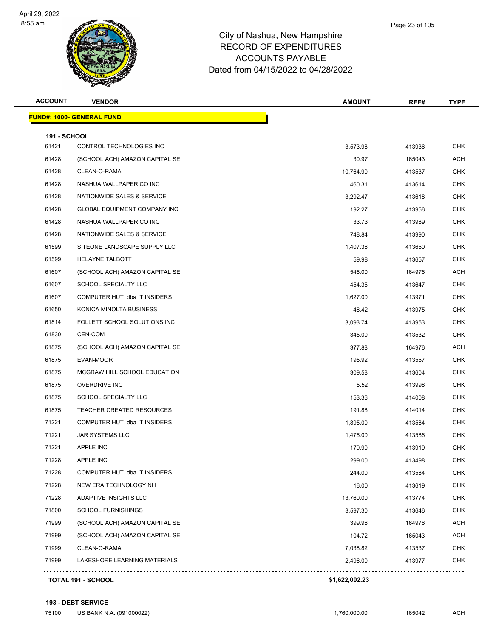

| Page 23 of 105 |
|----------------|
|                |

| <b>ACCOUNT</b>      | <b>VENDOR</b>                       | <b>AMOUNT</b>  | REF#   | <b>TYPE</b> |
|---------------------|-------------------------------------|----------------|--------|-------------|
|                     | <b>FUND#: 1000- GENERAL FUND</b>    |                |        |             |
| <b>191 - SCHOOL</b> |                                     |                |        |             |
| 61421               | CONTROL TECHNOLOGIES INC            | 3,573.98       | 413936 | <b>CHK</b>  |
| 61428               | (SCHOOL ACH) AMAZON CAPITAL SE      | 30.97          | 165043 | ACH         |
| 61428               | CLEAN-O-RAMA                        | 10,764.90      | 413537 | <b>CHK</b>  |
| 61428               | NASHUA WALLPAPER CO INC             | 460.31         | 413614 | <b>CHK</b>  |
| 61428               | NATIONWIDE SALES & SERVICE          | 3,292.47       | 413618 | <b>CHK</b>  |
| 61428               | <b>GLOBAL EQUIPMENT COMPANY INC</b> | 192.27         | 413956 | <b>CHK</b>  |
| 61428               | NASHUA WALLPAPER CO INC             | 33.73          | 413989 | <b>CHK</b>  |
| 61428               | NATIONWIDE SALES & SERVICE          | 748.84         | 413990 | <b>CHK</b>  |
| 61599               | SITEONE LANDSCAPE SUPPLY LLC        | 1,407.36       | 413650 | <b>CHK</b>  |
| 61599               | HELAYNE TALBOTT                     | 59.98          | 413657 | <b>CHK</b>  |
| 61607               | (SCHOOL ACH) AMAZON CAPITAL SE      | 546.00         | 164976 | ACH         |
| 61607               | <b>SCHOOL SPECIALTY LLC</b>         | 454.35         | 413647 | <b>CHK</b>  |
| 61607               | COMPUTER HUT dba IT INSIDERS        | 1,627.00       | 413971 | <b>CHK</b>  |
| 61650               | KONICA MINOLTA BUSINESS             | 48.42          | 413975 | <b>CHK</b>  |
| 61814               | FOLLETT SCHOOL SOLUTIONS INC        | 3,093.74       | 413953 | <b>CHK</b>  |
| 61830               | CEN-COM                             | 345.00         | 413532 | <b>CHK</b>  |
| 61875               | (SCHOOL ACH) AMAZON CAPITAL SE      | 377.88         | 164976 | ACH         |
| 61875               | EVAN-MOOR                           | 195.92         | 413557 | <b>CHK</b>  |
| 61875               | MCGRAW HILL SCHOOL EDUCATION        | 309.58         | 413604 | <b>CHK</b>  |
| 61875               | <b>OVERDRIVE INC</b>                | 5.52           | 413998 | <b>CHK</b>  |
| 61875               | SCHOOL SPECIALTY LLC                | 153.36         | 414008 | <b>CHK</b>  |
| 61875               | <b>TEACHER CREATED RESOURCES</b>    | 191.88         | 414014 | <b>CHK</b>  |
| 71221               | COMPUTER HUT dba IT INSIDERS        | 1,895.00       | 413584 | <b>CHK</b>  |
| 71221               | JAR SYSTEMS LLC                     | 1,475.00       | 413586 | <b>CHK</b>  |
| 71221               | <b>APPLE INC</b>                    | 179.90         | 413919 | <b>CHK</b>  |
| 71228               | <b>APPLE INC</b>                    | 299.00         | 413498 | CHK         |
| 71228               | COMPUTER HUT dba IT INSIDERS        | 244.00         | 413584 | <b>CHK</b>  |
| 71228               | NEW ERA TECHNOLOGY NH               | 16.00          | 413619 | <b>CHK</b>  |
| 71228               | ADAPTIVE INSIGHTS LLC               | 13,760.00      | 413774 | <b>CHK</b>  |
| 71800               | <b>SCHOOL FURNISHINGS</b>           | 3,597.30       | 413646 | <b>CHK</b>  |
| 71999               | (SCHOOL ACH) AMAZON CAPITAL SE      | 399.96         | 164976 | <b>ACH</b>  |
| 71999               | (SCHOOL ACH) AMAZON CAPITAL SE      | 104.72         | 165043 | <b>ACH</b>  |
| 71999               | CLEAN-O-RAMA                        | 7,038.82       | 413537 | <b>CHK</b>  |
| 71999               | LAKESHORE LEARNING MATERIALS        | 2,496.00       | 413977 | <b>CHK</b>  |
|                     | <b>TOTAL 191 - SCHOOL</b>           | \$1,622,002.23 |        |             |
|                     |                                     |                |        |             |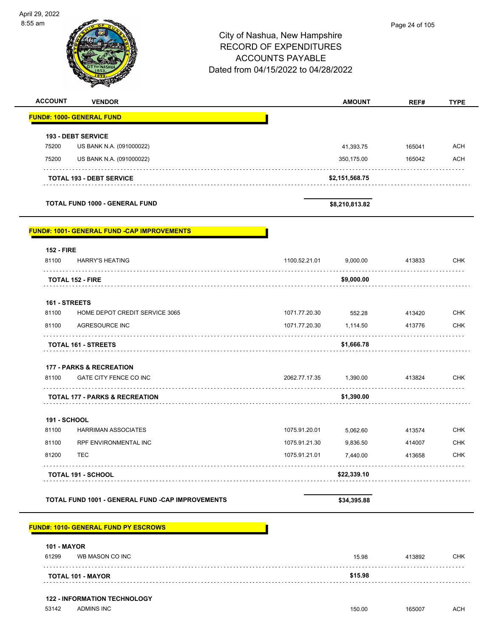| April 29, 2022<br>8:55 am        |                                                          | City of Nashua, New Hampshire<br><b>RECORD OF EXPENDITURES</b><br><b>ACCOUNTS PAYABLE</b><br>Dated from 04/15/2022 to 04/28/2022 |                |        |             |  |
|----------------------------------|----------------------------------------------------------|----------------------------------------------------------------------------------------------------------------------------------|----------------|--------|-------------|--|
| <b>ACCOUNT</b>                   | <b>VENDOR</b>                                            |                                                                                                                                  | <b>AMOUNT</b>  | REF#   | <b>TYPE</b> |  |
| <b>FUND#: 1000- GENERAL FUND</b> |                                                          |                                                                                                                                  |                |        |             |  |
|                                  | <b>193 - DEBT SERVICE</b>                                |                                                                                                                                  |                |        |             |  |
| 75200                            | US BANK N.A. (091000022)                                 |                                                                                                                                  | 41,393.75      | 165041 | <b>ACH</b>  |  |
| 75200                            | US BANK N.A. (091000022)                                 |                                                                                                                                  | 350,175.00     | 165042 | <b>ACH</b>  |  |
|                                  | <b>TOTAL 193 - DEBT SERVICE</b>                          |                                                                                                                                  | \$2,151,568.75 |        |             |  |
|                                  | <b>TOTAL FUND 1000 - GENERAL FUND</b>                    |                                                                                                                                  | \$8,210,813.82 |        |             |  |
|                                  | <b>FUND#: 1001- GENERAL FUND -CAP IMPROVEMENTS</b>       |                                                                                                                                  |                |        |             |  |
| <b>152 - FIRE</b><br>81100       | <b>HARRY'S HEATING</b>                                   | 1100.52.21.01                                                                                                                    | 9,000.00       | 413833 | <b>CHK</b>  |  |
|                                  |                                                          |                                                                                                                                  |                |        |             |  |
| <b>TOTAL 152 - FIRE</b>          |                                                          |                                                                                                                                  | \$9,000.00     |        |             |  |
| 161 - STREETS                    |                                                          |                                                                                                                                  |                |        |             |  |
| 81100                            | HOME DEPOT CREDIT SERVICE 3065                           | 1071.77.20.30                                                                                                                    | 552.28         | 413420 | <b>CHK</b>  |  |
| 81100                            | AGRESOURCE INC                                           | 1071.77.20.30                                                                                                                    | 1,114.50       | 413776 | <b>CHK</b>  |  |
|                                  | <b>TOTAL 161 - STREETS</b>                               |                                                                                                                                  | \$1,666.78     |        |             |  |
|                                  | <b>177 - PARKS &amp; RECREATION</b>                      |                                                                                                                                  |                |        |             |  |
| 81100                            | GATE CITY FENCE CO INC                                   | 2062.77.17.35                                                                                                                    | 1,390.00       | 413824 | CHK         |  |
|                                  | <b>TOTAL 177 - PARKS &amp; RECREATION</b>                |                                                                                                                                  | \$1,390.00     |        |             |  |
| <b>191 - SCHOOL</b>              |                                                          |                                                                                                                                  |                |        |             |  |
| 81100                            | <b>HARRIMAN ASSOCIATES</b>                               | 1075.91.20.01                                                                                                                    | 5,062.60       | 413574 | <b>CHK</b>  |  |
| 81100                            | RPF ENVIRONMENTAL INC                                    | 1075.91.21.30                                                                                                                    | 9,836.50       | 414007 | <b>CHK</b>  |  |
| 81200                            | TEC                                                      | 1075.91.21.01                                                                                                                    | 7,440.00       | 413658 | <b>CHK</b>  |  |
|                                  | <b>TOTAL 191 - SCHOOL</b>                                |                                                                                                                                  | \$22,339.10    |        |             |  |
|                                  | TOTAL FUND 1001 - GENERAL FUND -CAP IMPROVEMENTS         |                                                                                                                                  | \$34,395.88    |        |             |  |
|                                  | FUND#: 1010- GENERAL FUND PY ESCROWS                     |                                                                                                                                  |                |        |             |  |
| <b>101 - MAYOR</b>               |                                                          |                                                                                                                                  |                |        |             |  |
| 61299                            | WB MASON CO INC                                          |                                                                                                                                  | 15.98          | 413892 | <b>CHK</b>  |  |
|                                  | <b>TOTAL 101 - MAYOR</b>                                 |                                                                                                                                  | \$15.98        |        |             |  |
|                                  |                                                          |                                                                                                                                  |                |        |             |  |
| 53142                            | <b>122 - INFORMATION TECHNOLOGY</b><br><b>ADMINS INC</b> |                                                                                                                                  | 150.00         | 165007 | <b>ACH</b>  |  |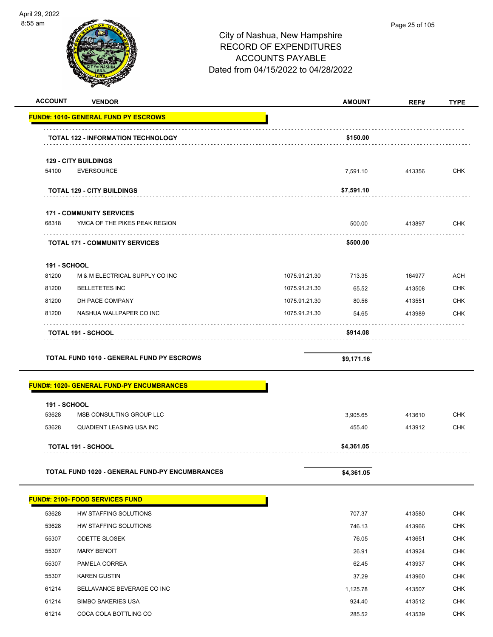

| <b>ACCOUNT</b>      | <b>VENDOR</b>                                         |               | <b>AMOUNT</b> | REF#   | <b>TYPE</b> |
|---------------------|-------------------------------------------------------|---------------|---------------|--------|-------------|
|                     | <b>FUND#: 1010- GENERAL FUND PY ESCROWS</b>           |               |               |        |             |
|                     | <b>TOTAL 122 - INFORMATION TECHNOLOGY</b>             |               | \$150.00      |        |             |
|                     | <b>129 - CITY BUILDINGS</b>                           |               |               |        |             |
| 54100               | <b>EVERSOURCE</b>                                     |               | 7,591.10      | 413356 | <b>CHK</b>  |
|                     | <b>TOTAL 129 - CITY BUILDINGS</b>                     |               | \$7,591.10    |        |             |
|                     | <b>171 - COMMUNITY SERVICES</b>                       |               |               |        |             |
| 68318               | YMCA OF THE PIKES PEAK REGION                         |               | 500.00        | 413897 | <b>CHK</b>  |
|                     | <b>TOTAL 171 - COMMUNITY SERVICES</b>                 |               | \$500.00      |        |             |
| <b>191 - SCHOOL</b> |                                                       |               |               |        |             |
| 81200               | M & M ELECTRICAL SUPPLY CO INC                        | 1075.91.21.30 | 713.35        | 164977 | <b>ACH</b>  |
| 81200               | <b>BELLETETES INC</b>                                 | 1075.91.21.30 | 65.52         | 413508 | <b>CHK</b>  |
| 81200               | DH PACE COMPANY                                       | 1075.91.21.30 | 80.56         | 413551 | <b>CHK</b>  |
| 81200               | NASHUA WALLPAPER CO INC                               | 1075.91.21.30 | 54.65         | 413989 | <b>CHK</b>  |
|                     | <b>TOTAL 191 - SCHOOL</b>                             |               | \$914.08      |        |             |
|                     | TOTAL FUND 1010 - GENERAL FUND PY ESCROWS             |               | \$9,171.16    |        |             |
|                     | <u> FUND#: 1020- GENERAL FUND-PY ENCUMBRANCES</u>     |               |               |        |             |
| <b>191 - SCHOOL</b> |                                                       |               |               |        |             |
| 53628               | MSB CONSULTING GROUP LLC                              |               | 3,905.65      | 413610 | <b>CHK</b>  |
| 53628               | QUADIENT LEASING USA INC                              |               | 455.40        | 413912 | CHK         |
|                     | <b>TOTAL 191 - SCHOOL</b>                             |               | \$4,361.05    |        |             |
|                     | <b>TOTAL FUND 1020 - GENERAL FUND-PY ENCUMBRANCES</b> |               | \$4,361.05    |        |             |
|                     | <u> FUND#: 2100- FOOD SERVICES FUND</u>               |               |               |        |             |
| 53628               | HW STAFFING SOLUTIONS                                 |               | 707.37        | 413580 | <b>CHK</b>  |

| 53628 | HW STAFFING SOLUTIONS      | 746.13   | 413966 | <b>CHK</b> |
|-------|----------------------------|----------|--------|------------|
| 55307 | <b>ODETTE SLOSEK</b>       | 76.05    | 413651 | <b>CHK</b> |
| 55307 | <b>MARY BENOIT</b>         | 26.91    | 413924 | <b>CHK</b> |
| 55307 | PAMELA CORREA              | 62.45    | 413937 | <b>CHK</b> |
| 55307 | <b>KAREN GUSTIN</b>        | 37.29    | 413960 | <b>CHK</b> |
| 61214 | BELLAVANCE BEVERAGE CO INC | 1.125.78 | 413507 | <b>CHK</b> |
| 61214 | <b>BIMBO BAKERIES USA</b>  | 924.40   | 413512 | <b>CHK</b> |
| 61214 | COCA COLA BOTTLING CO      | 285.52   | 413539 | <b>CHK</b> |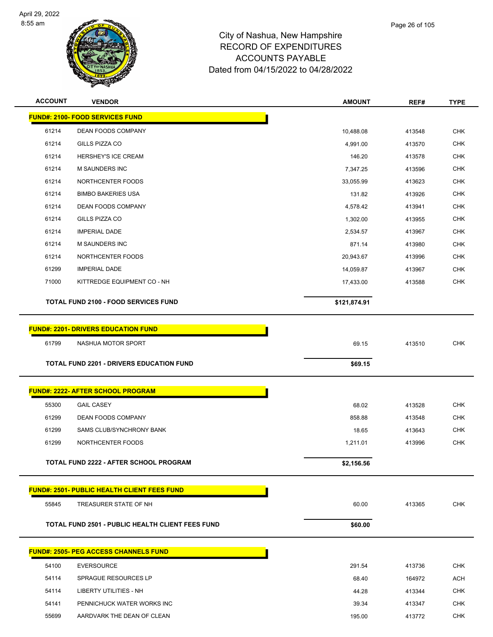

| <b>ACCOUNT</b> | <b>VENDOR</b>                                           | <b>AMOUNT</b> | REF#   | <b>TYPE</b> |
|----------------|---------------------------------------------------------|---------------|--------|-------------|
|                | <b>FUND#: 2100- FOOD SERVICES FUND</b>                  |               |        |             |
| 61214          | <b>DEAN FOODS COMPANY</b>                               | 10,488.08     | 413548 | <b>CHK</b>  |
| 61214          | GILLS PIZZA CO                                          | 4,991.00      | 413570 | CHK         |
| 61214          | HERSHEY'S ICE CREAM                                     | 146.20        | 413578 | <b>CHK</b>  |
| 61214          | <b>M SAUNDERS INC</b>                                   | 7,347.25      | 413596 | <b>CHK</b>  |
| 61214          | NORTHCENTER FOODS                                       | 33,055.99     | 413623 | <b>CHK</b>  |
| 61214          | <b>BIMBO BAKERIES USA</b>                               | 131.82        | 413926 | <b>CHK</b>  |
| 61214          | DEAN FOODS COMPANY                                      | 4,578.42      | 413941 | <b>CHK</b>  |
| 61214          | GILLS PIZZA CO                                          | 1,302.00      | 413955 | <b>CHK</b>  |
| 61214          | <b>IMPERIAL DADE</b>                                    | 2,534.57      | 413967 | <b>CHK</b>  |
| 61214          | M SAUNDERS INC                                          | 871.14        | 413980 | <b>CHK</b>  |
| 61214          | NORTHCENTER FOODS                                       | 20,943.67     | 413996 | <b>CHK</b>  |
| 61299          | <b>IMPERIAL DADE</b>                                    | 14,059.87     | 413967 | <b>CHK</b>  |
| 71000          | KITTREDGE EQUIPMENT CO - NH                             | 17,433.00     | 413588 | <b>CHK</b>  |
|                | <b>TOTAL FUND 2100 - FOOD SERVICES FUND</b>             | \$121,874.91  |        |             |
|                |                                                         |               |        |             |
|                | <b>FUND#: 2201- DRIVERS EDUCATION FUND</b>              |               |        |             |
| 61799          | NASHUA MOTOR SPORT                                      | 69.15         | 413510 | <b>CHK</b>  |
|                |                                                         |               |        |             |
|                | <b>TOTAL FUND 2201 - DRIVERS EDUCATION FUND</b>         | \$69.15       |        |             |
|                |                                                         |               |        |             |
|                | <b>FUND#: 2222- AFTER SCHOOL PROGRAM</b>                |               |        |             |
| 55300          | <b>GAIL CASEY</b>                                       | 68.02         | 413528 | <b>CHK</b>  |
| 61299          | DEAN FOODS COMPANY                                      | 858.88        | 413548 | <b>CHK</b>  |
| 61299          | SAMS CLUB/SYNCHRONY BANK                                | 18.65         | 413643 | <b>CHK</b>  |
| 61299          | NORTHCENTER FOODS                                       | 1,211.01      | 413996 | <b>CHK</b>  |
|                | TOTAL FUND 2222 - AFTER SCHOOL PROGRAM                  | \$2,156.56    |        |             |
|                | <b>FUND#: 2501- PUBLIC HEALTH CLIENT FEES FUND</b>      |               |        |             |
| 55845          | TREASURER STATE OF NH                                   | 60.00         | 413365 | <b>CHK</b>  |
|                | <b>TOTAL FUND 2501 - PUBLIC HEALTH CLIENT FEES FUND</b> | \$60.00       |        |             |
|                | <b>FUND#: 2505- PEG ACCESS CHANNELS FUND</b>            |               |        |             |
| 54100          | <b>EVERSOURCE</b>                                       | 291.54        | 413736 | <b>CHK</b>  |
| 54114          | <b>SPRAGUE RESOURCES LP</b>                             | 68.40         | 164972 | <b>ACH</b>  |
| 54114          | LIBERTY UTILITIES - NH                                  | 44.28         | 413344 | <b>CHK</b>  |
| 54141          | PENNICHUCK WATER WORKS INC                              | 39.34         | 413347 | <b>CHK</b>  |
| 55699          | AARDVARK THE DEAN OF CLEAN                              | 195.00        | 413772 | <b>CHK</b>  |
|                |                                                         |               |        |             |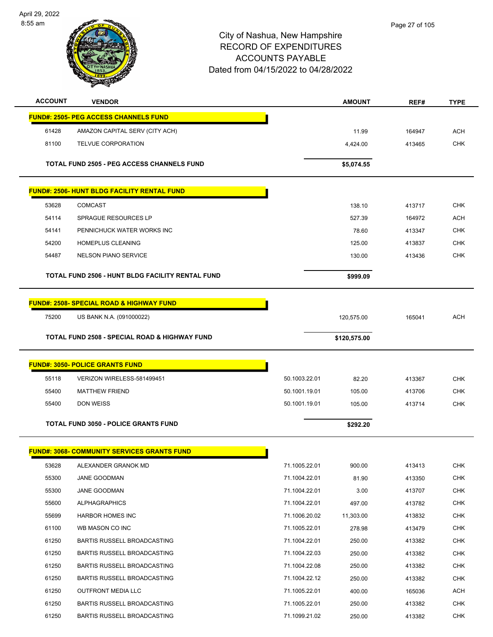

| <b>ACCOUNT</b> | <b>VENDOR</b>                                            |               | <b>AMOUNT</b> | REF#   | <b>TYPE</b> |
|----------------|----------------------------------------------------------|---------------|---------------|--------|-------------|
|                | <b>FUND#: 2505- PEG ACCESS CHANNELS FUND</b>             |               |               |        |             |
| 61428          | AMAZON CAPITAL SERV (CITY ACH)                           |               | 11.99         | 164947 | <b>ACH</b>  |
| 81100          | <b>TELVUE CORPORATION</b>                                |               | 4,424.00      | 413465 | <b>CHK</b>  |
|                |                                                          |               |               |        |             |
|                | <b>TOTAL FUND 2505 - PEG ACCESS CHANNELS FUND</b>        |               | \$5,074.55    |        |             |
|                | <b>FUND#: 2506- HUNT BLDG FACILITY RENTAL FUND</b>       |               |               |        |             |
| 53628          | <b>COMCAST</b>                                           |               | 138.10        | 413717 | <b>CHK</b>  |
| 54114          | SPRAGUE RESOURCES LP                                     |               | 527.39        | 164972 | <b>ACH</b>  |
| 54141          | PENNICHUCK WATER WORKS INC                               |               | 78.60         | 413347 | <b>CHK</b>  |
| 54200          | <b>HOMEPLUS CLEANING</b>                                 |               | 125.00        | 413837 | <b>CHK</b>  |
| 54487          | <b>NELSON PIANO SERVICE</b>                              |               | 130.00        | 413436 | <b>CHK</b>  |
|                |                                                          |               |               |        |             |
|                | <b>TOTAL FUND 2506 - HUNT BLDG FACILITY RENTAL FUND</b>  |               | \$999.09      |        |             |
|                | <b>FUND#: 2508- SPECIAL ROAD &amp; HIGHWAY FUND</b>      |               |               |        |             |
| 75200          | US BANK N.A. (091000022)                                 |               | 120,575.00    | 165041 | <b>ACH</b>  |
|                |                                                          |               |               |        |             |
|                | <b>TOTAL FUND 2508 - SPECIAL ROAD &amp; HIGHWAY FUND</b> |               | \$120,575.00  |        |             |
|                | <b>FUND#: 3050- POLICE GRANTS FUND</b>                   |               |               |        |             |
| 55118          | VERIZON WIRELESS-581499451                               | 50.1003.22.01 | 82.20         | 413367 | <b>CHK</b>  |
| 55400          | <b>MATTHEW FRIEND</b>                                    | 50.1001.19.01 | 105.00        | 413706 | <b>CHK</b>  |
| 55400          | <b>DON WEISS</b>                                         | 50.1001.19.01 | 105.00        | 413714 | <b>CHK</b>  |
|                | <b>TOTAL FUND 3050 - POLICE GRANTS FUND</b>              |               | \$292.20      |        |             |
|                |                                                          |               |               |        |             |
|                | <b>FUND#: 3068- COMMUNITY SERVICES GRANTS FUND</b>       |               |               |        |             |
| 53628          | ALEXANDER GRANOK MD                                      | 71.1005.22.01 | 900.00        | 413413 | <b>CHK</b>  |
| 55300          | JANE GOODMAN                                             | 71.1004.22.01 | 81.90         | 413350 | <b>CHK</b>  |
| 55300          | JANE GOODMAN                                             | 71.1004.22.01 | 3.00          | 413707 | <b>CHK</b>  |
| 55600          | <b>ALPHAGRAPHICS</b>                                     | 71.1004.22.01 | 497.00        | 413782 | <b>CHK</b>  |
| 55699          | HARBOR HOMES INC                                         | 71.1006.20.02 | 11,303.00     | 413832 | <b>CHK</b>  |
| 61100          | WB MASON CO INC                                          | 71.1005.22.01 | 278.98        | 413479 | <b>CHK</b>  |
| 61250          | BARTIS RUSSELL BROADCASTING                              | 71.1004.22.01 | 250.00        | 413382 | <b>CHK</b>  |
| 61250          | BARTIS RUSSELL BROADCASTING                              | 71.1004.22.03 | 250.00        | 413382 | <b>CHK</b>  |
| 61250          | BARTIS RUSSELL BROADCASTING                              | 71.1004.22.08 | 250.00        | 413382 | <b>CHK</b>  |
| 61250          | BARTIS RUSSELL BROADCASTING                              | 71.1004.22.12 | 250.00        | 413382 | <b>CHK</b>  |
| 61250          | <b>OUTFRONT MEDIA LLC</b>                                | 71.1005.22.01 | 400.00        | 165036 | <b>ACH</b>  |
| 61250          | BARTIS RUSSELL BROADCASTING                              | 71.1005.22.01 | 250.00        | 413382 | <b>CHK</b>  |
| 61250          | BARTIS RUSSELL BROADCASTING                              | 71.1099.21.02 | 250.00        | 413382 | CHK         |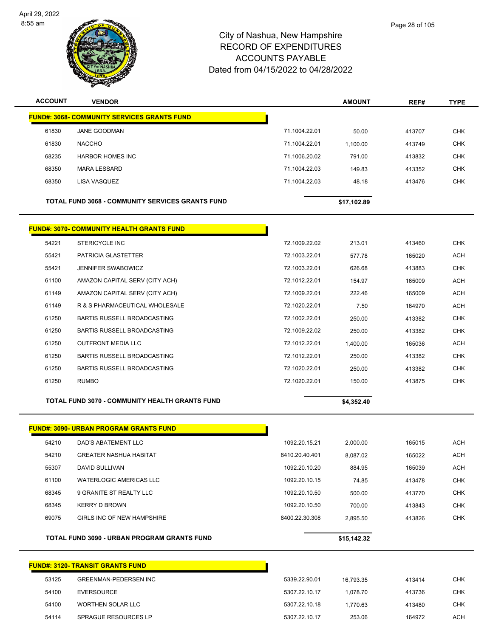

| <b>ACCOUNT</b> | <b>VENDOR</b>                                           |                | <b>AMOUNT</b> | REF#   | <b>TYPE</b> |
|----------------|---------------------------------------------------------|----------------|---------------|--------|-------------|
|                | <b>FUND#: 3068- COMMUNITY SERVICES GRANTS FUND</b>      |                |               |        |             |
| 61830          | JANE GOODMAN                                            | 71.1004.22.01  | 50.00         | 413707 | <b>CHK</b>  |
| 61830          | <b>NACCHO</b>                                           | 71.1004.22.01  | 1,100.00      | 413749 | <b>CHK</b>  |
| 68235          | <b>HARBOR HOMES INC</b>                                 | 71.1006.20.02  | 791.00        | 413832 | <b>CHK</b>  |
| 68350          | <b>MARA LESSARD</b>                                     | 71.1004.22.03  | 149.83        | 413352 | <b>CHK</b>  |
| 68350          | LISA VASQUEZ                                            | 71.1004.22.03  | 48.18         | 413476 | <b>CHK</b>  |
|                | <b>TOTAL FUND 3068 - COMMUNITY SERVICES GRANTS FUND</b> |                | \$17,102.89   |        |             |
|                | <b>FUND#: 3070- COMMUNITY HEALTH GRANTS FUND</b>        |                |               |        |             |
| 54221          | <b>STERICYCLE INC</b>                                   | 72.1009.22.02  | 213.01        | 413460 | <b>CHK</b>  |
| 55421          | <b>PATRICIA GLASTETTER</b>                              | 72.1003.22.01  | 577.78        | 165020 | <b>ACH</b>  |
| 55421          | <b>JENNIFER SWABOWICZ</b>                               | 72.1003.22.01  | 626.68        | 413883 | <b>CHK</b>  |
| 61100          | AMAZON CAPITAL SERV (CITY ACH)                          | 72.1012.22.01  | 154.97        | 165009 | <b>ACH</b>  |
| 61149          | AMAZON CAPITAL SERV (CITY ACH)                          | 72.1009.22.01  | 222.46        | 165009 | <b>ACH</b>  |
| 61149          | R & S PHARMACEUTICAL WHOLESALE                          | 72.1020.22.01  | 7.50          | 164970 | <b>ACH</b>  |
| 61250          | <b>BARTIS RUSSELL BROADCASTING</b>                      | 72.1002.22.01  | 250.00        | 413382 | <b>CHK</b>  |
| 61250          | BARTIS RUSSELL BROADCASTING                             | 72.1009.22.02  | 250.00        | 413382 | <b>CHK</b>  |
| 61250          | <b>OUTFRONT MEDIA LLC</b>                               | 72.1012.22.01  | 1,400.00      | 165036 | <b>ACH</b>  |
| 61250          | BARTIS RUSSELL BROADCASTING                             | 72.1012.22.01  | 250.00        | 413382 | <b>CHK</b>  |
| 61250          | <b>BARTIS RUSSELL BROADCASTING</b>                      | 72.1020.22.01  | 250.00        | 413382 | <b>CHK</b>  |
| 61250          | <b>RUMBO</b>                                            | 72.1020.22.01  | 150.00        | 413875 | <b>CHK</b>  |
|                | <b>TOTAL FUND 3070 - COMMUNITY HEALTH GRANTS FUND</b>   |                | \$4,352.40    |        |             |
|                | <b>FUND#: 3090- URBAN PROGRAM GRANTS FUND</b>           |                |               |        |             |
| 54210          | DAD'S ABATEMENT LLC                                     | 1092.20.15.21  | 2,000.00      | 165015 | <b>ACH</b>  |
| 54210          | <b>GREATER NASHUA HABITAT</b>                           | 8410.20.40.401 | 8,087.02      | 165022 | <b>ACH</b>  |
| 55307          | DAVID SULLIVAN                                          | 1092.20.10.20  | 884.95        | 165039 | ACH         |
| 61100          | <b>WATERLOGIC AMERICAS LLC</b>                          | 1092.20.10.15  | 74.85         | 413478 | <b>CHK</b>  |
| 68345          | 9 GRANITE ST REALTY LLC                                 | 1092.20.10.50  | 500.00        | 413770 | <b>CHK</b>  |
| 68345          | <b>KERRY D BROWN</b>                                    | 1092.20.10.50  | 700.00        | 413843 | <b>CHK</b>  |
| 69075          | GIRLS INC OF NEW HAMPSHIRE                              | 8400.22.30.308 | 2,895.50      | 413826 | <b>CHK</b>  |
|                | TOTAL FUND 3090 - URBAN PROGRAM GRANTS FUND             |                | \$15,142.32   |        |             |

|       | <b>FUND#: 3120- TRANSIT GRANTS FUND</b> |               |           |        |            |
|-------|-----------------------------------------|---------------|-----------|--------|------------|
| 53125 | <b>GREENMAN-PEDERSEN INC</b>            | 5339.22.90.01 | 16.793.35 | 413414 |            |
| 54100 | EVERSOURCE                              | 5307.22.10.17 | 1.078.70  | 413736 | СНК        |
| 54100 | WORTHEN SOLAR LLC                       | 5307.22.10.18 | 1.770.63  | 413480 | <b>CHK</b> |
| 54114 | SPRAGUE RESOURCES LP                    | 5307.22.10.17 | 253.06    | 164972 | <b>ACH</b> |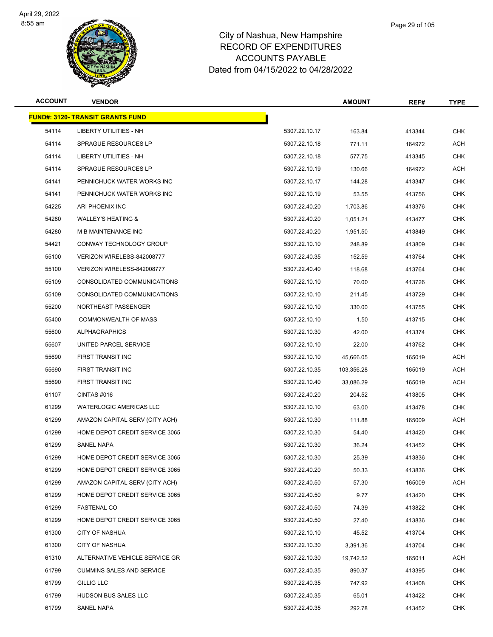

| <b>ACCOUNT</b> | <b>VENDOR</b>                           |               | <b>AMOUNT</b> | REF#   | <b>TYPE</b> |
|----------------|-----------------------------------------|---------------|---------------|--------|-------------|
|                | <b>FUND#: 3120- TRANSIT GRANTS FUND</b> |               |               |        |             |
| 54114          | LIBERTY UTILITIES - NH                  | 5307.22.10.17 | 163.84        | 413344 | <b>CHK</b>  |
| 54114          | SPRAGUE RESOURCES LP                    | 5307.22.10.18 | 771.11        | 164972 | <b>ACH</b>  |
| 54114          | LIBERTY UTILITIES - NH                  | 5307.22.10.18 | 577.75        | 413345 | CHK         |
| 54114          | <b>SPRAGUE RESOURCES LP</b>             | 5307.22.10.19 | 130.66        | 164972 | <b>ACH</b>  |
| 54141          | PENNICHUCK WATER WORKS INC              | 5307.22.10.17 | 144.28        | 413347 | <b>CHK</b>  |
| 54141          | PENNICHUCK WATER WORKS INC              | 5307.22.10.19 | 53.55         | 413756 | CHK         |
| 54225          | ARI PHOENIX INC                         | 5307.22.40.20 | 1,703.86      | 413376 | <b>CHK</b>  |
| 54280          | <b>WALLEY'S HEATING &amp;</b>           | 5307.22.40.20 | 1,051.21      | 413477 | <b>CHK</b>  |
| 54280          | M B MAINTENANCE INC                     | 5307.22.40.20 | 1,951.50      | 413849 | <b>CHK</b>  |
| 54421          | CONWAY TECHNOLOGY GROUP                 | 5307.22.10.10 | 248.89        | 413809 | <b>CHK</b>  |
| 55100          | VERIZON WIRELESS-842008777              | 5307.22.40.35 | 152.59        | 413764 | CHK         |
| 55100          | VERIZON WIRELESS-842008777              | 5307.22.40.40 | 118.68        | 413764 | <b>CHK</b>  |
| 55109          | CONSOLIDATED COMMUNICATIONS             | 5307.22.10.10 | 70.00         | 413726 | CHK         |
| 55109          | CONSOLIDATED COMMUNICATIONS             | 5307.22.10.10 | 211.45        | 413729 | <b>CHK</b>  |
| 55200          | NORTHEAST PASSENGER                     | 5307.22.10.10 | 330.00        | 413755 | <b>CHK</b>  |
| 55400          | <b>COMMONWEALTH OF MASS</b>             | 5307.22.10.10 | 1.50          | 413715 | CHK         |
| 55600          | <b>ALPHAGRAPHICS</b>                    | 5307.22.10.30 | 42.00         | 413374 | <b>CHK</b>  |
| 55607          | UNITED PARCEL SERVICE                   | 5307.22.10.10 | 22.00         | 413762 | <b>CHK</b>  |
| 55690          | FIRST TRANSIT INC                       | 5307.22.10.10 | 45,666.05     | 165019 | <b>ACH</b>  |
| 55690          | FIRST TRANSIT INC                       | 5307.22.10.35 | 103,356.28    | 165019 | ACH         |
| 55690          | FIRST TRANSIT INC                       | 5307.22.10.40 | 33,086.29     | 165019 | ACH         |
| 61107          | CINTAS #016                             | 5307.22.40.20 | 204.52        | 413805 | <b>CHK</b>  |
| 61299          | <b>WATERLOGIC AMERICAS LLC</b>          | 5307.22.10.10 | 63.00         | 413478 | <b>CHK</b>  |
| 61299          | AMAZON CAPITAL SERV (CITY ACH)          | 5307.22.10.30 | 111.88        | 165009 | <b>ACH</b>  |
| 61299          | HOME DEPOT CREDIT SERVICE 3065          | 5307.22.10.30 | 54.40         | 413420 | CHK         |
| 61299          | SANEL NAPA                              | 5307.22.10.30 | 36.24         | 413452 | CHK         |
| 61299          | HOME DEPOT CREDIT SERVICE 3065          | 5307.22.10.30 | 25.39         | 413836 | <b>CHK</b>  |
| 61299          | HOME DEPOT CREDIT SERVICE 3065          | 5307.22.40.20 | 50.33         | 413836 | <b>CHK</b>  |
| 61299          | AMAZON CAPITAL SERV (CITY ACH)          | 5307.22.40.50 | 57.30         | 165009 | <b>ACH</b>  |
| 61299          | HOME DEPOT CREDIT SERVICE 3065          | 5307.22.40.50 | 9.77          | 413420 | <b>CHK</b>  |
| 61299          | <b>FASTENAL CO</b>                      | 5307.22.40.50 | 74.39         | 413822 | CHK         |
| 61299          | HOME DEPOT CREDIT SERVICE 3065          | 5307.22.40.50 | 27.40         | 413836 | <b>CHK</b>  |
| 61300          | CITY OF NASHUA                          | 5307.22.10.10 | 45.52         | 413704 | <b>CHK</b>  |
| 61300          | <b>CITY OF NASHUA</b>                   | 5307.22.10.30 | 3,391.36      | 413704 | CHK         |
| 61310          | ALTERNATIVE VEHICLE SERVICE GR          | 5307.22.10.30 | 19,742.52     | 165011 | ACH         |
| 61799          | <b>CUMMINS SALES AND SERVICE</b>        | 5307.22.40.35 | 890.37        | 413395 | <b>CHK</b>  |
| 61799          | <b>GILLIG LLC</b>                       | 5307.22.40.35 | 747.92        | 413408 | <b>CHK</b>  |
| 61799          | HUDSON BUS SALES LLC                    | 5307.22.40.35 | 65.01         | 413422 | CHK         |
| 61799          | SANEL NAPA                              | 5307.22.40.35 | 292.78        | 413452 | <b>CHK</b>  |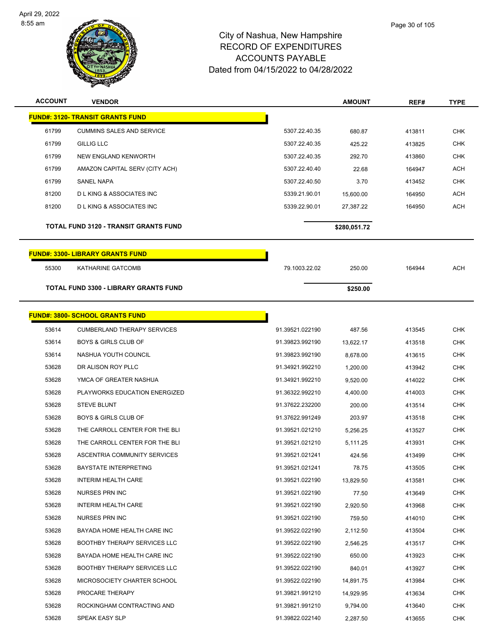

| <b>ACCOUNT</b> | <b>VENDOR</b>                           |                 | <b>AMOUNT</b> | REF#   | <b>TYPE</b> |
|----------------|-----------------------------------------|-----------------|---------------|--------|-------------|
|                | <b>FUND#: 3120- TRANSIT GRANTS FUND</b> |                 |               |        |             |
| 61799          | <b>CUMMINS SALES AND SERVICE</b>        | 5307.22.40.35   | 680.87        | 413811 | <b>CHK</b>  |
| 61799          | <b>GILLIG LLC</b>                       | 5307.22.40.35   | 425.22        | 413825 | <b>CHK</b>  |
| 61799          | NEW ENGLAND KENWORTH                    | 5307.22.40.35   | 292.70        | 413860 | <b>CHK</b>  |
| 61799          | AMAZON CAPITAL SERV (CITY ACH)          | 5307.22.40.40   | 22.68         | 164947 | <b>ACH</b>  |
| 61799          | SANEL NAPA                              | 5307.22.40.50   | 3.70          | 413452 | <b>CHK</b>  |
| 81200          | <b>DLKING &amp; ASSOCIATES INC</b>      | 5339.21.90.01   | 15,600.00     | 164950 | ACH         |
| 81200          | <b>DLKING &amp; ASSOCIATES INC</b>      | 5339.22.90.01   | 27,387.22     | 164950 | <b>ACH</b>  |
|                | TOTAL FUND 3120 - TRANSIT GRANTS FUND   |                 | \$280,051.72  |        |             |
|                | <b>FUND#: 3300- LIBRARY GRANTS FUND</b> |                 |               |        |             |
| 55300          | KATHARINE GATCOMB                       | 79.1003.22.02   | 250.00        | 164944 | <b>ACH</b>  |
|                | TOTAL FUND 3300 - LIBRARY GRANTS FUND   |                 | \$250.00      |        |             |
|                | <b>FUND#: 3800- SCHOOL GRANTS FUND</b>  |                 |               |        |             |
| 53614          | <b>CUMBERLAND THERAPY SERVICES</b>      | 91.39521.022190 | 487.56        | 413545 | <b>CHK</b>  |
| 53614          | <b>BOYS &amp; GIRLS CLUB OF</b>         | 91.39823.992190 | 13,622.17     | 413518 | CHK         |
| 53614          | NASHUA YOUTH COUNCIL                    | 91.39823.992190 | 8,678.00      | 413615 | <b>CHK</b>  |
| 53628          | DR ALISON ROY PLLC                      | 91.34921.992210 | 1,200.00      | 413942 | <b>CHK</b>  |
| 53628          | YMCA OF GREATER NASHUA                  | 91.34921.992210 | 9,520.00      | 414022 | <b>CHK</b>  |
| 53628          | PLAYWORKS EDUCATION ENERGIZED           | 91.36322.992210 | 4,400.00      | 414003 | <b>CHK</b>  |
| 53628          | <b>STEVE BLUNT</b>                      | 91.37622.232200 | 200.00        | 413514 | <b>CHK</b>  |
| 53628          | <b>BOYS &amp; GIRLS CLUB OF</b>         | 91.37622.991249 | 203.97        | 413518 | <b>CHK</b>  |
| 53628          | THE CARROLL CENTER FOR THE BLI          | 91.39521.021210 | 5,256.25      | 413527 | <b>CHK</b>  |
| 53628          | THE CARROLL CENTER FOR THE BLI          | 91.39521.021210 | 5,111.25      | 413931 | <b>CHK</b>  |
| 53628          | ASCENTRIA COMMUNITY SERVICES            | 91.39521.021241 | 424.56        | 413499 | <b>CHK</b>  |
| 53628          | <b>BAYSTATE INTERPRETING</b>            | 91.39521.021241 | 78.75         | 413505 | <b>CHK</b>  |
| 53628          | <b>INTERIM HEALTH CARE</b>              | 91.39521.022190 | 13,829.50     | 413581 | <b>CHK</b>  |
| 53628          | NURSES PRN INC                          | 91.39521.022190 | 77.50         | 413649 | <b>CHK</b>  |
| 53628          | INTERIM HEALTH CARE                     | 91.39521.022190 | 2,920.50      | 413968 | <b>CHK</b>  |
| 53628          | NURSES PRN INC                          | 91.39521.022190 | 759.50        | 414010 | <b>CHK</b>  |
| 53628          | BAYADA HOME HEALTH CARE INC             | 91.39522.022190 | 2,112.50      | 413504 | <b>CHK</b>  |
| 53628          | <b>BOOTHBY THERAPY SERVICES LLC</b>     | 91.39522.022190 | 2,546.25      | 413517 | <b>CHK</b>  |
| 53628          | BAYADA HOME HEALTH CARE INC             | 91.39522.022190 | 650.00        | 413923 | CHK         |
| 53628          | <b>BOOTHBY THERAPY SERVICES LLC</b>     | 91.39522.022190 | 840.01        | 413927 | <b>CHK</b>  |
| 53628          | MICROSOCIETY CHARTER SCHOOL             | 91.39522.022190 | 14,891.75     | 413984 | <b>CHK</b>  |
| 53628          | PROCARE THERAPY                         | 91.39821.991210 | 14,929.95     | 413634 | CHK         |
| 53628          | ROCKINGHAM CONTRACTING AND              | 91.39821.991210 | 9,794.00      | 413640 | <b>CHK</b>  |
| 53628          | SPEAK EASY SLP                          | 91.39822.022140 | 2,287.50      | 413655 | <b>CHK</b>  |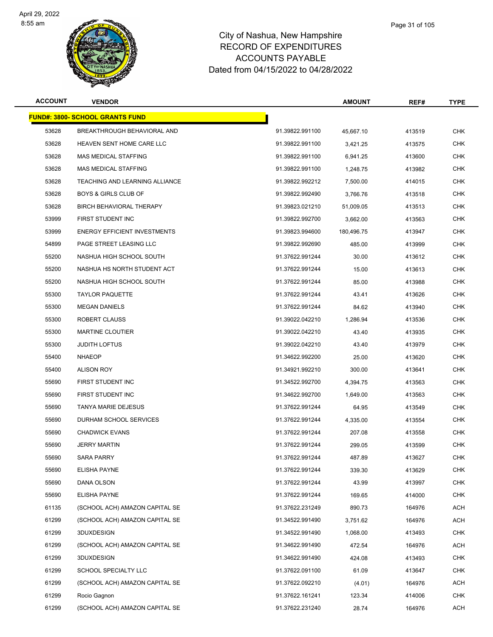

|             | Page 31 of 105 |
|-------------|----------------|
| ıshire      |                |
| <b>IRES</b> |                |

| <b>ACCOUNT</b> | <b>VENDOR</b>                          |                 | <b>AMOUNT</b> | REF#   | <b>TYPE</b> |
|----------------|----------------------------------------|-----------------|---------------|--------|-------------|
|                | <b>FUND#: 3800- SCHOOL GRANTS FUND</b> |                 |               |        |             |
| 53628          | BREAKTHROUGH BEHAVIORAL AND            | 91.39822.991100 | 45,667.10     | 413519 | <b>CHK</b>  |
| 53628          | <b>HEAVEN SENT HOME CARE LLC</b>       | 91.39822.991100 | 3,421.25      | 413575 | <b>CHK</b>  |
| 53628          | <b>MAS MEDICAL STAFFING</b>            | 91.39822.991100 | 6,941.25      | 413600 | <b>CHK</b>  |
| 53628          | <b>MAS MEDICAL STAFFING</b>            | 91.39822.991100 | 1,248.75      | 413982 | <b>CHK</b>  |
| 53628          | TEACHING AND LEARNING ALLIANCE         | 91.39822.992212 | 7,500.00      | 414015 | <b>CHK</b>  |
| 53628          | <b>BOYS &amp; GIRLS CLUB OF</b>        | 91.39822.992490 | 3,766.76      | 413518 | CHK         |
| 53628          | BIRCH BEHAVIORAL THERAPY               | 91.39823.021210 | 51,009.05     | 413513 | <b>CHK</b>  |
| 53999          | FIRST STUDENT INC                      | 91.39822.992700 | 3,662.00      | 413563 | <b>CHK</b>  |
| 53999          | <b>ENERGY EFFICIENT INVESTMENTS</b>    | 91.39823.994600 | 180,496.75    | 413947 | <b>CHK</b>  |
| 54899          | PAGE STREET LEASING LLC                | 91.39822.992690 | 485.00        | 413999 | <b>CHK</b>  |
| 55200          | NASHUA HIGH SCHOOL SOUTH               | 91.37622.991244 | 30.00         | 413612 | <b>CHK</b>  |
| 55200          | NASHUA HS NORTH STUDENT ACT            | 91.37622.991244 | 15.00         | 413613 | <b>CHK</b>  |
| 55200          | NASHUA HIGH SCHOOL SOUTH               | 91.37622.991244 | 85.00         | 413988 | <b>CHK</b>  |
| 55300          | <b>TAYLOR PAQUETTE</b>                 | 91.37622.991244 | 43.41         | 413626 | <b>CHK</b>  |
| 55300          | <b>MEGAN DANIELS</b>                   | 91.37622.991244 | 84.62         | 413940 | <b>CHK</b>  |
| 55300          | ROBERT CLAUSS                          | 91.39022.042210 | 1,286.94      | 413536 | CHK         |
| 55300          | <b>MARTINE CLOUTIER</b>                | 91.39022.042210 | 43.40         | 413935 | <b>CHK</b>  |
| 55300          | <b>JUDITH LOFTUS</b>                   | 91.39022.042210 | 43.40         | 413979 | <b>CHK</b>  |
| 55400          | <b>NHAEOP</b>                          | 91.34622.992200 | 25.00         | 413620 | <b>CHK</b>  |
| 55400          | <b>ALISON ROY</b>                      | 91.34921.992210 | 300.00        | 413641 | <b>CHK</b>  |
| 55690          | FIRST STUDENT INC                      | 91.34522.992700 | 4,394.75      | 413563 | CHK         |
| 55690          | FIRST STUDENT INC                      | 91.34622.992700 | 1,649.00      | 413563 | <b>CHK</b>  |
| 55690          | TANYA MARIE DEJESUS                    | 91.37622.991244 | 64.95         | 413549 | CHK         |
| 55690          | DURHAM SCHOOL SERVICES                 | 91.37622.991244 | 4,335.00      | 413554 | <b>CHK</b>  |
| 55690          | <b>CHADWICK EVANS</b>                  | 91.37622.991244 | 207.08        | 413558 | <b>CHK</b>  |
| 55690          | <b>JERRY MARTIN</b>                    | 91.37622.991244 | 299.05        | 413599 | <b>CHK</b>  |
| 55690          | <b>SARA PARRY</b>                      | 91.37622.991244 | 487.89        | 413627 | <b>CHK</b>  |
| 55690          | <b>ELISHA PAYNE</b>                    | 91.37622.991244 | 339.30        | 413629 | <b>CHK</b>  |
| 55690          | DANA OLSON                             | 91.37622.991244 | 43.99         | 413997 | <b>CHK</b>  |
| 55690          | ELISHA PAYNE                           | 91.37622.991244 | 169.65        | 414000 | <b>CHK</b>  |
| 61135          | (SCHOOL ACH) AMAZON CAPITAL SE         | 91.37622.231249 | 890.73        | 164976 | ACH         |
| 61299          | (SCHOOL ACH) AMAZON CAPITAL SE         | 91.34522.991490 | 3,751.62      | 164976 | ACH         |
| 61299          | 3DUXDESIGN                             | 91.34522.991490 | 1,068.00      | 413493 | <b>CHK</b>  |
| 61299          | (SCHOOL ACH) AMAZON CAPITAL SE         | 91.34622.991490 | 472.54        | 164976 | ACH         |
| 61299          | 3DUXDESIGN                             | 91.34622.991490 | 424.08        | 413493 | <b>CHK</b>  |
| 61299          | SCHOOL SPECIALTY LLC                   | 91.37622.091100 | 61.09         | 413647 | <b>CHK</b>  |
| 61299          | (SCHOOL ACH) AMAZON CAPITAL SE         | 91.37622.092210 | (4.01)        | 164976 | ACH         |
| 61299          | Rocio Gagnon                           | 91.37622.161241 | 123.34        | 414006 | CHK         |
| 61299          | (SCHOOL ACH) AMAZON CAPITAL SE         | 91.37622.231240 | 28.74         | 164976 | ACH         |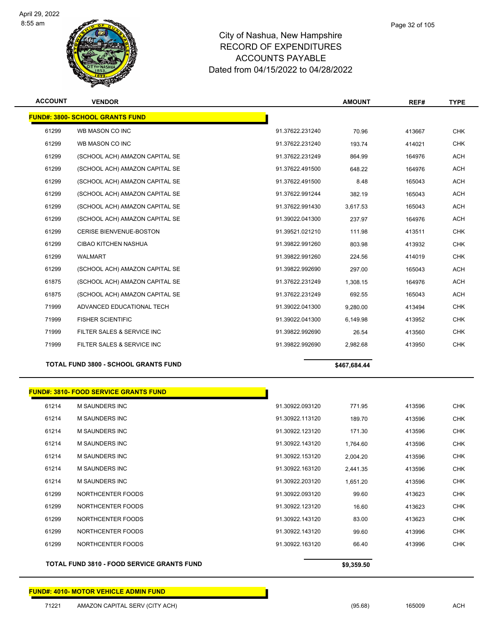

| <b>ACCOUNT</b> | <b>VENDOR</b>                          |                 | <b>AMOUNT</b> | REF#   | <b>TYPE</b> |
|----------------|----------------------------------------|-----------------|---------------|--------|-------------|
|                | <b>FUND#: 3800- SCHOOL GRANTS FUND</b> |                 |               |        |             |
| 61299          | WB MASON CO INC                        | 91.37622.231240 | 70.96         | 413667 | <b>CHK</b>  |
| 61299          | WB MASON CO INC                        | 91.37622.231240 | 193.74        | 414021 | <b>CHK</b>  |
| 61299          | (SCHOOL ACH) AMAZON CAPITAL SE         | 91.37622.231249 | 864.99        | 164976 | <b>ACH</b>  |
| 61299          | (SCHOOL ACH) AMAZON CAPITAL SE         | 91.37622.491500 | 648.22        | 164976 | <b>ACH</b>  |
| 61299          | (SCHOOL ACH) AMAZON CAPITAL SE         | 91.37622.491500 | 8.48          | 165043 | <b>ACH</b>  |
| 61299          | (SCHOOL ACH) AMAZON CAPITAL SE         | 91.37622.991244 | 382.19        | 165043 | <b>ACH</b>  |
| 61299          | (SCHOOL ACH) AMAZON CAPITAL SE         | 91.37622.991430 | 3,617.53      | 165043 | <b>ACH</b>  |
| 61299          | (SCHOOL ACH) AMAZON CAPITAL SE         | 91.39022.041300 | 237.97        | 164976 | <b>ACH</b>  |
| 61299          | <b>CERISE BIENVENUE-BOSTON</b>         | 91.39521.021210 | 111.98        | 413511 | <b>CHK</b>  |
| 61299          | <b>CIBAO KITCHEN NASHUA</b>            | 91.39822.991260 | 803.98        | 413932 | <b>CHK</b>  |
| 61299          | <b>WALMART</b>                         | 91.39822.991260 | 224.56        | 414019 | <b>CHK</b>  |
| 61299          | (SCHOOL ACH) AMAZON CAPITAL SE         | 91.39822.992690 | 297.00        | 165043 | <b>ACH</b>  |
| 61875          | (SCHOOL ACH) AMAZON CAPITAL SE         | 91.37622.231249 | 1.308.15      | 164976 | <b>ACH</b>  |
| 61875          | (SCHOOL ACH) AMAZON CAPITAL SE         | 91.37622.231249 | 692.55        | 165043 | <b>ACH</b>  |
| 71999          | ADVANCED EDUCATIONAL TECH              | 91.39022.041300 | 9.280.00      | 413494 | <b>CHK</b>  |
| 71999          | <b>FISHER SCIENTIFIC</b>               | 91.39022.041300 | 6.149.98      | 413952 | <b>CHK</b>  |
| 71999          | FILTER SALES & SERVICE INC             | 91.39822.992690 | 26.54         | 413560 | <b>CHK</b>  |
| 71999          | FILTER SALES & SERVICE INC             | 91.39822.992690 | 2.982.68      | 413950 | <b>CHK</b>  |

**TOTAL FUND 3800 - SCHOOL GRANTS FUND \$467,684.44** 

| <b>FUND#: 3810- FOOD SERVICE GRANTS FUND</b> |                                                   |                                                                                                                                                                                                                                  |            |            |
|----------------------------------------------|---------------------------------------------------|----------------------------------------------------------------------------------------------------------------------------------------------------------------------------------------------------------------------------------|------------|------------|
| <b>M SAUNDERS INC</b>                        |                                                   | 771.95                                                                                                                                                                                                                           | 413596     | <b>CHK</b> |
| <b>M SAUNDERS INC</b>                        |                                                   | 189.70                                                                                                                                                                                                                           | 413596     | <b>CHK</b> |
| M SAUNDERS INC                               |                                                   | 171.30                                                                                                                                                                                                                           | 413596     | <b>CHK</b> |
| <b>M SAUNDERS INC</b>                        |                                                   | 1,764.60                                                                                                                                                                                                                         | 413596     | <b>CHK</b> |
| M SAUNDERS INC                               |                                                   | 2,004.20                                                                                                                                                                                                                         | 413596     | <b>CHK</b> |
| M SAUNDERS INC                               |                                                   | 2,441.35                                                                                                                                                                                                                         | 413596     | <b>CHK</b> |
| <b>M SAUNDERS INC</b>                        |                                                   | 1,651.20                                                                                                                                                                                                                         | 413596     | <b>CHK</b> |
| NORTHCENTER FOODS                            |                                                   | 99.60                                                                                                                                                                                                                            | 413623     | <b>CHK</b> |
| NORTHCENTER FOODS                            |                                                   | 16.60                                                                                                                                                                                                                            | 413623     | <b>CHK</b> |
| NORTHCENTER FOODS                            |                                                   | 83.00                                                                                                                                                                                                                            | 413623     | <b>CHK</b> |
| NORTHCENTER FOODS                            |                                                   | 99.60                                                                                                                                                                                                                            | 413996     | <b>CHK</b> |
| NORTHCENTER FOODS                            |                                                   | 66.40                                                                                                                                                                                                                            | 413996     | <b>CHK</b> |
|                                              |                                                   |                                                                                                                                                                                                                                  |            |            |
|                                              | <b>TOTAL FUND 3810 - FOOD SERVICE GRANTS FUND</b> | 91.30922.093120<br>91.30922.113120<br>91.30922.123120<br>91.30922.143120<br>91.30922.153120<br>91.30922.163120<br>91.30922.203120<br>91.30922.093120<br>91.30922.123120<br>91.30922.143120<br>91.30922.143120<br>91.30922.163120 | \$9,359.50 |            |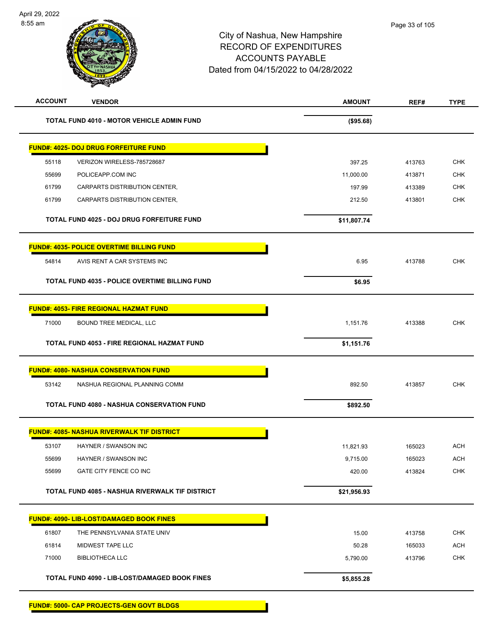| <b>ACCOUNT</b> | <b>VENDOR</b>                                         | <b>AMOUNT</b> | REF#   | <b>TYPE</b> |
|----------------|-------------------------------------------------------|---------------|--------|-------------|
|                | <b>TOTAL FUND 4010 - MOTOR VEHICLE ADMIN FUND</b>     | (\$95.68)     |        |             |
|                | <b>FUND#: 4025- DOJ DRUG FORFEITURE FUND</b>          |               |        |             |
| 55118          | VERIZON WIRELESS-785728687                            | 397.25        | 413763 | <b>CHK</b>  |
| 55699          | POLICEAPP.COM INC                                     | 11,000.00     | 413871 | <b>CHK</b>  |
| 61799          | CARPARTS DISTRIBUTION CENTER,                         | 197.99        | 413389 | <b>CHK</b>  |
| 61799          | CARPARTS DISTRIBUTION CENTER,                         | 212.50        | 413801 | <b>CHK</b>  |
|                | TOTAL FUND 4025 - DOJ DRUG FORFEITURE FUND            | \$11,807.74   |        |             |
|                | <b>FUND#: 4035- POLICE OVERTIME BILLING FUND</b>      |               |        |             |
| 54814          | AVIS RENT A CAR SYSTEMS INC                           | 6.95          | 413788 | <b>CHK</b>  |
|                | <b>TOTAL FUND 4035 - POLICE OVERTIME BILLING FUND</b> | \$6.95        |        |             |
|                | <b>FUND#: 4053- FIRE REGIONAL HAZMAT FUND</b>         |               |        |             |
| 71000          | <b>BOUND TREE MEDICAL, LLC</b>                        | 1,151.76      | 413388 | <b>CHK</b>  |
|                | TOTAL FUND 4053 - FIRE REGIONAL HAZMAT FUND           | \$1,151.76    |        |             |
|                | <b>FUND#: 4080- NASHUA CONSERVATION FUND</b>          |               |        |             |
| 53142          | NASHUA REGIONAL PLANNING COMM                         | 892.50        | 413857 | <b>CHK</b>  |
|                | <b>TOTAL FUND 4080 - NASHUA CONSERVATION FUND</b>     | \$892.50      |        |             |
|                | <b>FUND#: 4085- NASHUA RIVERWALK TIF DISTRICT</b>     |               |        |             |
| 53107          | HAYNER / SWANSON INC                                  | 11,821.93     | 165023 | <b>ACH</b>  |
| 55699          | HAYNER / SWANSON INC                                  | 9,715.00      | 165023 | <b>ACH</b>  |
| 55699          | GATE CITY FENCE CO INC                                | 420.00        | 413824 | <b>CHK</b>  |
|                | TOTAL FUND 4085 - NASHUA RIVERWALK TIF DISTRICT       | \$21,956.93   |        |             |
|                | <b>FUND#: 4090- LIB-LOST/DAMAGED BOOK FINES</b>       |               |        |             |
| 61807          | THE PENNSYLVANIA STATE UNIV                           | 15.00         | 413758 | <b>CHK</b>  |
| 61814          | MIDWEST TAPE LLC                                      | 50.28         | 165033 | <b>ACH</b>  |
| 71000          | <b>BIBLIOTHECA LLC</b>                                | 5,790.00      | 413796 | <b>CHK</b>  |
|                | TOTAL FUND 4090 - LIB-LOST/DAMAGED BOOK FINES         | \$5,855.28    |        |             |
|                | <b>FUND#: 5000- CAP PROJECTS-GEN GOVT BLDGS</b>       |               |        |             |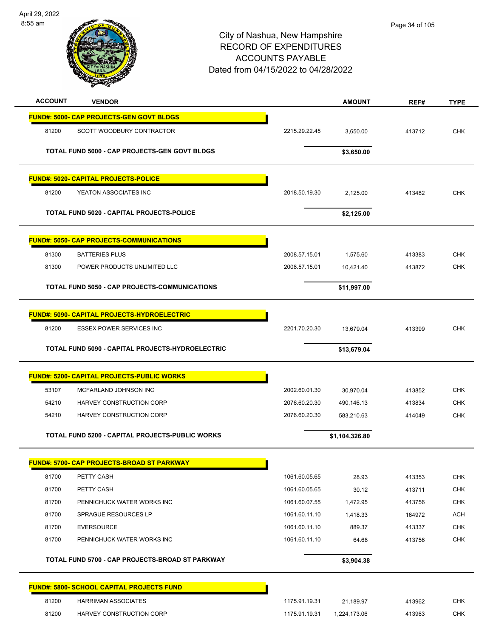

| <b>ACCOUNT</b> | <b>VENDOR</b>                                      |               | <b>AMOUNT</b>  | REF#   | <b>TYPE</b> |
|----------------|----------------------------------------------------|---------------|----------------|--------|-------------|
|                | <b>FUND#: 5000- CAP PROJECTS-GEN GOVT BLDGS</b>    |               |                |        |             |
| 81200          | SCOTT WOODBURY CONTRACTOR                          | 2215.29.22.45 | 3,650.00       | 413712 | <b>CHK</b>  |
|                | TOTAL FUND 5000 - CAP PROJECTS-GEN GOVT BLDGS      |               | \$3,650.00     |        |             |
|                | <b>FUND#: 5020- CAPITAL PROJECTS-POLICE</b>        |               |                |        |             |
| 81200          | YEATON ASSOCIATES INC                              | 2018.50.19.30 | 2,125.00       | 413482 | <b>CHK</b>  |
|                | <b>TOTAL FUND 5020 - CAPITAL PROJECTS-POLICE</b>   |               | \$2,125.00     |        |             |
|                | <b>FUND#: 5050- CAP PROJECTS-COMMUNICATIONS</b>    |               |                |        |             |
| 81300          | <b>BATTERIES PLUS</b>                              | 2008.57.15.01 | 1,575.60       | 413383 | <b>CHK</b>  |
| 81300          | POWER PRODUCTS UNLIMITED LLC                       | 2008.57.15.01 | 10,421.40      | 413872 | <b>CHK</b>  |
|                | TOTAL FUND 5050 - CAP PROJECTS-COMMUNICATIONS      |               | \$11,997.00    |        |             |
|                | <b>FUND#: 5090- CAPITAL PROJECTS-HYDROELECTRIC</b> |               |                |        |             |
| 81200          | ESSEX POWER SERVICES INC                           | 2201.70.20.30 | 13,679.04      | 413399 | <b>CHK</b>  |
|                | TOTAL FUND 5090 - CAPITAL PROJECTS-HYDROELECTRIC   |               | \$13,679.04    |        |             |
|                | <b>FUND#: 5200- CAPITAL PROJECTS-PUBLIC WORKS</b>  |               |                |        |             |
| 53107          | MCFARLAND JOHNSON INC                              | 2002.60.01.30 | 30,970.04      | 413852 | <b>CHK</b>  |
| 54210          | HARVEY CONSTRUCTION CORP                           | 2076.60.20.30 | 490,146.13     | 413834 | <b>CHK</b>  |
| 54210          | HARVEY CONSTRUCTION CORP                           | 2076.60.20.30 | 583,210.63     | 414049 | <b>CHK</b>  |
|                | TOTAL FUND 5200 - CAPITAL PROJECTS-PUBLIC WORKS    |               | \$1,104,326.80 |        |             |
|                | <u> FUND#: 5700- CAP PROJECTS-BROAD ST PARKWAY</u> |               |                |        |             |
| 81700          | PETTY CASH                                         | 1061.60.05.65 | 28.93          | 413353 | <b>CHK</b>  |
| 81700          | PETTY CASH                                         | 1061.60.05.65 | 30.12          | 413711 | <b>CHK</b>  |
| 81700          | PENNICHUCK WATER WORKS INC                         | 1061.60.07.55 | 1,472.95       | 413756 | <b>CHK</b>  |
| 81700          | SPRAGUE RESOURCES LP                               | 1061.60.11.10 | 1,418.33       | 164972 | <b>ACH</b>  |
| 81700          | <b>EVERSOURCE</b>                                  | 1061.60.11.10 | 889.37         | 413337 | <b>CHK</b>  |
| 81700          | PENNICHUCK WATER WORKS INC                         | 1061.60.11.10 | 64.68          | 413756 | CHK         |
|                | TOTAL FUND 5700 - CAP PROJECTS-BROAD ST PARKWAY    |               | \$3,904.38     |        |             |
|                | FUND#: 5800- SCHOOL CAPITAL PROJECTS FUND          |               |                |        |             |
| 81200          | <b>HARRIMAN ASSOCIATES</b>                         | 1175.91.19.31 | 21,189.97      | 413962 | <b>CHK</b>  |
| 81200          | HARVEY CONSTRUCTION CORP                           | 1175.91.19.31 | 1,224,173.06   | 413963 | <b>CHK</b>  |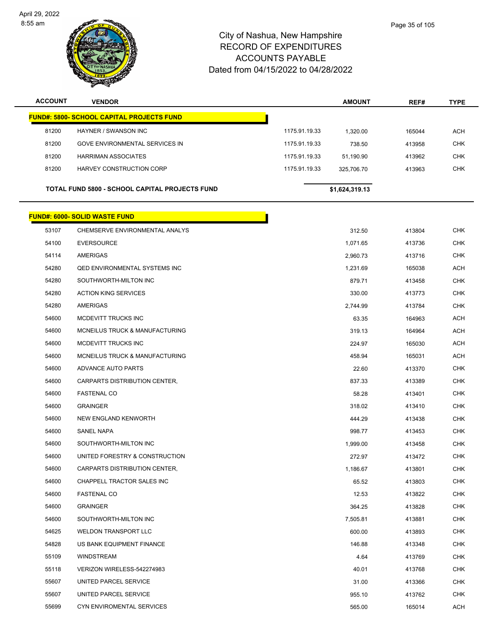

| <b>ACCOUNT</b> | <b>VENDOR</b>                                         |               | <b>AMOUNT</b>  | REF#   | <b>TYPE</b> |
|----------------|-------------------------------------------------------|---------------|----------------|--------|-------------|
|                | <b>FUND#: 5800- SCHOOL CAPITAL PROJECTS FUND</b>      |               |                |        |             |
| 81200          | HAYNER / SWANSON INC                                  | 1175.91.19.33 | 1,320.00       | 165044 | <b>ACH</b>  |
| 81200          | GOVE ENVIRONMENTAL SERVICES IN                        | 1175.91.19.33 | 738.50         | 413958 | <b>CHK</b>  |
| 81200          | <b>HARRIMAN ASSOCIATES</b>                            | 1175.91.19.33 | 51,190.90      | 413962 | <b>CHK</b>  |
| 81200          | HARVEY CONSTRUCTION CORP                              | 1175.91.19.33 | 325,706.70     | 413963 | <b>CHK</b>  |
|                |                                                       |               |                |        |             |
|                | <b>TOTAL FUND 5800 - SCHOOL CAPITAL PROJECTS FUND</b> |               | \$1,624,319.13 |        |             |
|                | <b>FUND#: 6000- SOLID WASTE FUND</b>                  |               |                |        |             |
| 53107          | CHEMSERVE ENVIRONMENTAL ANALYS                        |               | 312.50         | 413804 | <b>CHK</b>  |
| 54100          | <b>EVERSOURCE</b>                                     |               | 1,071.65       | 413736 | <b>CHK</b>  |
| 54114          | AMERIGAS                                              |               | 2,960.73       | 413716 | <b>CHK</b>  |
| 54280          | <b>QED ENVIRONMENTAL SYSTEMS INC</b>                  |               | 1,231.69       | 165038 | <b>ACH</b>  |
| 54280          | SOUTHWORTH-MILTON INC                                 |               | 879.71         | 413458 | <b>CHK</b>  |
| 54280          | <b>ACTION KING SERVICES</b>                           |               | 330.00         | 413773 | <b>CHK</b>  |
| 54280          | AMERIGAS                                              |               | 2,744.99       | 413784 | <b>CHK</b>  |
| 54600          | MCDEVITT TRUCKS INC                                   |               | 63.35          | 164963 | <b>ACH</b>  |
| 54600          | MCNEILUS TRUCK & MANUFACTURING                        |               | 319.13         | 164964 | <b>ACH</b>  |
| 54600          | MCDEVITT TRUCKS INC                                   |               | 224.97         | 165030 | ACH         |
| 54600          | MCNEILUS TRUCK & MANUFACTURING                        |               | 458.94         | 165031 | <b>ACH</b>  |
| 54600          | ADVANCE AUTO PARTS                                    |               | 22.60          | 413370 | <b>CHK</b>  |
| 54600          | CARPARTS DISTRIBUTION CENTER,                         |               | 837.33         | 413389 | <b>CHK</b>  |
| 54600          | <b>FASTENAL CO</b>                                    |               | 58.28          | 413401 | <b>CHK</b>  |
| 54600          | <b>GRAINGER</b>                                       |               | 318.02         | 413410 | <b>CHK</b>  |
| 54600          | NEW ENGLAND KENWORTH                                  |               | 444.29         | 413438 | <b>CHK</b>  |
| 54600          | <b>SANEL NAPA</b>                                     |               | 998.77         | 413453 | <b>CHK</b>  |
| 54600          | SOUTHWORTH-MILTON INC                                 |               | 1,999.00       | 413458 | <b>CHK</b>  |
| 54600          | UNITED FORESTRY & CONSTRUCTION                        |               | 272.97         | 413472 | <b>CHK</b>  |
| 54600          | CARPARTS DISTRIBUTION CENTER,                         |               | 1,186.67       | 413801 | <b>CHK</b>  |
| 54600          | CHAPPELL TRACTOR SALES INC                            |               | 65.52          | 413803 | <b>CHK</b>  |
| 54600          | <b>FASTENAL CO</b>                                    |               | 12.53          | 413822 | <b>CHK</b>  |
| 54600          | <b>GRAINGER</b>                                       |               | 364.25         | 413828 | <b>CHK</b>  |
| 54600          | SOUTHWORTH-MILTON INC                                 |               | 7,505.81       | 413881 | <b>CHK</b>  |
| 54625          | <b>WELDON TRANSPORT LLC</b>                           |               | 600.00         | 413893 | CHK         |
| 54828          | US BANK EQUIPMENT FINANCE                             |               | 146.88         | 413348 | CHK         |
| 55109          | WINDSTREAM                                            |               | 4.64           | 413769 | <b>CHK</b>  |
| 55118          | VERIZON WIRELESS-542274983                            |               | 40.01          | 413768 | CHK         |
| 55607          | UNITED PARCEL SERVICE                                 |               | 31.00          | 413366 | CHK         |
| 55607          | UNITED PARCEL SERVICE                                 |               | 955.10         | 413762 | CHK         |
| 55699          | CYN ENVIROMENTAL SERVICES                             |               | 565.00         | 165014 | <b>ACH</b>  |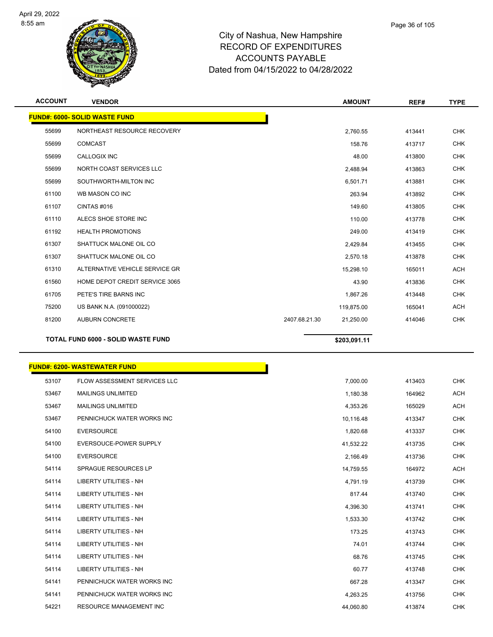

| <b>ACCOUNT</b> | <b>VENDOR</b>                             | <b>AMOUNT</b>              | REF#   | <b>TYPE</b> |
|----------------|-------------------------------------------|----------------------------|--------|-------------|
|                | <b>FUND#: 6000- SOLID WASTE FUND</b>      |                            |        |             |
| 55699          | NORTHEAST RESOURCE RECOVERY               | 2.760.55                   | 413441 | <b>CHK</b>  |
| 55699          | <b>COMCAST</b>                            | 158.76                     | 413717 | <b>CHK</b>  |
| 55699          | <b>CALLOGIX INC</b>                       | 48.00                      | 413800 | <b>CHK</b>  |
| 55699          | NORTH COAST SERVICES LLC                  | 2,488.94                   | 413863 | <b>CHK</b>  |
| 55699          | SOUTHWORTH-MILTON INC                     | 6,501.71                   | 413881 | <b>CHK</b>  |
| 61100          | WB MASON CO INC                           | 263.94                     | 413892 | <b>CHK</b>  |
| 61107          | CINTAS#016                                | 149.60                     | 413805 | <b>CHK</b>  |
| 61110          | ALECS SHOE STORE INC                      | 110.00                     | 413778 | <b>CHK</b>  |
| 61192          | <b>HEALTH PROMOTIONS</b>                  | 249.00                     | 413419 | <b>CHK</b>  |
| 61307          | SHATTUCK MALONE OIL CO                    | 2,429.84                   | 413455 | <b>CHK</b>  |
| 61307          | SHATTUCK MALONE OIL CO                    | 2,570.18                   | 413878 | <b>CHK</b>  |
| 61310          | ALTERNATIVE VEHICLE SERVICE GR            | 15,298.10                  | 165011 | <b>ACH</b>  |
| 61560          | HOME DEPOT CREDIT SERVICE 3065            | 43.90                      | 413836 | <b>CHK</b>  |
| 61705          | PETE'S TIRE BARNS INC                     | 1,867.26                   | 413448 | <b>CHK</b>  |
| 75200          | US BANK N.A. (091000022)                  | 119,875.00                 | 165041 | <b>ACH</b>  |
| 81200          | <b>AUBURN CONCRETE</b>                    | 2407.68.21.30<br>21,250.00 | 414046 | <b>CHK</b>  |
|                | <b>TOTAL FUND 6000 - SOLID WASTE FUND</b> | \$203,091.11               |        |             |

|       | <b>FUND#: 6200- WASTEWATER FUND</b> |           |        |            |
|-------|-------------------------------------|-----------|--------|------------|
| 53107 | FLOW ASSESSMENT SERVICES LLC        | 7,000.00  | 413403 | <b>CHK</b> |
| 53467 | <b>MAILINGS UNLIMITED</b>           | 1,180.38  | 164962 | <b>ACH</b> |
| 53467 | <b>MAILINGS UNLIMITED</b>           | 4,353.26  | 165029 | <b>ACH</b> |
| 53467 | PENNICHUCK WATER WORKS INC          | 10,116.48 | 413347 | <b>CHK</b> |
| 54100 | <b>EVERSOURCE</b>                   | 1,820.68  | 413337 | <b>CHK</b> |
| 54100 | EVERSOUCE-POWER SUPPLY              | 41,532.22 | 413735 | <b>CHK</b> |
| 54100 | <b>EVERSOURCE</b>                   | 2,166.49  | 413736 | <b>CHK</b> |
| 54114 | <b>SPRAGUE RESOURCES LP</b>         | 14,759.55 | 164972 | <b>ACH</b> |
| 54114 | <b>LIBERTY UTILITIES - NH</b>       | 4,791.19  | 413739 | <b>CHK</b> |
| 54114 | <b>LIBERTY UTILITIES - NH</b>       | 817.44    | 413740 | <b>CHK</b> |
| 54114 | LIBERTY UTILITIES - NH              | 4,396.30  | 413741 | <b>CHK</b> |
| 54114 | LIBERTY UTILITIES - NH              | 1,533.30  | 413742 | <b>CHK</b> |
| 54114 | <b>LIBERTY UTILITIES - NH</b>       | 173.25    | 413743 | <b>CHK</b> |
| 54114 | <b>LIBERTY UTILITIES - NH</b>       | 74.01     | 413744 | <b>CHK</b> |
| 54114 | <b>LIBERTY UTILITIES - NH</b>       | 68.76     | 413745 | <b>CHK</b> |
| 54114 | <b>LIBERTY UTILITIES - NH</b>       | 60.77     | 413748 | <b>CHK</b> |
| 54141 | PENNICHUCK WATER WORKS INC          | 667.28    | 413347 | <b>CHK</b> |
| 54141 | PENNICHUCK WATER WORKS INC          | 4,263.25  | 413756 | <b>CHK</b> |
| 54221 | <b>RESOURCE MANAGEMENT INC</b>      | 44,060.80 | 413874 | <b>CHK</b> |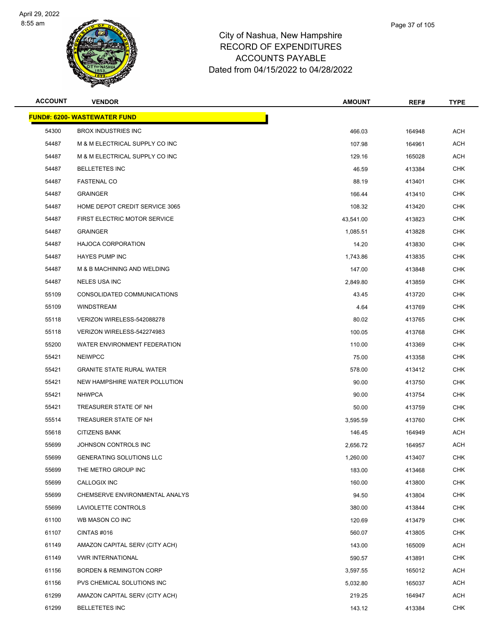

| <b>ACCOUNT</b> | <b>VENDOR</b>                       | <b>AMOUNT</b> | REF#   | <b>TYPE</b> |
|----------------|-------------------------------------|---------------|--------|-------------|
|                | <b>FUND#: 6200- WASTEWATER FUND</b> |               |        |             |
| 54300          | <b>BROX INDUSTRIES INC</b>          | 466.03        | 164948 | <b>ACH</b>  |
| 54487          | M & M ELECTRICAL SUPPLY CO INC      | 107.98        | 164961 | <b>ACH</b>  |
| 54487          | M & M ELECTRICAL SUPPLY CO INC      | 129.16        | 165028 | <b>ACH</b>  |
| 54487          | <b>BELLETETES INC</b>               | 46.59         | 413384 | <b>CHK</b>  |
| 54487          | <b>FASTENAL CO</b>                  | 88.19         | 413401 | <b>CHK</b>  |
| 54487          | <b>GRAINGER</b>                     | 166.44        | 413410 | <b>CHK</b>  |
| 54487          | HOME DEPOT CREDIT SERVICE 3065      | 108.32        | 413420 | <b>CHK</b>  |
| 54487          | FIRST ELECTRIC MOTOR SERVICE        | 43,541.00     | 413823 | <b>CHK</b>  |
| 54487          | <b>GRAINGER</b>                     | 1,085.51      | 413828 | <b>CHK</b>  |
| 54487          | <b>HAJOCA CORPORATION</b>           | 14.20         | 413830 | <b>CHK</b>  |
| 54487          | <b>HAYES PUMP INC</b>               | 1,743.86      | 413835 | <b>CHK</b>  |
| 54487          | M & B MACHINING AND WELDING         | 147.00        | 413848 | <b>CHK</b>  |
| 54487          | <b>NELES USA INC</b>                | 2,849.80      | 413859 | <b>CHK</b>  |
| 55109          | CONSOLIDATED COMMUNICATIONS         | 43.45         | 413720 | <b>CHK</b>  |
| 55109          | WINDSTREAM                          | 4.64          | 413769 | <b>CHK</b>  |
| 55118          | VERIZON WIRELESS-542088278          | 80.02         | 413765 | <b>CHK</b>  |
| 55118          | VERIZON WIRELESS-542274983          | 100.05        | 413768 | <b>CHK</b>  |
| 55200          | WATER ENVIRONMENT FEDERATION        | 110.00        | 413369 | <b>CHK</b>  |
| 55421          | <b>NEIWPCC</b>                      | 75.00         | 413358 | <b>CHK</b>  |
| 55421          | <b>GRANITE STATE RURAL WATER</b>    | 578.00        | 413412 | <b>CHK</b>  |
| 55421          | NEW HAMPSHIRE WATER POLLUTION       | 90.00         | 413750 | <b>CHK</b>  |
| 55421          | <b>NHWPCA</b>                       | 90.00         | 413754 | <b>CHK</b>  |
| 55421          | TREASURER STATE OF NH               | 50.00         | 413759 | <b>CHK</b>  |
| 55514          | TREASURER STATE OF NH               | 3,595.59      | 413760 | <b>CHK</b>  |
| 55618          | <b>CITIZENS BANK</b>                | 146.45        | 164949 | ACH         |
| 55699          | JOHNSON CONTROLS INC                | 2,656.72      | 164957 | ACH         |
| 55699          | <b>GENERATING SOLUTIONS LLC</b>     | 1,260.00      | 413407 | <b>CHK</b>  |
| 55699          | THE METRO GROUP INC                 | 183.00        | 413468 | <b>CHK</b>  |
| 55699          | CALLOGIX INC                        | 160.00        | 413800 | <b>CHK</b>  |
| 55699          | CHEMSERVE ENVIRONMENTAL ANALYS      | 94.50         | 413804 | <b>CHK</b>  |
| 55699          | LAVIOLETTE CONTROLS                 | 380.00        | 413844 | <b>CHK</b>  |
| 61100          | WB MASON CO INC                     | 120.69        | 413479 | <b>CHK</b>  |
| 61107          | CINTAS #016                         | 560.07        | 413805 | <b>CHK</b>  |
| 61149          | AMAZON CAPITAL SERV (CITY ACH)      | 143.00        | 165009 | ACH         |
| 61149          | <b>VWR INTERNATIONAL</b>            | 590.57        | 413891 | <b>CHK</b>  |
| 61156          | <b>BORDEN &amp; REMINGTON CORP</b>  | 3,597.55      | 165012 | ACH         |
| 61156          | PVS CHEMICAL SOLUTIONS INC          | 5,032.80      | 165037 | ACH         |
| 61299          | AMAZON CAPITAL SERV (CITY ACH)      | 219.25        | 164947 | <b>ACH</b>  |
| 61299          | <b>BELLETETES INC</b>               | 143.12        | 413384 | <b>CHK</b>  |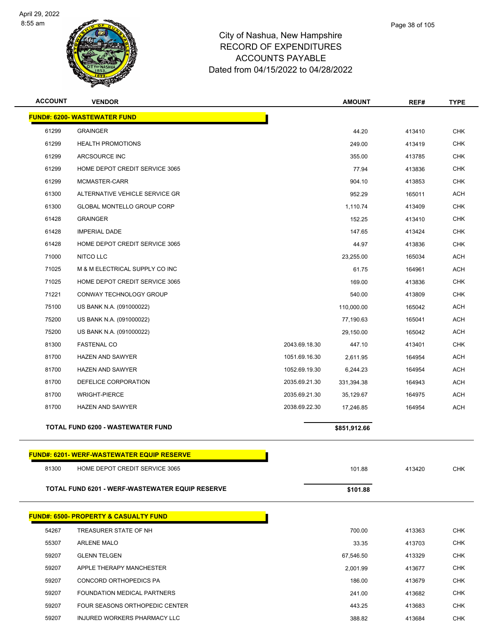

| <b>ACCOUNT</b> | <b>VENDOR</b>                                    |               | <b>AMOUNT</b> | REF#   | <b>TYPE</b> |
|----------------|--------------------------------------------------|---------------|---------------|--------|-------------|
|                | <b>FUND#: 6200- WASTEWATER FUND</b>              |               |               |        |             |
| 61299          | <b>GRAINGER</b>                                  |               | 44.20         | 413410 | <b>CHK</b>  |
| 61299          | <b>HEALTH PROMOTIONS</b>                         |               | 249.00        | 413419 | <b>CHK</b>  |
| 61299          | ARCSOURCE INC                                    |               | 355.00        | 413785 | <b>CHK</b>  |
| 61299          | HOME DEPOT CREDIT SERVICE 3065                   |               | 77.94         | 413836 | <b>CHK</b>  |
| 61299          | MCMASTER-CARR                                    |               | 904.10        | 413853 | <b>CHK</b>  |
| 61300          | ALTERNATIVE VEHICLE SERVICE GR                   |               | 952.29        | 165011 | <b>ACH</b>  |
| 61300          | <b>GLOBAL MONTELLO GROUP CORP</b>                |               | 1,110.74      | 413409 | <b>CHK</b>  |
| 61428          | <b>GRAINGER</b>                                  |               | 152.25        | 413410 | <b>CHK</b>  |
| 61428          | <b>IMPERIAL DADE</b>                             |               | 147.65        | 413424 | <b>CHK</b>  |
| 61428          | HOME DEPOT CREDIT SERVICE 3065                   |               | 44.97         | 413836 | <b>CHK</b>  |
| 71000          | NITCO LLC                                        |               | 23,255.00     | 165034 | <b>ACH</b>  |
| 71025          | M & M ELECTRICAL SUPPLY CO INC                   |               | 61.75         | 164961 | <b>ACH</b>  |
| 71025          | HOME DEPOT CREDIT SERVICE 3065                   |               | 169.00        | 413836 | <b>CHK</b>  |
| 71221          | CONWAY TECHNOLOGY GROUP                          |               | 540.00        | 413809 | <b>CHK</b>  |
| 75100          | US BANK N.A. (091000022)                         |               | 110,000.00    | 165042 | <b>ACH</b>  |
| 75200          | US BANK N.A. (091000022)                         |               | 77,190.63     | 165041 | <b>ACH</b>  |
| 75200          | US BANK N.A. (091000022)                         |               | 29,150.00     | 165042 | <b>ACH</b>  |
| 81300          | <b>FASTENAL CO</b>                               | 2043.69.18.30 | 447.10        | 413401 | <b>CHK</b>  |
| 81700          | <b>HAZEN AND SAWYER</b>                          | 1051.69.16.30 | 2,611.95      | 164954 | <b>ACH</b>  |
| 81700          | <b>HAZEN AND SAWYER</b>                          | 1052.69.19.30 | 6,244.23      | 164954 | <b>ACH</b>  |
| 81700          | DEFELICE CORPORATION                             | 2035.69.21.30 | 331,394.38    | 164943 | <b>ACH</b>  |
| 81700          | <b>WRIGHT-PIERCE</b>                             | 2035.69.21.30 | 35,129.67     | 164975 | <b>ACH</b>  |
| 81700          | HAZEN AND SAWYER                                 | 2038.69.22.30 | 17,246.85     | 164954 | <b>ACH</b>  |
|                | <b>TOTAL FUND 6200 - WASTEWATER FUND</b>         |               | \$851,912.66  |        |             |
|                | <b>FUND#: 6201-WERF-WASTEWATER EQUIP RESERVE</b> |               |               |        |             |
| 81300          | HOME DEPOT CREDIT SERVICE 3065                   |               | 101.88        | 413420 | <b>CHK</b>  |
|                |                                                  |               |               |        |             |
|                | TOTAL FUND 6201 - WERF-WASTEWATER EQUIP RESERVE  |               | \$101.88      |        |             |
|                | <b>FUND#: 6500- PROPERTY &amp; CASUALTY FUND</b> |               |               |        |             |
| 54267          | TREASURER STATE OF NH                            |               | 700.00        | 413363 | <b>CHK</b>  |
| 55307          | <b>ARLENE MALO</b>                               |               | 33.35         | 413703 | <b>CHK</b>  |
| 59207          | <b>GLENN TELGEN</b>                              |               | 67,546.50     | 413329 | <b>CHK</b>  |
| 59207          | APPLE THERAPY MANCHESTER                         |               | 2,001.99      | 413677 | <b>CHK</b>  |
| 59207          | CONCORD ORTHOPEDICS PA                           |               | 186.00        | 413679 | <b>CHK</b>  |
| 59207          | FOUNDATION MEDICAL PARTNERS                      |               | 241.00        | 413682 | CHK         |
| 59207          | FOUR SEASONS ORTHOPEDIC CENTER                   |               | 443.25        | 413683 | <b>CHK</b>  |
| 59207          | INJURED WORKERS PHARMACY LLC                     |               | 388.82        | 413684 | <b>CHK</b>  |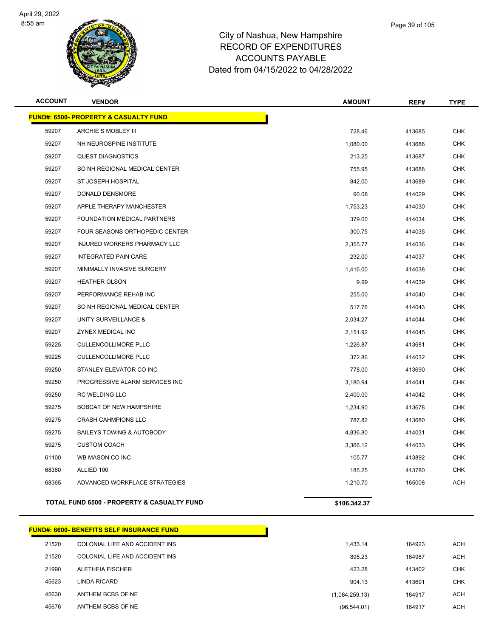

| <b>ACCOUNT</b> | <b>VENDOR</b>                                    | <b>AMOUNT</b> | REF#   | <b>TYPE</b> |
|----------------|--------------------------------------------------|---------------|--------|-------------|
|                | <b>FUND#: 6500- PROPERTY &amp; CASUALTY FUND</b> |               |        |             |
| 59207          | ARCHIE S MOBLEY III                              | 728.46        | 413685 | <b>CHK</b>  |
| 59207          | NH NEUROSPINE INSTITUTE                          | 1,080.00      | 413686 | <b>CHK</b>  |
| 59207          | <b>QUEST DIAGNOSTICS</b>                         | 213.25        | 413687 | <b>CHK</b>  |
| 59207          | SO NH REGIONAL MEDICAL CENTER                    | 755.95        | 413688 | <b>CHK</b>  |
| 59207          | ST JOSEPH HOSPITAL                               | 842.00        | 413689 | <b>CHK</b>  |
| 59207          | DONALD DENSMORE                                  | 90.08         | 414029 | <b>CHK</b>  |
| 59207          | APPLE THERAPY MANCHESTER                         | 1,753.23      | 414030 | <b>CHK</b>  |
| 59207          | FOUNDATION MEDICAL PARTNERS                      | 379.00        | 414034 | <b>CHK</b>  |
| 59207          | FOUR SEASONS ORTHOPEDIC CENTER                   | 300.75        | 414035 | <b>CHK</b>  |
| 59207          | <b>INJURED WORKERS PHARMACY LLC</b>              | 2,355.77      | 414036 | <b>CHK</b>  |
| 59207          | <b>INTEGRATED PAIN CARE</b>                      | 232.00        | 414037 | <b>CHK</b>  |
| 59207          | MINIMALLY INVASIVE SURGERY                       | 1,416.00      | 414038 | <b>CHK</b>  |
| 59207          | <b>HEATHER OLSON</b>                             | 9.99          | 414039 | <b>CHK</b>  |
| 59207          | PERFORMANCE REHAB INC                            | 255.00        | 414040 | <b>CHK</b>  |
| 59207          | SO NH REGIONAL MEDICAL CENTER                    | 517.76        | 414043 | <b>CHK</b>  |
| 59207          | UNITY SURVEILLANCE &                             | 2,034.27      | 414044 | <b>CHK</b>  |
| 59207          | ZYNEX MEDICAL INC                                | 2,151.92      | 414045 | <b>CHK</b>  |
| 59225          | <b>CULLENCOLLIMORE PLLC</b>                      | 1,226.87      | 413681 | CHK         |
| 59225          | <b>CULLENCOLLIMORE PLLC</b>                      | 372.86        | 414032 | <b>CHK</b>  |
| 59250          | STANLEY ELEVATOR CO INC                          | 778.00        | 413690 | <b>CHK</b>  |
| 59250          | PROGRESSIVE ALARM SERVICES INC                   | 3,180.94      | 414041 | <b>CHK</b>  |
| 59250          | <b>RC WELDING LLC</b>                            | 2,400.00      | 414042 | <b>CHK</b>  |
| 59275          | <b>BOBCAT OF NEW HAMPSHIRE</b>                   | 1,234.90      | 413678 | <b>CHK</b>  |
| 59275          | <b>CRASH CAHMPIONS LLC</b>                       | 787.82        | 413680 | <b>CHK</b>  |
| 59275          | <b>BAILEYS TOWING &amp; AUTOBODY</b>             | 4,836.80      | 414031 | <b>CHK</b>  |
| 59275          | <b>CUSTOM COACH</b>                              | 3,366.12      | 414033 | <b>CHK</b>  |
| 61100          | WB MASON CO INC                                  | 105.77        | 413892 | <b>CHK</b>  |
| 68360          | ALLIED 100                                       | 185.25        | 413780 | <b>CHK</b>  |
| 68365          | ADVANCED WORKPLACE STRATEGIES                    | 1,210.70      | 165008 | <b>ACH</b>  |
|                |                                                  |               |        |             |

#### **TOTAL FUND 6500 - PROPERTY & CASUALTY FUND \$106,342.37**

|       | <u> FUND#: 6600- BENEFITS SELF INSURANCE FUND</u> |                |        |
|-------|---------------------------------------------------|----------------|--------|
| 21520 | COLONIAL LIFE AND ACCIDENT INS                    | 1.433.14       | 164923 |
| 21520 | COLONIAL LIFE AND ACCIDENT INS                    | 895.23         | 164987 |
| 21990 | ALETHEIA FISCHER                                  | 423.28         | 413402 |
| 45623 | LINDA RICARD                                      | 904.13         | 413691 |
| 45630 | ANTHEM BCBS OF NE                                 | (1,064,259.13) | 164917 |
| 45676 | ANTHEM BCBS OF NE                                 | (96, 544.01)   | 164917 |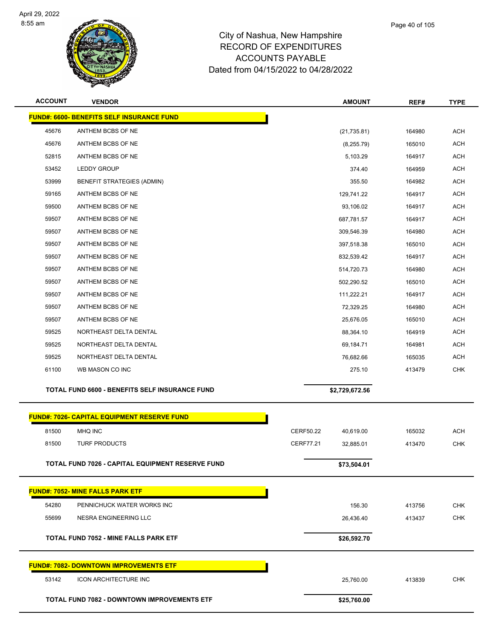

| <b>ACCOUNT</b> | <b>VENDOR</b>                                      | <b>AMOUNT</b>                 | REF#   | <b>TYPE</b> |
|----------------|----------------------------------------------------|-------------------------------|--------|-------------|
|                | FUND#: 6600- BENEFITS SELF INSURANCE FUND          |                               |        |             |
| 45676          | ANTHEM BCBS OF NE                                  | (21, 735.81)                  | 164980 | <b>ACH</b>  |
| 45676          | ANTHEM BCBS OF NE                                  | (8,255.79)                    | 165010 | <b>ACH</b>  |
| 52815          | ANTHEM BCBS OF NE                                  | 5,103.29                      | 164917 | <b>ACH</b>  |
| 53452          | <b>LEDDY GROUP</b>                                 | 374.40                        | 164959 | <b>ACH</b>  |
| 53999          | <b>BENEFIT STRATEGIES (ADMIN)</b>                  | 355.50                        | 164982 | <b>ACH</b>  |
| 59165          | ANTHEM BCBS OF NE                                  | 129,741.22                    | 164917 | <b>ACH</b>  |
| 59500          | ANTHEM BCBS OF NE                                  | 93,106.02                     | 164917 | <b>ACH</b>  |
| 59507          | ANTHEM BCBS OF NE                                  | 687,781.57                    | 164917 | <b>ACH</b>  |
| 59507          | ANTHEM BCBS OF NE                                  | 309,546.39                    | 164980 | <b>ACH</b>  |
| 59507          | ANTHEM BCBS OF NE                                  | 397,518.38                    | 165010 | <b>ACH</b>  |
| 59507          | ANTHEM BCBS OF NE                                  | 832,539.42                    | 164917 | <b>ACH</b>  |
| 59507          | ANTHEM BCBS OF NE                                  | 514,720.73                    | 164980 | <b>ACH</b>  |
| 59507          | ANTHEM BCBS OF NE                                  | 502,290.52                    | 165010 | <b>ACH</b>  |
| 59507          | ANTHEM BCBS OF NE                                  | 111,222.21                    | 164917 | <b>ACH</b>  |
| 59507          | ANTHEM BCBS OF NE                                  | 72,329.25                     | 164980 | <b>ACH</b>  |
| 59507          | ANTHEM BCBS OF NE                                  | 25,676.05                     | 165010 | <b>ACH</b>  |
| 59525          | NORTHEAST DELTA DENTAL                             | 88,364.10                     | 164919 | <b>ACH</b>  |
| 59525          | NORTHEAST DELTA DENTAL                             | 69,184.71                     | 164981 | <b>ACH</b>  |
| 59525          | NORTHEAST DELTA DENTAL                             | 76,682.66                     | 165035 | <b>ACH</b>  |
| 61100          | WB MASON CO INC                                    | 275.10                        | 413479 | <b>CHK</b>  |
|                | TOTAL FUND 6600 - BENEFITS SELF INSURANCE FUND     | \$2,729,672.56                |        |             |
|                | <b>FUND#: 7026- CAPITAL EQUIPMENT RESERVE FUND</b> |                               |        |             |
| 81500          | MHQ INC                                            | CERF50.22<br>40,619.00        | 165032 | <b>ACH</b>  |
| 81500          | <b>TURF PRODUCTS</b>                               | <b>CERF77.21</b><br>32,885.01 | 413470 | <b>CHK</b>  |
|                |                                                    |                               |        |             |
|                | TOTAL FUND 7026 - CAPITAL EQUIPMENT RESERVE FUND   | \$73,504.01                   |        |             |
|                | <b>FUND#: 7052- MINE FALLS PARK ETF</b>            |                               |        |             |
| 54280          | PENNICHUCK WATER WORKS INC                         | 156.30                        | 413756 | <b>CHK</b>  |
| 55699          | <b>NESRA ENGINEERING LLC</b>                       | 26,436.40                     | 413437 | <b>CHK</b>  |
|                | TOTAL FUND 7052 - MINE FALLS PARK ETF              |                               |        |             |
|                |                                                    | \$26,592.70                   |        |             |
|                | <b>FUND#: 7082- DOWNTOWN IMPROVEMENTS ETF</b>      |                               |        |             |
| 53142          | ICON ARCHITECTURE INC                              | 25,760.00                     | 413839 | <b>CHK</b>  |
|                | TOTAL FUND 7082 - DOWNTOWN IMPROVEMENTS ETF        | \$25,760.00                   |        |             |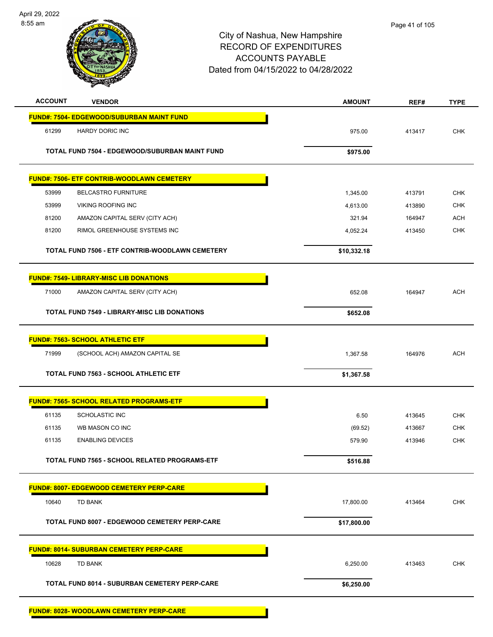

| <b>ACCOUNT</b> | <b>VENDOR</b>                                         | <b>AMOUNT</b> | REF#   | <b>TYPE</b> |
|----------------|-------------------------------------------------------|---------------|--------|-------------|
|                | <b>FUND#: 7504- EDGEWOOD/SUBURBAN MAINT FUND</b>      |               |        |             |
| 61299          | HARDY DORIC INC                                       | 975.00        | 413417 | <b>CHK</b>  |
|                | <b>TOTAL FUND 7504 - EDGEWOOD/SUBURBAN MAINT FUND</b> | \$975.00      |        |             |
|                | <b>FUND#: 7506- ETF CONTRIB-WOODLAWN CEMETERY</b>     |               |        |             |
| 53999          | <b>BELCASTRO FURNITURE</b>                            | 1,345.00      | 413791 | <b>CHK</b>  |
| 53999          | <b>VIKING ROOFING INC</b>                             | 4,613.00      | 413890 | <b>CHK</b>  |
| 81200          | AMAZON CAPITAL SERV (CITY ACH)                        | 321.94        | 164947 | <b>ACH</b>  |
| 81200          | RIMOL GREENHOUSE SYSTEMS INC                          | 4,052.24      | 413450 | <b>CHK</b>  |
|                | TOTAL FUND 7506 - ETF CONTRIB-WOODLAWN CEMETERY       | \$10,332.18   |        |             |
|                | <b>FUND#: 7549- LIBRARY-MISC LIB DONATIONS</b>        |               |        |             |
| 71000          | AMAZON CAPITAL SERV (CITY ACH)                        | 652.08        | 164947 | <b>ACH</b>  |
|                | <b>TOTAL FUND 7549 - LIBRARY-MISC LIB DONATIONS</b>   | \$652.08      |        |             |
|                | <b>FUND#: 7563- SCHOOL ATHLETIC ETF</b>               |               |        |             |
| 71999          | (SCHOOL ACH) AMAZON CAPITAL SE                        | 1,367.58      | 164976 | <b>ACH</b>  |
|                | <b>TOTAL FUND 7563 - SCHOOL ATHLETIC ETF</b>          | \$1,367.58    |        |             |
|                | <b>FUND#: 7565- SCHOOL RELATED PROGRAMS-ETF</b>       |               |        |             |
| 61135          | <b>SCHOLASTIC INC</b>                                 | 6.50          | 413645 | <b>CHK</b>  |
| 61135          | WB MASON CO INC                                       | (69.52)       | 413667 | <b>CHK</b>  |
| 61135          | <b>ENABLING DEVICES</b>                               | 579.90        | 413946 | <b>CHK</b>  |
|                | TOTAL FUND 7565 - SCHOOL RELATED PROGRAMS-ETF         | \$516.88      |        |             |
|                | <b>FUND#: 8007- EDGEWOOD CEMETERY PERP-CARE</b>       |               |        |             |
| 10640          | TD BANK                                               | 17,800.00     | 413464 | <b>CHK</b>  |
|                | TOTAL FUND 8007 - EDGEWOOD CEMETERY PERP-CARE         | \$17,800.00   |        |             |
|                | <b>FUND#: 8014- SUBURBAN CEMETERY PERP-CARE</b>       |               |        |             |
| 10628          | TD BANK                                               | 6,250.00      | 413463 | <b>CHK</b>  |
|                | <b>TOTAL FUND 8014 - SUBURBAN CEMETERY PERP-CARE</b>  | \$6,250.00    |        |             |
|                | FUND#: 8028- WOODLAWN CEMETERY PERP-CARE              |               |        |             |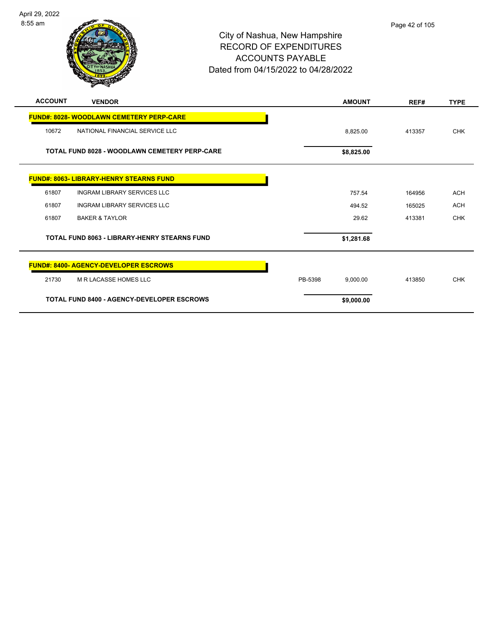

| <b>ACCOUNT</b> | <b>VENDOR</b>                                        | <b>AMOUNT</b>       | REF#   | <b>TYPE</b> |
|----------------|------------------------------------------------------|---------------------|--------|-------------|
|                | <b>FUND#: 8028- WOODLAWN CEMETERY PERP-CARE</b>      |                     |        |             |
| 10672          | NATIONAL FINANCIAL SERVICE LLC                       | 8,825.00            | 413357 | <b>CHK</b>  |
|                | <b>TOTAL FUND 8028 - WOODLAWN CEMETERY PERP-CARE</b> | \$8,825.00          |        |             |
|                | <b>FUND#: 8063- LIBRARY-HENRY STEARNS FUND</b>       |                     |        |             |
| 61807          | <b>INGRAM LIBRARY SERVICES LLC</b>                   | 757.54              | 164956 | <b>ACH</b>  |
| 61807          | INGRAM LIBRARY SERVICES LLC                          | 494.52              | 165025 | <b>ACH</b>  |
| 61807          | <b>BAKER &amp; TAYLOR</b>                            | 29.62               | 413381 | <b>CHK</b>  |
|                | <b>TOTAL FUND 8063 - LIBRARY-HENRY STEARNS FUND</b>  | \$1,281.68          |        |             |
|                | <b>FUND#: 8400- AGENCY-DEVELOPER ESCROWS</b>         |                     |        |             |
| 21730          | <b>M R LACASSE HOMES LLC</b>                         | PB-5398<br>9.000.00 | 413850 | <b>CHK</b>  |
|                | <b>TOTAL FUND 8400 - AGENCY-DEVELOPER ESCROWS</b>    | \$9,000.00          |        |             |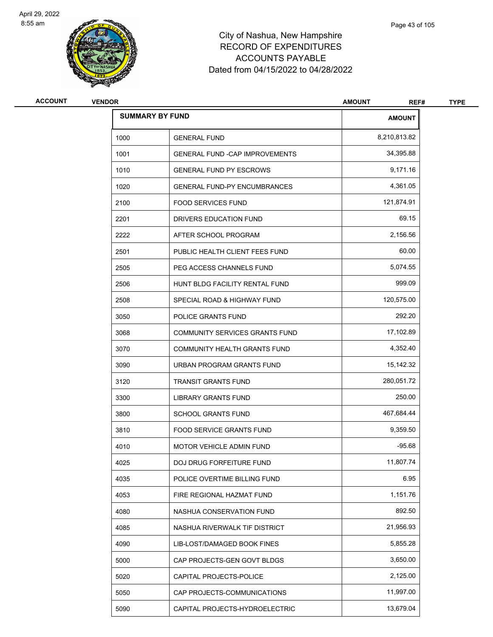

| <b>ACCOUNT</b> | <b>VENDOR</b> |                                       | <b>AMOUNT</b><br>REF# | <b>TYPE</b> |
|----------------|---------------|---------------------------------------|-----------------------|-------------|
|                |               | <b>SUMMARY BY FUND</b>                | <b>AMOUNT</b>         |             |
|                | 1000          | <b>GENERAL FUND</b>                   | 8,210,813.82          |             |
|                | 1001          | <b>GENERAL FUND -CAP IMPROVEMENTS</b> | 34,395.88             |             |
|                | 1010          | <b>GENERAL FUND PY ESCROWS</b>        | 9,171.16              |             |
|                | 1020          | <b>GENERAL FUND-PY ENCUMBRANCES</b>   | 4,361.05              |             |
|                | 2100          | <b>FOOD SERVICES FUND</b>             | 121,874.91            |             |
|                | 2201          | DRIVERS EDUCATION FUND                | 69.15                 |             |
|                | 2222          | AFTER SCHOOL PROGRAM                  | 2,156.56              |             |
|                | 2501          | PUBLIC HEALTH CLIENT FEES FUND        | 60.00                 |             |
|                | 2505          | PEG ACCESS CHANNELS FUND              | 5,074.55              |             |
|                | 2506          | HUNT BLDG FACILITY RENTAL FUND        | 999.09                |             |
|                | 2508          | SPECIAL ROAD & HIGHWAY FUND           | 120,575.00            |             |
|                | 3050          | POLICE GRANTS FUND                    | 292.20                |             |
|                | 3068          | COMMUNITY SERVICES GRANTS FUND        | 17,102.89             |             |
|                | 3070          | COMMUNITY HEALTH GRANTS FUND          | 4,352.40              |             |
|                | 3090          | URBAN PROGRAM GRANTS FUND             | 15,142.32             |             |
|                | 3120          | <b>TRANSIT GRANTS FUND</b>            | 280,051.72            |             |
|                | 3300          | LIBRARY GRANTS FUND                   | 250.00                |             |
|                | 3800          | <b>SCHOOL GRANTS FUND</b>             | 467,684.44            |             |
|                | 3810          | <b>FOOD SERVICE GRANTS FUND</b>       | 9,359.50              |             |
|                | 4010          | MOTOR VEHICLE ADMIN FUND              | $-95.68$              |             |
|                | 4025          | DOJ DRUG FORFEITURE FUND              | 11,807.74             |             |
|                | 4035          | POLICE OVERTIME BILLING FUND          | 6.95                  |             |
|                | 4053          | FIRE REGIONAL HAZMAT FUND             | 1,151.76              |             |
|                | 4080          | NASHUA CONSERVATION FUND              | 892.50                |             |
|                | 4085          | NASHUA RIVERWALK TIF DISTRICT         | 21,956.93             |             |
|                | 4090          | LIB-LOST/DAMAGED BOOK FINES           | 5,855.28              |             |
|                | 5000          | CAP PROJECTS-GEN GOVT BLDGS           | 3,650.00              |             |
|                | 5020          | CAPITAL PROJECTS-POLICE               | 2,125.00              |             |
|                | 5050          | CAP PROJECTS-COMMUNICATIONS           | 11,997.00             |             |
|                | 5090          | CAPITAL PROJECTS-HYDROELECTRIC        | 13,679.04             |             |
|                |               |                                       |                       |             |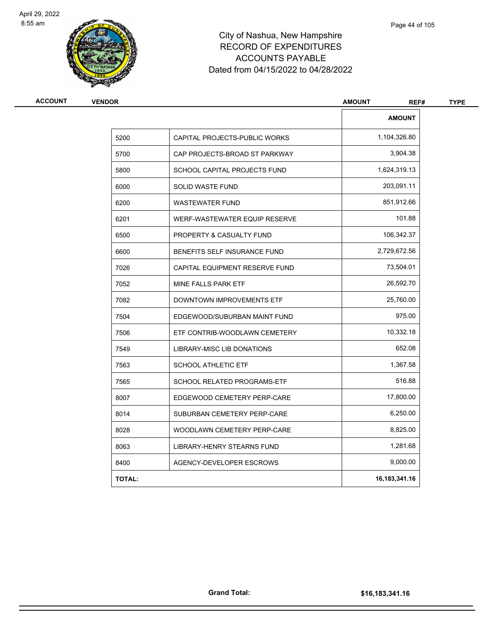

| <b>VENDOR</b> |                                | <b>AMOUNT</b><br>REF# |
|---------------|--------------------------------|-----------------------|
|               |                                | <b>AMOUNT</b>         |
| 5200          | CAPITAL PROJECTS-PUBLIC WORKS  | 1,104,326.80          |
| 5700          | CAP PROJECTS-BROAD ST PARKWAY  | 3,904.38              |
| 5800          | SCHOOL CAPITAL PROJECTS FUND   | 1,624,319.13          |
| 6000          | SOLID WASTE FUND               | 203,091.11            |
| 6200          | <b>WASTEWATER FUND</b>         | 851,912.66            |
| 6201          | WERF-WASTEWATER EQUIP RESERVE  | 101.88                |
| 6500          | PROPERTY & CASUALTY FUND       | 106,342.37            |
| 6600          | BENEFITS SELF INSURANCE FUND   | 2,729,672.56          |
| 7026          | CAPITAL EQUIPMENT RESERVE FUND | 73,504.01             |
| 7052          | MINE FALLS PARK ETF            | 26,592.70             |
| 7082          | DOWNTOWN IMPROVEMENTS ETF      | 25,760.00             |
| 7504          | EDGEWOOD/SUBURBAN MAINT FUND   | 975.00                |
| 7506          | ETF CONTRIB-WOODLAWN CEMETERY  | 10,332.18             |
| 7549          | LIBRARY-MISC LIB DONATIONS     | 652.08                |
| 7563          | <b>SCHOOL ATHLETIC ETF</b>     | 1,367.58              |
| 7565          | SCHOOL RELATED PROGRAMS-ETF    | 516.88                |
| 8007          | EDGEWOOD CEMETERY PERP-CARE    | 17,800.00             |
| 8014          | SUBURBAN CEMETERY PERP-CARE    | 6,250.00              |
| 8028          | WOODLAWN CEMETERY PERP-CARE    | 8,825.00              |
| 8063          | LIBRARY-HENRY STEARNS FUND     | 1,281.68              |
| 8400          | AGENCY-DEVELOPER ESCROWS       | 9,000.00              |
| <b>TOTAL:</b> |                                | 16, 183, 341. 16      |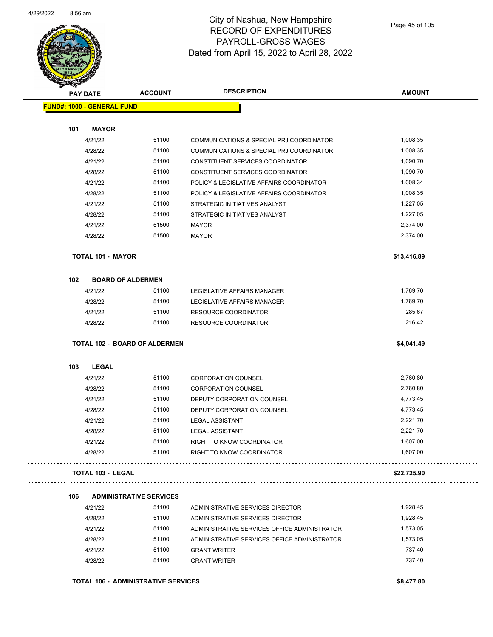

Page 45 of 105

| <b>PAY DATE</b>                   | <b>ACCOUNT</b>                       | <b>DESCRIPTION</b>                           | <b>AMOUNT</b> |
|-----------------------------------|--------------------------------------|----------------------------------------------|---------------|
| <b>FUND#: 1000 - GENERAL FUND</b> |                                      |                                              |               |
| 101<br><b>MAYOR</b>               |                                      |                                              |               |
| 4/21/22                           | 51100                                | COMMUNICATIONS & SPECIAL PRJ COORDINATOR     | 1,008.35      |
| 4/28/22                           | 51100                                | COMMUNICATIONS & SPECIAL PRJ COORDINATOR     | 1,008.35      |
| 4/21/22                           | 51100                                | CONSTITUENT SERVICES COORDINATOR             | 1,090.70      |
| 4/28/22                           | 51100                                | CONSTITUENT SERVICES COORDINATOR             | 1,090.70      |
| 4/21/22                           | 51100                                | POLICY & LEGISLATIVE AFFAIRS COORDINATOR     | 1,008.34      |
| 4/28/22                           | 51100                                | POLICY & LEGISLATIVE AFFAIRS COORDINATOR     | 1,008.35      |
| 4/21/22                           | 51100                                | STRATEGIC INITIATIVES ANALYST                | 1,227.05      |
| 4/28/22                           | 51100                                | STRATEGIC INITIATIVES ANALYST                | 1,227.05      |
| 4/21/22                           | 51500                                | <b>MAYOR</b>                                 | 2,374.00      |
| 4/28/22                           | 51500                                | <b>MAYOR</b>                                 | 2,374.00      |
| <b>TOTAL 101 - MAYOR</b>          |                                      |                                              | \$13,416.89   |
| 102                               | <b>BOARD OF ALDERMEN</b>             |                                              |               |
| 4/21/22                           | 51100                                | LEGISLATIVE AFFAIRS MANAGER                  | 1,769.70      |
| 4/28/22                           | 51100                                | LEGISLATIVE AFFAIRS MANAGER                  | 1,769.70      |
| 4/21/22                           | 51100                                | <b>RESOURCE COORDINATOR</b>                  | 285.67        |
| 4/28/22                           | 51100                                | <b>RESOURCE COORDINATOR</b>                  | 216.42        |
|                                   | <b>TOTAL 102 - BOARD OF ALDERMEN</b> |                                              | \$4,041.49    |
| <b>LEGAL</b><br>103               |                                      |                                              |               |
| 4/21/22                           | 51100                                | <b>CORPORATION COUNSEL</b>                   | 2,760.80      |
| 4/28/22                           | 51100                                | <b>CORPORATION COUNSEL</b>                   | 2,760.80      |
| 4/21/22                           | 51100                                | DEPUTY CORPORATION COUNSEL                   | 4,773.45      |
| 4/28/22                           | 51100                                | DEPUTY CORPORATION COUNSEL                   | 4,773.45      |
| 4/21/22                           | 51100                                | <b>LEGAL ASSISTANT</b>                       | 2,221.70      |
| 4/28/22                           | 51100                                | <b>LEGAL ASSISTANT</b>                       | 2,221.70      |
| 4/21/22                           | 51100                                | RIGHT TO KNOW COORDINATOR                    | 1,607.00      |
| 4/28/22                           | 51100                                | RIGHT TO KNOW COORDINATOR                    | 1,607.00      |
| <b>TOTAL 103 - LEGAL</b>          |                                      |                                              | \$22,725.90   |
| 106                               | <b>ADMINISTRATIVE SERVICES</b>       |                                              |               |
| 4/21/22                           | 51100                                | ADMINISTRATIVE SERVICES DIRECTOR             | 1,928.45      |
| 4/28/22                           | 51100                                | ADMINISTRATIVE SERVICES DIRECTOR             | 1,928.45      |
| 4/21/22                           | 51100                                | ADMINISTRATIVE SERVICES OFFICE ADMINISTRATOR | 1,573.05      |
| 4/28/22                           | 51100                                | ADMINISTRATIVE SERVICES OFFICE ADMINISTRATOR | 1,573.05      |
| 4/21/22                           | 51100                                | <b>GRANT WRITER</b>                          | 737.40        |
| 4/28/22                           | 51100                                | <b>GRANT WRITER</b>                          | 737.40        |
|                                   |                                      |                                              |               |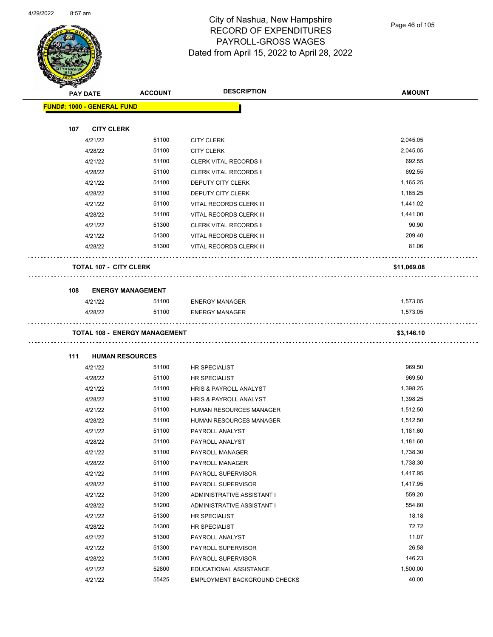

Page 46 of 105

| <b>STARBAND</b> |                                   |                                      |                                |               |
|-----------------|-----------------------------------|--------------------------------------|--------------------------------|---------------|
|                 | <b>PAY DATE</b>                   | <b>ACCOUNT</b>                       | <b>DESCRIPTION</b>             | <b>AMOUNT</b> |
|                 | <b>FUND#: 1000 - GENERAL FUND</b> |                                      |                                |               |
|                 |                                   |                                      |                                |               |
| 107             | <b>CITY CLERK</b>                 |                                      |                                |               |
|                 | 4/21/22                           | 51100                                | <b>CITY CLERK</b>              | 2,045.05      |
|                 | 4/28/22                           | 51100                                | <b>CITY CLERK</b>              | 2,045.05      |
|                 | 4/21/22                           | 51100                                | <b>CLERK VITAL RECORDS II</b>  | 692.55        |
|                 | 4/28/22                           | 51100                                | <b>CLERK VITAL RECORDS II</b>  | 692.55        |
|                 | 4/21/22                           | 51100                                | DEPUTY CITY CLERK              | 1,165.25      |
|                 | 4/28/22                           | 51100                                | <b>DEPUTY CITY CLERK</b>       | 1,165.25      |
|                 | 4/21/22                           | 51100                                | VITAL RECORDS CLERK III        | 1,441.02      |
|                 | 4/28/22                           | 51100                                | VITAL RECORDS CLERK III        | 1,441.00      |
|                 | 4/21/22                           | 51300                                | <b>CLERK VITAL RECORDS II</b>  | 90.90         |
|                 | 4/21/22                           | 51300                                | VITAL RECORDS CLERK III        | 209.40        |
|                 | 4/28/22                           | 51300                                | VITAL RECORDS CLERK III        | 81.06         |
|                 | <b>TOTAL 107 - CITY CLERK</b>     |                                      |                                | \$11,069.08   |
| 108             |                                   | <b>ENERGY MANAGEMENT</b>             |                                |               |
|                 | 4/21/22                           | 51100                                | <b>ENERGY MANAGER</b>          | 1,573.05      |
|                 | 4/28/22                           | 51100                                | <b>ENERGY MANAGER</b>          | 1,573.05      |
|                 |                                   |                                      |                                |               |
|                 |                                   | <b>TOTAL 108 - ENERGY MANAGEMENT</b> |                                | \$3,146.10    |
|                 |                                   |                                      |                                |               |
| 111             | <b>HUMAN RESOURCES</b>            |                                      |                                |               |
|                 | 4/21/22                           | 51100                                | HR SPECIALIST                  | 969.50        |
|                 | 4/28/22                           | 51100                                | HR SPECIALIST                  | 969.50        |
|                 | 4/21/22                           | 51100                                | HRIS & PAYROLL ANALYST         | 1,398.25      |
|                 | 4/28/22                           | 51100                                | HRIS & PAYROLL ANALYST         | 1,398.25      |
|                 | 4/21/22                           | 51100                                | <b>HUMAN RESOURCES MANAGER</b> | 1,512.50      |
|                 | 4/28/22                           | 51100                                | HUMAN RESOURCES MANAGER        | 1,512.50      |
|                 | 4/21/22                           | 51100                                | PAYROLL ANALYST                | 1,181.60      |
|                 | 4/28/22                           | 51100                                | PAYROLL ANALYST                | 1,181.60      |
|                 | 4/21/22                           | 51100                                | PAYROLL MANAGER                | 1,738.30      |
|                 | 4/28/22                           | 51100                                | PAYROLL MANAGER                | 1,738.30      |
|                 | 4/21/22                           | 51100                                | PAYROLL SUPERVISOR             | 1,417.95      |
|                 | 4/28/22                           | 51100                                | PAYROLL SUPERVISOR             | 1,417.95      |
|                 | 4/21/22                           | 51200                                | ADMINISTRATIVE ASSISTANT I     | 559.20        |
|                 | 4/28/22                           | 51200                                | ADMINISTRATIVE ASSISTANT I     | 554.60        |
|                 | 4/21/22                           | 51300                                | HR SPECIALIST                  | 18.18         |
|                 | 4/28/22                           | 51300                                | HR SPECIALIST                  | 72.72         |
|                 | 4/21/22                           | 51300                                | PAYROLL ANALYST                | 11.07         |
|                 | 4/21/22                           | 51300                                | PAYROLL SUPERVISOR             | 26.58         |
|                 | 4/28/22                           | 51300                                | PAYROLL SUPERVISOR             | 146.23        |
|                 | 4/21/22                           | 52800                                | EDUCATIONAL ASSISTANCE         | 1,500.00      |
|                 | 4/21/22                           | 55425                                | EMPLOYMENT BACKGROUND CHECKS   | 40.00         |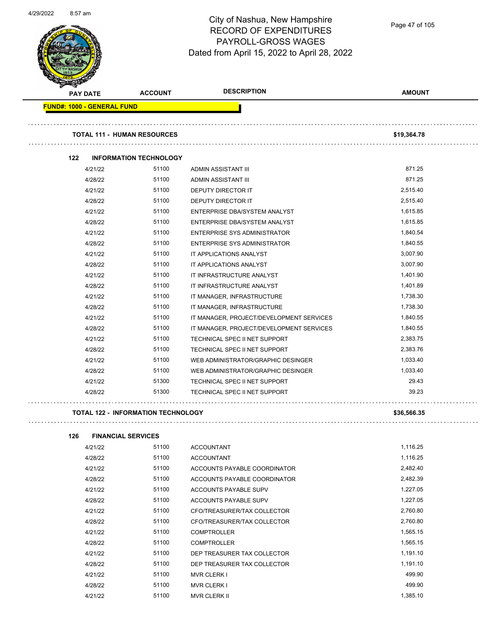

Page 47 of 105

| <b>PAY DATE</b>                   | <b>ACCOUNT</b>                     | <b>DESCRIPTION</b>                       | <b>AMOUNT</b> |
|-----------------------------------|------------------------------------|------------------------------------------|---------------|
| <b>FUND#: 1000 - GENERAL FUND</b> |                                    |                                          |               |
|                                   | <b>TOTAL 111 - HUMAN RESOURCES</b> |                                          | \$19,364.78   |
| 122                               | <b>INFORMATION TECHNOLOGY</b>      |                                          |               |
| 4/21/22                           | 51100                              | ADMIN ASSISTANT III                      | 871.25        |
| 4/28/22                           | 51100                              | ADMIN ASSISTANT III                      | 871.25        |
| 4/21/22                           | 51100                              | <b>DEPUTY DIRECTOR IT</b>                | 2,515.40      |
| 4/28/22                           | 51100                              | <b>DEPUTY DIRECTOR IT</b>                | 2,515.40      |
| 4/21/22                           | 51100                              | ENTERPRISE DBA/SYSTEM ANALYST            | 1,615.85      |
| 4/28/22                           | 51100                              | ENTERPRISE DBA/SYSTEM ANALYST            | 1,615.85      |
| 4/21/22                           | 51100                              | ENTERPRISE SYS ADMINISTRATOR             | 1,840.54      |
| 4/28/22                           | 51100                              | <b>ENTERPRISE SYS ADMINISTRATOR</b>      | 1,840.55      |
| 4/21/22                           | 51100                              | IT APPLICATIONS ANALYST                  | 3,007.90      |
| 4/28/22                           | 51100                              | IT APPLICATIONS ANALYST                  | 3,007.90      |
| 4/21/22                           | 51100                              | IT INFRASTRUCTURE ANALYST                | 1,401.90      |
| 4/28/22                           | 51100                              | IT INFRASTRUCTURE ANALYST                | 1,401.89      |
| 4/21/22                           | 51100                              | IT MANAGER, INFRASTRUCTURE               | 1,738.30      |
| 4/28/22                           | 51100                              | IT MANAGER, INFRASTRUCTURE               | 1,738.30      |
| 4/21/22                           | 51100                              | IT MANAGER, PROJECT/DEVELOPMENT SERVICES | 1,840.55      |
| 4/28/22                           | 51100                              | IT MANAGER, PROJECT/DEVELOPMENT SERVICES | 1,840.55      |
| 4/21/22                           | 51100                              | TECHNICAL SPEC II NET SUPPORT            | 2,383.75      |
| 4/28/22                           | 51100                              | TECHNICAL SPEC II NET SUPPORT            | 2,383.76      |
| 4/21/22                           | 51100                              | WEB ADMINISTRATOR/GRAPHIC DESINGER       | 1,033.40      |
| 4/28/22                           | 51100                              | WEB ADMINISTRATOR/GRAPHIC DESINGER       | 1,033.40      |
| 4/21/22                           | 51300                              | TECHNICAL SPEC II NET SUPPORT            | 29.43         |
| 4/28/22                           | 51300                              | TECHNICAL SPEC II NET SUPPORT            | 39.23         |

| <b>FINANCIAL SERVICES</b><br>126 |  |
|----------------------------------|--|
|----------------------------------|--|

| 4/21/22 | 51100 | <b>ACCOUNTANT</b>            | 1,116.25 |
|---------|-------|------------------------------|----------|
| 4/28/22 | 51100 | <b>ACCOUNTANT</b>            | 1,116.25 |
| 4/21/22 | 51100 | ACCOUNTS PAYABLE COORDINATOR | 2,482.40 |
| 4/28/22 | 51100 | ACCOUNTS PAYABLE COORDINATOR | 2,482.39 |
| 4/21/22 | 51100 | ACCOUNTS PAYABLE SUPV        | 1,227.05 |
| 4/28/22 | 51100 | ACCOUNTS PAYABLE SUPV        | 1,227.05 |
| 4/21/22 | 51100 | CFO/TREASURER/TAX COLLECTOR  | 2,760.80 |
| 4/28/22 | 51100 | CFO/TREASURER/TAX COLLECTOR  | 2,760.80 |
| 4/21/22 | 51100 | <b>COMPTROLLER</b>           | 1,565.15 |
| 4/28/22 | 51100 | <b>COMPTROLLER</b>           | 1,565.15 |
| 4/21/22 | 51100 | DEP TREASURER TAX COLLECTOR  | 1,191.10 |
| 4/28/22 | 51100 | DEP TREASURER TAX COLLECTOR  | 1,191.10 |
| 4/21/22 | 51100 | <b>MVR CLERK I</b>           | 499.90   |
| 4/28/22 | 51100 | <b>MVR CLERK I</b>           | 499.90   |
| 4/21/22 | 51100 | <b>MVR CLERK II</b>          | 1,385.10 |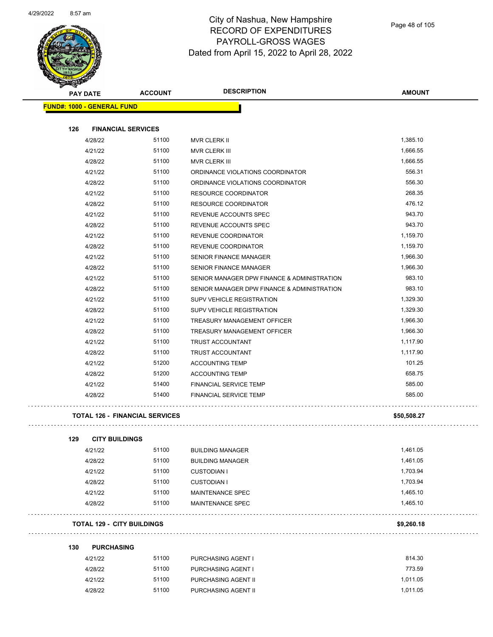

|     | PAY DATE                              | <b>ACCOUNT</b> | <b>DESCRIPTION</b>                          | <b>AMOUNT</b> |
|-----|---------------------------------------|----------------|---------------------------------------------|---------------|
|     | <b>FUND#: 1000 - GENERAL FUND</b>     |                |                                             |               |
|     |                                       |                |                                             |               |
| 126 | <b>FINANCIAL SERVICES</b>             |                |                                             |               |
|     | 4/28/22                               | 51100          | <b>MVR CLERK II</b>                         | 1,385.10      |
|     | 4/21/22                               | 51100          | MVR CLERK III                               | 1,666.55      |
|     | 4/28/22                               | 51100          | MVR CLERK III                               | 1,666.55      |
|     | 4/21/22                               | 51100          | ORDINANCE VIOLATIONS COORDINATOR            | 556.31        |
|     | 4/28/22                               | 51100          | ORDINANCE VIOLATIONS COORDINATOR            | 556.30        |
|     | 4/21/22                               | 51100          | RESOURCE COORDINATOR                        | 268.35        |
|     | 4/28/22                               | 51100          | RESOURCE COORDINATOR                        | 476.12        |
|     | 4/21/22                               | 51100          | REVENUE ACCOUNTS SPEC                       | 943.70        |
|     | 4/28/22                               | 51100          | REVENUE ACCOUNTS SPEC                       | 943.70        |
|     | 4/21/22                               | 51100          | REVENUE COORDINATOR                         | 1,159.70      |
|     | 4/28/22                               | 51100          | <b>REVENUE COORDINATOR</b>                  | 1,159.70      |
|     | 4/21/22                               | 51100          | <b>SENIOR FINANCE MANAGER</b>               | 1,966.30      |
|     | 4/28/22                               | 51100          | <b>SENIOR FINANCE MANAGER</b>               | 1.966.30      |
|     | 4/21/22                               | 51100          | SENIOR MANAGER DPW FINANCE & ADMINISTRATION | 983.10        |
|     | 4/28/22                               | 51100          | SENIOR MANAGER DPW FINANCE & ADMINISTRATION | 983.10        |
|     | 4/21/22                               | 51100          | SUPV VEHICLE REGISTRATION                   | 1,329.30      |
|     | 4/28/22                               | 51100          | SUPV VEHICLE REGISTRATION                   | 1,329.30      |
|     | 4/21/22                               | 51100          | TREASURY MANAGEMENT OFFICER                 | 1,966.30      |
|     | 4/28/22                               | 51100          | TREASURY MANAGEMENT OFFICER                 | 1,966.30      |
|     | 4/21/22                               | 51100          | TRUST ACCOUNTANT                            | 1,117.90      |
|     | 4/28/22                               | 51100          | <b>TRUST ACCOUNTANT</b>                     | 1,117.90      |
|     | 4/21/22                               | 51200          | <b>ACCOUNTING TEMP</b>                      | 101.25        |
|     | 4/28/22                               | 51200          | <b>ACCOUNTING TEMP</b>                      | 658.75        |
|     | 4/21/22                               | 51400          | <b>FINANCIAL SERVICE TEMP</b>               | 585.00        |
|     | 4/28/22                               | 51400          | <b>FINANCIAL SERVICE TEMP</b>               | 585.00        |
|     | <b>TOTAL 126 - FINANCIAL SERVICES</b> |                |                                             | \$50,508.27   |
|     |                                       |                |                                             |               |
| 129 | <b>CITY BUILDINGS</b>                 |                |                                             |               |
|     | 4/21/22                               | 51100          | <b>BUILDING MANAGER</b>                     | 1,461.05      |
|     | 4/28/22                               | 51100          | <b>BUILDING MANAGER</b>                     | 1,461.05      |
|     | 4/21/22                               | 51100          | <b>CUSTODIAN I</b>                          | 1,703.94      |
|     | 4/28/22                               | 51100          | <b>CUSTODIAN I</b>                          | 1,703.94      |
|     | 4/21/22                               | 51100          | MAINTENANCE SPEC                            | 1,465.10      |
|     | 4/28/22                               | 51100          | <b>MAINTENANCE SPEC</b>                     | 1,465.10      |
|     | <b>TOTAL 129 - CITY BUILDINGS</b>     |                |                                             | \$9,260.18    |
| 130 | <b>PURCHASING</b>                     |                |                                             |               |
|     | 4/21/22                               | 51100          | PURCHASING AGENT I                          | 814.30        |
|     | 4/28/22                               | 51100          | PURCHASING AGENT I                          | 773.59        |
|     | 4/21/22                               | 51100          | PURCHASING AGENT II                         | 1,011.05      |
|     | 4/28/22                               | 51100          | PURCHASING AGENT II                         | 1,011.05      |
|     |                                       |                |                                             |               |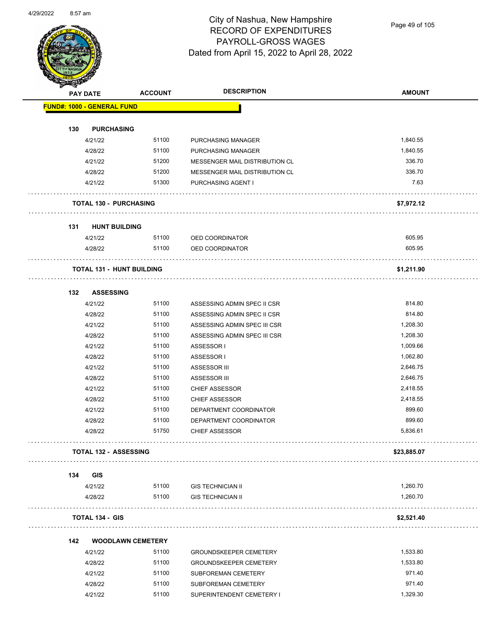

Page 49 of 105

|     | <b>PAY DATE</b>                   | <b>ACCOUNT</b>                   | <b>DESCRIPTION</b>             | <b>AMOUNT</b> |
|-----|-----------------------------------|----------------------------------|--------------------------------|---------------|
|     | <b>FUND#: 1000 - GENERAL FUND</b> |                                  |                                |               |
| 130 | <b>PURCHASING</b>                 |                                  |                                |               |
|     | 4/21/22                           | 51100                            | PURCHASING MANAGER             | 1,840.55      |
|     | 4/28/22                           | 51100                            | PURCHASING MANAGER             | 1,840.55      |
|     | 4/21/22                           | 51200                            | MESSENGER MAIL DISTRIBUTION CL | 336.70        |
|     | 4/28/22                           | 51200                            | MESSENGER MAIL DISTRIBUTION CL | 336.70        |
|     | 4/21/22                           | 51300                            | PURCHASING AGENT I             | 7.63          |
|     | <b>TOTAL 130 - PURCHASING</b>     |                                  |                                | \$7,972.12    |
| 131 | <b>HUNT BUILDING</b>              |                                  |                                |               |
|     | 4/21/22                           | 51100                            | OED COORDINATOR                | 605.95        |
|     | 4/28/22                           | 51100                            | OED COORDINATOR                | 605.95        |
|     |                                   | <b>TOTAL 131 - HUNT BUILDING</b> |                                | \$1,211.90    |
| 132 | <b>ASSESSING</b>                  |                                  |                                |               |
|     | 4/21/22                           | 51100                            | ASSESSING ADMIN SPEC II CSR    | 814.80        |
|     | 4/28/22                           | 51100                            | ASSESSING ADMIN SPEC II CSR    | 814.80        |
|     | 4/21/22                           | 51100                            | ASSESSING ADMIN SPEC III CSR   | 1,208.30      |
|     | 4/28/22                           | 51100                            | ASSESSING ADMIN SPEC III CSR   | 1,208.30      |
|     | 4/21/22                           | 51100                            | ASSESSOR I                     | 1,009.66      |
|     | 4/28/22                           | 51100                            | ASSESSOR I                     | 1,062.80      |
|     | 4/21/22                           | 51100                            | ASSESSOR III                   | 2,646.75      |
|     | 4/28/22                           | 51100                            | ASSESSOR III                   | 2,646.75      |
|     | 4/21/22                           | 51100                            | <b>CHIEF ASSESSOR</b>          | 2,418.55      |
|     | 4/28/22                           | 51100                            | <b>CHIEF ASSESSOR</b>          | 2,418.55      |
|     | 4/21/22                           | 51100                            | DEPARTMENT COORDINATOR         | 899.60        |
|     | 4/28/22                           | 51100                            | DEPARTMENT COORDINATOR         | 899.60        |
|     | 4/28/22                           | 51750                            | <b>CHIEF ASSESSOR</b>          | 5,836.61      |
|     | <b>TOTAL 132 - ASSESSING</b>      |                                  |                                | \$23,885.07   |
| 134 | GIS                               |                                  |                                |               |
|     | 4/21/22                           | 51100                            | <b>GIS TECHNICIAN II</b>       | 1,260.70      |
|     | 4/28/22                           | 51100                            | <b>GIS TECHNICIAN II</b>       | 1,260.70      |
|     | <b>TOTAL 134 - GIS</b>            |                                  |                                | \$2,521.40    |
| 142 |                                   | <b>WOODLAWN CEMETERY</b>         |                                |               |
|     | 4/21/22                           | 51100                            | <b>GROUNDSKEEPER CEMETERY</b>  | 1,533.80      |
|     | 4/28/22                           | 51100                            | <b>GROUNDSKEEPER CEMETERY</b>  | 1,533.80      |
|     | 4/21/22                           | 51100                            | SUBFOREMAN CEMETERY            | 971.40        |
|     | 4/28/22                           | 51100                            | SUBFOREMAN CEMETERY            | 971.40        |
|     | 4/21/22                           | 51100                            | SUPERINTENDENT CEMETERY I      | 1,329.30      |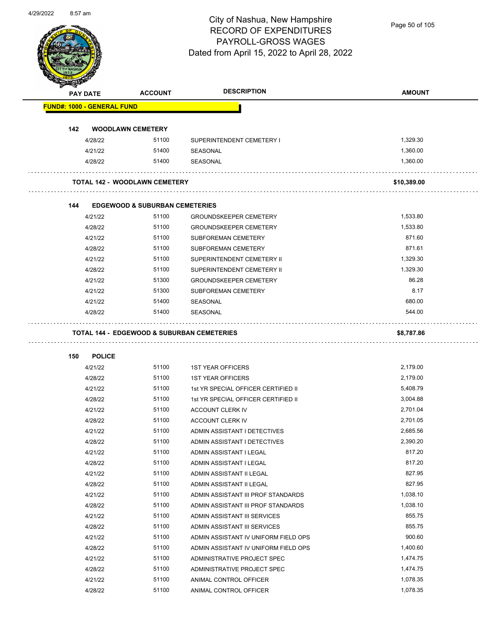

Page 50 of 105

|     | PAY DATE                          | <b>ACCOUNT</b>                            | <b>DESCRIPTION</b>                   | <b>AMOUNT</b> |
|-----|-----------------------------------|-------------------------------------------|--------------------------------------|---------------|
|     | <b>FUND#: 1000 - GENERAL FUND</b> |                                           |                                      |               |
| 142 |                                   | <b>WOODLAWN CEMETERY</b>                  |                                      |               |
|     | 4/28/22                           | 51100                                     | SUPERINTENDENT CEMETERY I            | 1,329.30      |
|     | 4/21/22                           | 51400                                     | <b>SEASONAL</b>                      | 1,360.00      |
|     | 4/28/22                           | 51400                                     | SEASONAL                             | 1,360.00      |
|     |                                   | <b>TOTAL 142 - WOODLAWN CEMETERY</b>      |                                      | \$10,389.00   |
|     |                                   |                                           |                                      |               |
| 144 |                                   | <b>EDGEWOOD &amp; SUBURBAN CEMETERIES</b> |                                      |               |
|     | 4/21/22                           | 51100                                     | <b>GROUNDSKEEPER CEMETERY</b>        | 1,533.80      |
|     | 4/28/22                           | 51100                                     | <b>GROUNDSKEEPER CEMETERY</b>        | 1,533.80      |
|     | 4/21/22                           | 51100                                     | SUBFOREMAN CEMETERY                  | 871.60        |
|     | 4/28/22                           | 51100                                     | SUBFOREMAN CEMETERY                  | 871.61        |
|     | 4/21/22                           | 51100                                     | SUPERINTENDENT CEMETERY II           | 1,329.30      |
|     | 4/28/22                           | 51100                                     | SUPERINTENDENT CEMETERY II           | 1,329.30      |
|     | 4/21/22                           | 51300                                     | <b>GROUNDSKEEPER CEMETERY</b>        | 86.28         |
|     | 4/21/22                           | 51300                                     | SUBFOREMAN CEMETERY                  | 8.17          |
|     | 4/21/22                           | 51400                                     | SEASONAL                             | 680.00        |
|     | 4/28/22                           | 51400                                     | SEASONAL                             | 544.00        |
|     |                                   |                                           |                                      |               |
| 150 | <b>POLICE</b>                     |                                           |                                      |               |
|     | 4/21/22                           | 51100                                     | <b>1ST YEAR OFFICERS</b>             | 2,179.00      |
|     | 4/28/22                           | 51100                                     | <b>1ST YEAR OFFICERS</b>             | 2,179.00      |
|     | 4/21/22                           | 51100                                     | 1st YR SPECIAL OFFICER CERTIFIED II  | 5,408.79      |
|     | 4/28/22                           | 51100                                     | 1st YR SPECIAL OFFICER CERTIFIED II  | 3,004.88      |
|     | 4/21/22                           | 51100                                     | ACCOUNT CLERK IV                     | 2,701.04      |
|     | 4/28/22                           | 51100                                     | ACCOUNT CLERK IV                     | 2,701.05      |
|     | 4/21/22                           | 51100                                     | ADMIN ASSISTANT I DETECTIVES         | 2,685.56      |
|     | 4/28/22                           | 51100                                     | ADMIN ASSISTANT I DETECTIVES         | 2,390.20      |
|     | 4/21/22                           | 51100                                     | ADMIN ASSISTANT I LEGAL              | 817.20        |
|     | 4/28/22                           | 51100                                     | ADMIN ASSISTANT I LEGAL              | 817.20        |
|     | 4/21/22                           | 51100                                     | ADMIN ASSISTANT II LEGAL             | 827.95        |
|     | 4/28/22                           | 51100                                     | ADMIN ASSISTANT II LEGAL             | 827.95        |
|     | 4/21/22                           | 51100                                     | ADMIN ASSISTANT III PROF STANDARDS   | 1,038.10      |
|     | 4/28/22                           | 51100                                     | ADMIN ASSISTANT III PROF STANDARDS   | 1,038.10      |
|     | 4/21/22                           | 51100                                     | ADMIN ASSISTANT III SERVICES         | 855.75        |
|     | 4/28/22                           | 51100                                     | ADMIN ASSISTANT III SERVICES         | 855.75        |
|     | 4/21/22                           | 51100                                     | ADMIN ASSISTANT IV UNIFORM FIELD OPS | 900.60        |
|     | 4/28/22                           | 51100                                     | ADMIN ASSISTANT IV UNIFORM FIELD OPS | 1,400.60      |
|     | 4/21/22                           | 51100                                     | ADMINISTRATIVE PROJECT SPEC          | 1,474.75      |
|     | 4/28/22                           | 51100                                     | ADMINISTRATIVE PROJECT SPEC          | 1,474.75      |
|     | 4/21/22                           | 51100                                     | ANIMAL CONTROL OFFICER               | 1,078.35      |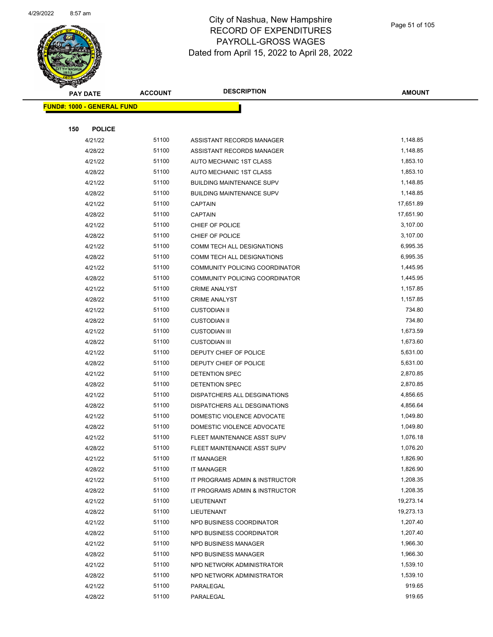

|     | <b>PAY DATE</b>                   | <b>ACCOUNT</b> | <b>DESCRIPTION</b>                | <b>AMOUNT</b> |
|-----|-----------------------------------|----------------|-----------------------------------|---------------|
|     | <b>FUND#: 1000 - GENERAL FUND</b> |                |                                   |               |
|     |                                   |                |                                   |               |
| 150 | <b>POLICE</b>                     |                |                                   |               |
|     | 4/21/22                           | 51100          | ASSISTANT RECORDS MANAGER         | 1,148.85      |
|     | 4/28/22                           | 51100          | ASSISTANT RECORDS MANAGER         | 1,148.85      |
|     | 4/21/22                           | 51100          | AUTO MECHANIC 1ST CLASS           | 1,853.10      |
|     | 4/28/22                           | 51100          | AUTO MECHANIC 1ST CLASS           | 1,853.10      |
|     | 4/21/22                           | 51100          | <b>BUILDING MAINTENANCE SUPV</b>  | 1,148.85      |
|     | 4/28/22                           | 51100          | <b>BUILDING MAINTENANCE SUPV</b>  | 1,148.85      |
|     | 4/21/22                           | 51100          | <b>CAPTAIN</b>                    | 17,651.89     |
|     | 4/28/22                           | 51100          | <b>CAPTAIN</b>                    | 17,651.90     |
|     | 4/21/22                           | 51100          | CHIEF OF POLICE                   | 3,107.00      |
|     | 4/28/22                           | 51100          | CHIEF OF POLICE                   | 3,107.00      |
|     | 4/21/22                           | 51100          | COMM TECH ALL DESIGNATIONS        | 6,995.35      |
|     | 4/28/22                           | 51100          | <b>COMM TECH ALL DESIGNATIONS</b> | 6,995.35      |
|     | 4/21/22                           | 51100          | COMMUNITY POLICING COORDINATOR    | 1,445.95      |
|     | 4/28/22                           | 51100          | COMMUNITY POLICING COORDINATOR    | 1,445.95      |
|     | 4/21/22                           | 51100          | <b>CRIME ANALYST</b>              | 1,157.85      |
|     | 4/28/22                           | 51100          | <b>CRIME ANALYST</b>              | 1,157.85      |
|     | 4/21/22                           | 51100          | <b>CUSTODIAN II</b>               | 734.80        |
|     | 4/28/22                           | 51100          | <b>CUSTODIAN II</b>               | 734.80        |
|     | 4/21/22                           | 51100          | <b>CUSTODIAN III</b>              | 1,673.59      |
|     | 4/28/22                           | 51100          | <b>CUSTODIAN III</b>              | 1,673.60      |
|     | 4/21/22                           | 51100          | DEPUTY CHIEF OF POLICE            | 5,631.00      |
|     | 4/28/22                           | 51100          | DEPUTY CHIEF OF POLICE            | 5,631.00      |
|     | 4/21/22                           | 51100          | DETENTION SPEC                    | 2,870.85      |
|     | 4/28/22                           | 51100          | DETENTION SPEC                    | 2,870.85      |
|     | 4/21/22                           | 51100          | DISPATCHERS ALL DESGINATIONS      | 4,856.65      |
|     | 4/28/22                           | 51100          | DISPATCHERS ALL DESGINATIONS      | 4,856.64      |
|     | 4/21/22                           | 51100          | DOMESTIC VIOLENCE ADVOCATE        | 1,049.80      |
|     | 4/28/22                           | 51100          | DOMESTIC VIOLENCE ADVOCATE        | 1,049.80      |
|     | 4/21/22                           | 51100          | FLEET MAINTENANCE ASST SUPV       | 1,076.18      |
|     | 4/28/22                           | 51100          | FLEET MAINTENANCE ASST SUPV       | 1,076.20      |
|     | 4/21/22                           | 51100          | <b>IT MANAGER</b>                 | 1,826.90      |
|     | 4/28/22                           | 51100          | <b>IT MANAGER</b>                 | 1,826.90      |
|     | 4/21/22                           | 51100          | IT PROGRAMS ADMIN & INSTRUCTOR    | 1,208.35      |
|     | 4/28/22                           | 51100          | IT PROGRAMS ADMIN & INSTRUCTOR    | 1,208.35      |
|     | 4/21/22                           | 51100          | LIEUTENANT                        | 19,273.14     |
|     | 4/28/22                           | 51100          | LIEUTENANT                        | 19,273.13     |
|     | 4/21/22                           | 51100          | NPD BUSINESS COORDINATOR          | 1,207.40      |
|     | 4/28/22                           | 51100          | NPD BUSINESS COORDINATOR          | 1,207.40      |
|     | 4/21/22                           | 51100          | NPD BUSINESS MANAGER              | 1,966.30      |
|     | 4/28/22                           | 51100          | NPD BUSINESS MANAGER              | 1,966.30      |
|     | 4/21/22                           | 51100          | NPD NETWORK ADMINISTRATOR         | 1,539.10      |
|     | 4/28/22                           | 51100          | NPD NETWORK ADMINISTRATOR         | 1,539.10      |
|     | 4/21/22                           | 51100          | PARALEGAL                         | 919.65        |
|     | 4/28/22                           | 51100          | PARALEGAL                         | 919.65        |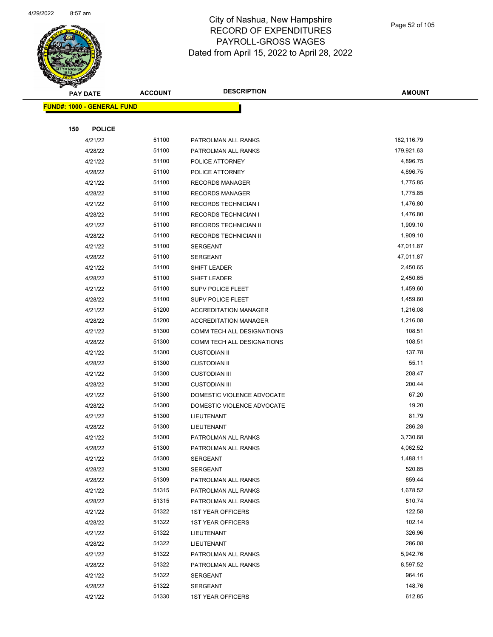

Page 52 of 105

| B.  | <b>PAY DATE</b>                   | <b>ACCOUNT</b> | <b>DESCRIPTION</b>           | <b>AMOUNT</b> |
|-----|-----------------------------------|----------------|------------------------------|---------------|
|     | <b>FUND#: 1000 - GENERAL FUND</b> |                |                              |               |
|     |                                   |                |                              |               |
| 150 | <b>POLICE</b>                     |                |                              |               |
|     | 4/21/22                           | 51100          | PATROLMAN ALL RANKS          | 182,116.79    |
|     | 4/28/22                           | 51100          | PATROLMAN ALL RANKS          | 179,921.63    |
|     | 4/21/22                           | 51100          | POLICE ATTORNEY              | 4,896.75      |
|     | 4/28/22                           | 51100          | POLICE ATTORNEY              | 4,896.75      |
|     | 4/21/22                           | 51100          | <b>RECORDS MANAGER</b>       | 1,775.85      |
|     | 4/28/22                           | 51100          | <b>RECORDS MANAGER</b>       | 1,775.85      |
|     | 4/21/22                           | 51100          | <b>RECORDS TECHNICIAN I</b>  | 1,476.80      |
|     | 4/28/22                           | 51100          | <b>RECORDS TECHNICIAN I</b>  | 1,476.80      |
|     | 4/21/22                           | 51100          | RECORDS TECHNICIAN II        | 1,909.10      |
|     | 4/28/22                           | 51100          | RECORDS TECHNICIAN II        | 1,909.10      |
|     | 4/21/22                           | 51100          | <b>SERGEANT</b>              | 47,011.87     |
|     | 4/28/22                           | 51100          | <b>SERGEANT</b>              | 47,011.87     |
|     | 4/21/22                           | 51100          | SHIFT LEADER                 | 2,450.65      |
|     | 4/28/22                           | 51100          | SHIFT LEADER                 | 2,450.65      |
|     | 4/21/22                           | 51100          | SUPV POLICE FLEET            | 1,459.60      |
|     | 4/28/22                           | 51100          | <b>SUPV POLICE FLEET</b>     | 1,459.60      |
|     | 4/21/22                           | 51200          | <b>ACCREDITATION MANAGER</b> | 1,216.08      |
|     | 4/28/22                           | 51200          | <b>ACCREDITATION MANAGER</b> | 1,216.08      |
|     | 4/21/22                           | 51300          | COMM TECH ALL DESIGNATIONS   | 108.51        |
|     | 4/28/22                           | 51300          | COMM TECH ALL DESIGNATIONS   | 108.51        |
|     | 4/21/22                           | 51300          | <b>CUSTODIAN II</b>          | 137.78        |
|     | 4/28/22                           | 51300          | <b>CUSTODIAN II</b>          | 55.11         |
|     | 4/21/22                           | 51300          | <b>CUSTODIAN III</b>         | 208.47        |
|     | 4/28/22                           | 51300          | <b>CUSTODIAN III</b>         | 200.44        |
|     | 4/21/22                           | 51300          | DOMESTIC VIOLENCE ADVOCATE   | 67.20         |
|     | 4/28/22                           | 51300          | DOMESTIC VIOLENCE ADVOCATE   | 19.20         |
|     | 4/21/22                           | 51300          | LIEUTENANT                   | 81.79         |
|     | 4/28/22                           | 51300          | LIEUTENANT                   | 286.28        |
|     | 4/21/22                           | 51300          | PATROLMAN ALL RANKS          | 3,730.68      |
|     | 4/28/22                           | 51300          | PATROLMAN ALL RANKS          | 4,062.52      |
|     | 4/21/22                           | 51300          | <b>SERGEANT</b>              | 1,488.11      |
|     | 4/28/22                           | 51300          | <b>SERGEANT</b>              | 520.85        |
|     | 4/28/22                           | 51309          | PATROLMAN ALL RANKS          | 859.44        |
|     | 4/21/22                           | 51315          | PATROLMAN ALL RANKS          | 1,678.52      |
|     | 4/28/22                           | 51315          | PATROLMAN ALL RANKS          | 510.74        |
|     | 4/21/22                           | 51322          | <b>1ST YEAR OFFICERS</b>     | 122.58        |
|     | 4/28/22                           | 51322          | <b>1ST YEAR OFFICERS</b>     | 102.14        |
|     | 4/21/22                           | 51322          | LIEUTENANT                   | 326.96        |
|     | 4/28/22                           | 51322          | LIEUTENANT                   | 286.08        |
|     | 4/21/22                           | 51322          | PATROLMAN ALL RANKS          | 5,942.76      |
|     | 4/28/22                           | 51322          | PATROLMAN ALL RANKS          | 8,597.52      |
|     | 4/21/22                           | 51322          | <b>SERGEANT</b>              | 964.16        |
|     | 4/28/22                           | 51322          | <b>SERGEANT</b>              | 148.76        |
|     | 4/21/22                           | 51330          | <b>1ST YEAR OFFICERS</b>     | 612.85        |
|     |                                   |                |                              |               |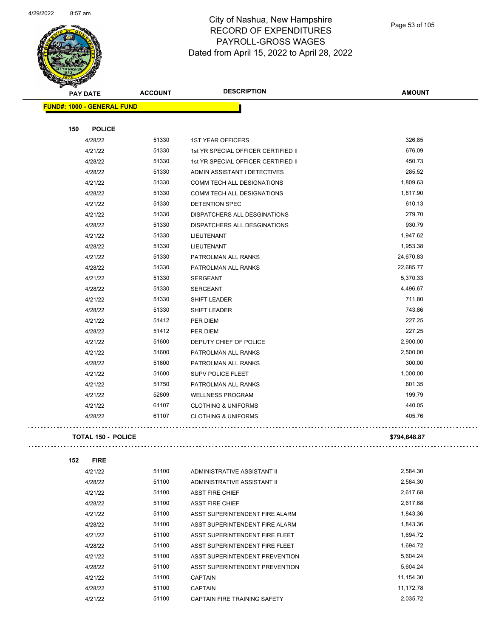

| <b>PAY DATE</b>                   | <b>ACCOUNT</b> | <b>DESCRIPTION</b>                  | <b>AMOUNT</b> |
|-----------------------------------|----------------|-------------------------------------|---------------|
| <b>FUND#: 1000 - GENERAL FUND</b> |                |                                     |               |
| 150<br><b>POLICE</b>              |                |                                     |               |
| 4/28/22                           | 51330          | <b>1ST YEAR OFFICERS</b>            | 326.85        |
| 4/21/22                           | 51330          | 1st YR SPECIAL OFFICER CERTIFIED II | 676.09        |
| 4/28/22                           | 51330          | 1st YR SPECIAL OFFICER CERTIFIED II | 450.73        |
| 4/28/22                           | 51330          | ADMIN ASSISTANT I DETECTIVES        | 285.52        |
| 4/21/22                           | 51330          | COMM TECH ALL DESIGNATIONS          | 1,809.63      |
| 4/28/22                           | 51330          | COMM TECH ALL DESIGNATIONS          | 1,817.90      |
| 4/21/22                           | 51330          | DETENTION SPEC                      | 610.13        |
| 4/21/22                           | 51330          | DISPATCHERS ALL DESGINATIONS        | 279.70        |
| 4/28/22                           | 51330          | DISPATCHERS ALL DESGINATIONS        | 930.79        |
| 4/21/22                           | 51330          | LIEUTENANT                          | 1,947.62      |
| 4/28/22                           | 51330          | <b>LIEUTENANT</b>                   | 1,953.38      |
| 4/21/22                           | 51330          | PATROLMAN ALL RANKS                 | 24,670.83     |
| 4/28/22                           | 51330          | PATROLMAN ALL RANKS                 | 22,685.77     |
| 4/21/22                           | 51330          | SERGEANT                            | 5,370.33      |
| 4/28/22                           | 51330          | SERGEANT                            | 4,496.67      |
| 4/21/22                           | 51330          | SHIFT LEADER                        | 711.80        |
| 4/28/22                           | 51330          | SHIFT LEADER                        | 743.86        |
| 4/21/22                           | 51412          | PER DIEM                            | 227.25        |
| 4/28/22                           | 51412          | PER DIEM                            | 227.25        |
| 4/21/22                           | 51600          | DEPUTY CHIEF OF POLICE              | 2,900.00      |
| 4/21/22                           | 51600          | PATROLMAN ALL RANKS                 | 2,500.00      |
| 4/28/22                           | 51600          | PATROLMAN ALL RANKS                 | 300.00        |
| 4/21/22                           | 51600          | SUPV POLICE FLEET                   | 1,000.00      |
| 4/21/22                           | 51750          | PATROLMAN ALL RANKS                 | 601.35        |
| 4/21/22                           | 52809          | <b>WELLNESS PROGRAM</b>             | 199.79        |
| 4/21/22                           | 61107          | <b>CLOTHING &amp; UNIFORMS</b>      | 440.05        |
| 4/28/22                           | 61107          | <b>CLOTHING &amp; UNIFORMS</b>      | 405.76        |

**TOTAL 150 - POLICE \$794,648.87**

 $\hat{z}$  is a

| 152 | <b>FIRE</b> |       |                                |           |
|-----|-------------|-------|--------------------------------|-----------|
|     | 4/21/22     | 51100 | ADMINISTRATIVE ASSISTANT II    | 2,584.30  |
|     | 4/28/22     | 51100 | ADMINISTRATIVE ASSISTANT II    | 2,584.30  |
|     | 4/21/22     | 51100 | <b>ASST FIRE CHIEF</b>         | 2,617.68  |
|     | 4/28/22     | 51100 | <b>ASST FIRE CHIEF</b>         | 2,617.68  |
|     | 4/21/22     | 51100 | ASST SUPERINTENDENT FIRE ALARM | 1,843.36  |
|     | 4/28/22     | 51100 | ASST SUPERINTENDENT FIRE ALARM | 1,843.36  |
|     | 4/21/22     | 51100 | ASST SUPERINTENDENT FIRE FLEET | 1,694.72  |
|     | 4/28/22     | 51100 | ASST SUPERINTENDENT FIRE FLEET | 1,694.72  |
|     | 4/21/22     | 51100 | ASST SUPERINTENDENT PREVENTION | 5,604.24  |
|     | 4/28/22     | 51100 | ASST SUPERINTENDENT PREVENTION | 5,604.24  |
|     | 4/21/22     | 51100 | <b>CAPTAIN</b>                 | 11,154.30 |
|     | 4/28/22     | 51100 | <b>CAPTAIN</b>                 | 11,172.78 |
|     | 4/21/22     | 51100 | CAPTAIN FIRE TRAINING SAFETY   | 2.035.72  |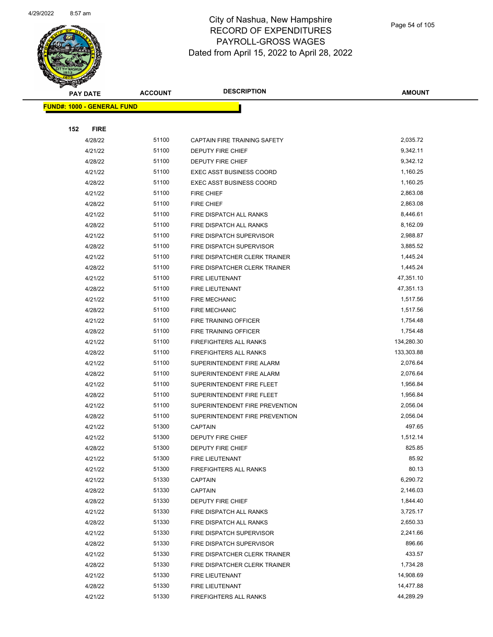

Page 54 of 105

| <b>STARTER</b>                    |                 |                |                                 |               |
|-----------------------------------|-----------------|----------------|---------------------------------|---------------|
|                                   | <b>PAY DATE</b> | <b>ACCOUNT</b> | <b>DESCRIPTION</b>              | <b>AMOUNT</b> |
| <b>FUND#: 1000 - GENERAL FUND</b> |                 |                |                                 |               |
|                                   |                 |                |                                 |               |
| 152                               | <b>FIRE</b>     |                |                                 |               |
|                                   | 4/28/22         | 51100          | CAPTAIN FIRE TRAINING SAFETY    | 2,035.72      |
|                                   | 4/21/22         | 51100          | DEPUTY FIRE CHIEF               | 9,342.11      |
|                                   | 4/28/22         | 51100          | <b>DEPUTY FIRE CHIEF</b>        | 9,342.12      |
|                                   | 4/21/22         | 51100          | <b>EXEC ASST BUSINESS COORD</b> | 1,160.25      |
|                                   | 4/28/22         | 51100          | <b>EXEC ASST BUSINESS COORD</b> | 1,160.25      |
|                                   | 4/21/22         | 51100          | <b>FIRE CHIEF</b>               | 2,863.08      |
|                                   | 4/28/22         | 51100          | <b>FIRE CHIEF</b>               | 2,863.08      |
|                                   | 4/21/22         | 51100          | FIRE DISPATCH ALL RANKS         | 8,446.61      |
|                                   | 4/28/22         | 51100          | FIRE DISPATCH ALL RANKS         | 8,162.09      |
|                                   | 4/21/22         | 51100          | FIRE DISPATCH SUPERVISOR        | 2,988.87      |
|                                   | 4/28/22         | 51100          | FIRE DISPATCH SUPERVISOR        | 3,885.52      |
|                                   | 4/21/22         | 51100          | FIRE DISPATCHER CLERK TRAINER   | 1,445.24      |
|                                   | 4/28/22         | 51100          | FIRE DISPATCHER CLERK TRAINER   | 1,445.24      |
|                                   | 4/21/22         | 51100          | FIRE LIEUTENANT                 | 47,351.10     |
|                                   | 4/28/22         | 51100          | <b>FIRE LIEUTENANT</b>          | 47,351.13     |
|                                   | 4/21/22         | 51100          | <b>FIRE MECHANIC</b>            | 1,517.56      |
|                                   | 4/28/22         | 51100          | <b>FIRE MECHANIC</b>            | 1,517.56      |
|                                   | 4/21/22         | 51100          | FIRE TRAINING OFFICER           | 1,754.48      |
|                                   | 4/28/22         | 51100          | FIRE TRAINING OFFICER           | 1,754.48      |
|                                   | 4/21/22         | 51100          | <b>FIREFIGHTERS ALL RANKS</b>   | 134,280.30    |
|                                   | 4/28/22         | 51100          | <b>FIREFIGHTERS ALL RANKS</b>   | 133,303.88    |
|                                   | 4/21/22         | 51100          | SUPERINTENDENT FIRE ALARM       | 2,076.64      |
|                                   | 4/28/22         | 51100          | SUPERINTENDENT FIRE ALARM       | 2,076.64      |
|                                   | 4/21/22         | 51100          | SUPERINTENDENT FIRE FLEET       | 1,956.84      |
|                                   | 4/28/22         | 51100          | SUPERINTENDENT FIRE FLEET       | 1,956.84      |
|                                   | 4/21/22         | 51100          | SUPERINTENDENT FIRE PREVENTION  | 2,056.04      |
|                                   | 4/28/22         | 51100          | SUPERINTENDENT FIRE PREVENTION  | 2,056.04      |
|                                   | 4/21/22         | 51300          | <b>CAPTAIN</b>                  | 497.65        |
|                                   | 4/21/22         | 51300          | DEPUTY FIRE CHIEF               | 1,512.14      |
|                                   | 4/28/22         | 51300          | DEPUTY FIRE CHIEF               | 825.85        |
|                                   | 4/21/22         | 51300          | FIRE LIEUTENANT                 | 85.92         |
|                                   | 4/21/22         | 51300          | <b>FIREFIGHTERS ALL RANKS</b>   | 80.13         |
|                                   | 4/21/22         | 51330          | <b>CAPTAIN</b>                  | 6,290.72      |
|                                   | 4/28/22         | 51330          | <b>CAPTAIN</b>                  | 2,146.03      |
|                                   | 4/28/22         | 51330          | DEPUTY FIRE CHIEF               | 1,844.40      |
|                                   | 4/21/22         | 51330          | FIRE DISPATCH ALL RANKS         | 3,725.17      |
|                                   | 4/28/22         | 51330          | FIRE DISPATCH ALL RANKS         | 2,650.33      |
|                                   | 4/21/22         | 51330          | FIRE DISPATCH SUPERVISOR        | 2,241.66      |
|                                   | 4/28/22         | 51330          | FIRE DISPATCH SUPERVISOR        | 896.66        |
|                                   | 4/21/22         | 51330          | FIRE DISPATCHER CLERK TRAINER   | 433.57        |
|                                   | 4/28/22         | 51330          | FIRE DISPATCHER CLERK TRAINER   | 1,734.28      |
|                                   | 4/21/22         | 51330          | FIRE LIEUTENANT                 | 14,908.69     |
|                                   | 4/28/22         | 51330          | FIRE LIEUTENANT                 | 14,477.88     |
|                                   | 4/21/22         | 51330          | FIREFIGHTERS ALL RANKS          | 44,289.29     |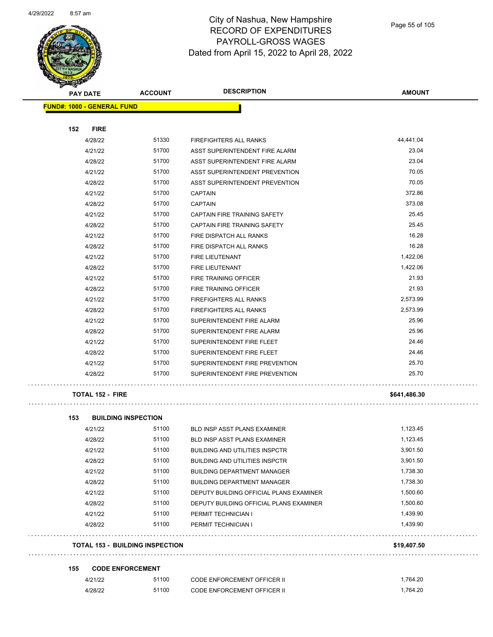

| $\sim$<br><b>PAY DATE</b>         | <b>ACCOUNT</b> | <b>DESCRIPTION</b>             | <b>AMOUNT</b> |
|-----------------------------------|----------------|--------------------------------|---------------|
| <b>FUND#: 1000 - GENERAL FUND</b> |                |                                |               |
|                                   |                |                                |               |
| 152<br><b>FIRE</b>                |                |                                |               |
| 4/28/22                           | 51330          | FIREFIGHTERS ALL RANKS         | 44,441.04     |
| 4/21/22                           | 51700          | ASST SUPERINTENDENT FIRE ALARM | 23.04         |
| 4/28/22                           | 51700          | ASST SUPERINTENDENT FIRE ALARM | 23.04         |
| 4/21/22                           | 51700          | ASST SUPERINTENDENT PREVENTION | 70.05         |
| 4/28/22                           | 51700          | ASST SUPERINTENDENT PREVENTION | 70.05         |
| 4/21/22                           | 51700          | <b>CAPTAIN</b>                 | 372.86        |
| 4/28/22                           | 51700          | <b>CAPTAIN</b>                 | 373.08        |
| 4/21/22                           | 51700          | CAPTAIN FIRE TRAINING SAFETY   | 25.45         |
| 4/28/22                           | 51700          | CAPTAIN FIRE TRAINING SAFETY   | 25.45         |
| 4/21/22                           | 51700          | FIRE DISPATCH ALL RANKS        | 16.28         |
| 4/28/22                           | 51700          | FIRE DISPATCH ALL RANKS        | 16.28         |
| 4/21/22                           | 51700          | <b>FIRE LIEUTENANT</b>         | 1,422.06      |
| 4/28/22                           | 51700          | FIRE LIEUTENANT                | 1,422.06      |
| 4/21/22                           | 51700          | FIRE TRAINING OFFICER          | 21.93         |
| 4/28/22                           | 51700          | FIRE TRAINING OFFICER          | 21.93         |
| 4/21/22                           | 51700          | <b>FIREFIGHTERS ALL RANKS</b>  | 2,573.99      |
| 4/28/22                           | 51700          | <b>FIREFIGHTERS ALL RANKS</b>  | 2,573.99      |
| 4/21/22                           | 51700          | SUPERINTENDENT FIRE ALARM      | 25.96         |
| 4/28/22                           | 51700          | SUPERINTENDENT FIRE ALARM      | 25.96         |
| 4/21/22                           | 51700          | SUPERINTENDENT FIRE FLEET      | 24.46         |
| 4/28/22                           | 51700          | SUPERINTENDENT FIRE FLEET      | 24.46         |
| 4/21/22                           | 51700          | SUPERINTENDENT FIRE PREVENTION | 25.70         |
| 4/28/22                           | 51700          | SUPERINTENDENT FIRE PREVENTION | 25.70         |
|                                   |                |                                |               |

#### **TOTAL 152 - FIRE \$641,486.30**

. . . . . . . . . . . . .

. . . . . . . . . . .

 $\sim 10$ 

| 153 | <b>BUILDING INSPECTION</b>             |       |                                         |             |  |
|-----|----------------------------------------|-------|-----------------------------------------|-------------|--|
|     | 4/21/22                                | 51100 | <b>BLD INSP ASST PLANS EXAMINER</b>     | 1,123.45    |  |
|     | 4/28/22                                | 51100 | <b>BLD INSP ASST PLANS EXAMINER</b>     | 1,123.45    |  |
|     | 4/21/22                                | 51100 | <b>BUILDING AND UTILITIES INSPCTR</b>   | 3,901.50    |  |
|     | 4/28/22                                | 51100 | <b>BUILDING AND UTILITIES INSPCTR</b>   | 3,901.50    |  |
|     | 4/21/22                                | 51100 | <b>BUILDING DEPARTMENT MANAGER</b>      | 1,738.30    |  |
|     | 4/28/22                                | 51100 | <b>BUILDING DEPARTMENT MANAGER</b>      | 1,738.30    |  |
|     | 4/21/22                                | 51100 | DEPUTY BUILDING OFFICIAL PLANS EXAMINER | 1.500.60    |  |
|     | 4/28/22                                | 51100 | DEPUTY BUILDING OFFICIAL PLANS EXAMINER | 1.500.60    |  |
|     | 4/21/22                                | 51100 | PERMIT TECHNICIAN I                     | 1,439.90    |  |
|     | 4/28/22                                | 51100 | PERMIT TECHNICIAN I                     | 1,439.90    |  |
|     | <b>TOTAL 153 - BUILDING INSPECTION</b> |       |                                         | \$19,407.50 |  |

## **TOTAL 153 - BUILDING INSPECTION \$19,407.50**

#### **155 CODE ENFORCEMENT**

| 4/21/22 | 51100 | <b>CODE ENFORCEMENT OFFICER II</b> | .764.20 |
|---------|-------|------------------------------------|---------|
| 4/28/22 | 51100 | <b>CODE ENFORCEMENT OFFICER II</b> | .764.20 |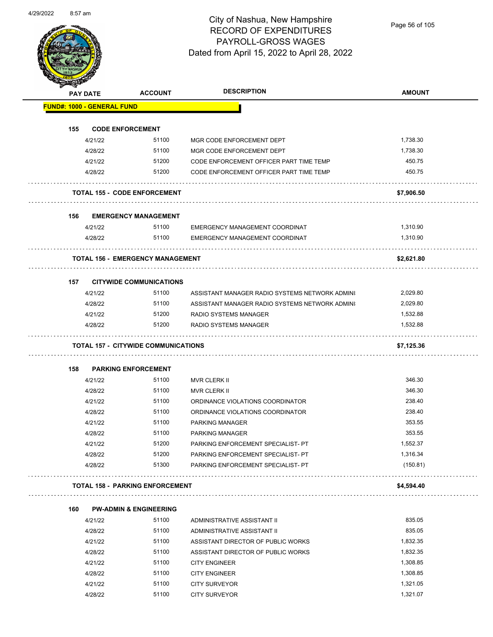

Page 56 of 105

|     | PAY DATE                          | <b>ACCOUNT</b>                             | <b>DESCRIPTION</b>                             | <b>AMOUNT</b> |
|-----|-----------------------------------|--------------------------------------------|------------------------------------------------|---------------|
|     | <b>FUND#: 1000 - GENERAL FUND</b> |                                            |                                                |               |
| 155 |                                   | <b>CODE ENFORCEMENT</b>                    |                                                |               |
|     | 4/21/22                           | 51100                                      | MGR CODE ENFORCEMENT DEPT                      | 1,738.30      |
|     | 4/28/22                           | 51100                                      | MGR CODE ENFORCEMENT DEPT                      | 1,738.30      |
|     | 4/21/22                           | 51200                                      | CODE ENFORCEMENT OFFICER PART TIME TEMP        | 450.75        |
|     | 4/28/22                           | 51200                                      | CODE ENFORCEMENT OFFICER PART TIME TEMP        | 450.75        |
|     |                                   | <b>TOTAL 155 - CODE ENFORCEMENT</b>        |                                                | \$7,906.50    |
| 156 |                                   | <b>EMERGENCY MANAGEMENT</b>                |                                                |               |
|     | 4/21/22                           | 51100                                      | EMERGENCY MANAGEMENT COORDINAT                 | 1,310.90      |
|     | 4/28/22                           | 51100                                      | EMERGENCY MANAGEMENT COORDINAT                 | 1,310.90      |
|     |                                   | <b>TOTAL 156 - EMERGENCY MANAGEMENT</b>    |                                                | \$2,621.80    |
| 157 |                                   | <b>CITYWIDE COMMUNICATIONS</b>             |                                                |               |
|     | 4/21/22                           | 51100                                      | ASSISTANT MANAGER RADIO SYSTEMS NETWORK ADMINI | 2,029.80      |
|     | 4/28/22                           | 51100                                      | ASSISTANT MANAGER RADIO SYSTEMS NETWORK ADMINI | 2,029.80      |
|     | 4/21/22                           | 51200                                      | <b>RADIO SYSTEMS MANAGER</b>                   | 1,532.88      |
|     | 4/28/22                           | 51200                                      | RADIO SYSTEMS MANAGER                          | 1,532.88      |
|     |                                   | <b>TOTAL 157 - CITYWIDE COMMUNICATIONS</b> |                                                | \$7,125.36    |
|     |                                   |                                            |                                                |               |
| 158 | 4/21/22                           | <b>PARKING ENFORCEMENT</b><br>51100        | MVR CLERK II                                   | 346.30        |
|     | 4/28/22                           | 51100                                      | <b>MVR CLERK II</b>                            | 346.30        |
|     | 4/21/22                           | 51100                                      | ORDINANCE VIOLATIONS COORDINATOR               | 238.40        |
|     | 4/28/22                           | 51100                                      | ORDINANCE VIOLATIONS COORDINATOR               | 238.40        |
|     | 4/21/22                           | 51100                                      | <b>PARKING MANAGER</b>                         | 353.55        |
|     | 4/28/22                           | 51100                                      | PARKING MANAGER                                | 353.55        |
|     | 4/21/22                           | 51200                                      | PARKING ENFORCEMENT SPECIALIST- PT             | 1,552.37      |
|     | 4/28/22                           | 51200                                      | PARKING ENFORCEMENT SPECIALIST- PT             | 1,316.34      |
|     | 4/28/22                           | 51300                                      | PARKING ENFORCEMENT SPECIALIST- PT             | (150.81)      |
|     |                                   | <b>TOTAL 158 - PARKING ENFORCEMENT</b>     |                                                | \$4,594.40    |
| 160 |                                   | <b>PW-ADMIN &amp; ENGINEERING</b>          |                                                |               |
|     | 4/21/22                           | 51100                                      | ADMINISTRATIVE ASSISTANT II                    | 835.05        |
|     | 4/28/22                           | 51100                                      | ADMINISTRATIVE ASSISTANT II                    | 835.05        |
|     | 4/21/22                           | 51100                                      | ASSISTANT DIRECTOR OF PUBLIC WORKS             | 1,832.35      |
|     | 4/28/22                           | 51100                                      | ASSISTANT DIRECTOR OF PUBLIC WORKS             | 1,832.35      |
|     | 4/21/22                           | 51100                                      | <b>CITY ENGINEER</b>                           | 1,308.85      |
|     | 4/28/22                           | 51100                                      | <b>CITY ENGINEER</b>                           | 1,308.85      |
|     | 4/21/22                           | 51100                                      | <b>CITY SURVEYOR</b>                           | 1,321.05      |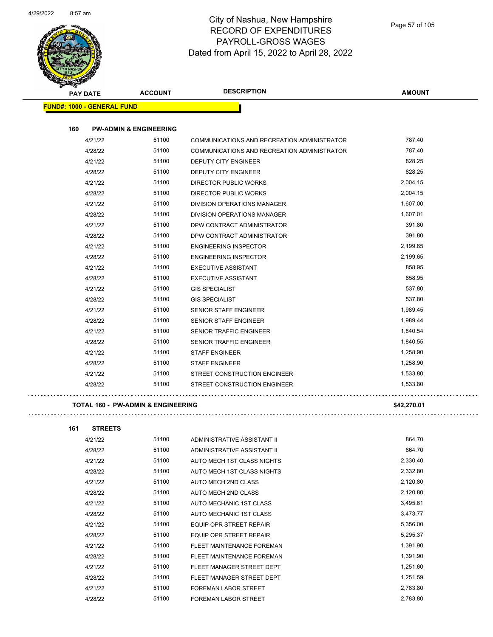

| <b>PAY DATE</b>                   | <b>ACCOUNT</b>                    | <b>DESCRIPTION</b>                          | <b>AMOUNT</b> |
|-----------------------------------|-----------------------------------|---------------------------------------------|---------------|
| <b>FUND#: 1000 - GENERAL FUND</b> |                                   |                                             |               |
| 160                               | <b>PW-ADMIN &amp; ENGINEERING</b> |                                             |               |
| 4/21/22                           | 51100                             | COMMUNICATIONS AND RECREATION ADMINISTRATOR | 787.40        |
| 4/28/22                           | 51100                             | COMMUNICATIONS AND RECREATION ADMINISTRATOR | 787.40        |
| 4/21/22                           | 51100                             | DEPUTY CITY ENGINEER                        | 828.25        |
| 4/28/22                           | 51100                             | <b>DEPUTY CITY ENGINEER</b>                 | 828.25        |
| 4/21/22                           | 51100                             | <b>DIRECTOR PUBLIC WORKS</b>                | 2,004.15      |
| 4/28/22                           | 51100                             | <b>DIRECTOR PUBLIC WORKS</b>                | 2,004.15      |
| 4/21/22                           | 51100                             | DIVISION OPERATIONS MANAGER                 | 1,607.00      |
| 4/28/22                           | 51100                             | DIVISION OPERATIONS MANAGER                 | 1,607.01      |
| 4/21/22                           | 51100                             | DPW CONTRACT ADMINISTRATOR                  | 391.80        |
| 4/28/22                           | 51100                             | DPW CONTRACT ADMINISTRATOR                  | 391.80        |
| 4/21/22                           | 51100                             | <b>ENGINEERING INSPECTOR</b>                | 2,199.65      |
| 4/28/22                           | 51100                             | <b>ENGINEERING INSPECTOR</b>                | 2,199.65      |
| 4/21/22                           | 51100                             | <b>EXECUTIVE ASSISTANT</b>                  | 858.95        |
| 4/28/22                           | 51100                             | <b>EXECUTIVE ASSISTANT</b>                  | 858.95        |
| 4/21/22                           | 51100                             | <b>GIS SPECIALIST</b>                       | 537.80        |
| 4/28/22                           | 51100                             | <b>GIS SPECIALIST</b>                       | 537.80        |
| 4/21/22                           | 51100                             | <b>SENIOR STAFF ENGINEER</b>                | 1,989.45      |
| 4/28/22                           | 51100                             | <b>SENIOR STAFF ENGINEER</b>                | 1,989.44      |
| 4/21/22                           | 51100                             | <b>SENIOR TRAFFIC ENGINEER</b>              | 1,840.54      |
| 4/28/22                           | 51100                             | <b>SENIOR TRAFFIC ENGINEER</b>              | 1,840.55      |
| 4/21/22                           | 51100                             | <b>STAFF ENGINEER</b>                       | 1,258.90      |
| 4/28/22                           | 51100                             | <b>STAFF ENGINEER</b>                       | 1,258.90      |
| 4/21/22                           | 51100                             | STREET CONSTRUCTION ENGINEER                | 1,533.80      |
| 4/28/22                           | 51100                             | STREET CONSTRUCTION ENGINEER                | 1,533.80      |

#### **TOTAL 160 - PW-ADMIN & ENGINEERING \$42,270.01**

| 161<br><b>STREETS</b> |       |                                |          |
|-----------------------|-------|--------------------------------|----------|
| 4/21/22               | 51100 | ADMINISTRATIVE ASSISTANT II    | 864.70   |
| 4/28/22               | 51100 | ADMINISTRATIVE ASSISTANT II    | 864.70   |
| 4/21/22               | 51100 | AUTO MECH 1ST CLASS NIGHTS     | 2,330.40 |
| 4/28/22               | 51100 | AUTO MECH 1ST CLASS NIGHTS     | 2,332.80 |
| 4/21/22               | 51100 | AUTO MECH 2ND CLASS            | 2,120.80 |
| 4/28/22               | 51100 | AUTO MECH 2ND CLASS            | 2,120.80 |
| 4/21/22               | 51100 | AUTO MECHANIC 1ST CLASS        | 3,495.61 |
| 4/28/22               | 51100 | AUTO MECHANIC 1ST CLASS        | 3,473.77 |
| 4/21/22               | 51100 | <b>EQUIP OPR STREET REPAIR</b> | 5,356.00 |
| 4/28/22               | 51100 | <b>EQUIP OPR STREET REPAIR</b> | 5,295.37 |
| 4/21/22               | 51100 | FLEET MAINTENANCE FOREMAN      | 1,391.90 |
| 4/28/22               | 51100 | FLEET MAINTENANCE FOREMAN      | 1,391.90 |
| 4/21/22               | 51100 | FLEET MANAGER STREET DEPT      | 1,251.60 |
| 4/28/22               | 51100 | FLEET MANAGER STREET DEPT      | 1,251.59 |
| 4/21/22               | 51100 | <b>FOREMAN LABOR STREET</b>    | 2,783.80 |
| 4/28/22               | 51100 | <b>FOREMAN LABOR STREET</b>    | 2,783.80 |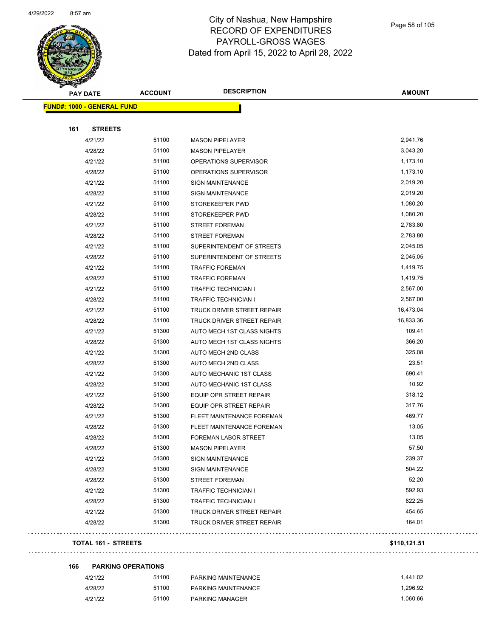$\bar{z}$  ,  $\bar{z}$ 



#### City of Nashua, New Hampshire RECORD OF EXPENDITURES PAYROLL-GROSS WAGES Dated from April 15, 2022 to April 28, 2022

Page 58 of 105

| $\checkmark$<br><b>PAY DATE</b>   | <b>ACCOUNT</b>      | <b>DESCRIPTION</b>             | <b>AMOUNT</b> |
|-----------------------------------|---------------------|--------------------------------|---------------|
| <b>FUND#: 1000 - GENERAL FUND</b> |                     |                                |               |
|                                   |                     |                                |               |
| 161                               | <b>STREETS</b>      |                                |               |
| 4/21/22                           | 51100               | <b>MASON PIPELAYER</b>         | 2,941.76      |
| 4/28/22                           | 51100               | <b>MASON PIPELAYER</b>         | 3,043.20      |
| 4/21/22                           | 51100               | OPERATIONS SUPERVISOR          | 1,173.10      |
| 4/28/22                           | 51100               | OPERATIONS SUPERVISOR          | 1,173.10      |
| 4/21/22                           | 51100               | <b>SIGN MAINTENANCE</b>        | 2,019.20      |
| 4/28/22                           | 51100               | <b>SIGN MAINTENANCE</b>        | 2,019.20      |
| 4/21/22                           | 51100               | STOREKEEPER PWD                | 1,080.20      |
| 4/28/22                           | 51100               | STOREKEEPER PWD                | 1,080.20      |
| 4/21/22                           | 51100               | <b>STREET FOREMAN</b>          | 2,783.80      |
| 4/28/22                           | 51100               | <b>STREET FOREMAN</b>          | 2,783.80      |
| 4/21/22                           | 51100               | SUPERINTENDENT OF STREETS      | 2,045.05      |
| 4/28/22                           | 51100               | SUPERINTENDENT OF STREETS      | 2,045.05      |
| 4/21/22                           | 51100               | <b>TRAFFIC FOREMAN</b>         | 1,419.75      |
| 4/28/22                           | 51100               | <b>TRAFFIC FOREMAN</b>         | 1,419.75      |
| 4/21/22                           | 51100               | <b>TRAFFIC TECHNICIAN I</b>    | 2,567.00      |
| 4/28/22                           | 51100               | <b>TRAFFIC TECHNICIAN I</b>    | 2,567.00      |
| 4/21/22                           | 51100               | TRUCK DRIVER STREET REPAIR     | 16,473.04     |
| 4/28/22                           | 51100               | TRUCK DRIVER STREET REPAIR     | 16,833.36     |
| 4/21/22                           | 51300               | AUTO MECH 1ST CLASS NIGHTS     | 109.41        |
| 4/28/22                           | 51300               | AUTO MECH 1ST CLASS NIGHTS     | 366.20        |
| 4/21/22                           | 51300               | AUTO MECH 2ND CLASS            | 325.08        |
| 4/28/22                           | 51300               | AUTO MECH 2ND CLASS            | 23.51         |
| 4/21/22                           | 51300               | AUTO MECHANIC 1ST CLASS        | 690.41        |
| 4/28/22                           | 51300               | AUTO MECHANIC 1ST CLASS        | 10.92         |
| 4/21/22                           | 51300               | EQUIP OPR STREET REPAIR        | 318.12        |
| 4/28/22                           | 51300               | <b>EQUIP OPR STREET REPAIR</b> | 317.76        |
| 4/21/22                           | 51300               | FLEET MAINTENANCE FOREMAN      | 469.77        |
| 4/28/22                           | 51300               | FLEET MAINTENANCE FOREMAN      | 13.05         |
| 4/28/22                           | 51300               | FOREMAN LABOR STREET           | 13.05         |
| 4/28/22                           | 51300               | <b>MASON PIPELAYER</b>         | 57.50         |
| 4/21/22                           | 51300               | <b>SIGN MAINTENANCE</b>        | 239.37        |
| 4/28/22                           | 51300               | <b>SIGN MAINTENANCE</b>        | 504.22        |
| 4/28/22                           | 51300               | <b>STREET FOREMAN</b>          | 52.20         |
| 4/21/22                           | 51300               | <b>TRAFFIC TECHNICIAN I</b>    | 592.93        |
| 4/28/22                           | 51300               | <b>TRAFFIC TECHNICIAN I</b>    | 822.25        |
| 4/21/22                           | 51300               | TRUCK DRIVER STREET REPAIR     | 454.65        |
| 4/28/22                           | 51300               | TRUCK DRIVER STREET REPAIR     | 164.01        |
|                                   | TOTAL 161 - STREETS |                                | \$110,121.51  |

|  |  |  |  |  |  |  |  |  |  |  |  |  |  |  |  |  | $V = 10, 121.01$ |  |
|--|--|--|--|--|--|--|--|--|--|--|--|--|--|--|--|--|------------------|--|
|  |  |  |  |  |  |  |  |  |  |  |  |  |  |  |  |  |                  |  |

#### **166 PARKING OPERATIONS** 4/21/22 51100 PARKING MAINTENANCE 1,441.02 4/28/22 51100 PARKING MAINTENANCE 1,296.92

4/21/22 51100 PARKING MANAGER 1,060.66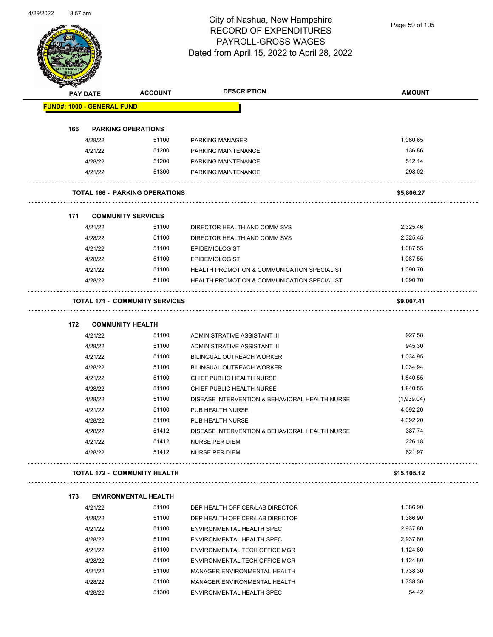

Page 59 of 105

|                                   | <b>PAY DATE</b>    | <b>ACCOUNT</b>                        | <b>DESCRIPTION</b>                                            | <b>AMOUNT</b> |
|-----------------------------------|--------------------|---------------------------------------|---------------------------------------------------------------|---------------|
| <b>FUND#: 1000 - GENERAL FUND</b> |                    |                                       |                                                               |               |
| 166                               |                    | <b>PARKING OPERATIONS</b>             |                                                               |               |
|                                   | 4/28/22            | 51100                                 | <b>PARKING MANAGER</b>                                        | 1,060.65      |
|                                   | 4/21/22            | 51200                                 | <b>PARKING MAINTENANCE</b>                                    | 136.86        |
|                                   | 4/28/22            | 51200                                 | PARKING MAINTENANCE                                           | 512.14        |
|                                   | 4/21/22            | 51300                                 | PARKING MAINTENANCE                                           | 298.02        |
|                                   |                    | <b>TOTAL 166 - PARKING OPERATIONS</b> |                                                               | \$5,806.27    |
|                                   |                    |                                       |                                                               |               |
| 171                               |                    | <b>COMMUNITY SERVICES</b>             |                                                               |               |
|                                   | 4/21/22            | 51100                                 | DIRECTOR HEALTH AND COMM SVS                                  | 2,325.46      |
|                                   | 4/28/22            | 51100                                 | DIRECTOR HEALTH AND COMM SVS                                  | 2,325.45      |
|                                   | 4/21/22            | 51100                                 | <b>EPIDEMIOLOGIST</b>                                         | 1,087.55      |
|                                   | 4/28/22            | 51100                                 | <b>EPIDEMIOLOGIST</b>                                         | 1,087.55      |
|                                   | 4/21/22            | 51100                                 | <b>HEALTH PROMOTION &amp; COMMUNICATION SPECIALIST</b>        | 1,090.70      |
|                                   | 4/28/22            | 51100                                 | <b>HEALTH PROMOTION &amp; COMMUNICATION SPECIALIST</b>        | 1,090.70      |
|                                   |                    | <b>TOTAL 171 - COMMUNITY SERVICES</b> |                                                               | \$9,007.41    |
| 172                               |                    | <b>COMMUNITY HEALTH</b>               |                                                               |               |
|                                   | 4/21/22            | 51100                                 | ADMINISTRATIVE ASSISTANT III                                  | 927.58        |
|                                   | 4/28/22            | 51100                                 | ADMINISTRATIVE ASSISTANT III                                  | 945.30        |
|                                   | 4/21/22            | 51100                                 | <b>BILINGUAL OUTREACH WORKER</b>                              | 1,034.95      |
|                                   | 4/28/22            | 51100                                 | BILINGUAL OUTREACH WORKER                                     | 1,034.94      |
|                                   | 4/21/22            | 51100                                 | CHIEF PUBLIC HEALTH NURSE                                     | 1,840.55      |
|                                   | 4/28/22            | 51100                                 | CHIEF PUBLIC HEALTH NURSE                                     | 1,840.55      |
|                                   | 4/28/22            | 51100                                 | DISEASE INTERVENTION & BEHAVIORAL HEALTH NURSE                | (1,939.04)    |
|                                   | 4/21/22            | 51100                                 | PUB HEALTH NURSE                                              | 4,092.20      |
|                                   | 4/28/22            | 51100                                 | PUB HEALTH NURSE                                              | 4,092.20      |
|                                   | 4/28/22            | 51412                                 | DISEASE INTERVENTION & BEHAVIORAL HEALTH NURSE                | 387.74        |
|                                   | 4/21/22            | 51412                                 | <b>NURSE PER DIEM</b>                                         | 226.18        |
|                                   | 4/28/22            | 51412                                 | <b>NURSE PER DIEM</b>                                         | 621.97        |
|                                   |                    | <b>TOTAL 172 - COMMUNITY HEALTH</b>   |                                                               | \$15,105.12   |
| 173                               |                    | <b>ENVIRONMENTAL HEALTH</b>           |                                                               |               |
|                                   | 4/21/22            | 51100                                 | DEP HEALTH OFFICER/LAB DIRECTOR                               | 1,386.90      |
|                                   | 4/28/22            | 51100                                 | DEP HEALTH OFFICER/LAB DIRECTOR                               | 1,386.90      |
|                                   | 4/21/22            | 51100                                 | ENVIRONMENTAL HEALTH SPEC                                     | 2,937.80      |
|                                   | 4/28/22            | 51100                                 | ENVIRONMENTAL HEALTH SPEC                                     | 2,937.80      |
|                                   |                    | 51100                                 |                                                               | 1,124.80      |
|                                   | 4/21/22            | 51100                                 | ENVIRONMENTAL TECH OFFICE MGR                                 | 1,124.80      |
|                                   | 4/28/22<br>4/21/22 | 51100                                 | ENVIRONMENTAL TECH OFFICE MGR<br>MANAGER ENVIRONMENTAL HEALTH | 1,738.30      |
|                                   |                    |                                       |                                                               |               |

4/28/22 51300 ENVIRONMENTAL HEALTH SPEC 54.42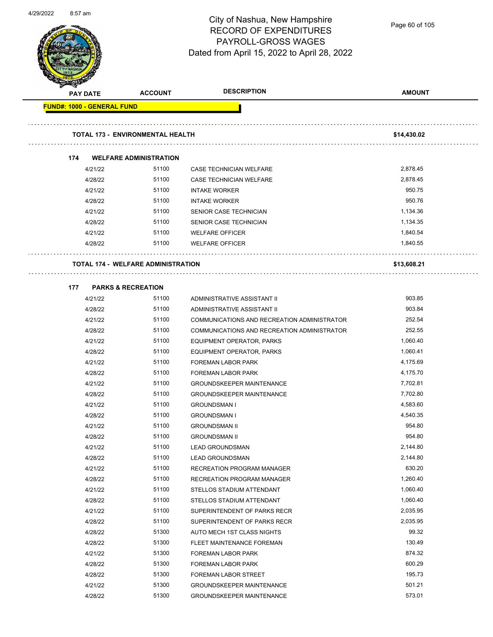

Page 60 of 105

|                            | <b>PAY DATE</b> | <b>ACCOUNT</b>                            | <b>DESCRIPTION</b>                          | <b>AMOUNT</b> |
|----------------------------|-----------------|-------------------------------------------|---------------------------------------------|---------------|
| FUND#: 1000 - GENERAL FUND |                 |                                           |                                             |               |
|                            |                 |                                           |                                             |               |
|                            |                 | <b>TOTAL 173 - ENVIRONMENTAL HEALTH</b>   |                                             | \$14,430.02   |
|                            |                 |                                           |                                             |               |
| 174                        |                 | <b>WELFARE ADMINISTRATION</b>             |                                             |               |
|                            | 4/21/22         | 51100                                     | CASE TECHNICIAN WELFARE                     | 2,878.45      |
|                            | 4/28/22         | 51100                                     | CASE TECHNICIAN WELFARE                     | 2,878.45      |
|                            | 4/21/22         | 51100                                     | <b>INTAKE WORKER</b>                        | 950.75        |
|                            | 4/28/22         | 51100                                     | <b>INTAKE WORKER</b>                        | 950.76        |
|                            | 4/21/22         | 51100                                     | SENIOR CASE TECHNICIAN                      | 1,134.36      |
|                            | 4/28/22         | 51100                                     | SENIOR CASE TECHNICIAN                      | 1,134.35      |
|                            | 4/21/22         | 51100                                     | <b>WELFARE OFFICER</b>                      | 1,840.54      |
|                            | 4/28/22         | 51100                                     | <b>WELFARE OFFICER</b>                      | 1,840.55      |
|                            |                 |                                           |                                             |               |
|                            |                 | <b>TOTAL 174 - WELFARE ADMINISTRATION</b> |                                             | \$13,608.21   |
| 177                        |                 | <b>PARKS &amp; RECREATION</b>             |                                             |               |
|                            | 4/21/22         | 51100                                     | ADMINISTRATIVE ASSISTANT II                 | 903.85        |
|                            | 4/28/22         | 51100                                     | ADMINISTRATIVE ASSISTANT II                 | 903.84        |
|                            | 4/21/22         | 51100                                     | COMMUNICATIONS AND RECREATION ADMINISTRATOR | 252.54        |
|                            | 4/28/22         | 51100                                     | COMMUNICATIONS AND RECREATION ADMINISTRATOR | 252.55        |
|                            | 4/21/22         | 51100                                     | EQUIPMENT OPERATOR, PARKS                   | 1,060.40      |
|                            | 4/28/22         | 51100                                     | EQUIPMENT OPERATOR, PARKS                   | 1,060.41      |
|                            | 4/21/22         | 51100                                     | FOREMAN LABOR PARK                          | 4,175.69      |
|                            | 4/28/22         | 51100                                     | FOREMAN LABOR PARK                          | 4,175.70      |
|                            | 4/21/22         | 51100                                     | <b>GROUNDSKEEPER MAINTENANCE</b>            | 7,702.81      |
|                            | 4/28/22         | 51100                                     | <b>GROUNDSKEEPER MAINTENANCE</b>            | 7,702.80      |
|                            | 4/21/22         | 51100                                     | <b>GROUNDSMAN I</b>                         | 4,583.60      |
|                            | 4/28/22         | 51100                                     | <b>GROUNDSMAN I</b>                         | 4,540.35      |
|                            | 4/21/22         | 51100                                     | <b>GROUNDSMAN II</b>                        | 954.80        |
|                            | 4/28/22         | 51100                                     | <b>GROUNDSMAN II</b>                        | 954.80        |
|                            | 4/21/22         | 51100                                     | <b>LEAD GROUNDSMAN</b>                      | 2,144.80      |
|                            | 4/28/22         | 51100                                     | <b>LEAD GROUNDSMAN</b>                      | 2,144.80      |
|                            | 4/21/22         | 51100                                     | RECREATION PROGRAM MANAGER                  | 630.20        |
|                            | 4/28/22         | 51100                                     | RECREATION PROGRAM MANAGER                  | 1,260.40      |
|                            | 4/21/22         | 51100                                     | STELLOS STADIUM ATTENDANT                   | 1,060.40      |
|                            | 4/28/22         | 51100                                     | STELLOS STADIUM ATTENDANT                   | 1,060.40      |
|                            | 4/21/22         | 51100                                     | SUPERINTENDENT OF PARKS RECR                | 2,035.95      |
|                            | 4/28/22         | 51100                                     | SUPERINTENDENT OF PARKS RECR                | 2,035.95      |
|                            | 4/28/22         | 51300                                     | AUTO MECH 1ST CLASS NIGHTS                  | 99.32         |
|                            | 4/28/22         | 51300                                     | FLEET MAINTENANCE FOREMAN                   | 130.49        |
|                            | 4/21/22         | 51300                                     | FOREMAN LABOR PARK                          | 874.32        |
|                            | 4/28/22         | 51300                                     | FOREMAN LABOR PARK                          | 600.29        |
|                            | 4/28/22         | 51300                                     | FOREMAN LABOR STREET                        | 195.73        |
|                            | 4/21/22         | 51300                                     | <b>GROUNDSKEEPER MAINTENANCE</b>            | 501.21        |
|                            | 4/28/22         | 51300                                     | <b>GROUNDSKEEPER MAINTENANCE</b>            | 573.01        |
|                            |                 |                                           |                                             |               |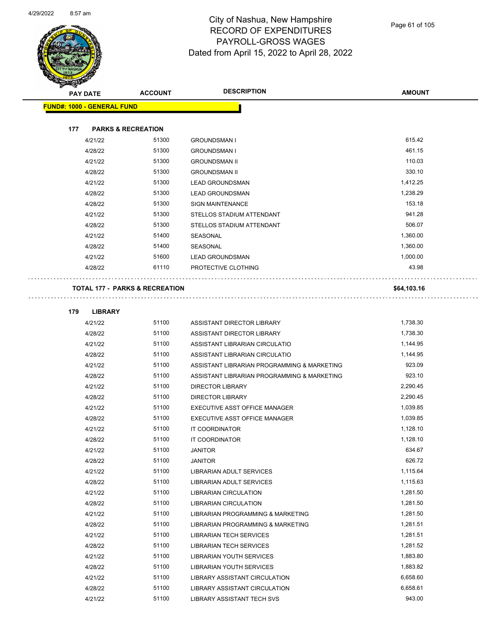$\overline{\phantom{0}}$ 



#### City of Nashua, New Hampshire RECORD OF EXPENDITURES PAYROLL-GROSS WAGES Dated from April 15, 2022 to April 28, 2022

Page 61 of 105

| <b>PAY DATE</b>                   | <b>ACCOUNT</b>                            | <b>DESCRIPTION</b>                          | <b>AMOUNT</b> |
|-----------------------------------|-------------------------------------------|---------------------------------------------|---------------|
| <b>FUND#: 1000 - GENERAL FUND</b> |                                           |                                             |               |
| 177                               | <b>PARKS &amp; RECREATION</b>             |                                             |               |
| 4/21/22                           | 51300                                     | <b>GROUNDSMAN I</b>                         | 615.42        |
| 4/28/22                           | 51300                                     | <b>GROUNDSMAN I</b>                         | 461.15        |
| 4/21/22                           | 51300                                     | <b>GROUNDSMAN II</b>                        | 110.03        |
| 4/28/22                           | 51300                                     | <b>GROUNDSMAN II</b>                        | 330.10        |
| 4/21/22                           | 51300                                     | <b>LEAD GROUNDSMAN</b>                      | 1,412.25      |
| 4/28/22                           | 51300                                     | <b>LEAD GROUNDSMAN</b>                      | 1,238.29      |
| 4/28/22                           | 51300                                     | <b>SIGN MAINTENANCE</b>                     | 153.18        |
| 4/21/22                           | 51300                                     | STELLOS STADIUM ATTENDANT                   | 941.28        |
| 4/28/22                           | 51300                                     | STELLOS STADIUM ATTENDANT                   | 506.07        |
| 4/21/22                           | 51400                                     | SEASONAL                                    | 1,360.00      |
| 4/28/22                           | 51400                                     | SEASONAL                                    | 1,360.00      |
| 4/21/22                           | 51600                                     | <b>LEAD GROUNDSMAN</b>                      | 1,000.00      |
| 4/28/22                           | 61110                                     | PROTECTIVE CLOTHING                         | 43.98         |
|                                   | <b>TOTAL 177 - PARKS &amp; RECREATION</b> |                                             | \$64,103.16   |
| 179<br><b>LIBRARY</b>             |                                           |                                             |               |
| 4/21/22                           | 51100                                     | ASSISTANT DIRECTOR LIBRARY                  | 1,738.30      |
| 4/28/22                           | 51100                                     | ASSISTANT DIRECTOR LIBRARY                  | 1,738.30      |
| 4/21/22                           | 51100                                     | ASSISTANT LIBRARIAN CIRCULATIO              | 1,144.95      |
| 4/28/22                           | 51100                                     | ASSISTANT LIBRARIAN CIRCULATIO              | 1,144.95      |
| 4/21/22                           | 51100                                     | ASSISTANT LIBRARIAN PROGRAMMING & MARKETING | 923.09        |
| 4/28/22                           | 51100                                     | ASSISTANT LIBRARIAN PROGRAMMING & MARKETING | 923.10        |
| 4/21/22                           | 51100                                     | <b>DIRECTOR LIBRARY</b>                     | 2,290.45      |
| 4/28/22                           | 51100                                     | <b>DIRECTOR LIBRARY</b>                     | 2,290.45      |
| 4/21/22                           | 51100                                     | EXECUTIVE ASST OFFICE MANAGER               | 1,039.85      |
| 4/28/22                           | 51100                                     | EXECUTIVE ASST OFFICE MANAGER               | 1,039.85      |
| 4/21/22                           | 51100                                     | <b>IT COORDINATOR</b>                       | 1,128.10      |
| 4/28/22                           | 51100                                     | IT COORDINATOR                              | 1,128.10      |
| 4/21/22                           | 51100                                     | <b>JANITOR</b>                              | 634.67        |
| 4/28/22                           | 51100                                     | <b>JANITOR</b>                              | 626.72        |
| 4/21/22                           | 51100                                     | LIBRARIAN ADULT SERVICES                    | 1,115.64      |
| 4/28/22                           | 51100                                     | LIBRARIAN ADULT SERVICES                    | 1,115.63      |
| 4/21/22                           | 51100                                     | LIBRARIAN CIRCULATION                       | 1,281.50      |
| 4/28/22                           | 51100                                     | <b>LIBRARIAN CIRCULATION</b>                | 1,281.50      |
| 4/21/22                           | 51100                                     | LIBRARIAN PROGRAMMING & MARKETING           | 1,281.50      |
| 4/28/22                           | 51100                                     | LIBRARIAN PROGRAMMING & MARKETING           | 1,281.51      |
| 4/21/22                           | 51100                                     | <b>LIBRARIAN TECH SERVICES</b>              | 1,281.51      |
| 4/28/22                           | 51100                                     | <b>LIBRARIAN TECH SERVICES</b>              | 1,281.52      |
| 4/21/22                           | 51100                                     | LIBRARIAN YOUTH SERVICES                    | 1,883.80      |
| 4/28/22                           | 51100                                     | LIBRARIAN YOUTH SERVICES                    | 1,883.82      |
| 4/21/22                           | 51100                                     | LIBRARY ASSISTANT CIRCULATION               | 6,658.60      |
| 4/28/22                           | 51100                                     | LIBRARY ASSISTANT CIRCULATION               | 6,658.61      |

4/21/22 51100 LIBRARY ASSISTANT TECH SVS 943.00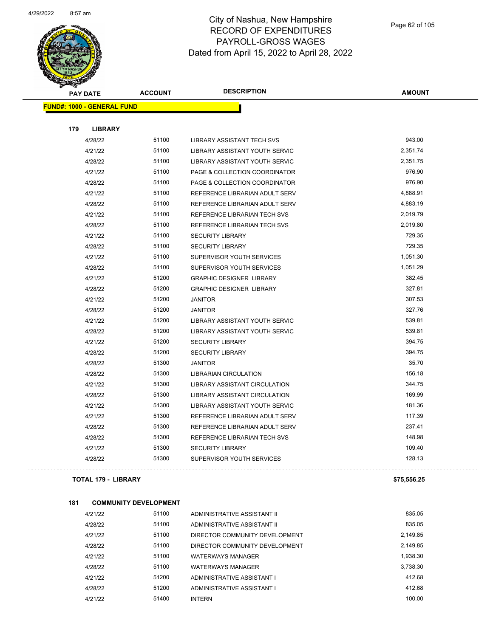

| बङ्क<br><b>PAY DATE</b>           | <b>ACCOUNT</b> | <b>DESCRIPTION</b>                   | <b>AMOUNT</b> |
|-----------------------------------|----------------|--------------------------------------|---------------|
| <b>FUND#: 1000 - GENERAL FUND</b> |                |                                      |               |
|                                   |                |                                      |               |
| 179<br><b>LIBRARY</b>             |                |                                      |               |
| 4/28/22                           | 51100          | <b>LIBRARY ASSISTANT TECH SVS</b>    | 943.00        |
| 4/21/22                           | 51100          | LIBRARY ASSISTANT YOUTH SERVIC       | 2,351.74      |
| 4/28/22                           | 51100          | LIBRARY ASSISTANT YOUTH SERVIC       | 2,351.75      |
| 4/21/22                           | 51100          | PAGE & COLLECTION COORDINATOR        | 976.90        |
| 4/28/22                           | 51100          | PAGE & COLLECTION COORDINATOR        | 976.90        |
| 4/21/22                           | 51100          | REFERENCE LIBRARIAN ADULT SERV       | 4,888.91      |
| 4/28/22                           | 51100          | REFERENCE LIBRARIAN ADULT SERV       | 4,883.19      |
| 4/21/22                           | 51100          | REFERENCE LIBRARIAN TECH SVS         | 2,019.79      |
| 4/28/22                           | 51100          | REFERENCE LIBRARIAN TECH SVS         | 2,019.80      |
| 4/21/22                           | 51100          | <b>SECURITY LIBRARY</b>              | 729.35        |
| 4/28/22                           | 51100          | <b>SECURITY LIBRARY</b>              | 729.35        |
| 4/21/22                           | 51100          | SUPERVISOR YOUTH SERVICES            | 1,051.30      |
| 4/28/22                           | 51100          | SUPERVISOR YOUTH SERVICES            | 1,051.29      |
| 4/21/22                           | 51200          | <b>GRAPHIC DESIGNER LIBRARY</b>      | 382.45        |
| 4/28/22                           | 51200          | <b>GRAPHIC DESIGNER LIBRARY</b>      | 327.81        |
| 4/21/22                           | 51200          | <b>JANITOR</b>                       | 307.53        |
| 4/28/22                           | 51200          | <b>JANITOR</b>                       | 327.76        |
| 4/21/22                           | 51200          | LIBRARY ASSISTANT YOUTH SERVIC       | 539.81        |
| 4/28/22                           | 51200          | LIBRARY ASSISTANT YOUTH SERVIC       | 539.81        |
| 4/21/22                           | 51200          | <b>SECURITY LIBRARY</b>              | 394.75        |
| 4/28/22                           | 51200          | <b>SECURITY LIBRARY</b>              | 394.75        |
| 4/28/22                           | 51300          | <b>JANITOR</b>                       | 35.70         |
| 4/28/22                           | 51300          | <b>LIBRARIAN CIRCULATION</b>         | 156.18        |
| 4/21/22                           | 51300          | LIBRARY ASSISTANT CIRCULATION        | 344.75        |
| 4/28/22                           | 51300          | <b>LIBRARY ASSISTANT CIRCULATION</b> | 169.99        |
| 4/21/22                           | 51300          | LIBRARY ASSISTANT YOUTH SERVIC       | 181.36        |
| 4/21/22                           | 51300          | REFERENCE LIBRARIAN ADULT SERV       | 117.39        |
| 4/28/22                           | 51300          | REFERENCE LIBRARIAN ADULT SERV       | 237.41        |
| 4/28/22                           | 51300          | REFERENCE LIBRARIAN TECH SVS         | 148.98        |
| 4/21/22                           | 51300          | <b>SECURITY LIBRARY</b>              | 109.40        |
| 4/28/22                           | 51300          | SUPERVISOR YOUTH SERVICES            | 128.13        |
| <b>TOTAL 179 - LIBRARY</b>        |                |                                      | \$75,556.25   |

| 4/21/22 | 51100 | ADMINISTRATIVE ASSISTANT II    | 835.05   |
|---------|-------|--------------------------------|----------|
| 4/28/22 | 51100 | ADMINISTRATIVE ASSISTANT II    | 835.05   |
| 4/21/22 | 51100 | DIRECTOR COMMUNITY DEVELOPMENT | 2,149.85 |
| 4/28/22 | 51100 | DIRECTOR COMMUNITY DEVELOPMENT | 2,149.85 |
| 4/21/22 | 51100 | <b>WATERWAYS MANAGER</b>       | 1.938.30 |
| 4/28/22 | 51100 | <b>WATERWAYS MANAGER</b>       | 3.738.30 |
| 4/21/22 | 51200 | ADMINISTRATIVE ASSISTANT I     | 412.68   |
| 4/28/22 | 51200 | ADMINISTRATIVE ASSISTANT I     | 412.68   |
| 4/21/22 | 51400 | <b>INTERN</b>                  | 100.00   |

**181 COMMUNITY DEVELOPMENT**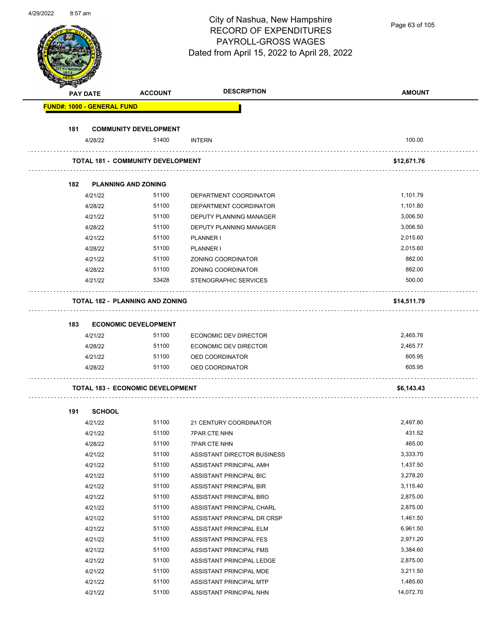# City of Nashua, New Hampshire RECORD OF EXPENDITURES PAYROLL-GROSS WAGES

Page 63 of 105

|     |                                   |                                          | <b>DESCRIPTION</b>             |               |
|-----|-----------------------------------|------------------------------------------|--------------------------------|---------------|
|     | <b>PAY DATE</b>                   | <b>ACCOUNT</b>                           |                                | <b>AMOUNT</b> |
|     | <b>FUND#: 1000 - GENERAL FUND</b> |                                          |                                |               |
| 181 |                                   | <b>COMMUNITY DEVELOPMENT</b>             |                                |               |
|     | 4/28/22                           | 51400                                    | <b>INTERN</b>                  | 100.00        |
|     |                                   | <b>TOTAL 181 - COMMUNITY DEVELOPMENT</b> |                                | \$12,671.76   |
| 182 |                                   | <b>PLANNING AND ZONING</b>               |                                |               |
|     | 4/21/22                           | 51100                                    | DEPARTMENT COORDINATOR         | 1,101.79      |
|     | 4/28/22                           | 51100                                    | DEPARTMENT COORDINATOR         | 1,101.80      |
|     | 4/21/22                           | 51100                                    | <b>DEPUTY PLANNING MANAGER</b> | 3,006.50      |
|     | 4/28/22                           | 51100                                    | DEPUTY PLANNING MANAGER        | 3,006.50      |
|     | 4/21/22                           | 51100                                    | PLANNER I                      | 2,015.60      |
|     | 4/28/22                           | 51100                                    | <b>PLANNER I</b>               | 2,015.60      |
|     | 4/21/22                           | 51100                                    | ZONING COORDINATOR             | 882.00        |
|     | 4/28/22                           | 51100                                    | ZONING COORDINATOR             | 882.00        |
|     | 4/21/22                           | 53428                                    | STENOGRAPHIC SERVICES          | 500.00        |
|     |                                   | <b>TOTAL 182 - PLANNING AND ZONING</b>   |                                | \$14,511.79   |
|     |                                   |                                          |                                |               |
|     |                                   |                                          |                                |               |
| 183 |                                   |                                          |                                |               |
|     |                                   | <b>ECONOMIC DEVELOPMENT</b>              |                                |               |
|     | 4/21/22                           | 51100                                    | ECONOMIC DEV DIRECTOR          | 2,465.76      |
|     | 4/28/22                           | 51100                                    | ECONOMIC DEV DIRECTOR          | 2,465.77      |
|     | 4/21/22                           | 51100                                    | OED COORDINATOR                | 605.95        |
|     | 4/28/22                           | 51100                                    | OED COORDINATOR                | 605.95        |
|     |                                   | <b>TOTAL 183 - ECONOMIC DEVELOPMENT</b>  |                                | \$6,143.43    |
| 191 | <b>SCHOOL</b>                     |                                          |                                |               |
|     | 4/21/22                           | 51100                                    | 21 CENTURY COORDINATOR         | 2,497.80      |
|     | 4/21/22                           | 51100                                    | <b>7PAR CTE NHN</b>            | 431.52        |
|     | 4/28/22                           | 51100                                    | <b>7PAR CTE NHN</b>            | 465.00        |
|     | 4/21/22                           | 51100                                    | ASSISTANT DIRECTOR BUSINESS    | 3,333.70      |
|     | 4/21/22                           | 51100                                    | ASSISTANT PRINCIPAL AMH        | 1,437.50      |
|     | 4/21/22                           | 51100                                    | ASSISTANT PRINCIPAL BIC        | 3,278.20      |
|     | 4/21/22                           | 51100                                    | ASSISTANT PRINCIPAL BIR        | 3,115.40      |
|     | 4/21/22                           | 51100                                    | ASSISTANT PRINCIPAL BRO        | 2,875.00      |
|     | 4/21/22                           | 51100                                    | ASSISTANT PRINCIPAL CHARL      | 2,875.00      |
|     | 4/21/22                           | 51100                                    | ASSISTANT PRINCIPAL DR CRSP    | 1,461.50      |
|     | 4/21/22                           | 51100                                    | ASSISTANT PRINCIPAL ELM        | 6,961.50      |
|     | 4/21/22                           | 51100                                    | ASSISTANT PRINCIPAL FES        | 2,971.20      |
|     | 4/21/22                           | 51100                                    | ASSISTANT PRINCIPAL FMS        | 3,384.60      |
|     | 4/21/22                           | 51100                                    | ASSISTANT PRINCIPAL LEDGE      | 2,875.00      |
|     | 4/21/22                           | 51100                                    | ASSISTANT PRINCIPAL MDE        | 3,211.50      |
|     | 4/21/22                           | 51100                                    | ASSISTANT PRINCIPAL MTP        | 1,485.60      |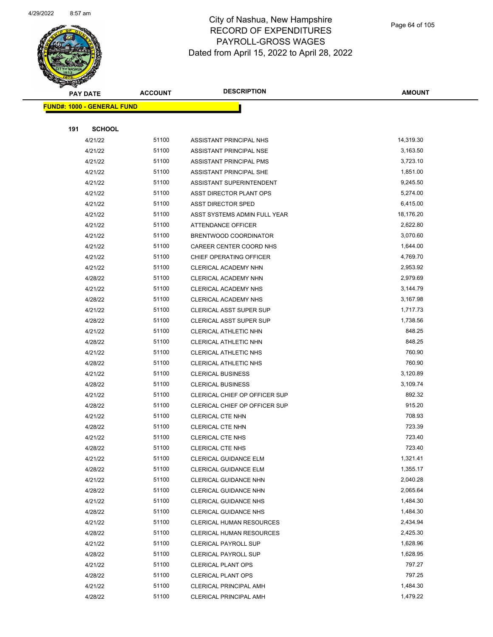

|     | <b>PAY DATE</b>                   | <b>ACCOUNT</b> | <b>DESCRIPTION</b>             | <b>AMOUNT</b> |
|-----|-----------------------------------|----------------|--------------------------------|---------------|
|     | <b>FUND#: 1000 - GENERAL FUND</b> |                |                                |               |
|     |                                   |                |                                |               |
| 191 | <b>SCHOOL</b>                     |                |                                |               |
|     | 4/21/22                           | 51100          | ASSISTANT PRINCIPAL NHS        | 14,319.30     |
|     | 4/21/22                           | 51100          | ASSISTANT PRINCIPAL NSE        | 3,163.50      |
|     | 4/21/22                           | 51100          | ASSISTANT PRINCIPAL PMS        | 3,723.10      |
|     | 4/21/22                           | 51100          | ASSISTANT PRINCIPAL SHE        | 1,851.00      |
|     | 4/21/22                           | 51100          | ASSISTANT SUPERINTENDENT       | 9,245.50      |
|     | 4/21/22                           | 51100          | ASST DIRECTOR PLANT OPS        | 5,274.00      |
|     | 4/21/22                           | 51100          | <b>ASST DIRECTOR SPED</b>      | 6,415.00      |
|     | 4/21/22                           | 51100          | ASST SYSTEMS ADMIN FULL YEAR   | 18,176.20     |
|     | 4/21/22                           | 51100          | ATTENDANCE OFFICER             | 2,622.80      |
|     | 4/21/22                           | 51100          | BRENTWOOD COORDINATOR          | 3,070.60      |
|     | 4/21/22                           | 51100          | CAREER CENTER COORD NHS        | 1,644.00      |
|     | 4/21/22                           | 51100          | CHIEF OPERATING OFFICER        | 4,769.70      |
|     | 4/21/22                           | 51100          | CLERICAL ACADEMY NHN           | 2,953.92      |
|     | 4/28/22                           | 51100          | CLERICAL ACADEMY NHN           | 2,979.69      |
|     | 4/21/22                           | 51100          | CLERICAL ACADEMY NHS           | 3,144.79      |
|     | 4/28/22                           | 51100          | <b>CLERICAL ACADEMY NHS</b>    | 3,167.98      |
|     | 4/21/22                           | 51100          | <b>CLERICAL ASST SUPER SUP</b> | 1,717.73      |
|     | 4/28/22                           | 51100          | <b>CLERICAL ASST SUPER SUP</b> | 1,738.56      |
|     | 4/21/22                           | 51100          | CLERICAL ATHLETIC NHN          | 848.25        |
|     | 4/28/22                           | 51100          | CLERICAL ATHLETIC NHN          | 848.25        |
|     | 4/21/22                           | 51100          | <b>CLERICAL ATHLETIC NHS</b>   | 760.90        |
|     | 4/28/22                           | 51100          | CLERICAL ATHLETIC NHS          | 760.90        |
|     | 4/21/22                           | 51100          | <b>CLERICAL BUSINESS</b>       | 3,120.89      |
|     | 4/28/22                           | 51100          | <b>CLERICAL BUSINESS</b>       | 3,109.74      |
|     | 4/21/22                           | 51100          | CLERICAL CHIEF OP OFFICER SUP  | 892.32        |
|     | 4/28/22                           | 51100          | CLERICAL CHIEF OP OFFICER SUP  | 915.20        |
|     | 4/21/22                           | 51100          | CLERICAL CTE NHN               | 708.93        |
|     | 4/28/22                           | 51100          | CLERICAL CTE NHN               | 723.39        |
|     | 4/21/22                           | 51100          | <b>CLERICAL CTE NHS</b>        | 723.40        |
|     | 4/28/22                           | 51100          | <b>CLERICAL CTE NHS</b>        | 723.40        |
|     | 4/21/22                           | 51100          | CLERICAL GUIDANCE ELM          | 1,321.41      |
|     | 4/28/22                           | 51100          | CLERICAL GUIDANCE ELM          | 1,355.17      |
|     | 4/21/22                           | 51100          | CLERICAL GUIDANCE NHN          | 2,040.28      |
|     | 4/28/22                           | 51100          | CLERICAL GUIDANCE NHN          | 2,065.64      |
|     | 4/21/22                           | 51100          | <b>CLERICAL GUIDANCE NHS</b>   | 1,484.30      |
|     | 4/28/22                           | 51100          | <b>CLERICAL GUIDANCE NHS</b>   | 1,484.30      |
|     | 4/21/22                           | 51100          | CLERICAL HUMAN RESOURCES       | 2,434.94      |
|     | 4/28/22                           | 51100          | CLERICAL HUMAN RESOURCES       | 2,425.30      |
|     | 4/21/22                           | 51100          | CLERICAL PAYROLL SUP           | 1,628.96      |
|     | 4/28/22                           | 51100          | <b>CLERICAL PAYROLL SUP</b>    | 1,628.95      |
|     | 4/21/22                           | 51100          | CLERICAL PLANT OPS             | 797.27        |
|     | 4/28/22                           | 51100          | <b>CLERICAL PLANT OPS</b>      | 797.25        |
|     | 4/21/22                           | 51100          | <b>CLERICAL PRINCIPAL AMH</b>  | 1,484.30      |
|     | 4/28/22                           | 51100          | CLERICAL PRINCIPAL AMH         | 1,479.22      |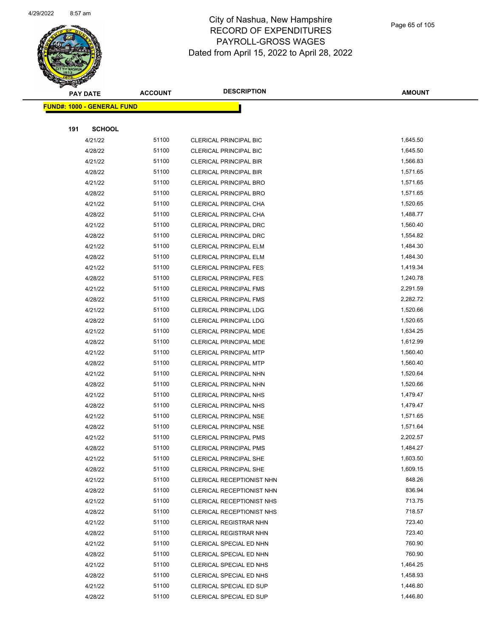

|     | <b>PAY DATE</b>                    | <b>ACCOUNT</b> | <b>DESCRIPTION</b>                                 | <b>AMOUNT</b>    |
|-----|------------------------------------|----------------|----------------------------------------------------|------------------|
|     | <u> FUND#: 1000 - GENERAL FUND</u> |                |                                                    |                  |
|     |                                    |                |                                                    |                  |
| 191 | <b>SCHOOL</b>                      |                |                                                    |                  |
|     | 4/21/22                            | 51100          | <b>CLERICAL PRINCIPAL BIC</b>                      | 1,645.50         |
|     | 4/28/22                            | 51100          | CLERICAL PRINCIPAL BIC                             | 1,645.50         |
|     | 4/21/22                            | 51100          | <b>CLERICAL PRINCIPAL BIR</b>                      | 1,566.83         |
|     | 4/28/22                            | 51100          | <b>CLERICAL PRINCIPAL BIR</b>                      | 1,571.65         |
|     | 4/21/22                            | 51100          | <b>CLERICAL PRINCIPAL BRO</b>                      | 1,571.65         |
|     | 4/28/22                            | 51100          | <b>CLERICAL PRINCIPAL BRO</b>                      | 1,571.65         |
|     | 4/21/22                            | 51100          | CLERICAL PRINCIPAL CHA                             | 1,520.65         |
|     | 4/28/22                            | 51100          | CLERICAL PRINCIPAL CHA                             | 1,488.77         |
|     | 4/21/22                            | 51100          | CLERICAL PRINCIPAL DRC                             | 1,560.40         |
|     | 4/28/22                            | 51100          | CLERICAL PRINCIPAL DRC                             | 1,554.82         |
|     | 4/21/22                            | 51100          | <b>CLERICAL PRINCIPAL ELM</b>                      | 1,484.30         |
|     | 4/28/22                            | 51100          | <b>CLERICAL PRINCIPAL ELM</b>                      | 1,484.30         |
|     | 4/21/22                            | 51100          | <b>CLERICAL PRINCIPAL FES</b>                      | 1,419.34         |
|     | 4/28/22                            | 51100          | <b>CLERICAL PRINCIPAL FES</b>                      | 1,240.78         |
|     | 4/21/22                            | 51100          | <b>CLERICAL PRINCIPAL FMS</b>                      | 2,291.59         |
|     | 4/28/22                            | 51100          | <b>CLERICAL PRINCIPAL FMS</b>                      | 2,282.72         |
|     | 4/21/22                            | 51100          | <b>CLERICAL PRINCIPAL LDG</b>                      | 1,520.66         |
|     | 4/28/22                            | 51100          | CLERICAL PRINCIPAL LDG                             | 1,520.65         |
|     | 4/21/22                            | 51100          | CLERICAL PRINCIPAL MDE                             | 1,634.25         |
|     | 4/28/22                            | 51100          | CLERICAL PRINCIPAL MDE                             | 1,612.99         |
|     | 4/21/22                            | 51100          | <b>CLERICAL PRINCIPAL MTP</b>                      | 1,560.40         |
|     | 4/28/22                            | 51100          | <b>CLERICAL PRINCIPAL MTP</b>                      | 1,560.40         |
|     | 4/21/22                            | 51100          | CLERICAL PRINCIPAL NHN                             | 1,520.64         |
|     | 4/28/22                            | 51100          | CLERICAL PRINCIPAL NHN                             | 1,520.66         |
|     | 4/21/22                            | 51100          | CLERICAL PRINCIPAL NHS                             | 1,479.47         |
|     | 4/28/22                            | 51100          | <b>CLERICAL PRINCIPAL NHS</b>                      | 1,479.47         |
|     | 4/21/22                            | 51100          | <b>CLERICAL PRINCIPAL NSE</b>                      | 1,571.65         |
|     | 4/28/22                            | 51100          | <b>CLERICAL PRINCIPAL NSE</b>                      | 1,571.64         |
|     | 4/21/22                            | 51100          | <b>CLERICAL PRINCIPAL PMS</b>                      | 2,202.57         |
|     | 4/28/22                            | 51100          | CLERICAL PRINCIPAL PMS                             | 1,484.27         |
|     | 4/21/22                            | 51100          | <b>CLERICAL PRINCIPAL SHE</b>                      | 1,603.50         |
|     | 4/28/22                            | 51100          | <b>CLERICAL PRINCIPAL SHE</b>                      | 1,609.15         |
|     | 4/21/22                            | 51100          | CLERICAL RECEPTIONIST NHN                          | 848.26           |
|     | 4/28/22                            | 51100          | CLERICAL RECEPTIONIST NHN                          | 836.94           |
|     | 4/21/22                            | 51100          | CLERICAL RECEPTIONIST NHS                          | 713.75           |
|     | 4/28/22                            | 51100          | CLERICAL RECEPTIONIST NHS                          | 718.57<br>723.40 |
|     | 4/21/22                            | 51100          | <b>CLERICAL REGISTRAR NHN</b>                      | 723.40           |
|     | 4/28/22                            | 51100          | CLERICAL REGISTRAR NHN                             | 760.90           |
|     | 4/21/22                            | 51100<br>51100 | CLERICAL SPECIAL ED NHN                            | 760.90           |
|     | 4/28/22<br>4/21/22                 | 51100          | CLERICAL SPECIAL ED NHN<br>CLERICAL SPECIAL ED NHS | 1,464.25         |
|     | 4/28/22                            | 51100          | CLERICAL SPECIAL ED NHS                            | 1,458.93         |
|     | 4/21/22                            | 51100          | CLERICAL SPECIAL ED SUP                            | 1,446.80         |
|     | 4/28/22                            | 51100          | CLERICAL SPECIAL ED SUP                            | 1,446.80         |
|     |                                    |                |                                                    |                  |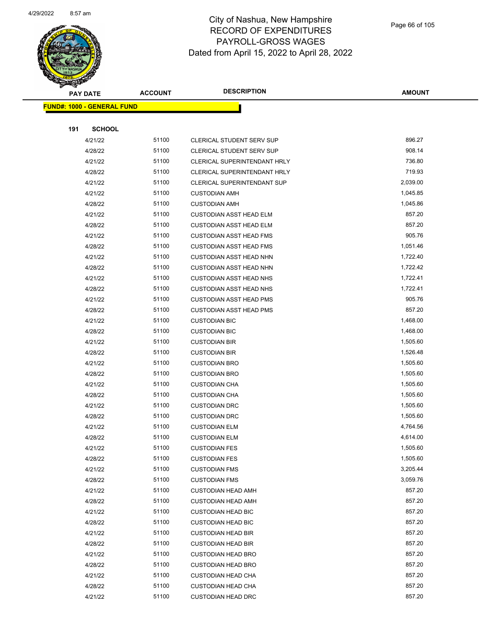

| $\checkmark$ | <b>PAY DATE</b>                   | <b>ACCOUNT</b> | <b>DESCRIPTION</b>                                     | <b>AMOUNT</b>    |
|--------------|-----------------------------------|----------------|--------------------------------------------------------|------------------|
|              | <b>FUND#: 1000 - GENERAL FUND</b> |                |                                                        |                  |
|              |                                   |                |                                                        |                  |
| 191          | <b>SCHOOL</b>                     |                |                                                        |                  |
|              | 4/21/22                           | 51100          | CLERICAL STUDENT SERV SUP                              | 896.27           |
|              | 4/28/22                           | 51100          | CLERICAL STUDENT SERV SUP                              | 908.14           |
|              | 4/21/22                           | 51100          | CLERICAL SUPERINTENDANT HRLY                           | 736.80           |
|              | 4/28/22                           | 51100          | CLERICAL SUPERINTENDANT HRLY                           | 719.93           |
|              | 4/21/22                           | 51100          | CLERICAL SUPERINTENDANT SUP                            | 2,039.00         |
|              | 4/21/22                           | 51100          | <b>CUSTODIAN AMH</b>                                   | 1,045.85         |
|              | 4/28/22                           | 51100          | <b>CUSTODIAN AMH</b>                                   | 1,045.86         |
|              | 4/21/22                           | 51100          | CUSTODIAN ASST HEAD ELM                                | 857.20           |
|              | 4/28/22                           | 51100          | <b>CUSTODIAN ASST HEAD ELM</b>                         | 857.20           |
|              | 4/21/22                           | 51100          | <b>CUSTODIAN ASST HEAD FMS</b>                         | 905.76           |
|              | 4/28/22                           | 51100          | <b>CUSTODIAN ASST HEAD FMS</b>                         | 1,051.46         |
|              | 4/21/22                           | 51100          | <b>CUSTODIAN ASST HEAD NHN</b>                         | 1,722.40         |
|              | 4/28/22                           | 51100          | <b>CUSTODIAN ASST HEAD NHN</b>                         | 1,722.42         |
|              | 4/21/22                           | 51100          | <b>CUSTODIAN ASST HEAD NHS</b>                         | 1,722.41         |
|              | 4/28/22                           | 51100          | <b>CUSTODIAN ASST HEAD NHS</b>                         | 1,722.41         |
|              | 4/21/22                           | 51100          | CUSTODIAN ASST HEAD PMS                                | 905.76           |
|              | 4/28/22                           | 51100          | <b>CUSTODIAN ASST HEAD PMS</b>                         | 857.20           |
|              | 4/21/22                           | 51100          | <b>CUSTODIAN BIC</b>                                   | 1,468.00         |
|              | 4/28/22                           | 51100          | <b>CUSTODIAN BIC</b>                                   | 1,468.00         |
|              | 4/21/22                           | 51100          | <b>CUSTODIAN BIR</b>                                   | 1,505.60         |
|              | 4/28/22                           | 51100          | <b>CUSTODIAN BIR</b>                                   | 1,526.48         |
|              | 4/21/22                           | 51100          | <b>CUSTODIAN BRO</b>                                   | 1,505.60         |
|              | 4/28/22                           | 51100          | <b>CUSTODIAN BRO</b>                                   | 1,505.60         |
|              | 4/21/22                           | 51100          | <b>CUSTODIAN CHA</b>                                   | 1,505.60         |
|              | 4/28/22                           | 51100          | <b>CUSTODIAN CHA</b>                                   | 1,505.60         |
|              | 4/21/22                           | 51100          | <b>CUSTODIAN DRC</b>                                   | 1,505.60         |
|              | 4/28/22                           | 51100          | <b>CUSTODIAN DRC</b>                                   | 1,505.60         |
|              | 4/21/22                           | 51100          | <b>CUSTODIAN ELM</b>                                   | 4,764.56         |
|              | 4/28/22                           | 51100          | <b>CUSTODIAN ELM</b>                                   | 4,614.00         |
|              | 4/21/22                           | 51100          | <b>CUSTODIAN FES</b>                                   | 1,505.60         |
|              | 4/28/22                           | 51100          | <b>CUSTODIAN FES</b>                                   | 1,505.60         |
|              | 4/21/22                           | 51100          | <b>CUSTODIAN FMS</b>                                   | 3,205.44         |
|              | 4/28/22                           | 51100          | <b>CUSTODIAN FMS</b>                                   | 3,059.76         |
|              | 4/21/22                           | 51100          | <b>CUSTODIAN HEAD AMH</b>                              | 857.20           |
|              | 4/28/22                           | 51100          | <b>CUSTODIAN HEAD AMH</b>                              | 857.20           |
|              | 4/21/22                           | 51100          | <b>CUSTODIAN HEAD BIC</b>                              | 857.20           |
|              | 4/28/22                           | 51100          | <b>CUSTODIAN HEAD BIC</b>                              | 857.20<br>857.20 |
|              | 4/21/22<br>4/28/22                | 51100<br>51100 | <b>CUSTODIAN HEAD BIR</b>                              | 857.20           |
|              |                                   |                | <b>CUSTODIAN HEAD BIR</b>                              | 857.20           |
|              | 4/21/22<br>4/28/22                | 51100<br>51100 | <b>CUSTODIAN HEAD BRO</b>                              | 857.20           |
|              | 4/21/22                           | 51100          | <b>CUSTODIAN HEAD BRO</b><br><b>CUSTODIAN HEAD CHA</b> | 857.20           |
|              | 4/28/22                           | 51100          | <b>CUSTODIAN HEAD CHA</b>                              | 857.20           |
|              | 4/21/22                           | 51100          | <b>CUSTODIAN HEAD DRC</b>                              | 857.20           |
|              |                                   |                |                                                        |                  |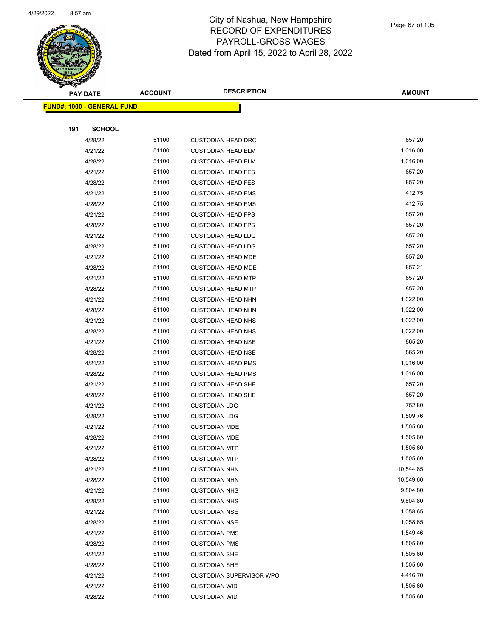

| <b>PAY DATE</b>                    | <b>ACCOUNT</b> | <b>DESCRIPTION</b>              | <b>AMOUNT</b> |
|------------------------------------|----------------|---------------------------------|---------------|
| <u> FUND#: 1000 - GENERAL FUND</u> |                |                                 |               |
|                                    |                |                                 |               |
| <b>SCHOOL</b><br>191               |                |                                 |               |
| 4/28/22                            | 51100          | <b>CUSTODIAN HEAD DRC</b>       | 857.20        |
| 4/21/22                            | 51100          | <b>CUSTODIAN HEAD ELM</b>       | 1,016.00      |
| 4/28/22                            | 51100          | <b>CUSTODIAN HEAD ELM</b>       | 1,016.00      |
| 4/21/22                            | 51100          | <b>CUSTODIAN HEAD FES</b>       | 857.20        |
| 4/28/22                            | 51100          | <b>CUSTODIAN HEAD FES</b>       | 857.20        |
| 4/21/22                            | 51100          | <b>CUSTODIAN HEAD FMS</b>       | 412.75        |
| 4/28/22                            | 51100          | <b>CUSTODIAN HEAD FMS</b>       | 412.75        |
| 4/21/22                            | 51100          | <b>CUSTODIAN HEAD FPS</b>       | 857.20        |
| 4/28/22                            | 51100          | <b>CUSTODIAN HEAD FPS</b>       | 857.20        |
| 4/21/22                            | 51100          | <b>CUSTODIAN HEAD LDG</b>       | 857.20        |
| 4/28/22                            | 51100          | <b>CUSTODIAN HEAD LDG</b>       | 857.20        |
| 4/21/22                            | 51100          | <b>CUSTODIAN HEAD MDE</b>       | 857.20        |
| 4/28/22                            | 51100          | <b>CUSTODIAN HEAD MDE</b>       | 857.21        |
| 4/21/22                            | 51100          | <b>CUSTODIAN HEAD MTP</b>       | 857.20        |
| 4/28/22                            | 51100          | <b>CUSTODIAN HEAD MTP</b>       | 857.20        |
| 4/21/22                            | 51100          | <b>CUSTODIAN HEAD NHN</b>       | 1,022.00      |
| 4/28/22                            | 51100          | <b>CUSTODIAN HEAD NHN</b>       | 1,022.00      |
| 4/21/22                            | 51100          | <b>CUSTODIAN HEAD NHS</b>       | 1,022.00      |
| 4/28/22                            | 51100          | <b>CUSTODIAN HEAD NHS</b>       | 1,022.00      |
| 4/21/22                            | 51100          | <b>CUSTODIAN HEAD NSE</b>       | 865.20        |
| 4/28/22                            | 51100          | <b>CUSTODIAN HEAD NSE</b>       | 865.20        |
| 4/21/22                            | 51100          | <b>CUSTODIAN HEAD PMS</b>       | 1,016.00      |
| 4/28/22                            | 51100          | <b>CUSTODIAN HEAD PMS</b>       | 1,016.00      |
| 4/21/22                            | 51100          | <b>CUSTODIAN HEAD SHE</b>       | 857.20        |
| 4/28/22                            | 51100          | <b>CUSTODIAN HEAD SHE</b>       | 857.20        |
| 4/21/22                            | 51100          | <b>CUSTODIAN LDG</b>            | 752.80        |
| 4/28/22                            | 51100          | <b>CUSTODIAN LDG</b>            | 1,509.76      |
| 4/21/22                            | 51100          | <b>CUSTODIAN MDE</b>            | 1,505.60      |
| 4/28/22                            | 51100          | <b>CUSTODIAN MDE</b>            | 1,505.60      |
| 4/21/22                            | 51100          | <b>CUSTODIAN MTP</b>            | 1,505.60      |
| 4/28/22                            | 51100          | <b>CUSTODIAN MTP</b>            | 1,505.60      |
| 4/21/22                            | 51100          | <b>CUSTODIAN NHN</b>            | 10,544.85     |
| 4/28/22                            | 51100          | <b>CUSTODIAN NHN</b>            | 10,549.60     |
| 4/21/22                            | 51100          | <b>CUSTODIAN NHS</b>            | 9,804.80      |
| 4/28/22                            | 51100          | <b>CUSTODIAN NHS</b>            | 9,804.80      |
| 4/21/22                            | 51100          | <b>CUSTODIAN NSE</b>            | 1,058.65      |
| 4/28/22                            | 51100          | <b>CUSTODIAN NSE</b>            | 1,058.65      |
| 4/21/22                            | 51100          | <b>CUSTODIAN PMS</b>            | 1,549.46      |
| 4/28/22                            | 51100          | <b>CUSTODIAN PMS</b>            | 1,505.60      |
| 4/21/22                            | 51100          | <b>CUSTODIAN SHE</b>            | 1,505.60      |
| 4/28/22                            | 51100          | <b>CUSTODIAN SHE</b>            | 1,505.60      |
| 4/21/22                            | 51100          | <b>CUSTODIAN SUPERVISOR WPO</b> | 4,416.70      |
| 4/21/22                            | 51100          | <b>CUSTODIAN WID</b>            | 1,505.60      |
| 4/28/22                            | 51100          | <b>CUSTODIAN WID</b>            | 1,505.60      |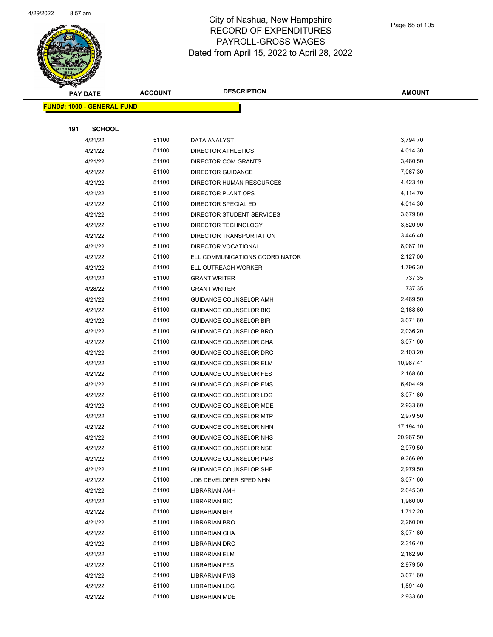

|     | <b>PAY DATE</b>                    | <b>ACCOUNT</b> | <b>DESCRIPTION</b>             | <b>AMOUNT</b> |
|-----|------------------------------------|----------------|--------------------------------|---------------|
|     | <u> FUND#: 1000 - GENERAL FUND</u> |                |                                |               |
|     |                                    |                |                                |               |
| 191 | <b>SCHOOL</b>                      |                |                                |               |
|     | 4/21/22                            | 51100          | DATA ANALYST                   | 3,794.70      |
|     | 4/21/22                            | 51100          | <b>DIRECTOR ATHLETICS</b>      | 4,014.30      |
|     | 4/21/22                            | 51100          | DIRECTOR COM GRANTS            | 3,460.50      |
|     | 4/21/22                            | 51100          | <b>DIRECTOR GUIDANCE</b>       | 7,067.30      |
|     | 4/21/22                            | 51100          | DIRECTOR HUMAN RESOURCES       | 4,423.10      |
|     | 4/21/22                            | 51100          | DIRECTOR PLANT OPS             | 4,114.70      |
|     | 4/21/22                            | 51100          | DIRECTOR SPECIAL ED            | 4,014.30      |
|     | 4/21/22                            | 51100          | DIRECTOR STUDENT SERVICES      | 3,679.80      |
|     | 4/21/22                            | 51100          | DIRECTOR TECHNOLOGY            | 3,820.90      |
|     | 4/21/22                            | 51100          | DIRECTOR TRANSPORTATION        | 3,446.40      |
|     | 4/21/22                            | 51100          | DIRECTOR VOCATIONAL            | 8,087.10      |
|     | 4/21/22                            | 51100          | ELL COMMUNICATIONS COORDINATOR | 2,127.00      |
|     | 4/21/22                            | 51100          | ELL OUTREACH WORKER            | 1,796.30      |
|     | 4/21/22                            | 51100          | <b>GRANT WRITER</b>            | 737.35        |
|     | 4/28/22                            | 51100          | <b>GRANT WRITER</b>            | 737.35        |
|     | 4/21/22                            | 51100          | <b>GUIDANCE COUNSELOR AMH</b>  | 2,469.50      |
|     | 4/21/22                            | 51100          | GUIDANCE COUNSELOR BIC         | 2,168.60      |
|     | 4/21/22                            | 51100          | <b>GUIDANCE COUNSELOR BIR</b>  | 3,071.60      |
|     | 4/21/22                            | 51100          | GUIDANCE COUNSELOR BRO         | 2,036.20      |
|     | 4/21/22                            | 51100          | GUIDANCE COUNSELOR CHA         | 3,071.60      |
|     | 4/21/22                            | 51100          | GUIDANCE COUNSELOR DRC         | 2,103.20      |
|     | 4/21/22                            | 51100          | <b>GUIDANCE COUNSELOR ELM</b>  | 10,987.41     |
|     | 4/21/22                            | 51100          | <b>GUIDANCE COUNSELOR FES</b>  | 2,168.60      |
|     | 4/21/22                            | 51100          | <b>GUIDANCE COUNSELOR FMS</b>  | 6,404.49      |
|     | 4/21/22                            | 51100          | <b>GUIDANCE COUNSELOR LDG</b>  | 3,071.60      |
|     | 4/21/22                            | 51100          | <b>GUIDANCE COUNSELOR MDE</b>  | 2,933.60      |
|     | 4/21/22                            | 51100          | <b>GUIDANCE COUNSELOR MTP</b>  | 2,979.50      |
|     | 4/21/22                            | 51100          | GUIDANCE COUNSELOR NHN         | 17,194.10     |
|     | 4/21/22                            | 51100          | GUIDANCE COUNSELOR NHS         | 20,967.50     |
|     | 4/21/22                            | 51100          | <b>GUIDANCE COUNSELOR NSE</b>  | 2,979.50      |
|     | 4/21/22                            | 51100          | <b>GUIDANCE COUNSELOR PMS</b>  | 9,366.90      |
|     | 4/21/22                            | 51100          | <b>GUIDANCE COUNSELOR SHE</b>  | 2,979.50      |
|     | 4/21/22                            | 51100          | JOB DEVELOPER SPED NHN         | 3,071.60      |
|     | 4/21/22                            | 51100          | LIBRARIAN AMH                  | 2,045.30      |
|     | 4/21/22                            | 51100          | <b>LIBRARIAN BIC</b>           | 1,960.00      |
|     | 4/21/22                            | 51100          | LIBRARIAN BIR                  | 1,712.20      |
|     | 4/21/22                            | 51100          | LIBRARIAN BRO                  | 2,260.00      |
|     | 4/21/22                            | 51100          | <b>LIBRARIAN CHA</b>           | 3,071.60      |
|     | 4/21/22                            | 51100          | <b>LIBRARIAN DRC</b>           | 2,316.40      |
|     | 4/21/22                            | 51100          | LIBRARIAN ELM                  | 2,162.90      |
|     | 4/21/22                            | 51100          | <b>LIBRARIAN FES</b>           | 2,979.50      |
|     | 4/21/22                            | 51100          | LIBRARIAN FMS                  | 3,071.60      |
|     | 4/21/22                            | 51100          | <b>LIBRARIAN LDG</b>           | 1,891.40      |
|     | 4/21/22                            | 51100          | LIBRARIAN MDE                  | 2,933.60      |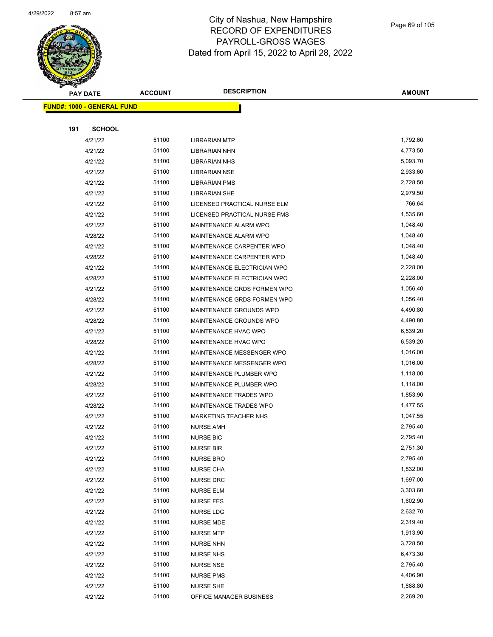

|     | <b>PAY DATE</b>                    | <b>ACCOUNT</b> | <b>DESCRIPTION</b>           | AMOUNT   |
|-----|------------------------------------|----------------|------------------------------|----------|
|     | <u> FUND#: 1000 - GENERAL FUND</u> |                |                              |          |
|     |                                    |                |                              |          |
| 191 | <b>SCHOOL</b>                      |                |                              |          |
|     | 4/21/22                            | 51100          | <b>LIBRARIAN MTP</b>         | 1,792.60 |
|     | 4/21/22                            | 51100          | LIBRARIAN NHN                | 4,773.50 |
|     | 4/21/22                            | 51100          | <b>LIBRARIAN NHS</b>         | 5,093.70 |
|     | 4/21/22                            | 51100          | <b>LIBRARIAN NSE</b>         | 2,933.60 |
|     | 4/21/22                            | 51100          | <b>LIBRARIAN PMS</b>         | 2,728.50 |
|     | 4/21/22                            | 51100          | <b>LIBRARIAN SHE</b>         | 2,979.50 |
|     | 4/21/22                            | 51100          | LICENSED PRACTICAL NURSE ELM | 766.64   |
|     | 4/21/22                            | 51100          | LICENSED PRACTICAL NURSE FMS | 1,535.60 |
|     | 4/21/22                            | 51100          | MAINTENANCE ALARM WPO        | 1,048.40 |
|     | 4/28/22                            | 51100          | MAINTENANCE ALARM WPO        | 1,048.40 |
|     | 4/21/22                            | 51100          | MAINTENANCE CARPENTER WPO    | 1,048.40 |
|     | 4/28/22                            | 51100          | MAINTENANCE CARPENTER WPO    | 1,048.40 |
|     | 4/21/22                            | 51100          | MAINTENANCE ELECTRICIAN WPO  | 2,228.00 |
|     | 4/28/22                            | 51100          | MAINTENANCE ELECTRICIAN WPO  | 2,228.00 |
|     | 4/21/22                            | 51100          | MAINTENANCE GRDS FORMEN WPO  | 1,056.40 |
|     | 4/28/22                            | 51100          | MAINTENANCE GRDS FORMEN WPO  | 1,056.40 |
|     | 4/21/22                            | 51100          | MAINTENANCE GROUNDS WPO      | 4,490.80 |
|     | 4/28/22                            | 51100          | MAINTENANCE GROUNDS WPO      | 4,490.80 |
|     | 4/21/22                            | 51100          | <b>MAINTENANCE HVAC WPO</b>  | 6,539.20 |
|     | 4/28/22                            | 51100          | MAINTENANCE HVAC WPO         | 6,539.20 |
|     | 4/21/22                            | 51100          | MAINTENANCE MESSENGER WPO    | 1,016.00 |
|     | 4/28/22                            | 51100          | MAINTENANCE MESSENGER WPO    | 1,016.00 |
|     | 4/21/22                            | 51100          | MAINTENANCE PLUMBER WPO      | 1,118.00 |
|     | 4/28/22                            | 51100          | MAINTENANCE PLUMBER WPO      | 1,118.00 |
|     | 4/21/22                            | 51100          | MAINTENANCE TRADES WPO       | 1,853.90 |
|     | 4/28/22                            | 51100          | MAINTENANCE TRADES WPO       | 1,477.55 |
|     | 4/21/22                            | 51100          | <b>MARKETING TEACHER NHS</b> | 1,047.55 |
|     | 4/21/22                            | 51100          | <b>NURSE AMH</b>             | 2,795.40 |
|     | 4/21/22                            | 51100          | <b>NURSE BIC</b>             | 2,795.40 |
|     | 4/21/22                            | 51100          | <b>NURSE BIR</b>             | 2,751.30 |
|     | 4/21/22                            | 51100          | <b>NURSE BRO</b>             | 2,795.40 |
|     | 4/21/22                            | 51100          | <b>NURSE CHA</b>             | 1,832.00 |
|     | 4/21/22                            | 51100          | NURSE DRC                    | 1,697.00 |
|     | 4/21/22                            | 51100          | <b>NURSE ELM</b>             | 3,303.60 |
|     | 4/21/22                            | 51100          | <b>NURSE FES</b>             | 1,602.90 |
|     | 4/21/22                            | 51100          | <b>NURSE LDG</b>             | 2,632.70 |
|     | 4/21/22                            | 51100          | NURSE MDE                    | 2,319.40 |
|     | 4/21/22                            | 51100          | <b>NURSE MTP</b>             | 1,913.90 |
|     | 4/21/22                            | 51100          | <b>NURSE NHN</b>             | 3,728.50 |
|     | 4/21/22                            | 51100          | <b>NURSE NHS</b>             | 6,473.30 |
|     | 4/21/22                            | 51100          | <b>NURSE NSE</b>             | 2,795.40 |
|     | 4/21/22                            | 51100          | <b>NURSE PMS</b>             | 4,406.90 |
|     | 4/21/22                            | 51100          | <b>NURSE SHE</b>             | 1,888.80 |
|     | 4/21/22                            | 51100          | OFFICE MANAGER BUSINESS      | 2,269.20 |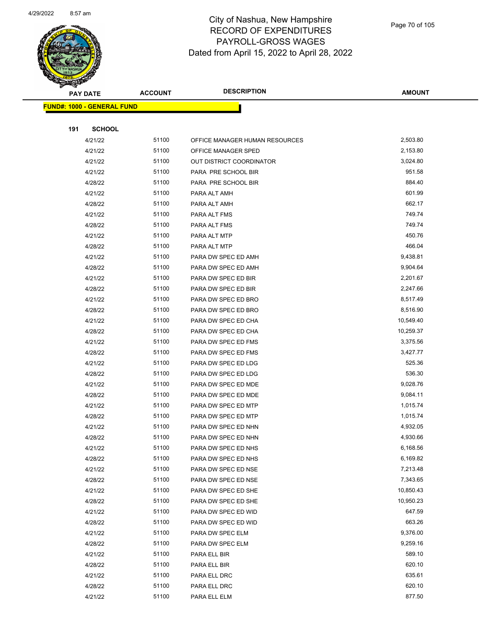

|     | PAY DATE                          | <b>ACCOUNT</b> | <b>DESCRIPTION</b>             | <b>AMOUNT</b> |
|-----|-----------------------------------|----------------|--------------------------------|---------------|
|     | <b>FUND#: 1000 - GENERAL FUND</b> |                |                                |               |
|     |                                   |                |                                |               |
| 191 | <b>SCHOOL</b>                     |                |                                |               |
|     | 4/21/22                           | 51100          | OFFICE MANAGER HUMAN RESOURCES | 2,503.80      |
|     | 4/21/22                           | 51100          | OFFICE MANAGER SPED            | 2,153.80      |
|     | 4/21/22                           | 51100          | OUT DISTRICT COORDINATOR       | 3,024.80      |
|     | 4/21/22                           | 51100          | PARA PRE SCHOOL BIR            | 951.58        |
|     | 4/28/22                           | 51100          | PARA PRE SCHOOL BIR            | 884.40        |
|     | 4/21/22                           | 51100          | PARA ALT AMH                   | 601.99        |
|     | 4/28/22                           | 51100          | PARA ALT AMH                   | 662.17        |
|     | 4/21/22                           | 51100          | PARA ALT FMS                   | 749.74        |
|     | 4/28/22                           | 51100          | PARA ALT FMS                   | 749.74        |
|     | 4/21/22                           | 51100          | PARA ALT MTP                   | 450.76        |
|     | 4/28/22                           | 51100          | PARA ALT MTP                   | 466.04        |
|     | 4/21/22                           | 51100          | PARA DW SPEC ED AMH            | 9,438.81      |
|     | 4/28/22                           | 51100          | PARA DW SPEC ED AMH            | 9,904.64      |
|     | 4/21/22                           | 51100          | PARA DW SPEC ED BIR            | 2,201.67      |
|     | 4/28/22                           | 51100          | PARA DW SPEC ED BIR            | 2,247.66      |
|     | 4/21/22                           | 51100          | PARA DW SPEC ED BRO            | 8,517.49      |
|     | 4/28/22                           | 51100          | PARA DW SPEC ED BRO            | 8,516.90      |
|     | 4/21/22                           | 51100          | PARA DW SPEC ED CHA            | 10,549.40     |
|     | 4/28/22                           | 51100          | PARA DW SPEC ED CHA            | 10,259.37     |
|     | 4/21/22                           | 51100          | PARA DW SPEC ED FMS            | 3,375.56      |
|     | 4/28/22                           | 51100          | PARA DW SPEC ED FMS            | 3,427.77      |
|     | 4/21/22                           | 51100          | PARA DW SPEC ED LDG            | 525.36        |
|     | 4/28/22                           | 51100          | PARA DW SPEC ED LDG            | 536.30        |
|     | 4/21/22                           | 51100          | PARA DW SPEC ED MDE            | 9,028.76      |
|     | 4/28/22                           | 51100          | PARA DW SPEC ED MDE            | 9,084.11      |
|     | 4/21/22                           | 51100          | PARA DW SPEC ED MTP            | 1,015.74      |
|     | 4/28/22                           | 51100          | PARA DW SPEC ED MTP            | 1,015.74      |
|     | 4/21/22                           | 51100          | PARA DW SPEC ED NHN            | 4,932.05      |
|     | 4/28/22                           | 51100          | PARA DW SPEC ED NHN            | 4,930.66      |
|     | 4/21/22                           | 51100          | PARA DW SPEC ED NHS            | 6,168.56      |
|     | 4/28/22                           | 51100          | PARA DW SPEC ED NHS            | 6,169.82      |
|     | 4/21/22                           | 51100          | PARA DW SPEC ED NSE            | 7,213.48      |
|     | 4/28/22                           | 51100          | PARA DW SPEC ED NSE            | 7,343.65      |
|     | 4/21/22                           | 51100          | PARA DW SPEC ED SHE            | 10,850.43     |
|     | 4/28/22                           | 51100          | PARA DW SPEC ED SHE            | 10,950.23     |
|     | 4/21/22                           | 51100          | PARA DW SPEC ED WID            | 647.59        |
|     | 4/28/22                           | 51100          | PARA DW SPEC ED WID            | 663.26        |
|     | 4/21/22                           | 51100          | PARA DW SPEC ELM               | 9,376.00      |
|     | 4/28/22                           | 51100          | PARA DW SPEC ELM               | 9,259.16      |
|     | 4/21/22                           | 51100          | PARA ELL BIR                   | 589.10        |
|     | 4/28/22                           | 51100          | PARA ELL BIR                   | 620.10        |
|     | 4/21/22                           | 51100          | PARA ELL DRC                   | 635.61        |
|     | 4/28/22                           | 51100          | PARA ELL DRC                   | 620.10        |
|     | 4/21/22                           | 51100          | PARA ELL ELM                   | 877.50        |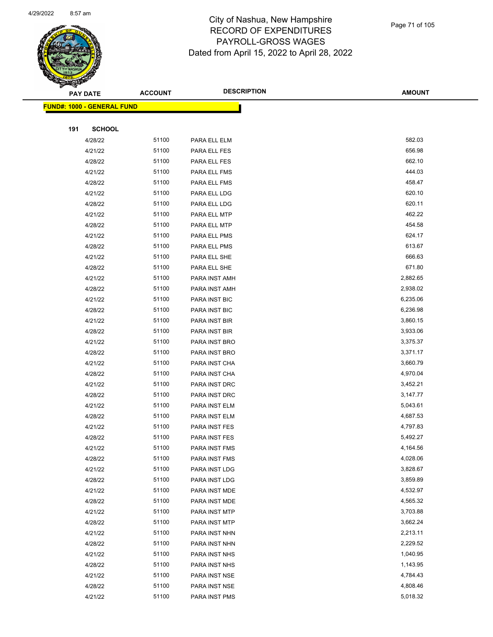

| <b>PAY DATE</b> |                                   | <b>ACCOUNT</b> | <b>DESCRIPTION</b>   | <b>AMOUNT</b> |
|-----------------|-----------------------------------|----------------|----------------------|---------------|
|                 | <b>FUND#: 1000 - GENERAL FUND</b> |                |                      |               |
|                 |                                   |                |                      |               |
| 191             | <b>SCHOOL</b>                     |                |                      |               |
|                 | 4/28/22                           | 51100          | PARA ELL ELM         | 582.03        |
|                 | 4/21/22                           | 51100          | PARA ELL FES         | 656.98        |
|                 | 4/28/22                           | 51100          | PARA ELL FES         | 662.10        |
|                 | 4/21/22                           | 51100          | PARA ELL FMS         | 444.03        |
|                 | 4/28/22                           | 51100          | PARA ELL FMS         | 458.47        |
|                 | 4/21/22                           | 51100          | PARA ELL LDG         | 620.10        |
|                 | 4/28/22                           | 51100          | PARA ELL LDG         | 620.11        |
|                 | 4/21/22                           | 51100          | PARA ELL MTP         | 462.22        |
|                 | 4/28/22                           | 51100          | PARA ELL MTP         | 454.58        |
|                 | 4/21/22                           | 51100          | PARA ELL PMS         | 624.17        |
|                 | 4/28/22                           | 51100          | PARA ELL PMS         | 613.67        |
|                 | 4/21/22                           | 51100          | PARA ELL SHE         | 666.63        |
|                 | 4/28/22                           | 51100          | PARA ELL SHE         | 671.80        |
|                 | 4/21/22                           | 51100          | PARA INST AMH        | 2,882.65      |
|                 | 4/28/22                           | 51100          | PARA INST AMH        | 2,938.02      |
|                 | 4/21/22                           | 51100          | PARA INST BIC        | 6,235.06      |
|                 | 4/28/22                           | 51100          | PARA INST BIC        | 6,236.98      |
|                 | 4/21/22                           | 51100          | PARA INST BIR        | 3,860.15      |
|                 | 4/28/22                           | 51100          | PARA INST BIR        | 3,933.06      |
|                 | 4/21/22                           | 51100          | PARA INST BRO        | 3,375.37      |
|                 | 4/28/22                           | 51100          | PARA INST BRO        | 3,371.17      |
|                 | 4/21/22                           | 51100          | PARA INST CHA        | 3,660.79      |
|                 | 4/28/22                           | 51100          | PARA INST CHA        | 4,970.04      |
|                 | 4/21/22                           | 51100          | PARA INST DRC        | 3,452.21      |
|                 | 4/28/22                           | 51100          | PARA INST DRC        | 3,147.77      |
|                 | 4/21/22                           | 51100          | PARA INST ELM        | 5,043.61      |
|                 | 4/28/22                           | 51100          | PARA INST ELM        | 4,687.53      |
|                 | 4/21/22                           | 51100          | PARA INST FES        | 4,797.83      |
|                 | 4/28/22                           | 51100          | PARA INST FES        | 5,492.27      |
|                 | 4/21/22                           | 51100          | <b>PARA INST FMS</b> | 4,164.56      |
|                 | 4/28/22                           | 51100          | PARA INST FMS        | 4,028.06      |
|                 | 4/21/22                           | 51100          | PARA INST LDG        | 3,828.67      |
|                 | 4/28/22                           | 51100          | PARA INST LDG        | 3,859.89      |
|                 | 4/21/22                           | 51100          | PARA INST MDE        | 4,532.97      |
|                 | 4/28/22                           | 51100          | PARA INST MDE        | 4,565.32      |
|                 | 4/21/22                           | 51100          | PARA INST MTP        | 3,703.88      |
|                 | 4/28/22                           | 51100          | PARA INST MTP        | 3,662.24      |
|                 | 4/21/22                           | 51100          | PARA INST NHN        | 2,213.11      |
|                 | 4/28/22                           | 51100          | PARA INST NHN        | 2,229.52      |
|                 | 4/21/22                           | 51100          | PARA INST NHS        | 1,040.95      |
|                 | 4/28/22                           | 51100          | PARA INST NHS        | 1,143.95      |
|                 | 4/21/22                           | 51100          | PARA INST NSE        | 4,784.43      |
|                 | 4/28/22                           | 51100          | PARA INST NSE        | 4,808.46      |
|                 | 4/21/22                           | 51100          | PARA INST PMS        | 5,018.32      |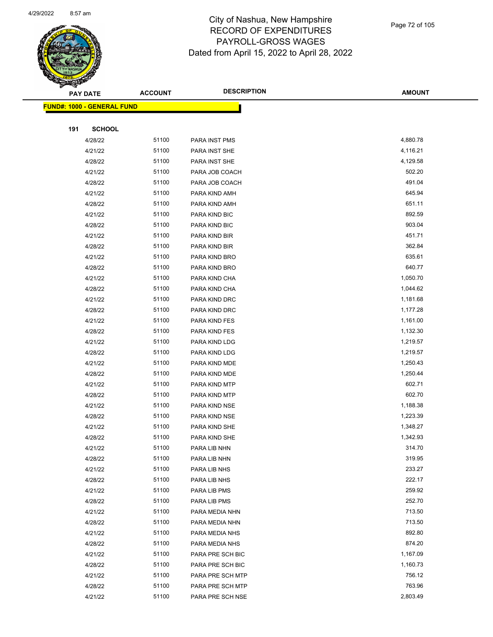

|     | <b>PAY DATE</b>                    | <b>ACCOUNT</b> | <b>DESCRIPTION</b> | <b>AMOUNT</b> |
|-----|------------------------------------|----------------|--------------------|---------------|
|     | <u> FUND#: 1000 - GENERAL FUND</u> |                |                    |               |
|     |                                    |                |                    |               |
| 191 | <b>SCHOOL</b>                      |                |                    |               |
|     | 4/28/22                            | 51100          | PARA INST PMS      | 4,880.78      |
|     | 4/21/22                            | 51100          | PARA INST SHE      | 4,116.21      |
|     | 4/28/22                            | 51100          | PARA INST SHE      | 4,129.58      |
|     | 4/21/22                            | 51100          | PARA JOB COACH     | 502.20        |
|     | 4/28/22                            | 51100          | PARA JOB COACH     | 491.04        |
|     | 4/21/22                            | 51100          | PARA KIND AMH      | 645.94        |
|     | 4/28/22                            | 51100          | PARA KIND AMH      | 651.11        |
|     | 4/21/22                            | 51100          | PARA KIND BIC      | 892.59        |
|     | 4/28/22                            | 51100          | PARA KIND BIC      | 903.04        |
|     | 4/21/22                            | 51100          | PARA KIND BIR      | 451.71        |
|     | 4/28/22                            | 51100          | PARA KIND BIR      | 362.84        |
|     | 4/21/22                            | 51100          | PARA KIND BRO      | 635.61        |
|     | 4/28/22                            | 51100          | PARA KIND BRO      | 640.77        |
|     | 4/21/22                            | 51100          | PARA KIND CHA      | 1,050.70      |
|     | 4/28/22                            | 51100          | PARA KIND CHA      | 1,044.62      |
|     | 4/21/22                            | 51100          | PARA KIND DRC      | 1,181.68      |
|     | 4/28/22                            | 51100          | PARA KIND DRC      | 1,177.28      |
|     | 4/21/22                            | 51100          | PARA KIND FES      | 1,161.00      |
|     | 4/28/22                            | 51100          | PARA KIND FES      | 1,132.30      |
|     | 4/21/22                            | 51100          | PARA KIND LDG      | 1,219.57      |
|     | 4/28/22                            | 51100          | PARA KIND LDG      | 1,219.57      |
|     | 4/21/22                            | 51100          | PARA KIND MDE      | 1,250.43      |
|     | 4/28/22                            | 51100          | PARA KIND MDE      | 1,250.44      |
|     | 4/21/22                            | 51100          | PARA KIND MTP      | 602.71        |
|     | 4/28/22                            | 51100          | PARA KIND MTP      | 602.70        |
|     | 4/21/22                            | 51100          | PARA KIND NSE      | 1,188.38      |
|     | 4/28/22                            | 51100          | PARA KIND NSE      | 1,223.39      |
|     | 4/21/22                            | 51100          | PARA KIND SHE      | 1,348.27      |
|     | 4/28/22                            | 51100          | PARA KIND SHE      | 1,342.93      |
|     | 4/21/22                            | 51100          | PARA LIB NHN       | 314.70        |
|     | 4/28/22                            | 51100          | PARA LIB NHN       | 319.95        |
|     | 4/21/22                            | 51100          | PARA LIB NHS       | 233.27        |
|     | 4/28/22                            | 51100          | PARA LIB NHS       | 222.17        |
|     | 4/21/22                            | 51100          | PARA LIB PMS       | 259.92        |
|     | 4/28/22                            | 51100          | PARA LIB PMS       | 252.70        |
|     | 4/21/22                            | 51100          | PARA MEDIA NHN     | 713.50        |
|     | 4/28/22                            | 51100          | PARA MEDIA NHN     | 713.50        |
|     | 4/21/22                            | 51100          | PARA MEDIA NHS     | 892.80        |
|     | 4/28/22                            | 51100          | PARA MEDIA NHS     | 874.20        |
|     | 4/21/22                            | 51100          | PARA PRE SCH BIC   | 1,167.09      |
|     | 4/28/22                            | 51100          | PARA PRE SCH BIC   | 1,160.73      |
|     | 4/21/22                            | 51100          | PARA PRE SCH MTP   | 756.12        |
|     | 4/28/22                            | 51100          | PARA PRE SCH MTP   | 763.96        |
|     | 4/21/22                            | 51100          | PARA PRE SCH NSE   | 2,803.49      |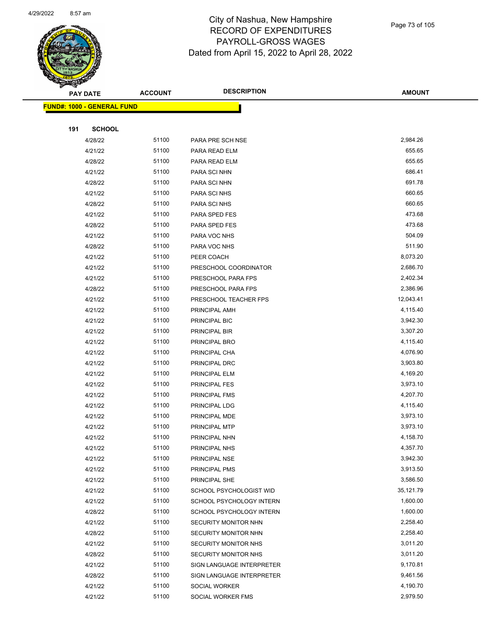

Page 73 of 105

|     | <b>PAY DATE</b>                   | <b>ACCOUNT</b> | <b>DESCRIPTION</b>                                | <b>AMOUNT</b>         |
|-----|-----------------------------------|----------------|---------------------------------------------------|-----------------------|
|     | <b>FUND#: 1000 - GENERAL FUND</b> |                |                                                   |                       |
|     |                                   |                |                                                   |                       |
| 191 | <b>SCHOOL</b>                     |                |                                                   |                       |
|     | 4/28/22                           | 51100          | PARA PRE SCH NSE                                  | 2,984.26              |
|     | 4/21/22                           | 51100          | PARA READ ELM                                     | 655.65                |
|     | 4/28/22                           | 51100          | PARA READ ELM                                     | 655.65                |
|     | 4/21/22                           | 51100          | PARA SCI NHN                                      | 686.41                |
|     | 4/28/22                           | 51100          | PARA SCI NHN                                      | 691.78                |
|     | 4/21/22                           | 51100          | PARA SCI NHS                                      | 660.65                |
|     | 4/28/22                           | 51100          | PARA SCI NHS                                      | 660.65                |
|     | 4/21/22                           | 51100          | PARA SPED FES                                     | 473.68                |
|     | 4/28/22                           | 51100          | PARA SPED FES                                     | 473.68                |
|     | 4/21/22                           | 51100          | PARA VOC NHS                                      | 504.09                |
|     | 4/28/22                           | 51100          | PARA VOC NHS                                      | 511.90                |
|     | 4/21/22                           | 51100          | PEER COACH                                        | 8,073.20              |
|     | 4/21/22                           | 51100          | PRESCHOOL COORDINATOR                             | 2,686.70              |
|     | 4/21/22                           | 51100          | PRESCHOOL PARA FPS                                | 2,402.34              |
|     | 4/28/22                           | 51100          | PRESCHOOL PARA FPS                                | 2,386.96              |
|     | 4/21/22                           | 51100          | PRESCHOOL TEACHER FPS                             | 12,043.41             |
|     | 4/21/22                           | 51100          | PRINCIPAL AMH                                     | 4,115.40              |
|     | 4/21/22                           | 51100          | PRINCIPAL BIC                                     | 3,942.30              |
|     | 4/21/22                           | 51100          | PRINCIPAL BIR                                     | 3,307.20              |
|     | 4/21/22                           | 51100          | PRINCIPAL BRO                                     | 4,115.40              |
|     | 4/21/22                           | 51100          | PRINCIPAL CHA                                     | 4,076.90              |
|     | 4/21/22                           | 51100          | PRINCIPAL DRC                                     | 3,903.80              |
|     | 4/21/22                           | 51100          | PRINCIPAL ELM                                     | 4,169.20              |
|     | 4/21/22                           | 51100          | PRINCIPAL FES                                     | 3,973.10              |
|     | 4/21/22                           | 51100          | PRINCIPAL FMS                                     | 4,207.70              |
|     | 4/21/22                           | 51100          | PRINCIPAL LDG                                     | 4,115.40              |
|     | 4/21/22                           | 51100          | PRINCIPAL MDE                                     | 3,973.10              |
|     | 4/21/22                           | 51100          | PRINCIPAL MTP                                     | 3,973.10              |
|     | 4/21/22                           | 51100          | PRINCIPAL NHN                                     | 4,158.70              |
|     | 4/21/22                           | 51100          | PRINCIPAL NHS                                     | 4,357.70              |
|     | 4/21/22                           | 51100          | PRINCIPAL NSE                                     | 3,942.30              |
|     | 4/21/22                           | 51100          | PRINCIPAL PMS                                     | 3,913.50              |
|     | 4/21/22                           | 51100          | PRINCIPAL SHE                                     | 3,586.50              |
|     | 4/21/22                           | 51100          | SCHOOL PSYCHOLOGIST WID                           | 35,121.79<br>1,600.00 |
|     | 4/21/22                           | 51100<br>51100 | SCHOOL PSYCHOLOGY INTERN                          | 1,600.00              |
|     | 4/28/22                           | 51100          | SCHOOL PSYCHOLOGY INTERN                          | 2,258.40              |
|     | 4/21/22<br>4/28/22                | 51100          | SECURITY MONITOR NHN<br>SECURITY MONITOR NHN      | 2,258.40              |
|     | 4/21/22                           | 51100          | SECURITY MONITOR NHS                              | 3,011.20              |
|     |                                   | 51100          |                                                   | 3,011.20              |
|     | 4/28/22<br>4/21/22                | 51100          | SECURITY MONITOR NHS<br>SIGN LANGUAGE INTERPRETER | 9,170.81              |
|     | 4/28/22                           | 51100          | SIGN LANGUAGE INTERPRETER                         | 9,461.56              |
|     | 4/21/22                           | 51100          | SOCIAL WORKER                                     | 4,190.70              |
|     | 4/21/22                           | 51100          | SOCIAL WORKER FMS                                 | 2,979.50              |
|     |                                   |                |                                                   |                       |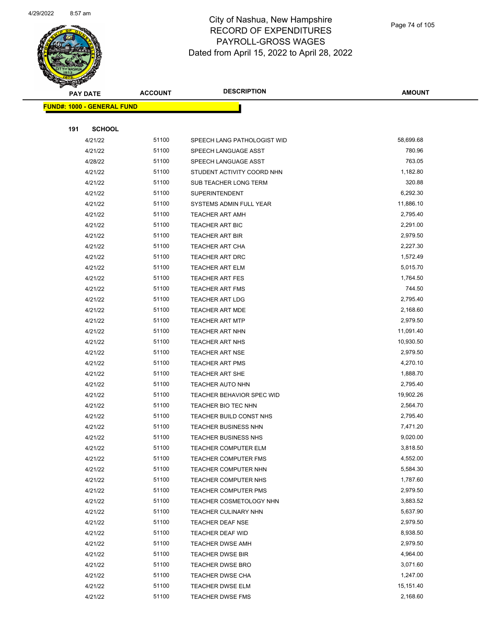

|     | <b>PAY DATE</b>                   | <b>ACCOUNT</b> | <b>DESCRIPTION</b>               | <b>AMOUNT</b> |
|-----|-----------------------------------|----------------|----------------------------------|---------------|
|     | <b>FUND#: 1000 - GENERAL FUND</b> |                |                                  |               |
|     |                                   |                |                                  |               |
| 191 | <b>SCHOOL</b>                     |                |                                  |               |
|     | 4/21/22                           | 51100          | SPEECH LANG PATHOLOGIST WID      | 58,699.68     |
|     | 4/21/22                           | 51100          | SPEECH LANGUAGE ASST             | 780.96        |
|     | 4/28/22                           | 51100          | SPEECH LANGUAGE ASST             | 763.05        |
|     | 4/21/22                           | 51100          | STUDENT ACTIVITY COORD NHN       | 1,182.80      |
|     | 4/21/22                           | 51100          | SUB TEACHER LONG TERM            | 320.88        |
|     | 4/21/22                           | 51100          | <b>SUPERINTENDENT</b>            | 6,292.30      |
|     | 4/21/22                           | 51100          | SYSTEMS ADMIN FULL YEAR          | 11,886.10     |
|     | 4/21/22                           | 51100          | <b>TEACHER ART AMH</b>           | 2,795.40      |
|     | 4/21/22                           | 51100          | TEACHER ART BIC                  | 2,291.00      |
|     | 4/21/22                           | 51100          | TEACHER ART BIR                  | 2,979.50      |
|     | 4/21/22                           | 51100          | <b>TEACHER ART CHA</b>           | 2,227.30      |
|     | 4/21/22                           | 51100          | <b>TEACHER ART DRC</b>           | 1,572.49      |
|     | 4/21/22                           | 51100          | <b>TEACHER ART ELM</b>           | 5,015.70      |
|     | 4/21/22                           | 51100          | <b>TEACHER ART FES</b>           | 1,764.50      |
|     | 4/21/22                           | 51100          | <b>TEACHER ART FMS</b>           | 744.50        |
|     | 4/21/22                           | 51100          | <b>TEACHER ART LDG</b>           | 2,795.40      |
|     | 4/21/22                           | 51100          | <b>TEACHER ART MDE</b>           | 2,168.60      |
|     | 4/21/22                           | 51100          | <b>TEACHER ART MTP</b>           | 2,979.50      |
|     | 4/21/22                           | 51100          | TEACHER ART NHN                  | 11,091.40     |
|     | 4/21/22                           | 51100          | <b>TEACHER ART NHS</b>           | 10,930.50     |
|     | 4/21/22                           | 51100          | <b>TEACHER ART NSE</b>           | 2,979.50      |
|     | 4/21/22                           | 51100          | <b>TEACHER ART PMS</b>           | 4,270.10      |
|     | 4/21/22                           | 51100          | <b>TEACHER ART SHE</b>           | 1,888.70      |
|     | 4/21/22                           | 51100          | <b>TEACHER AUTO NHN</b>          | 2,795.40      |
|     | 4/21/22                           | 51100          | <b>TEACHER BEHAVIOR SPEC WID</b> | 19,902.26     |
|     | 4/21/22                           | 51100          | TEACHER BIO TEC NHN              | 2,564.70      |
|     | 4/21/22                           | 51100          | TEACHER BUILD CONST NHS          | 2,795.40      |
|     | 4/21/22                           | 51100          | <b>TEACHER BUSINESS NHN</b>      | 7,471.20      |
|     | 4/21/22                           | 51100          | <b>TEACHER BUSINESS NHS</b>      | 9,020.00      |
|     | 4/21/22                           | 51100          | <b>TEACHER COMPUTER ELM</b>      | 3,818.50      |
|     | 4/21/22                           | 51100          | <b>TEACHER COMPUTER FMS</b>      | 4,552.00      |
|     | 4/21/22                           | 51100          | TEACHER COMPUTER NHN             | 5,584.30      |
|     | 4/21/22                           | 51100          | TEACHER COMPUTER NHS             | 1,787.60      |
|     | 4/21/22                           | 51100          | <b>TEACHER COMPUTER PMS</b>      | 2,979.50      |
|     | 4/21/22                           | 51100          | TEACHER COSMETOLOGY NHN          | 3,883.52      |
|     | 4/21/22                           | 51100          | TEACHER CULINARY NHN             | 5,637.90      |
|     | 4/21/22                           | 51100          | <b>TEACHER DEAF NSE</b>          | 2,979.50      |
|     | 4/21/22                           | 51100          | TEACHER DEAF WID                 | 8,938.50      |
|     | 4/21/22                           | 51100          | TEACHER DWSE AMH                 | 2,979.50      |
|     | 4/21/22                           | 51100          | <b>TEACHER DWSE BIR</b>          | 4,964.00      |
|     | 4/21/22                           | 51100          | <b>TEACHER DWSE BRO</b>          | 3,071.60      |
|     | 4/21/22                           | 51100          | <b>TEACHER DWSE CHA</b>          | 1,247.00      |
|     | 4/21/22                           | 51100          | <b>TEACHER DWSE ELM</b>          | 15,151.40     |
|     | 4/21/22                           | 51100          | <b>TEACHER DWSE FMS</b>          | 2,168.60      |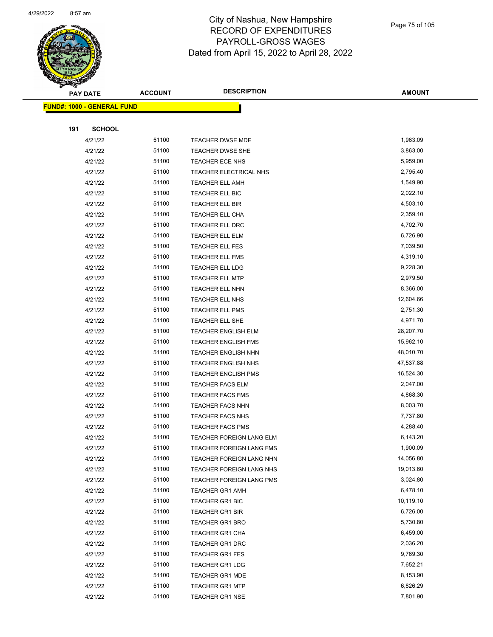

|     | <b>PAY DATE</b>                    | <b>ACCOUNT</b> | <b>DESCRIPTION</b>         | <b>AMOUNT</b> |  |
|-----|------------------------------------|----------------|----------------------------|---------------|--|
|     | <u> FUND#: 1000 - GENERAL FUND</u> |                |                            |               |  |
|     |                                    |                |                            |               |  |
| 191 | <b>SCHOOL</b>                      |                |                            |               |  |
|     | 4/21/22                            | 51100          | <b>TEACHER DWSE MDE</b>    | 1,963.09      |  |
|     | 4/21/22                            | 51100          | TEACHER DWSE SHE           | 3,863.00      |  |
|     | 4/21/22                            | 51100          | TEACHER ECE NHS            | 5,959.00      |  |
|     | 4/21/22                            | 51100          | TEACHER ELECTRICAL NHS     | 2,795.40      |  |
|     | 4/21/22                            | 51100          | <b>TEACHER ELL AMH</b>     | 1,549.90      |  |
|     | 4/21/22                            | 51100          | TEACHER ELL BIC            | 2,022.10      |  |
|     | 4/21/22                            | 51100          | TEACHER ELL BIR            | 4,503.10      |  |
|     | 4/21/22                            | 51100          | TEACHER ELL CHA            | 2,359.10      |  |
|     | 4/21/22                            | 51100          | <b>TEACHER ELL DRC</b>     | 4,702.70      |  |
|     | 4/21/22                            | 51100          | <b>TEACHER ELL ELM</b>     | 6,726.90      |  |
|     | 4/21/22                            | 51100          | TEACHER ELL FES            | 7,039.50      |  |
|     | 4/21/22                            | 51100          | <b>TEACHER ELL FMS</b>     | 4,319.10      |  |
|     | 4/21/22                            | 51100          | <b>TEACHER ELL LDG</b>     | 9,228.30      |  |
|     | 4/21/22                            | 51100          | <b>TEACHER ELL MTP</b>     | 2,979.50      |  |
|     | 4/21/22                            | 51100          | <b>TEACHER ELL NHN</b>     | 8,366.00      |  |
|     | 4/21/22                            | 51100          | TEACHER ELL NHS            | 12,604.66     |  |
|     | 4/21/22                            | 51100          | <b>TEACHER ELL PMS</b>     | 2,751.30      |  |
|     | 4/21/22                            | 51100          | TEACHER ELL SHE            | 4,971.70      |  |
|     | 4/21/22                            | 51100          | <b>TEACHER ENGLISH ELM</b> | 28,207.70     |  |
|     | 4/21/22                            | 51100          | <b>TEACHER ENGLISH FMS</b> | 15,962.10     |  |
|     | 4/21/22                            | 51100          | <b>TEACHER ENGLISH NHN</b> | 48,010.70     |  |
|     | 4/21/22                            | 51100          | <b>TEACHER ENGLISH NHS</b> | 47,537.88     |  |
|     | 4/21/22                            | 51100          | <b>TEACHER ENGLISH PMS</b> | 16,524.30     |  |
|     | 4/21/22                            | 51100          | <b>TEACHER FACS ELM</b>    | 2,047.00      |  |
|     | 4/21/22                            | 51100          | <b>TEACHER FACS FMS</b>    | 4,868.30      |  |
|     | 4/21/22                            | 51100          | <b>TEACHER FACS NHN</b>    | 8,003.70      |  |
|     | 4/21/22                            | 51100          | <b>TEACHER FACS NHS</b>    | 7,737.80      |  |
|     | 4/21/22                            | 51100          | <b>TEACHER FACS PMS</b>    | 4,288.40      |  |
|     | 4/21/22                            | 51100          | TEACHER FOREIGN LANG ELM   | 6,143.20      |  |
|     | 4/21/22                            | 51100          | TEACHER FOREIGN LANG FMS   | 1,900.09      |  |
|     | 4/21/22                            | 51100          | TEACHER FOREIGN LANG NHN   | 14,056.80     |  |
|     | 4/21/22                            | 51100          | TEACHER FOREIGN LANG NHS   | 19,013.60     |  |
|     | 4/21/22                            | 51100          | TEACHER FOREIGN LANG PMS   | 3,024.80      |  |
|     | 4/21/22                            | 51100          | <b>TEACHER GR1 AMH</b>     | 6,478.10      |  |
|     | 4/21/22                            | 51100          | <b>TEACHER GR1 BIC</b>     | 10,119.10     |  |
|     | 4/21/22                            | 51100          | <b>TEACHER GR1 BIR</b>     | 6,726.00      |  |
|     | 4/21/22                            | 51100          | <b>TEACHER GR1 BRO</b>     | 5,730.80      |  |
|     | 4/21/22                            | 51100          | <b>TEACHER GR1 CHA</b>     | 6,459.00      |  |
|     | 4/21/22                            | 51100          | TEACHER GR1 DRC            | 2,036.20      |  |
|     | 4/21/22                            | 51100          | <b>TEACHER GR1 FES</b>     | 9,769.30      |  |
|     | 4/21/22                            | 51100          | <b>TEACHER GR1 LDG</b>     | 7,652.21      |  |
|     | 4/21/22                            | 51100          | <b>TEACHER GR1 MDE</b>     | 8,153.90      |  |
|     | 4/21/22                            | 51100          | <b>TEACHER GR1 MTP</b>     | 6,826.29      |  |
|     | 4/21/22                            | 51100          | <b>TEACHER GR1 NSE</b>     | 7,801.90      |  |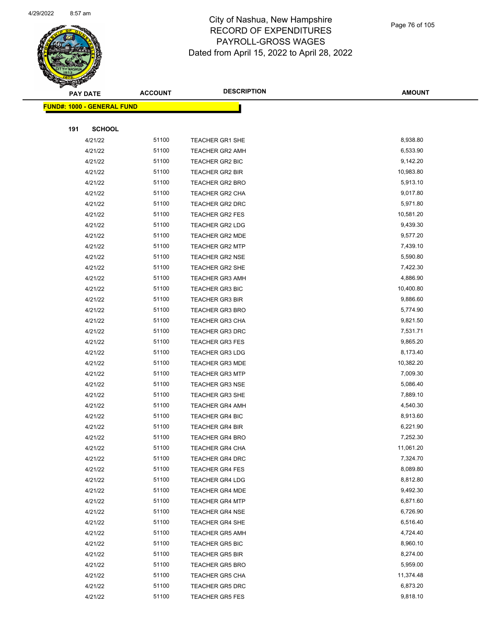

|     | <b>PAY DATE</b>                    | <b>ACCOUNT</b> | <b>DESCRIPTION</b>                               | <b>AMOUNT</b>        |
|-----|------------------------------------|----------------|--------------------------------------------------|----------------------|
|     | <u> FUND#: 1000 - GENERAL FUND</u> |                |                                                  |                      |
|     |                                    |                |                                                  |                      |
| 191 | <b>SCHOOL</b>                      |                |                                                  |                      |
|     | 4/21/22                            | 51100          | TEACHER GR1 SHE                                  | 8,938.80             |
|     | 4/21/22                            | 51100          | <b>TEACHER GR2 AMH</b>                           | 6,533.90             |
|     | 4/21/22                            | 51100          | TEACHER GR2 BIC                                  | 9,142.20             |
|     | 4/21/22                            | 51100          | <b>TEACHER GR2 BIR</b>                           | 10,983.80            |
|     | 4/21/22                            | 51100          | <b>TEACHER GR2 BRO</b>                           | 5,913.10             |
|     | 4/21/22                            | 51100          | TEACHER GR2 CHA                                  | 9,017.80             |
|     | 4/21/22                            | 51100          | <b>TEACHER GR2 DRC</b>                           | 5,971.80             |
|     | 4/21/22                            | 51100          | <b>TEACHER GR2 FES</b>                           | 10,581.20            |
|     | 4/21/22                            | 51100          | <b>TEACHER GR2 LDG</b>                           | 9,439.30             |
|     | 4/21/22                            | 51100          | <b>TEACHER GR2 MDE</b>                           | 9,577.20             |
|     | 4/21/22                            | 51100          | <b>TEACHER GR2 MTP</b>                           | 7,439.10             |
|     | 4/21/22                            | 51100          | <b>TEACHER GR2 NSE</b>                           | 5,590.80             |
|     | 4/21/22                            | 51100          | TEACHER GR2 SHE                                  | 7,422.30             |
|     | 4/21/22                            | 51100          | <b>TEACHER GR3 AMH</b>                           | 4,886.90             |
|     | 4/21/22                            | 51100          | <b>TEACHER GR3 BIC</b>                           | 10,400.80            |
|     | 4/21/22                            | 51100          | <b>TEACHER GR3 BIR</b>                           | 9,886.60             |
|     | 4/21/22                            | 51100          | <b>TEACHER GR3 BRO</b>                           | 5,774.90             |
|     | 4/21/22                            | 51100          | TEACHER GR3 CHA                                  | 9,821.50             |
|     | 4/21/22                            | 51100          | <b>TEACHER GR3 DRC</b>                           | 7,531.71             |
|     | 4/21/22                            | 51100          | <b>TEACHER GR3 FES</b>                           | 9,865.20             |
|     | 4/21/22                            | 51100          | <b>TEACHER GR3 LDG</b>                           | 8,173.40             |
|     | 4/21/22                            | 51100          | <b>TEACHER GR3 MDE</b>                           | 10,382.20            |
|     | 4/21/22                            | 51100          | <b>TEACHER GR3 MTP</b>                           | 7,009.30             |
|     | 4/21/22                            | 51100          | <b>TEACHER GR3 NSE</b>                           | 5,086.40             |
|     | 4/21/22                            | 51100          | TEACHER GR3 SHE                                  | 7,889.10             |
|     | 4/21/22                            | 51100          | <b>TEACHER GR4 AMH</b>                           | 4,540.30             |
|     | 4/21/22                            | 51100          | <b>TEACHER GR4 BIC</b>                           | 8,913.60             |
|     | 4/21/22                            | 51100          | <b>TEACHER GR4 BIR</b>                           | 6,221.90             |
|     | 4/21/22                            | 51100          | <b>TEACHER GR4 BRO</b>                           | 7,252.30             |
|     | 4/21/22                            | 51100          | TEACHER GR4 CHA                                  | 11,061.20            |
|     | 4/21/22                            | 51100          | <b>TEACHER GR4 DRC</b>                           | 7,324.70<br>8,089.80 |
|     | 4/21/22                            | 51100<br>51100 | <b>TEACHER GR4 FES</b>                           | 8,812.80             |
|     | 4/21/22<br>4/21/22                 | 51100          | <b>TEACHER GR4 LDG</b><br><b>TEACHER GR4 MDE</b> | 9,492.30             |
|     | 4/21/22                            | 51100          | <b>TEACHER GR4 MTP</b>                           | 6,871.60             |
|     | 4/21/22                            | 51100          | <b>TEACHER GR4 NSE</b>                           | 6,726.90             |
|     | 4/21/22                            | 51100          | TEACHER GR4 SHE                                  | 6,516.40             |
|     | 4/21/22                            | 51100          | <b>TEACHER GR5 AMH</b>                           | 4,724.40             |
|     | 4/21/22                            | 51100          | <b>TEACHER GR5 BIC</b>                           | 8,960.10             |
|     | 4/21/22                            | 51100          | <b>TEACHER GR5 BIR</b>                           | 8,274.00             |
|     | 4/21/22                            | 51100          | <b>TEACHER GR5 BRO</b>                           | 5,959.00             |
|     | 4/21/22                            | 51100          | <b>TEACHER GR5 CHA</b>                           | 11,374.48            |
|     | 4/21/22                            | 51100          | TEACHER GR5 DRC                                  | 6,873.20             |
|     | 4/21/22                            | 51100          | <b>TEACHER GR5 FES</b>                           | 9,818.10             |
|     |                                    |                |                                                  |                      |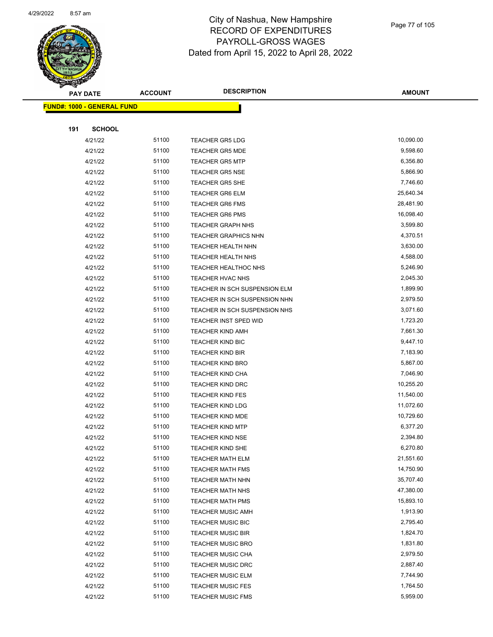

|     | <b>PAY DATE</b>                    | <b>ACCOUNT</b> | <b>DESCRIPTION</b>            | <b>AMOUNT</b> |
|-----|------------------------------------|----------------|-------------------------------|---------------|
|     | <u> FUND#: 1000 - GENERAL FUND</u> |                |                               |               |
|     |                                    |                |                               |               |
| 191 | <b>SCHOOL</b>                      |                |                               |               |
|     | 4/21/22                            | 51100          | <b>TEACHER GR5 LDG</b>        | 10,090.00     |
|     | 4/21/22                            | 51100          | <b>TEACHER GR5 MDE</b>        | 9,598.60      |
|     | 4/21/22                            | 51100          | <b>TEACHER GR5 MTP</b>        | 6,356.80      |
|     | 4/21/22                            | 51100          | <b>TEACHER GR5 NSE</b>        | 5,866.90      |
|     | 4/21/22                            | 51100          | <b>TEACHER GR5 SHE</b>        | 7,746.60      |
|     | 4/21/22                            | 51100          | <b>TEACHER GR6 ELM</b>        | 25,640.34     |
|     | 4/21/22                            | 51100          | <b>TEACHER GR6 FMS</b>        | 28,481.90     |
|     | 4/21/22                            | 51100          | <b>TEACHER GR6 PMS</b>        | 16,098.40     |
|     | 4/21/22                            | 51100          | <b>TEACHER GRAPH NHS</b>      | 3,599.80      |
|     | 4/21/22                            | 51100          | <b>TEACHER GRAPHICS NHN</b>   | 4,370.51      |
|     | 4/21/22                            | 51100          | <b>TEACHER HEALTH NHN</b>     | 3,630.00      |
|     | 4/21/22                            | 51100          | <b>TEACHER HEALTH NHS</b>     | 4,588.00      |
|     | 4/21/22                            | 51100          | TEACHER HEALTHOC NHS          | 5,246.90      |
|     | 4/21/22                            | 51100          | TEACHER HVAC NHS              | 2,045.30      |
|     | 4/21/22                            | 51100          | TEACHER IN SCH SUSPENSION ELM | 1,899.90      |
|     | 4/21/22                            | 51100          | TEACHER IN SCH SUSPENSION NHN | 2,979.50      |
|     | 4/21/22                            | 51100          | TEACHER IN SCH SUSPENSION NHS | 3,071.60      |
|     | 4/21/22                            | 51100          | <b>TEACHER INST SPED WID</b>  | 1,723.20      |
|     | 4/21/22                            | 51100          | <b>TEACHER KIND AMH</b>       | 7,661.30      |
|     | 4/21/22                            | 51100          | <b>TEACHER KIND BIC</b>       | 9,447.10      |
|     | 4/21/22                            | 51100          | <b>TEACHER KIND BIR</b>       | 7,183.90      |
|     | 4/21/22                            | 51100          | <b>TEACHER KIND BRO</b>       | 5,867.00      |
|     | 4/21/22                            | 51100          | <b>TEACHER KIND CHA</b>       | 7,046.90      |
|     | 4/21/22                            | 51100          | <b>TEACHER KIND DRC</b>       | 10,255.20     |
|     | 4/21/22                            | 51100          | <b>TEACHER KIND FES</b>       | 11,540.00     |
|     | 4/21/22                            | 51100          | <b>TEACHER KIND LDG</b>       | 11,072.60     |
|     | 4/21/22                            | 51100          | <b>TEACHER KIND MDE</b>       | 10,729.60     |
|     | 4/21/22                            | 51100          | <b>TEACHER KIND MTP</b>       | 6,377.20      |
|     | 4/21/22                            | 51100          | <b>TEACHER KIND NSE</b>       | 2,394.80      |
|     | 4/21/22                            | 51100          | <b>TEACHER KIND SHE</b>       | 6,270.80      |
|     | 4/21/22                            | 51100          | <b>TEACHER MATH ELM</b>       | 21,551.60     |
|     | 4/21/22                            | 51100          | <b>TEACHER MATH FMS</b>       | 14,750.90     |
|     | 4/21/22                            | 51100          | <b>TEACHER MATH NHN</b>       | 35,707.40     |
|     | 4/21/22                            | 51100          | TEACHER MATH NHS              | 47,380.00     |
|     | 4/21/22                            | 51100          | <b>TEACHER MATH PMS</b>       | 15,893.10     |
|     | 4/21/22                            | 51100          | <b>TEACHER MUSIC AMH</b>      | 1,913.90      |
|     | 4/21/22                            | 51100          | <b>TEACHER MUSIC BIC</b>      | 2,795.40      |
|     | 4/21/22                            | 51100          | <b>TEACHER MUSIC BIR</b>      | 1,824.70      |
|     | 4/21/22                            | 51100          | <b>TEACHER MUSIC BRO</b>      | 1,831.80      |
|     | 4/21/22                            | 51100          | <b>TEACHER MUSIC CHA</b>      | 2,979.50      |
|     | 4/21/22                            | 51100          | <b>TEACHER MUSIC DRC</b>      | 2,887.40      |
|     | 4/21/22                            | 51100          | <b>TEACHER MUSIC ELM</b>      | 7,744.90      |
|     | 4/21/22                            | 51100          | <b>TEACHER MUSIC FES</b>      | 1,764.50      |
|     | 4/21/22                            | 51100          | <b>TEACHER MUSIC FMS</b>      | 5,959.00      |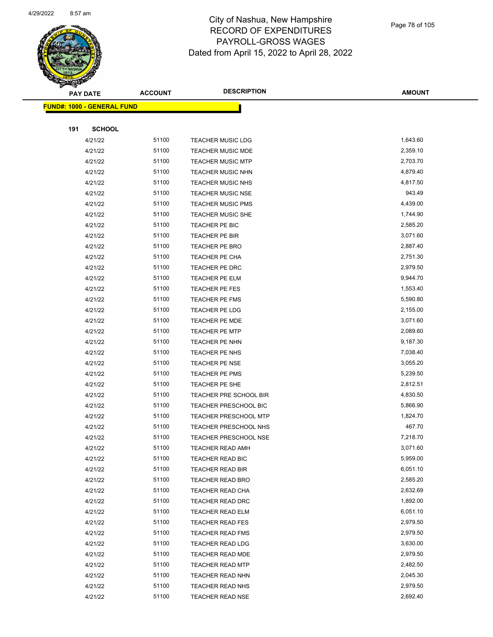

Page 78 of 105

|     | <b>PAY DATE</b>                   | <b>ACCOUNT</b> | <b>DESCRIPTION</b>                          | <b>AMOUNT</b>        |
|-----|-----------------------------------|----------------|---------------------------------------------|----------------------|
|     | <b>FUND#: 1000 - GENERAL FUND</b> |                |                                             |                      |
|     |                                   |                |                                             |                      |
| 191 | <b>SCHOOL</b>                     |                |                                             |                      |
|     | 4/21/22                           | 51100          | <b>TEACHER MUSIC LDG</b>                    | 1,643.60             |
|     | 4/21/22                           | 51100          | <b>TEACHER MUSIC MDE</b>                    | 2,359.10             |
|     | 4/21/22                           | 51100          | <b>TEACHER MUSIC MTP</b>                    | 2,703.70             |
|     | 4/21/22                           | 51100          | <b>TEACHER MUSIC NHN</b>                    | 4,879.40             |
|     | 4/21/22                           | 51100          | <b>TEACHER MUSIC NHS</b>                    | 4,817.50             |
|     | 4/21/22                           | 51100          | <b>TEACHER MUSIC NSE</b>                    | 943.49               |
|     | 4/21/22                           | 51100          | <b>TEACHER MUSIC PMS</b>                    | 4,439.00             |
|     | 4/21/22                           | 51100          | <b>TEACHER MUSIC SHE</b>                    | 1,744.90             |
|     | 4/21/22                           | 51100          | TEACHER PE BIC                              | 2,585.20             |
|     | 4/21/22                           | 51100          | TEACHER PE BIR                              | 3,071.60             |
|     | 4/21/22                           | 51100          | TEACHER PE BRO                              | 2,887.40             |
|     | 4/21/22                           | 51100          | TEACHER PE CHA                              | 2,751.30             |
|     | 4/21/22                           | 51100          | TEACHER PE DRC                              | 2,979.50             |
|     | 4/21/22                           | 51100          | TEACHER PE ELM                              | 9,944.70             |
|     | 4/21/22                           | 51100          | TEACHER PE FES                              | 1,553.40             |
|     | 4/21/22                           | 51100          | TEACHER PE FMS                              | 5,590.80             |
|     | 4/21/22                           | 51100          | TEACHER PE LDG                              | 2,155.00             |
|     | 4/21/22                           | 51100          | TEACHER PE MDE                              | 3,071.60             |
|     | 4/21/22                           | 51100          | <b>TEACHER PE MTP</b>                       | 2,089.60             |
|     | 4/21/22                           | 51100          | TEACHER PE NHN                              | 9,187.30             |
|     | 4/21/22                           | 51100          | TEACHER PE NHS                              | 7,038.40             |
|     | 4/21/22                           | 51100          | <b>TEACHER PE NSE</b>                       | 3,055.20             |
|     | 4/21/22                           | 51100          | TEACHER PE PMS                              | 5,239.50             |
|     | 4/21/22                           | 51100          | TEACHER PE SHE                              | 2,812.51             |
|     | 4/21/22                           | 51100          | TEACHER PRE SCHOOL BIR                      | 4,830.50             |
|     | 4/21/22                           | 51100          | <b>TEACHER PRESCHOOL BIC</b>                | 5,866.90             |
|     | 4/21/22                           | 51100          | <b>TEACHER PRESCHOOL MTP</b>                | 1,824.70             |
|     | 4/21/22                           | 51100          | TEACHER PRESCHOOL NHS                       | 467.70               |
|     | 4/21/22                           | 51100          | <b>TEACHER PRESCHOOL NSE</b>                | 7,218.70             |
|     | 4/21/22                           | 51100          | TEACHER READ AMH                            | 3,071.60             |
|     | 4/21/22                           | 51100          | <b>TEACHER READ BIC</b>                     | 5,959.00             |
|     | 4/21/22                           | 51100          | <b>TEACHER READ BIR</b>                     | 6,051.10             |
|     | 4/21/22                           | 51100          | <b>TEACHER READ BRO</b>                     | 2,585.20             |
|     | 4/21/22                           | 51100          | TEACHER READ CHA                            | 2,632.69             |
|     | 4/21/22                           | 51100          | TEACHER READ DRC                            | 1,892.00             |
|     | 4/21/22                           | 51100          | TEACHER READ ELM                            | 6,051.10             |
|     | 4/21/22                           | 51100          | <b>TEACHER READ FES</b>                     | 2,979.50             |
|     | 4/21/22                           | 51100          | <b>TEACHER READ FMS</b>                     | 2,979.50             |
|     | 4/21/22                           | 51100          | <b>TEACHER READ LDG</b>                     | 3,630.00             |
|     | 4/21/22                           | 51100<br>51100 | <b>TEACHER READ MDE</b>                     | 2,979.50<br>2,482.50 |
|     | 4/21/22                           | 51100          | <b>TEACHER READ MTP</b>                     | 2,045.30             |
|     | 4/21/22                           | 51100          | TEACHER READ NHN                            | 2,979.50             |
|     | 4/21/22<br>4/21/22                | 51100          | <b>TEACHER READ NHS</b><br>TEACHER READ NSE | 2,692.40             |
|     |                                   |                |                                             |                      |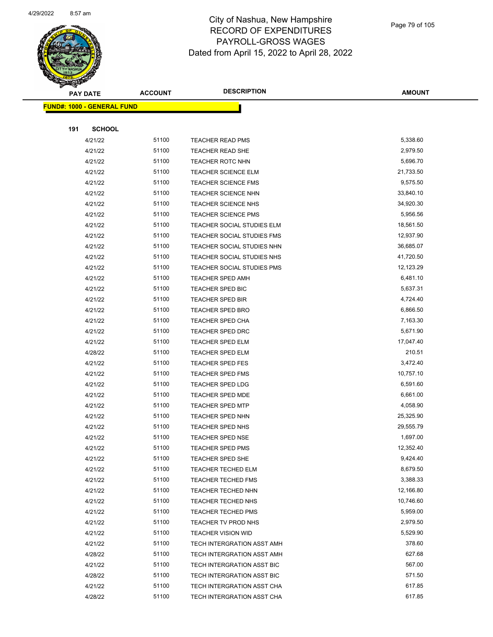

Page 79 of 105

|     | <b>PAY DATE</b>                    | <b>ACCOUNT</b> | <b>DESCRIPTION</b>                | <b>AMOUNT</b> |
|-----|------------------------------------|----------------|-----------------------------------|---------------|
|     | <u> FUND#: 1000 - GENERAL FUND</u> |                |                                   |               |
|     |                                    |                |                                   |               |
| 191 | <b>SCHOOL</b>                      |                |                                   |               |
|     | 4/21/22                            | 51100          | <b>TEACHER READ PMS</b>           | 5,338.60      |
|     | 4/21/22                            | 51100          | <b>TEACHER READ SHE</b>           | 2,979.50      |
|     | 4/21/22                            | 51100          | <b>TEACHER ROTC NHN</b>           | 5,696.70      |
|     | 4/21/22                            | 51100          | <b>TEACHER SCIENCE ELM</b>        | 21,733.50     |
|     | 4/21/22                            | 51100          | <b>TEACHER SCIENCE FMS</b>        | 9,575.50      |
|     | 4/21/22                            | 51100          | <b>TEACHER SCIENCE NHN</b>        | 33,840.10     |
|     | 4/21/22                            | 51100          | <b>TEACHER SCIENCE NHS</b>        | 34,920.30     |
|     | 4/21/22                            | 51100          | <b>TEACHER SCIENCE PMS</b>        | 5,956.56      |
|     | 4/21/22                            | 51100          | <b>TEACHER SOCIAL STUDIES ELM</b> | 18,561.50     |
|     | 4/21/22                            | 51100          | TEACHER SOCIAL STUDIES FMS        | 12,937.90     |
|     | 4/21/22                            | 51100          | TEACHER SOCIAL STUDIES NHN        | 36,685.07     |
|     | 4/21/22                            | 51100          | TEACHER SOCIAL STUDIES NHS        | 41,720.50     |
|     | 4/21/22                            | 51100          | TEACHER SOCIAL STUDIES PMS        | 12,123.29     |
|     | 4/21/22                            | 51100          | <b>TEACHER SPED AMH</b>           | 6,481.10      |
|     | 4/21/22                            | 51100          | <b>TEACHER SPED BIC</b>           | 5,637.31      |
|     | 4/21/22                            | 51100          | <b>TEACHER SPED BIR</b>           | 4,724.40      |
|     | 4/21/22                            | 51100          | <b>TEACHER SPED BRO</b>           | 6,866.50      |
|     | 4/21/22                            | 51100          | <b>TEACHER SPED CHA</b>           | 7,163.30      |
|     | 4/21/22                            | 51100          | <b>TEACHER SPED DRC</b>           | 5,671.90      |
|     | 4/21/22                            | 51100          | <b>TEACHER SPED ELM</b>           | 17,047.40     |
|     | 4/28/22                            | 51100          | TEACHER SPED ELM                  | 210.51        |
|     | 4/21/22                            | 51100          | <b>TEACHER SPED FES</b>           | 3,472.40      |
|     | 4/21/22                            | 51100          | <b>TEACHER SPED FMS</b>           | 10,757.10     |
|     | 4/21/22                            | 51100          | <b>TEACHER SPED LDG</b>           | 6,591.60      |
|     | 4/21/22                            | 51100          | <b>TEACHER SPED MDE</b>           | 6,661.00      |
|     | 4/21/22                            | 51100          | <b>TEACHER SPED MTP</b>           | 4,058.90      |
|     | 4/21/22                            | 51100          | <b>TEACHER SPED NHN</b>           | 25,325.90     |
|     | 4/21/22                            | 51100          | <b>TEACHER SPED NHS</b>           | 29,555.79     |
|     | 4/21/22                            | 51100          | TEACHER SPED NSE                  | 1,697.00      |
|     | 4/21/22                            | 51100          | <b>TEACHER SPED PMS</b>           | 12,352.40     |
|     | 4/21/22                            | 51100          | TEACHER SPED SHE                  | 9,424.40      |
|     | 4/21/22                            | 51100          | <b>TEACHER TECHED ELM</b>         | 8,679.50      |
|     | 4/21/22                            | 51100          | <b>TEACHER TECHED FMS</b>         | 3,388.33      |
|     | 4/21/22                            | 51100          | TEACHER TECHED NHN                | 12,166.80     |
|     | 4/21/22                            | 51100          | TEACHER TECHED NHS                | 10,746.60     |
|     | 4/21/22                            | 51100          | <b>TEACHER TECHED PMS</b>         | 5,959.00      |
|     | 4/21/22                            | 51100          | TEACHER TV PROD NHS               | 2,979.50      |
|     | 4/21/22                            | 51100          | <b>TEACHER VISION WID</b>         | 5,529.90      |
|     | 4/21/22                            | 51100          | TECH INTERGRATION ASST AMH        | 378.60        |
|     | 4/28/22                            | 51100          | TECH INTERGRATION ASST AMH        | 627.68        |
|     | 4/21/22                            | 51100          | TECH INTERGRATION ASST BIC        | 567.00        |
|     | 4/28/22                            | 51100          | TECH INTERGRATION ASST BIC        | 571.50        |
|     | 4/21/22                            | 51100          | TECH INTERGRATION ASST CHA        | 617.85        |
|     | 4/28/22                            | 51100          | TECH INTERGRATION ASST CHA        | 617.85        |
|     |                                    |                |                                   |               |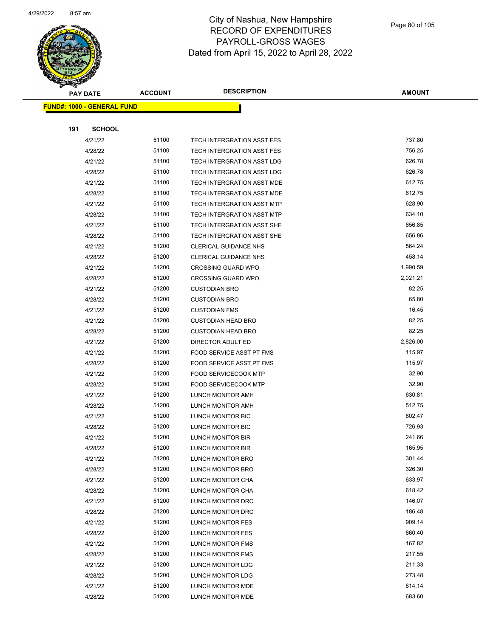

|     | <b>PAY DATE</b>                   | <b>ACCOUNT</b> | <b>DESCRIPTION</b>           | <b>AMOUNT</b> |
|-----|-----------------------------------|----------------|------------------------------|---------------|
|     | <b>FUND#: 1000 - GENERAL FUND</b> |                |                              |               |
|     |                                   |                |                              |               |
| 191 | <b>SCHOOL</b>                     |                |                              |               |
|     | 4/21/22                           | 51100          | TECH INTERGRATION ASST FES   | 737.80        |
|     | 4/28/22                           | 51100          | TECH INTERGRATION ASST FES   | 756.25        |
|     | 4/21/22                           | 51100          | TECH INTERGRATION ASST LDG   | 626.78        |
|     | 4/28/22                           | 51100          | TECH INTERGRATION ASST LDG   | 626.78        |
|     | 4/21/22                           | 51100          | TECH INTERGRATION ASST MDE   | 612.75        |
|     | 4/28/22                           | 51100          | TECH INTERGRATION ASST MDE   | 612.75        |
|     | 4/21/22                           | 51100          | TECH INTERGRATION ASST MTP   | 628.90        |
|     | 4/28/22                           | 51100          | TECH INTERGRATION ASST MTP   | 634.10        |
|     | 4/21/22                           | 51100          | TECH INTERGRATION ASST SHE   | 656.85        |
|     | 4/28/22                           | 51100          | TECH INTERGRATION ASST SHE   | 656.86        |
|     | 4/21/22                           | 51200          | <b>CLERICAL GUIDANCE NHS</b> | 564.24        |
|     | 4/28/22                           | 51200          | <b>CLERICAL GUIDANCE NHS</b> | 458.14        |
|     | 4/21/22                           | 51200          | <b>CROSSING GUARD WPO</b>    | 1,990.59      |
|     | 4/28/22                           | 51200          | <b>CROSSING GUARD WPO</b>    | 2,021.21      |
|     | 4/21/22                           | 51200          | <b>CUSTODIAN BRO</b>         | 82.25         |
|     | 4/28/22                           | 51200          | <b>CUSTODIAN BRO</b>         | 65.80         |
|     | 4/21/22                           | 51200          | <b>CUSTODIAN FMS</b>         | 16.45         |
|     | 4/21/22                           | 51200          | <b>CUSTODIAN HEAD BRO</b>    | 82.25         |
|     | 4/28/22                           | 51200          | <b>CUSTODIAN HEAD BRO</b>    | 82.25         |
|     | 4/21/22                           | 51200          | DIRECTOR ADULT ED            | 2,826.00      |
|     | 4/21/22                           | 51200          | FOOD SERVICE ASST PT FMS     | 115.97        |
|     | 4/28/22                           | 51200          | FOOD SERVICE ASST PT FMS     | 115.97        |
|     | 4/21/22                           | 51200          | <b>FOOD SERVICECOOK MTP</b>  | 32.90         |
|     | 4/28/22                           | 51200          | <b>FOOD SERVICECOOK MTP</b>  | 32.90         |
|     | 4/21/22                           | 51200          | LUNCH MONITOR AMH            | 630.81        |
|     | 4/28/22                           | 51200          | LUNCH MONITOR AMH            | 512.75        |
|     | 4/21/22                           | 51200          | LUNCH MONITOR BIC            | 802.47        |
|     | 4/28/22                           | 51200          | LUNCH MONITOR BIC            | 726.93        |
|     | 4/21/22                           | 51200          | LUNCH MONITOR BIR            | 241.66        |
|     | 4/28/22                           | 51200          | LUNCH MONITOR BIR            | 165.95        |
|     | 4/21/22                           | 51200          | LUNCH MONITOR BRO            | 301.44        |
|     | 4/28/22                           | 51200          | LUNCH MONITOR BRO            | 326.30        |
|     | 4/21/22                           | 51200          | LUNCH MONITOR CHA            | 633.97        |
|     | 4/28/22                           | 51200          | LUNCH MONITOR CHA            | 618.42        |
|     | 4/21/22                           | 51200          | LUNCH MONITOR DRC            | 146.07        |
|     | 4/28/22                           | 51200          | LUNCH MONITOR DRC            | 186.48        |
|     | 4/21/22                           | 51200          | LUNCH MONITOR FES            | 909.14        |
|     | 4/28/22                           | 51200          | LUNCH MONITOR FES            | 860.40        |
|     | 4/21/22                           | 51200          | LUNCH MONITOR FMS            | 167.82        |
|     | 4/28/22                           | 51200          | LUNCH MONITOR FMS            | 217.55        |
|     | 4/21/22                           | 51200          | LUNCH MONITOR LDG            | 211.33        |
|     | 4/28/22                           | 51200          | LUNCH MONITOR LDG            | 273.48        |
|     | 4/21/22                           | 51200          | LUNCH MONITOR MDE            | 814.14        |
|     | 4/28/22                           | 51200          | LUNCH MONITOR MDE            | 683.60        |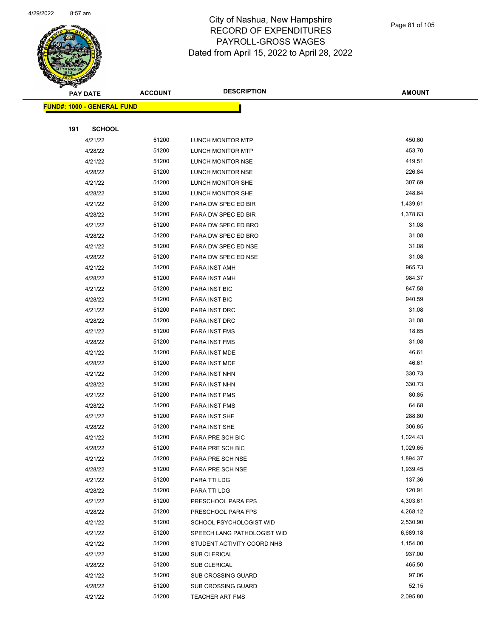

|     | <b>PAY DATE</b>                   | <b>ACCOUNT</b> | <b>DESCRIPTION</b>          | <b>AMOUNT</b> |
|-----|-----------------------------------|----------------|-----------------------------|---------------|
|     | <b>FUND#: 1000 - GENERAL FUND</b> |                |                             |               |
|     |                                   |                |                             |               |
| 191 | <b>SCHOOL</b>                     |                |                             |               |
|     | 4/21/22                           | 51200          | LUNCH MONITOR MTP           | 450.60        |
|     | 4/28/22                           | 51200          | LUNCH MONITOR MTP           | 453.70        |
|     | 4/21/22                           | 51200          | LUNCH MONITOR NSE           | 419.51        |
|     | 4/28/22                           | 51200          | LUNCH MONITOR NSE           | 226.84        |
|     | 4/21/22                           | 51200          | LUNCH MONITOR SHE           | 307.69        |
|     | 4/28/22                           | 51200          | LUNCH MONITOR SHE           | 248.64        |
|     | 4/21/22                           | 51200          | PARA DW SPEC ED BIR         | 1,439.61      |
|     | 4/28/22                           | 51200          | PARA DW SPEC ED BIR         | 1,378.63      |
|     | 4/21/22                           | 51200          | PARA DW SPEC ED BRO         | 31.08         |
|     | 4/28/22                           | 51200          | PARA DW SPEC ED BRO         | 31.08         |
|     | 4/21/22                           | 51200          | PARA DW SPEC ED NSE         | 31.08         |
|     | 4/28/22                           | 51200          | PARA DW SPEC ED NSE         | 31.08         |
|     | 4/21/22                           | 51200          | PARA INST AMH               | 965.73        |
|     | 4/28/22                           | 51200          | PARA INST AMH               | 984.37        |
|     | 4/21/22                           | 51200          | PARA INST BIC               | 847.58        |
|     | 4/28/22                           | 51200          | PARA INST BIC               | 940.59        |
|     | 4/21/22                           | 51200          | PARA INST DRC               | 31.08         |
|     | 4/28/22                           | 51200          | PARA INST DRC               | 31.08         |
|     | 4/21/22                           | 51200          | PARA INST FMS               | 18.65         |
|     | 4/28/22                           | 51200          | PARA INST FMS               | 31.08         |
|     | 4/21/22                           | 51200          | PARA INST MDE               | 46.61         |
|     | 4/28/22                           | 51200          | PARA INST MDE               | 46.61         |
|     | 4/21/22                           | 51200          | PARA INST NHN               | 330.73        |
|     | 4/28/22                           | 51200          | PARA INST NHN               | 330.73        |
|     | 4/21/22                           | 51200          | PARA INST PMS               | 80.85         |
|     | 4/28/22                           | 51200          | <b>PARA INST PMS</b>        | 64.68         |
|     | 4/21/22                           | 51200          | PARA INST SHE               | 288.80        |
|     | 4/28/22                           | 51200          | PARA INST SHE               | 306.85        |
|     | 4/21/22                           | 51200          | PARA PRE SCH BIC            | 1,024.43      |
|     | 4/28/22                           | 51200          | PARA PRE SCH BIC            | 1,029.65      |
|     | 4/21/22                           | 51200          | PARA PRE SCH NSE            | 1,894.37      |
|     | 4/28/22                           | 51200          | PARA PRE SCH NSE            | 1,939.45      |
|     | 4/21/22                           | 51200          | PARA TTI LDG                | 137.36        |
|     | 4/28/22                           | 51200          | PARA TTI LDG                | 120.91        |
|     | 4/21/22                           | 51200          | PRESCHOOL PARA FPS          | 4,303.61      |
|     | 4/28/22                           | 51200          | PRESCHOOL PARA FPS          | 4,268.12      |
|     | 4/21/22                           | 51200          | SCHOOL PSYCHOLOGIST WID     | 2,530.90      |
|     | 4/21/22                           | 51200          | SPEECH LANG PATHOLOGIST WID | 6,689.18      |
|     | 4/21/22                           | 51200          | STUDENT ACTIVITY COORD NHS  | 1,154.00      |
|     | 4/21/22                           | 51200          | SUB CLERICAL                | 937.00        |
|     | 4/28/22                           | 51200          | SUB CLERICAL                | 465.50        |
|     | 4/21/22                           | 51200          | <b>SUB CROSSING GUARD</b>   | 97.06         |
|     | 4/28/22                           | 51200          | <b>SUB CROSSING GUARD</b>   | 52.15         |
|     | 4/21/22                           | 51200          | <b>TEACHER ART FMS</b>      | 2,095.80      |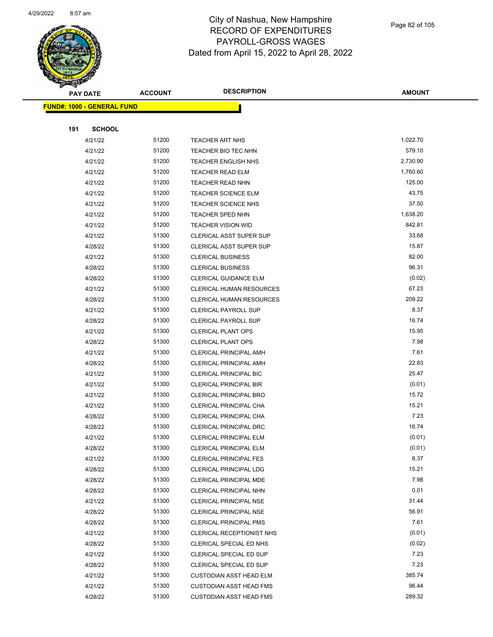

Page 82 of 105

| <b>STATER</b>   |                                   |                |                                 |               |  |
|-----------------|-----------------------------------|----------------|---------------------------------|---------------|--|
| <b>PAY DATE</b> |                                   | <b>ACCOUNT</b> | <b>DESCRIPTION</b>              | <b>AMOUNT</b> |  |
|                 | <b>FUND#: 1000 - GENERAL FUND</b> |                |                                 |               |  |
|                 |                                   |                |                                 |               |  |
| 191             | <b>SCHOOL</b>                     |                |                                 |               |  |
|                 | 4/21/22                           | 51200          | <b>TEACHER ART NHS</b>          | 1,022.70      |  |
|                 | 4/21/22                           | 51200          | TEACHER BIO TEC NHN             | 579.10        |  |
|                 | 4/21/22                           | 51200          | <b>TEACHER ENGLISH NHS</b>      | 2,730.90      |  |
|                 | 4/21/22                           | 51200          | <b>TEACHER READ ELM</b>         | 1,760.60      |  |
|                 | 4/21/22                           | 51200          | <b>TEACHER READ NHN</b>         | 125.00        |  |
|                 | 4/21/22                           | 51200          | TEACHER SCIENCE ELM             | 43.75         |  |
|                 | 4/21/22                           | 51200          | <b>TEACHER SCIENCE NHS</b>      | 37.50         |  |
|                 | 4/21/22                           | 51200          | <b>TEACHER SPED NHN</b>         | 1,638.20      |  |
|                 | 4/21/22                           | 51200          | <b>TEACHER VISION WID</b>       | 842.81        |  |
|                 | 4/21/22                           | 51300          | <b>CLERICAL ASST SUPER SUP</b>  | 33.68         |  |
|                 | 4/28/22                           | 51300          | <b>CLERICAL ASST SUPER SUP</b>  | 15.87         |  |
|                 | 4/21/22                           | 51300          | <b>CLERICAL BUSINESS</b>        | 82.00         |  |
|                 | 4/28/22                           | 51300          | <b>CLERICAL BUSINESS</b>        | 96.31         |  |
|                 | 4/28/22                           | 51300          | <b>CLERICAL GUIDANCE ELM</b>    | (0.02)        |  |
|                 | 4/21/22                           | 51300          | <b>CLERICAL HUMAN RESOURCES</b> | 67.23         |  |
|                 | 4/28/22                           | 51300          | CLERICAL HUMAN RESOURCES        | 209.22        |  |
|                 | 4/21/22                           | 51300          | <b>CLERICAL PAYROLL SUP</b>     | 8.37          |  |
|                 | 4/28/22                           | 51300          | <b>CLERICAL PAYROLL SUP</b>     | 16.74         |  |
|                 | 4/21/22                           | 51300          | <b>CLERICAL PLANT OPS</b>       | 15.95         |  |
|                 | 4/28/22                           | 51300          | <b>CLERICAL PLANT OPS</b>       | 7.98          |  |
|                 | 4/21/22                           | 51300          | <b>CLERICAL PRINCIPAL AMH</b>   | 7.61          |  |
|                 | 4/28/22                           | 51300          | <b>CLERICAL PRINCIPAL AMH</b>   | 22.83         |  |
|                 | 4/21/22                           | 51300          | CLERICAL PRINCIPAL BIC          | 25.47         |  |
|                 | 4/21/22                           | 51300          | <b>CLERICAL PRINCIPAL BIR</b>   | (0.01)        |  |
|                 | 4/21/22                           | 51300          | <b>CLERICAL PRINCIPAL BRO</b>   | 15.72         |  |
|                 | 4/21/22                           | 51300          | CLERICAL PRINCIPAL CHA          | 15.21         |  |
|                 | 4/28/22                           | 51300          | CLERICAL PRINCIPAL CHA          | 7.23          |  |
|                 | 4/28/22                           | 51300          | <b>CLERICAL PRINCIPAL DRC</b>   | 16.74         |  |
|                 | 4/21/22                           | 51300          | CLERICAL PRINCIPAL ELM          | (0.01)        |  |
|                 | 4/28/22                           | 51300          | <b>CLERICAL PRINCIPAL ELM</b>   | (0.01)        |  |
|                 | 4/21/22                           | 51300          | <b>CLERICAL PRINCIPAL FES</b>   | 8.37          |  |
|                 | 4/28/22                           | 51300          | <b>CLERICAL PRINCIPAL LDG</b>   | 15.21         |  |
|                 | 4/28/22                           | 51300          | CLERICAL PRINCIPAL MDE          | 7.98          |  |
|                 | 4/28/22                           | 51300          | <b>CLERICAL PRINCIPAL NHN</b>   | 0.01          |  |
|                 | 4/21/22                           | 51300          | <b>CLERICAL PRINCIPAL NSE</b>   | 31.44         |  |
|                 | 4/28/22                           | 51300          | <b>CLERICAL PRINCIPAL NSE</b>   | 56.91         |  |
|                 | 4/28/22                           | 51300          | <b>CLERICAL PRINCIPAL PMS</b>   | 7.61          |  |
|                 | 4/21/22                           | 51300          | CLERICAL RECEPTIONIST NHS       | (0.01)        |  |
|                 | 4/28/22                           | 51300          | CLERICAL SPECIAL ED NHS         | (0.02)        |  |
|                 | 4/21/22                           | 51300          | CLERICAL SPECIAL ED SUP         | 7.23          |  |
|                 | 4/28/22                           | 51300          | CLERICAL SPECIAL ED SUP         | 7.23          |  |
|                 | 4/21/22                           | 51300          | <b>CUSTODIAN ASST HEAD ELM</b>  | 385.74        |  |
|                 | 4/21/22                           | 51300          | <b>CUSTODIAN ASST HEAD FMS</b>  | 96.44         |  |
|                 | 4/28/22                           | 51300          | <b>CUSTODIAN ASST HEAD FMS</b>  | 289.32        |  |
|                 |                                   |                |                                 |               |  |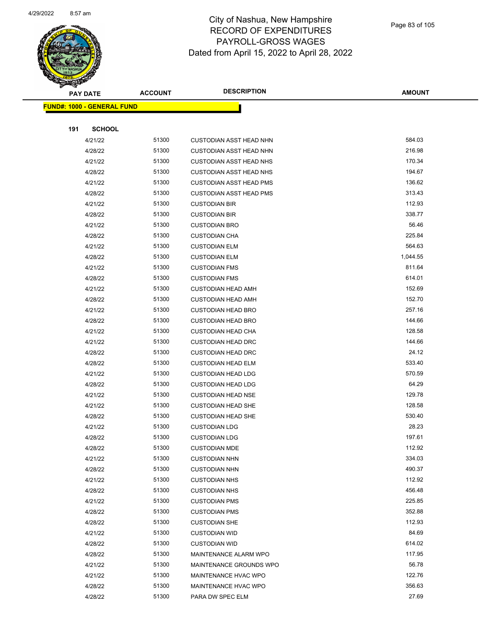

|     | <b>PAY DATE</b>                    | <b>ACCOUNT</b> | <b>DESCRIPTION</b>             | <b>AMOUNT</b> |
|-----|------------------------------------|----------------|--------------------------------|---------------|
|     | <u> FUND#: 1000 - GENERAL FUND</u> |                |                                |               |
|     |                                    |                |                                |               |
| 191 | <b>SCHOOL</b>                      |                |                                |               |
|     | 4/21/22                            | 51300          | <b>CUSTODIAN ASST HEAD NHN</b> | 584.03        |
|     | 4/28/22                            | 51300          | <b>CUSTODIAN ASST HEAD NHN</b> | 216.98        |
|     | 4/21/22                            | 51300          | <b>CUSTODIAN ASST HEAD NHS</b> | 170.34        |
|     | 4/28/22                            | 51300          | <b>CUSTODIAN ASST HEAD NHS</b> | 194.67        |
|     | 4/21/22                            | 51300          | <b>CUSTODIAN ASST HEAD PMS</b> | 136.62        |
|     | 4/28/22                            | 51300          | <b>CUSTODIAN ASST HEAD PMS</b> | 313.43        |
|     | 4/21/22                            | 51300          | <b>CUSTODIAN BIR</b>           | 112.93        |
|     | 4/28/22                            | 51300          | <b>CUSTODIAN BIR</b>           | 338.77        |
|     | 4/21/22                            | 51300          | <b>CUSTODIAN BRO</b>           | 56.46         |
|     | 4/28/22                            | 51300          | <b>CUSTODIAN CHA</b>           | 225.84        |
|     | 4/21/22                            | 51300          | <b>CUSTODIAN ELM</b>           | 564.63        |
|     | 4/28/22                            | 51300          | <b>CUSTODIAN ELM</b>           | 1,044.55      |
|     | 4/21/22                            | 51300          | <b>CUSTODIAN FMS</b>           | 811.64        |
|     | 4/28/22                            | 51300          | <b>CUSTODIAN FMS</b>           | 614.01        |
|     | 4/21/22                            | 51300          | <b>CUSTODIAN HEAD AMH</b>      | 152.69        |
|     | 4/28/22                            | 51300          | <b>CUSTODIAN HEAD AMH</b>      | 152.70        |
|     | 4/21/22                            | 51300          | <b>CUSTODIAN HEAD BRO</b>      | 257.16        |
|     | 4/28/22                            | 51300          | <b>CUSTODIAN HEAD BRO</b>      | 144.66        |
|     | 4/21/22                            | 51300          | <b>CUSTODIAN HEAD CHA</b>      | 128.58        |
|     | 4/21/22                            | 51300          | <b>CUSTODIAN HEAD DRC</b>      | 144.66        |
|     | 4/28/22                            | 51300          | <b>CUSTODIAN HEAD DRC</b>      | 24.12         |
|     | 4/28/22                            | 51300          | <b>CUSTODIAN HEAD ELM</b>      | 533.40        |
|     | 4/21/22                            | 51300          | <b>CUSTODIAN HEAD LDG</b>      | 570.59        |
|     | 4/28/22                            | 51300          | <b>CUSTODIAN HEAD LDG</b>      | 64.29         |
|     | 4/21/22                            | 51300          | <b>CUSTODIAN HEAD NSE</b>      | 129.78        |
|     | 4/21/22                            | 51300          | <b>CUSTODIAN HEAD SHE</b>      | 128.58        |
|     | 4/28/22                            | 51300          | <b>CUSTODIAN HEAD SHE</b>      | 530.40        |
|     | 4/21/22                            | 51300          | <b>CUSTODIAN LDG</b>           | 28.23         |
|     | 4/28/22                            | 51300          | <b>CUSTODIAN LDG</b>           | 197.61        |
|     | 4/28/22                            | 51300          | <b>CUSTODIAN MDE</b>           | 112.92        |
|     | 4/21/22                            | 51300          | <b>CUSTODIAN NHN</b>           | 334.03        |
|     | 4/28/22                            | 51300          | <b>CUSTODIAN NHN</b>           | 490.37        |
|     | 4/21/22                            | 51300          | <b>CUSTODIAN NHS</b>           | 112.92        |
|     | 4/28/22                            | 51300          | <b>CUSTODIAN NHS</b>           | 456.48        |
|     | 4/21/22                            | 51300          | <b>CUSTODIAN PMS</b>           | 225.85        |
|     | 4/28/22                            | 51300          | <b>CUSTODIAN PMS</b>           | 352.88        |
|     | 4/28/22                            | 51300          | <b>CUSTODIAN SHE</b>           | 112.93        |
|     | 4/21/22                            | 51300          | <b>CUSTODIAN WID</b>           | 84.69         |
|     | 4/28/22                            | 51300          | <b>CUSTODIAN WID</b>           | 614.02        |
|     | 4/28/22                            | 51300          | MAINTENANCE ALARM WPO          | 117.95        |
|     | 4/21/22                            | 51300          | MAINTENANCE GROUNDS WPO        | 56.78         |
|     | 4/21/22                            | 51300          | MAINTENANCE HVAC WPO           | 122.76        |
|     | 4/28/22                            | 51300          | MAINTENANCE HVAC WPO           | 356.63        |
|     | 4/28/22                            | 51300          | PARA DW SPEC ELM               | 27.69         |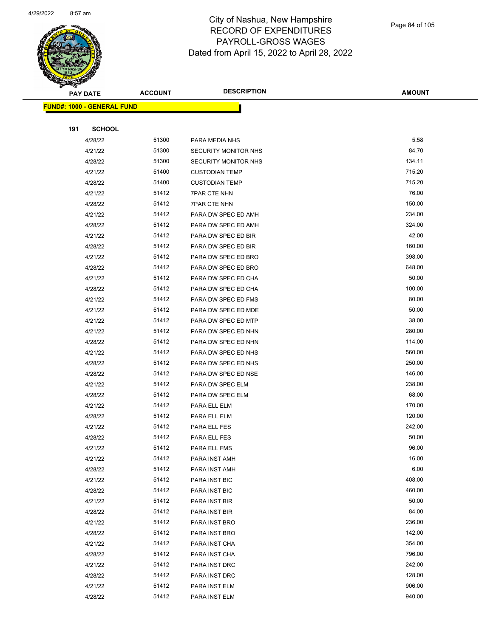

Page 84 of 105

|     | <b>PAY DATE</b>                   | <b>ACCOUNT</b> | <b>DESCRIPTION</b>           | <b>AMOUNT</b>    |
|-----|-----------------------------------|----------------|------------------------------|------------------|
|     | <b>FUND#: 1000 - GENERAL FUND</b> |                |                              |                  |
|     |                                   |                |                              |                  |
| 191 | <b>SCHOOL</b>                     |                |                              |                  |
|     | 4/28/22                           | 51300          | PARA MEDIA NHS               | 5.58             |
|     | 4/21/22                           | 51300          | SECURITY MONITOR NHS         | 84.70            |
|     | 4/28/22                           | 51300          | SECURITY MONITOR NHS         | 134.11           |
|     | 4/21/22                           | 51400          | <b>CUSTODIAN TEMP</b>        | 715.20           |
|     | 4/28/22                           | 51400          | <b>CUSTODIAN TEMP</b>        | 715.20           |
|     | 4/21/22                           | 51412          | <b>7PAR CTE NHN</b>          | 76.00            |
|     | 4/28/22                           | 51412          | <b>7PAR CTE NHN</b>          | 150.00           |
|     | 4/21/22                           | 51412          | PARA DW SPEC ED AMH          | 234.00           |
|     | 4/28/22                           | 51412          | PARA DW SPEC ED AMH          | 324.00           |
|     | 4/21/22                           | 51412          | PARA DW SPEC ED BIR          | 42.00            |
|     | 4/28/22                           | 51412          | PARA DW SPEC ED BIR          | 160.00           |
|     | 4/21/22                           | 51412          | PARA DW SPEC ED BRO          | 398.00           |
|     | 4/28/22                           | 51412          | PARA DW SPEC ED BRO          | 648.00           |
|     | 4/21/22                           | 51412          | PARA DW SPEC ED CHA          | 50.00            |
|     | 4/28/22                           | 51412          | PARA DW SPEC ED CHA          | 100.00           |
|     | 4/21/22                           | 51412          | PARA DW SPEC ED FMS          | 80.00            |
|     | 4/21/22                           | 51412          | PARA DW SPEC ED MDE          | 50.00            |
|     | 4/21/22                           | 51412          | PARA DW SPEC ED MTP          | 38.00            |
|     | 4/21/22                           | 51412          | PARA DW SPEC ED NHN          | 280.00           |
|     | 4/28/22                           | 51412          | PARA DW SPEC ED NHN          | 114.00           |
|     | 4/21/22                           | 51412          | PARA DW SPEC ED NHS          | 560.00           |
|     | 4/28/22                           | 51412          | PARA DW SPEC ED NHS          | 250.00           |
|     | 4/28/22                           | 51412          | PARA DW SPEC ED NSE          | 146.00           |
|     | 4/21/22                           | 51412          | PARA DW SPEC ELM             | 238.00           |
|     | 4/28/22                           | 51412          | PARA DW SPEC ELM             | 68.00            |
|     | 4/21/22                           | 51412          | PARA ELL ELM                 | 170.00           |
|     | 4/28/22                           | 51412          | PARA ELL ELM                 | 120.00<br>242.00 |
|     | 4/21/22                           | 51412<br>51412 | PARA ELL FES                 | 50.00            |
|     | 4/28/22                           | 51412          | PARA ELL FES<br>PARA ELL FMS | 96.00            |
|     | 4/21/22<br>4/21/22                | 51412          | PARA INST AMH                | 16.00            |
|     | 4/28/22                           | 51412          | PARA INST AMH                | 6.00             |
|     | 4/21/22                           | 51412          | PARA INST BIC                | 408.00           |
|     | 4/28/22                           | 51412          | PARA INST BIC                | 460.00           |
|     | 4/21/22                           | 51412          | PARA INST BIR                | 50.00            |
|     | 4/28/22                           | 51412          | PARA INST BIR                | 84.00            |
|     | 4/21/22                           | 51412          | PARA INST BRO                | 236.00           |
|     | 4/28/22                           | 51412          | PARA INST BRO                | 142.00           |
|     | 4/21/22                           | 51412          | PARA INST CHA                | 354.00           |
|     | 4/28/22                           | 51412          | PARA INST CHA                | 796.00           |
|     | 4/21/22                           | 51412          | PARA INST DRC                | 242.00           |
|     | 4/28/22                           | 51412          | PARA INST DRC                | 128.00           |
|     | 4/21/22                           | 51412          | PARA INST ELM                | 906.00           |
|     | 4/28/22                           | 51412          | PARA INST ELM                | 940.00           |
|     |                                   |                |                              |                  |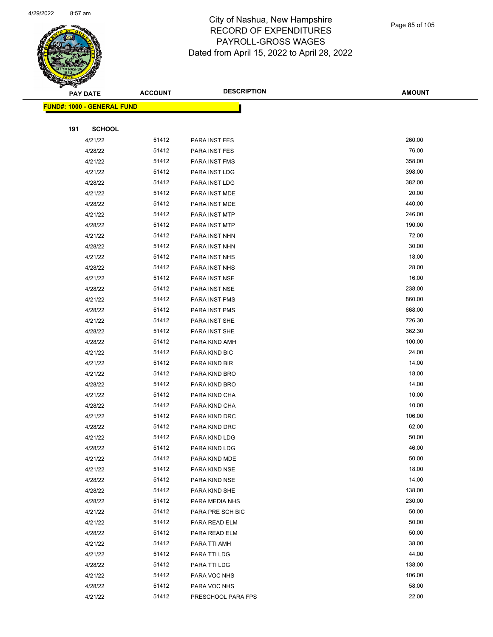

|     | <b>PAY DATE</b>                    | <b>ACCOUNT</b> | <b>DESCRIPTION</b> | <b>AMOUNT</b> |
|-----|------------------------------------|----------------|--------------------|---------------|
|     | <u> FUND#: 1000 - GENERAL FUND</u> |                |                    |               |
|     |                                    |                |                    |               |
| 191 | <b>SCHOOL</b>                      |                |                    |               |
|     | 4/21/22                            | 51412          | PARA INST FES      | 260.00        |
|     | 4/28/22                            | 51412          | PARA INST FES      | 76.00         |
|     | 4/21/22                            | 51412          | PARA INST FMS      | 358.00        |
|     | 4/21/22                            | 51412          | PARA INST LDG      | 398.00        |
|     | 4/28/22                            | 51412          | PARA INST LDG      | 382.00        |
|     | 4/21/22                            | 51412          | PARA INST MDE      | 20.00         |
|     | 4/28/22                            | 51412          | PARA INST MDE      | 440.00        |
|     | 4/21/22                            | 51412          | PARA INST MTP      | 246.00        |
|     | 4/28/22                            | 51412          | PARA INST MTP      | 190.00        |
|     | 4/21/22                            | 51412          | PARA INST NHN      | 72.00         |
|     | 4/28/22                            | 51412          | PARA INST NHN      | 30.00         |
|     | 4/21/22                            | 51412          | PARA INST NHS      | 18.00         |
|     | 4/28/22                            | 51412          | PARA INST NHS      | 28.00         |
|     | 4/21/22                            | 51412          | PARA INST NSE      | 16.00         |
|     | 4/28/22                            | 51412          | PARA INST NSE      | 238.00        |
|     | 4/21/22                            | 51412          | PARA INST PMS      | 860.00        |
|     | 4/28/22                            | 51412          | PARA INST PMS      | 668.00        |
|     | 4/21/22                            | 51412          | PARA INST SHE      | 726.30        |
|     | 4/28/22                            | 51412          | PARA INST SHE      | 362.30        |
|     | 4/28/22                            | 51412          | PARA KIND AMH      | 100.00        |
|     | 4/21/22                            | 51412          | PARA KIND BIC      | 24.00         |
|     | 4/21/22                            | 51412          | PARA KIND BIR      | 14.00         |
|     | 4/21/22                            | 51412          | PARA KIND BRO      | 18.00         |
|     | 4/28/22                            | 51412          | PARA KIND BRO      | 14.00         |
|     | 4/21/22                            | 51412          | PARA KIND CHA      | 10.00         |
|     | 4/28/22                            | 51412          | PARA KIND CHA      | 10.00         |
|     | 4/21/22                            | 51412          | PARA KIND DRC      | 106.00        |
|     | 4/28/22                            | 51412          | PARA KIND DRC      | 62.00         |
|     | 4/21/22                            | 51412          | PARA KIND LDG      | 50.00         |
|     | 4/28/22                            | 51412          | PARA KIND LDG      | 46.00         |
|     | 4/21/22                            | 51412          | PARA KIND MDE      | 50.00         |
|     | 4/21/22                            | 51412          | PARA KIND NSE      | 18.00         |
|     | 4/28/22                            | 51412          | PARA KIND NSE      | 14.00         |
|     | 4/28/22                            | 51412          | PARA KIND SHE      | 138.00        |
|     | 4/28/22                            | 51412          | PARA MEDIA NHS     | 230.00        |
|     | 4/21/22                            | 51412          | PARA PRE SCH BIC   | 50.00         |
|     | 4/21/22                            | 51412          | PARA READ ELM      | 50.00         |
|     | 4/28/22                            | 51412          | PARA READ ELM      | 50.00         |
|     | 4/21/22                            | 51412          | PARA TTI AMH       | 38.00         |
|     | 4/21/22                            | 51412          | PARA TTI LDG       | 44.00         |
|     | 4/28/22                            | 51412          | PARA TTI LDG       | 138.00        |
|     | 4/21/22                            | 51412          | PARA VOC NHS       | 106.00        |
|     | 4/28/22                            | 51412          | PARA VOC NHS       | 58.00         |
|     | 4/21/22                            | 51412          | PRESCHOOL PARA FPS | 22.00         |
|     |                                    |                |                    |               |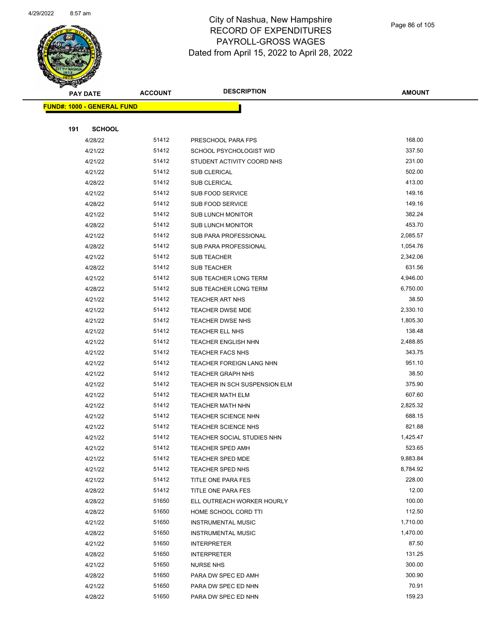

|     | <b>PAY DATE</b>                   | <b>ACCOUNT</b> | <b>DESCRIPTION</b>                | <b>AMOUNT</b> |
|-----|-----------------------------------|----------------|-----------------------------------|---------------|
|     | <b>FUND#: 1000 - GENERAL FUND</b> |                |                                   |               |
|     |                                   |                |                                   |               |
| 191 | <b>SCHOOL</b>                     |                |                                   |               |
|     | 4/28/22                           | 51412          | PRESCHOOL PARA FPS                | 168.00        |
|     | 4/21/22                           | 51412          | SCHOOL PSYCHOLOGIST WID           | 337.50        |
|     | 4/21/22                           | 51412          | STUDENT ACTIVITY COORD NHS        | 231.00        |
|     | 4/21/22                           | 51412          | SUB CLERICAL                      | 502.00        |
|     | 4/28/22                           | 51412          | SUB CLERICAL                      | 413.00        |
|     | 4/21/22                           | 51412          | SUB FOOD SERVICE                  | 149.16        |
|     | 4/28/22                           | 51412          | SUB FOOD SERVICE                  | 149.16        |
|     | 4/21/22                           | 51412          | SUB LUNCH MONITOR                 | 382.24        |
|     | 4/28/22                           | 51412          | <b>SUB LUNCH MONITOR</b>          | 453.70        |
|     | 4/21/22                           | 51412          | SUB PARA PROFESSIONAL             | 2,085.57      |
|     | 4/28/22                           | 51412          | SUB PARA PROFESSIONAL             | 1,054.76      |
|     | 4/21/22                           | 51412          | <b>SUB TEACHER</b>                | 2,342.06      |
|     | 4/28/22                           | 51412          | SUB TEACHER                       | 631.56        |
|     | 4/21/22                           | 51412          | SUB TEACHER LONG TERM             | 4,946.00      |
|     | 4/28/22                           | 51412          | SUB TEACHER LONG TERM             | 6,750.00      |
|     | 4/21/22                           | 51412          | TEACHER ART NHS                   | 38.50         |
|     | 4/21/22                           | 51412          | TEACHER DWSE MDE                  | 2,330.10      |
|     | 4/21/22                           | 51412          | TEACHER DWSE NHS                  | 1,805.30      |
|     | 4/21/22                           | 51412          | TEACHER ELL NHS                   | 138.48        |
|     | 4/21/22                           | 51412          | <b>TEACHER ENGLISH NHN</b>        | 2,488.85      |
|     | 4/21/22                           | 51412          | <b>TEACHER FACS NHS</b>           | 343.75        |
|     | 4/21/22                           | 51412          | TEACHER FOREIGN LANG NHN          | 951.10        |
|     | 4/21/22                           | 51412          | <b>TEACHER GRAPH NHS</b>          | 38.50         |
|     | 4/21/22                           | 51412          | TEACHER IN SCH SUSPENSION ELM     | 375.90        |
|     | 4/21/22                           | 51412          | TEACHER MATH ELM                  | 607.60        |
|     | 4/21/22                           | 51412          | TEACHER MATH NHN                  | 2,825.32      |
|     | 4/21/22                           | 51412          | TEACHER SCIENCE NHN               | 688.15        |
|     | 4/21/22                           | 51412          | TEACHER SCIENCE NHS               | 821.88        |
|     | 4/21/22                           | 51412          | <b>TEACHER SOCIAL STUDIES NHN</b> | 1,425.47      |
|     | 4/21/22                           | 51412          | TEACHER SPED AMH                  | 523.65        |
|     | 4/21/22                           | 51412          | <b>TEACHER SPED MDE</b>           | 9,883.84      |
|     | 4/21/22                           | 51412          | TEACHER SPED NHS                  | 8,784.92      |
|     | 4/21/22                           | 51412          | TITLE ONE PARA FES                | 228.00        |
|     | 4/28/22                           | 51412          | TITLE ONE PARA FES                | 12.00         |
|     | 4/28/22                           | 51650          | ELL OUTREACH WORKER HOURLY        | 100.00        |
|     | 4/28/22                           | 51650          | HOME SCHOOL CORD TTI              | 112.50        |
|     | 4/21/22                           | 51650          | <b>INSTRUMENTAL MUSIC</b>         | 1,710.00      |
|     | 4/28/22                           | 51650          | <b>INSTRUMENTAL MUSIC</b>         | 1,470.00      |
|     | 4/21/22                           | 51650          | <b>INTERPRETER</b>                | 87.50         |
|     | 4/28/22                           | 51650          | <b>INTERPRETER</b>                | 131.25        |
|     | 4/21/22                           | 51650          | <b>NURSE NHS</b>                  | 300.00        |
|     | 4/28/22                           | 51650          | PARA DW SPEC ED AMH               | 300.90        |
|     | 4/21/22                           | 51650          | PARA DW SPEC ED NHN               | 70.91         |
|     | 4/28/22                           | 51650          | PARA DW SPEC ED NHN               | 159.23        |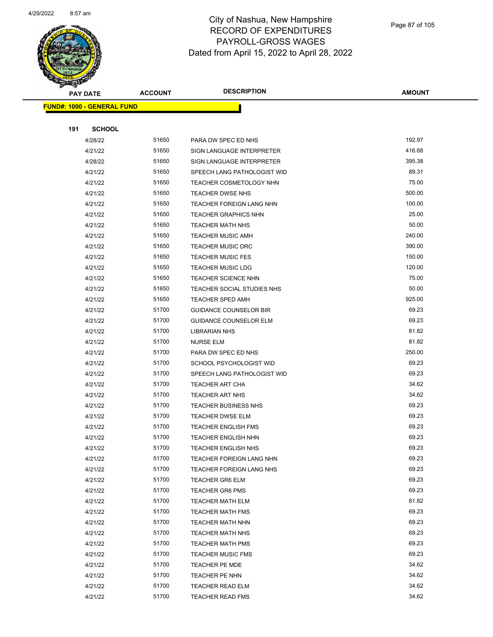

| B.  | <b>PAY DATE</b>                   | <b>ACCOUNT</b> | <b>DESCRIPTION</b>             | AMOUNT |
|-----|-----------------------------------|----------------|--------------------------------|--------|
|     | <b>FUND#: 1000 - GENERAL FUND</b> |                |                                |        |
|     |                                   |                |                                |        |
| 191 | <b>SCHOOL</b>                     |                |                                |        |
|     | 4/28/22                           | 51650          | PARA DW SPEC ED NHS            | 192.97 |
|     | 4/21/22                           | 51650          | SIGN LANGUAGE INTERPRETER      | 416.68 |
|     | 4/28/22                           | 51650          | SIGN LANGUAGE INTERPRETER      | 395.38 |
|     | 4/21/22                           | 51650          | SPEECH LANG PATHOLOGIST WID    | 89.31  |
|     | 4/21/22                           | 51650          | <b>TEACHER COSMETOLOGY NHN</b> | 75.00  |
|     | 4/21/22                           | 51650          | TEACHER DWSE NHS               | 500.00 |
|     | 4/21/22                           | 51650          | TEACHER FOREIGN LANG NHN       | 100.00 |
|     | 4/21/22                           | 51650          | <b>TEACHER GRAPHICS NHN</b>    | 25.00  |
|     | 4/21/22                           | 51650          | <b>TEACHER MATH NHS</b>        | 50.00  |
|     | 4/21/22                           | 51650          | <b>TEACHER MUSIC AMH</b>       | 240.00 |
|     | 4/21/22                           | 51650          | <b>TEACHER MUSIC DRC</b>       | 390.00 |
|     | 4/21/22                           | 51650          | <b>TEACHER MUSIC FES</b>       | 150.00 |
|     | 4/21/22                           | 51650          | <b>TEACHER MUSIC LDG</b>       | 120.00 |
|     | 4/21/22                           | 51650          | TEACHER SCIENCE NHN            | 75.00  |
|     | 4/21/22                           | 51650          | TEACHER SOCIAL STUDIES NHS     | 50.00  |
|     | 4/21/22                           | 51650          | <b>TEACHER SPED AMH</b>        | 925.00 |
|     | 4/21/22                           | 51700          | <b>GUIDANCE COUNSELOR BIR</b>  | 69.23  |
|     | 4/21/22                           | 51700          | <b>GUIDANCE COUNSELOR ELM</b>  | 69.23  |
|     | 4/21/22                           | 51700          | <b>LIBRARIAN NHS</b>           | 81.82  |
|     | 4/21/22                           | 51700          | NURSE ELM                      | 81.82  |
|     | 4/21/22                           | 51700          | PARA DW SPEC ED NHS            | 250.00 |
|     | 4/21/22                           | 51700          | SCHOOL PSYCHOLOGIST WID        | 69.23  |
|     | 4/21/22                           | 51700          | SPEECH LANG PATHOLOGIST WID    | 69.23  |
|     | 4/21/22                           | 51700          | TEACHER ART CHA                | 34.62  |
|     | 4/21/22                           | 51700          | <b>TEACHER ART NHS</b>         | 34.62  |
|     | 4/21/22                           | 51700          | <b>TEACHER BUSINESS NHS</b>    | 69.23  |
|     | 4/21/22                           | 51700          | TEACHER DWSE ELM               | 69.23  |
|     | 4/21/22                           | 51700          | <b>TEACHER ENGLISH FMS</b>     | 69.23  |
|     | 4/21/22                           | 51700          | <b>TEACHER ENGLISH NHN</b>     | 69.23  |
|     | 4/21/22                           | 51700          | TEACHER ENGLISH NHS            | 69.23  |
|     | 4/21/22                           | 51700          | TEACHER FOREIGN LANG NHN       | 69.23  |
|     | 4/21/22                           | 51700          | TEACHER FOREIGN LANG NHS       | 69.23  |
|     | 4/21/22                           | 51700          | <b>TEACHER GR6 ELM</b>         | 69.23  |
|     | 4/21/22                           | 51700          | <b>TEACHER GR6 PMS</b>         | 69.23  |
|     | 4/21/22                           | 51700          | <b>TEACHER MATH ELM</b>        | 81.82  |
|     | 4/21/22                           | 51700          | TEACHER MATH FMS               | 69.23  |
|     | 4/21/22                           | 51700          | <b>TEACHER MATH NHN</b>        | 69.23  |
|     | 4/21/22                           | 51700          | <b>TEACHER MATH NHS</b>        | 69.23  |
|     | 4/21/22                           | 51700          | <b>TEACHER MATH PMS</b>        | 69.23  |
|     | 4/21/22                           | 51700          | <b>TEACHER MUSIC FMS</b>       | 69.23  |
|     | 4/21/22                           | 51700          | TEACHER PE MDE                 | 34.62  |
|     | 4/21/22                           | 51700          | TEACHER PE NHN                 | 34.62  |
|     | 4/21/22                           | 51700          | <b>TEACHER READ ELM</b>        | 34.62  |
|     | 4/21/22                           | 51700          | <b>TEACHER READ FMS</b>        | 34.62  |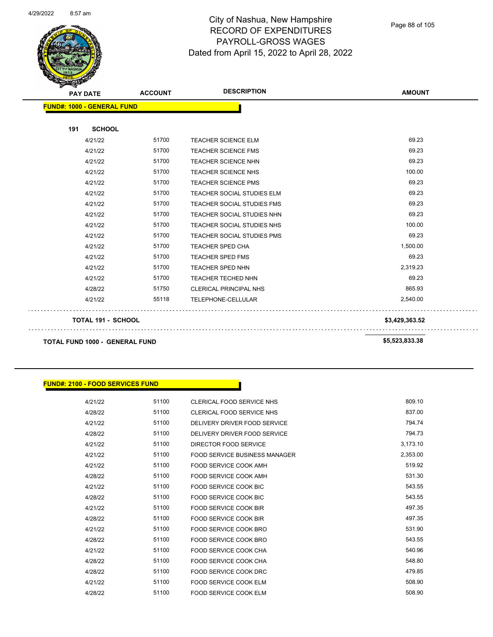

Page 88 of 105

| <b>PAY DATE</b>                       | <b>ACCOUNT</b> | <b>DESCRIPTION</b>                | <b>AMOUNT</b>  |
|---------------------------------------|----------------|-----------------------------------|----------------|
| <b>FUND#: 1000 - GENERAL FUND</b>     |                |                                   |                |
| 191<br><b>SCHOOL</b>                  |                |                                   |                |
| 4/21/22                               | 51700          | <b>TEACHER SCIENCE ELM</b>        | 69.23          |
| 4/21/22                               | 51700          | <b>TEACHER SCIENCE FMS</b>        | 69.23          |
| 4/21/22                               | 51700          | <b>TEACHER SCIENCE NHN</b>        | 69.23          |
| 4/21/22                               | 51700          | <b>TEACHER SCIENCE NHS</b>        | 100.00         |
| 4/21/22                               | 51700          | <b>TEACHER SCIENCE PMS</b>        | 69.23          |
| 4/21/22                               | 51700          | TEACHER SOCIAL STUDIES ELM        | 69.23          |
| 4/21/22                               | 51700          | TEACHER SOCIAL STUDIES FMS        | 69.23          |
| 4/21/22                               | 51700          | TEACHER SOCIAL STUDIES NHN        | 69.23          |
| 4/21/22                               | 51700          | TEACHER SOCIAL STUDIES NHS        | 100.00         |
| 4/21/22                               | 51700          | <b>TEACHER SOCIAL STUDIES PMS</b> | 69.23          |
| 4/21/22                               | 51700          | <b>TEACHER SPED CHA</b>           | 1,500.00       |
| 4/21/22                               | 51700          | <b>TEACHER SPED FMS</b>           | 69.23          |
| 4/21/22                               | 51700          | <b>TEACHER SPED NHN</b>           | 2,319.23       |
| 4/21/22                               | 51700          | <b>TEACHER TECHED NHN</b>         | 69.23          |
| 4/28/22                               | 51750          | <b>CLERICAL PRINCIPAL NHS</b>     | 865.93         |
| 4/21/22                               | 55118          | TELEPHONE-CELLULAR                | 2,540.00       |
| <b>TOTAL 191 - SCHOOL</b>             |                |                                   | \$3,429,363.52 |
| <b>TOTAL FUND 1000 - GENERAL FUND</b> |                |                                   | \$5,523,833.38 |

#### **FUND#: 2100 - FOOD SERVICES FUND**

| 4/21/22 | 51100 | CLERICAL FOOD SERVICE NHS     | 809.10   |
|---------|-------|-------------------------------|----------|
| 4/28/22 | 51100 | CLERICAL FOOD SERVICE NHS     | 837.00   |
| 4/21/22 | 51100 | DELIVERY DRIVER FOOD SERVICE  | 794.74   |
| 4/28/22 | 51100 | DELIVERY DRIVER FOOD SERVICE  | 794.73   |
| 4/21/22 | 51100 | DIRECTOR FOOD SERVICE         | 3,173.10 |
| 4/21/22 | 51100 | FOOD SERVICE BUSINESS MANAGER | 2,353.00 |
| 4/21/22 | 51100 | FOOD SERVICE COOK AMH         | 519.92   |
| 4/28/22 | 51100 | FOOD SERVICE COOK AMH         | 531.30   |
| 4/21/22 | 51100 | FOOD SERVICE COOK BIC         | 543.55   |
| 4/28/22 | 51100 | <b>FOOD SERVICE COOK BIC</b>  | 543.55   |
| 4/21/22 | 51100 | FOOD SERVICE COOK BIR         | 497.35   |
| 4/28/22 | 51100 | FOOD SERVICE COOK BIR         | 497.35   |
| 4/21/22 | 51100 | FOOD SERVICE COOK BRO         | 531.90   |
| 4/28/22 | 51100 | FOOD SERVICE COOK BRO         | 543.55   |
| 4/21/22 | 51100 | FOOD SERVICE COOK CHA         | 540.96   |
| 4/28/22 | 51100 | FOOD SERVICE COOK CHA         | 548.80   |
| 4/28/22 | 51100 | FOOD SERVICE COOK DRC         | 479.85   |
| 4/21/22 | 51100 | FOOD SERVICE COOK ELM         | 508.90   |
| 4/28/22 | 51100 | <b>FOOD SERVICE COOK ELM</b>  | 508.90   |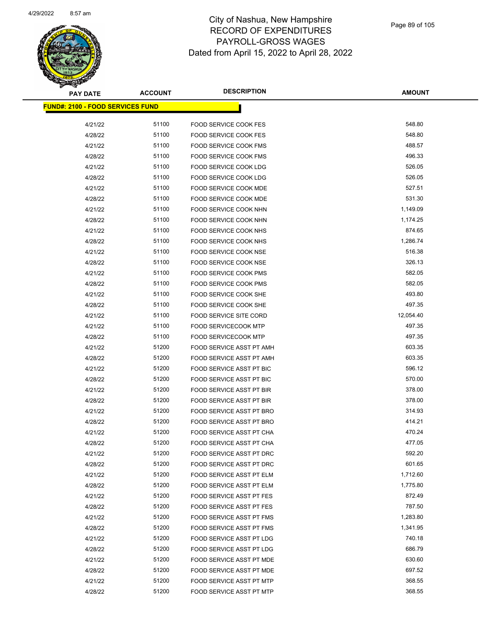

| <b>PAY DATE</b>                         | <b>ACCOUNT</b> | <b>DESCRIPTION</b>              | <b>AMOUNT</b> |
|-----------------------------------------|----------------|---------------------------------|---------------|
| <b>FUND#: 2100 - FOOD SERVICES FUND</b> |                |                                 |               |
|                                         |                |                                 |               |
| 4/21/22                                 | 51100          | <b>FOOD SERVICE COOK FES</b>    | 548.80        |
| 4/28/22                                 | 51100          | FOOD SERVICE COOK FES           | 548.80        |
| 4/21/22                                 | 51100          | <b>FOOD SERVICE COOK FMS</b>    | 488.57        |
| 4/28/22                                 | 51100          | <b>FOOD SERVICE COOK FMS</b>    | 496.33        |
| 4/21/22                                 | 51100          | <b>FOOD SERVICE COOK LDG</b>    | 526.05        |
| 4/28/22                                 | 51100          | <b>FOOD SERVICE COOK LDG</b>    | 526.05        |
| 4/21/22                                 | 51100          | FOOD SERVICE COOK MDE           | 527.51        |
| 4/28/22                                 | 51100          | FOOD SERVICE COOK MDE           | 531.30        |
| 4/21/22                                 | 51100          | FOOD SERVICE COOK NHN           | 1,149.09      |
| 4/28/22                                 | 51100          | FOOD SERVICE COOK NHN           | 1,174.25      |
| 4/21/22                                 | 51100          | <b>FOOD SERVICE COOK NHS</b>    | 874.65        |
| 4/28/22                                 | 51100          | FOOD SERVICE COOK NHS           | 1,286.74      |
| 4/21/22                                 | 51100          | <b>FOOD SERVICE COOK NSE</b>    | 516.38        |
| 4/28/22                                 | 51100          | FOOD SERVICE COOK NSE           | 326.13        |
| 4/21/22                                 | 51100          | FOOD SERVICE COOK PMS           | 582.05        |
| 4/28/22                                 | 51100          | FOOD SERVICE COOK PMS           | 582.05        |
| 4/21/22                                 | 51100          | FOOD SERVICE COOK SHE           | 493.80        |
| 4/28/22                                 | 51100          | FOOD SERVICE COOK SHE           | 497.35        |
| 4/21/22                                 | 51100          | <b>FOOD SERVICE SITE CORD</b>   | 12,054.40     |
| 4/21/22                                 | 51100          | <b>FOOD SERVICECOOK MTP</b>     | 497.35        |
| 4/28/22                                 | 51100          | <b>FOOD SERVICECOOK MTP</b>     | 497.35        |
| 4/21/22                                 | 51200          | FOOD SERVICE ASST PT AMH        | 603.35        |
| 4/28/22                                 | 51200          | FOOD SERVICE ASST PT AMH        | 603.35        |
| 4/21/22                                 | 51200          | FOOD SERVICE ASST PT BIC        | 596.12        |
| 4/28/22                                 | 51200          | FOOD SERVICE ASST PT BIC        | 570.00        |
| 4/21/22                                 | 51200          | FOOD SERVICE ASST PT BIR        | 378.00        |
| 4/28/22                                 | 51200          | FOOD SERVICE ASST PT BIR        | 378.00        |
| 4/21/22                                 | 51200          | <b>FOOD SERVICE ASST PT BRO</b> | 314.93        |
| 4/28/22                                 | 51200          | FOOD SERVICE ASST PT BRO        | 414.21        |
| 4/21/22                                 | 51200          | FOOD SERVICE ASST PT CHA        | 470.24        |
| 4/28/22                                 | 51200          | FOOD SERVICE ASST PT CHA        | 477.05        |
| 4/21/22                                 | 51200          | FOOD SERVICE ASST PT DRC        | 592.20        |
| 4/28/22                                 | 51200          | FOOD SERVICE ASST PT DRC        | 601.65        |
| 4/21/22                                 | 51200          | FOOD SERVICE ASST PT ELM        | 1,712.60      |
| 4/28/22                                 | 51200          | FOOD SERVICE ASST PT ELM        | 1,775.80      |
| 4/21/22                                 | 51200          | <b>FOOD SERVICE ASST PT FES</b> | 872.49        |
| 4/28/22                                 | 51200          | FOOD SERVICE ASST PT FES        | 787.50        |
| 4/21/22                                 | 51200          | FOOD SERVICE ASST PT FMS        | 1,283.80      |
| 4/28/22                                 | 51200          | FOOD SERVICE ASST PT FMS        | 1,341.95      |
| 4/21/22                                 | 51200          | FOOD SERVICE ASST PT LDG        | 740.18        |
| 4/28/22                                 | 51200          | FOOD SERVICE ASST PT LDG        | 686.79        |
| 4/21/22                                 | 51200          | FOOD SERVICE ASST PT MDE        | 630.60        |
| 4/28/22                                 | 51200          | FOOD SERVICE ASST PT MDE        | 697.52        |
| 4/21/22                                 | 51200          | FOOD SERVICE ASST PT MTP        | 368.55        |
| 4/28/22                                 | 51200          | FOOD SERVICE ASST PT MTP        | 368.55        |
|                                         |                |                                 |               |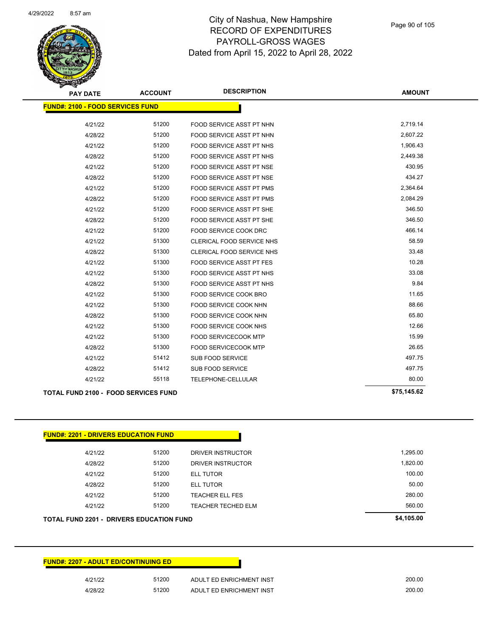

Page 90 of 105

| <b>PAY DATE</b>                             | <b>ACCOUNT</b> | <b>DESCRIPTION</b>              | <b>AMOUNT</b> |
|---------------------------------------------|----------------|---------------------------------|---------------|
| <b>FUND#: 2100 - FOOD SERVICES FUND</b>     |                |                                 |               |
| 4/21/22                                     | 51200          | FOOD SERVICE ASST PT NHN        | 2,719.14      |
| 4/28/22                                     | 51200          | FOOD SERVICE ASST PT NHN        | 2,607.22      |
| 4/21/22                                     | 51200          | <b>FOOD SERVICE ASST PT NHS</b> | 1,906.43      |
| 4/28/22                                     | 51200          | <b>FOOD SERVICE ASST PT NHS</b> | 2,449.38      |
| 4/21/22                                     | 51200          | FOOD SERVICE ASST PT NSE        | 430.95        |
| 4/28/22                                     | 51200          | FOOD SERVICE ASST PT NSE        | 434.27        |
| 4/21/22                                     | 51200          | <b>FOOD SERVICE ASST PT PMS</b> | 2,364.64      |
| 4/28/22                                     | 51200          | <b>FOOD SERVICE ASST PT PMS</b> | 2,084.29      |
| 4/21/22                                     | 51200          | FOOD SERVICE ASST PT SHE        | 346.50        |
| 4/28/22                                     | 51200          | FOOD SERVICE ASST PT SHE        | 346.50        |
| 4/21/22                                     | 51200          | FOOD SERVICE COOK DRC           | 466.14        |
| 4/21/22                                     | 51300          | CLERICAL FOOD SERVICE NHS       | 58.59         |
| 4/28/22                                     | 51300          | CLERICAL FOOD SERVICE NHS       | 33.48         |
| 4/21/22                                     | 51300          | <b>FOOD SERVICE ASST PT FES</b> | 10.28         |
| 4/21/22                                     | 51300          | FOOD SERVICE ASST PT NHS        | 33.08         |
| 4/28/22                                     | 51300          | <b>FOOD SERVICE ASST PT NHS</b> | 9.84          |
| 4/21/22                                     | 51300          | FOOD SERVICE COOK BRO           | 11.65         |
| 4/21/22                                     | 51300          | FOOD SERVICE COOK NHN           | 88.66         |
| 4/28/22                                     | 51300          | FOOD SERVICE COOK NHN           | 65.80         |
| 4/21/22                                     | 51300          | FOOD SERVICE COOK NHS           | 12.66         |
| 4/21/22                                     | 51300          | <b>FOOD SERVICECOOK MTP</b>     | 15.99         |
| 4/28/22                                     | 51300          | <b>FOOD SERVICECOOK MTP</b>     | 26.65         |
| 4/21/22                                     | 51412          | <b>SUB FOOD SERVICE</b>         | 497.75        |
| 4/28/22                                     | 51412          | <b>SUB FOOD SERVICE</b>         | 497.75        |
| 4/21/22                                     | 55118          | TELEPHONE-CELLULAR              | 80.00         |
| <b>TOTAL FUND 2100 - FOOD SERVICES FUND</b> |                |                                 | \$75,145.62   |

| 4/21/22 | 51200 | <b>TEACHER TECHED ELM</b> | 560.00   |
|---------|-------|---------------------------|----------|
| 4/21/22 | 51200 | <b>TEACHER ELL FES</b>    | 280.00   |
| 4/28/22 | 51200 | <b>ELL TUTOR</b>          | 50.00    |
| 4/21/22 | 51200 | <b>ELL TUTOR</b>          | 100.00   |
| 4/28/22 | 51200 | DRIVER INSTRUCTOR         | 1,820.00 |
| 4/21/22 | 51200 | DRIVER INSTRUCTOR         | 1,295.00 |

| <b>FUND#: 2207 - ADULT ED/CONTINUING ED</b> |       |                          |
|---------------------------------------------|-------|--------------------------|
| 4/21/22                                     | 51200 | ADULT ED ENRICHMENT INST |
| 4/28/22                                     | 51200 | ADULT ED ENRICHMENT INST |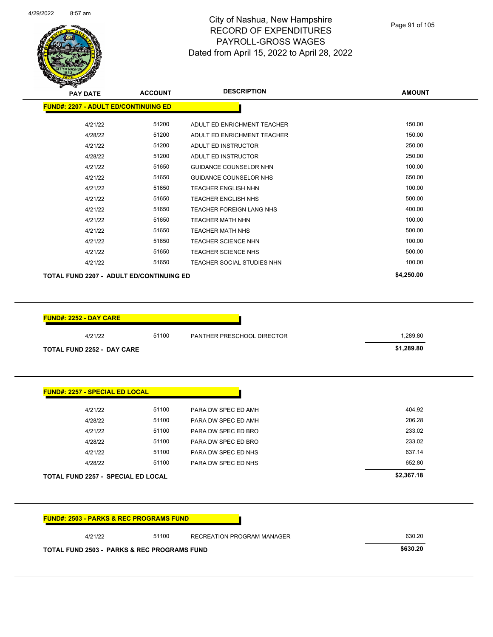

| <b>PAY DATE</b>                             | <b>ACCOUNT</b> | <b>DESCRIPTION</b>              | <b>AMOUNT</b> |
|---------------------------------------------|----------------|---------------------------------|---------------|
| <b>FUND#: 2207 - ADULT ED/CONTINUING ED</b> |                |                                 |               |
| 4/21/22                                     | 51200          | ADULT ED ENRICHMENT TEACHER     | 150.00        |
| 4/28/22                                     | 51200          | ADULT ED ENRICHMENT TEACHER     | 150.00        |
| 4/21/22                                     | 51200          | ADULT ED INSTRUCTOR             | 250.00        |
| 4/28/22                                     | 51200          | ADULT ED INSTRUCTOR             | 250.00        |
| 4/21/22                                     | 51650          | GUIDANCE COUNSELOR NHN          | 100.00        |
| 4/21/22                                     | 51650          | GUIDANCE COUNSELOR NHS          | 650.00        |
| 4/21/22                                     | 51650          | <b>TEACHER ENGLISH NHN</b>      | 100.00        |
| 4/21/22                                     | 51650          | <b>TEACHER ENGLISH NHS</b>      | 500.00        |
| 4/21/22                                     | 51650          | <b>TEACHER FOREIGN LANG NHS</b> | 400.00        |
| 4/21/22                                     | 51650          | <b>TEACHER MATH NHN</b>         | 100.00        |
| 4/21/22                                     | 51650          | <b>TEACHER MATH NHS</b>         | 500.00        |
| 4/21/22                                     | 51650          | <b>TEACHER SCIENCE NHN</b>      | 100.00        |
| 4/21/22                                     | 51650          | <b>TEACHER SCIENCE NHS</b>      | 500.00        |
| 4/21/22                                     | 51650          | TEACHER SOCIAL STUDIES NHN      | 100.00        |
| TOTAL FUND 2207 - ADULT ED/CONTINUING ED    |                |                                 | \$4,250.00    |

| <b>FUND#: 2252 - DAY CARE</b>     |       |                            |            |
|-----------------------------------|-------|----------------------------|------------|
| 4/21/22                           | 51100 | PANTHER PRESCHOOL DIRECTOR | 1,289.80   |
| <b>TOTAL FUND 2252 - DAY CARE</b> |       |                            | \$1,289.80 |

| <b>TOTAL FUND 2257 - SPECIAL ED LOCAL</b> |       |                     | \$2,367.18 |
|-------------------------------------------|-------|---------------------|------------|
| 4/28/22                                   | 51100 | PARA DW SPEC ED NHS | 652.80     |
| 4/21/22                                   | 51100 | PARA DW SPEC ED NHS | 637.14     |
| 4/28/22                                   | 51100 | PARA DW SPEC ED BRO | 233.02     |
| 4/21/22                                   | 51100 | PARA DW SPEC ED BRO | 233.02     |
| 4/28/22                                   | 51100 | PARA DW SPEC ED AMH | 206.28     |
| 4/21/22                                   | 51100 | PARA DW SPEC ED AMH | 404.92     |

| 4/21/22 | 51100 | RECREATION PROGRAM MANAGER | 630.20 |
|---------|-------|----------------------------|--------|
|---------|-------|----------------------------|--------|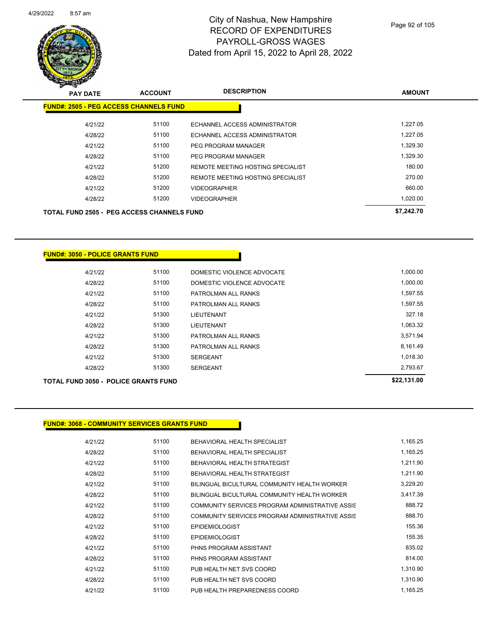

Page 92 of 105

| $\mathscr{D} \cong$<br><b>PAY DATE</b>            | <b>ACCOUNT</b> | <b>DESCRIPTION</b>                | <b>AMOUNT</b> |
|---------------------------------------------------|----------------|-----------------------------------|---------------|
| <b>FUND#: 2505 - PEG ACCESS CHANNELS FUND</b>     |                |                                   |               |
| 4/21/22                                           | 51100          | ECHANNEL ACCESS ADMINISTRATOR     | 1,227.05      |
| 4/28/22                                           | 51100          | ECHANNEL ACCESS ADMINISTRATOR     | 1,227.05      |
| 4/21/22                                           | 51100          | PEG PROGRAM MANAGER               | 1,329.30      |
| 4/28/22                                           | 51100          | <b>PEG PROGRAM MANAGER</b>        | 1,329.30      |
| 4/21/22                                           | 51200          | REMOTE MEETING HOSTING SPECIALIST | 180.00        |
| 4/28/22                                           | 51200          | REMOTE MEETING HOSTING SPECIALIST | 270.00        |
| 4/21/22                                           | 51200          | <b>VIDEOGRAPHER</b>               | 660.00        |
| 4/28/22                                           | 51200          | <b>VIDEOGRAPHER</b>               | 1,020.00      |
| <b>TOTAL FUND 2505 - PEG ACCESS CHANNELS FUND</b> |                |                                   | \$7,242.70    |

#### **FUND#: 3050 - POLICE GRANTS FUND**

|         | <b>TOTAL FUND 3050 - POLICE GRANTS FUND</b> |                            |          |  |  |  |
|---------|---------------------------------------------|----------------------------|----------|--|--|--|
| 4/28/22 | 51300                                       | <b>SERGEANT</b>            | 2,793.67 |  |  |  |
| 4/21/22 | 51300                                       | <b>SERGEANT</b>            | 1,018.30 |  |  |  |
| 4/28/22 | 51300                                       | PATROLMAN ALL RANKS        | 8,161.49 |  |  |  |
| 4/21/22 | 51300                                       | PATROLMAN ALL RANKS        | 3,571.94 |  |  |  |
| 4/28/22 | 51300                                       | LIEUTENANT                 | 1,063.32 |  |  |  |
| 4/21/22 | 51300                                       | LIEUTENANT                 | 327.18   |  |  |  |
| 4/28/22 | 51100                                       | PATROLMAN ALL RANKS        | 1,597.55 |  |  |  |
| 4/21/22 | 51100                                       | PATROLMAN ALL RANKS        | 1,597.55 |  |  |  |
| 4/28/22 | 51100                                       | DOMESTIC VIOLENCE ADVOCATE | 1,000.00 |  |  |  |
| 4/21/22 | 51100                                       | DOMESTIC VIOLENCE ADVOCATE | 1,000.00 |  |  |  |
|         |                                             |                            |          |  |  |  |

| 4/21/22 | 51100 | BEHAVIORAL HEALTH SPECIALIST                    | 1,165.25 |
|---------|-------|-------------------------------------------------|----------|
| 4/28/22 | 51100 | BEHAVIORAL HEALTH SPECIALIST                    | 1,165.25 |
| 4/21/22 | 51100 | BEHAVIORAL HEALTH STRATEGIST                    | 1.211.90 |
| 4/28/22 | 51100 | BEHAVIORAL HEALTH STRATEGIST                    | 1,211.90 |
| 4/21/22 | 51100 | BILINGUAL BICULTURAL COMMUNITY HEALTH WORKER    | 3,229.20 |
| 4/28/22 | 51100 | BILINGUAL BICULTURAL COMMUNITY HEALTH WORKER    | 3,417.39 |
| 4/21/22 | 51100 | COMMUNITY SERVICES PROGRAM ADMINISTRATIVE ASSIS | 888.72   |
| 4/28/22 | 51100 | COMMUNITY SERVICES PROGRAM ADMINISTRATIVE ASSIS | 888.70   |
| 4/21/22 | 51100 | <b>EPIDEMIOLOGIST</b>                           | 155.36   |
| 4/28/22 | 51100 | <b>EPIDEMIOLOGIST</b>                           | 155.35   |
| 4/21/22 | 51100 | PHNS PROGRAM ASSISTANT                          | 835.02   |
| 4/28/22 | 51100 | PHNS PROGRAM ASSISTANT                          | 814.00   |
| 4/21/22 | 51100 | PUB HEALTH NET SVS COORD                        | 1,310.90 |
| 4/28/22 | 51100 | PUB HEALTH NET SVS COORD                        | 1,310.90 |
| 4/21/22 | 51100 | PUB HEALTH PREPAREDNESS COORD                   | 1,165.25 |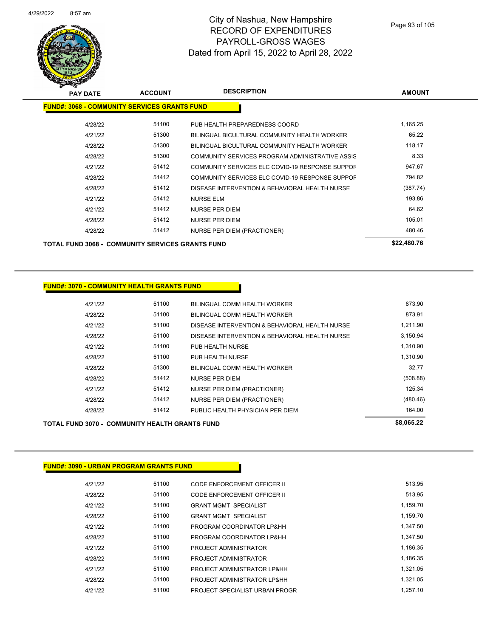

| <b>PAY DATE</b>                                         | <b>ACCOUNT</b> | <b>DESCRIPTION</b>                              | <b>AMOUNT</b> |  |
|---------------------------------------------------------|----------------|-------------------------------------------------|---------------|--|
| <b>FUND#: 3068 - COMMUNITY SERVICES GRANTS FUND</b>     |                |                                                 |               |  |
| 4/28/22                                                 | 51100          | PUB HEALTH PREPAREDNESS COORD                   | 1,165.25      |  |
| 4/21/22                                                 | 51300          | BILINGUAL BICULTURAL COMMUNITY HEALTH WORKER    | 65.22         |  |
| 4/28/22                                                 | 51300          | BILINGUAL BICULTURAL COMMUNITY HEALTH WORKER    | 118.17        |  |
| 4/28/22                                                 | 51300          | COMMUNITY SERVICES PROGRAM ADMINISTRATIVE ASSIS | 8.33          |  |
| 4/21/22                                                 | 51412          | COMMUNITY SERVICES ELC COVID-19 RESPONSE SUPPOF | 947.67        |  |
| 4/28/22                                                 | 51412          | COMMUNITY SERVICES ELC COVID-19 RESPONSE SUPPOF | 794.82        |  |
| 4/28/22                                                 | 51412          | DISEASE INTERVENTION & BEHAVIORAL HEALTH NURSE  | (387.74)      |  |
| 4/21/22                                                 | 51412          | <b>NURSE ELM</b>                                | 193.86        |  |
| 4/21/22                                                 | 51412          | <b>NURSE PER DIEM</b>                           | 64.62         |  |
| 4/28/22                                                 | 51412          | <b>NURSE PER DIEM</b>                           | 105.01        |  |
| 4/28/22                                                 | 51412          | <b>NURSE PER DIEM (PRACTIONER)</b>              | 480.46        |  |
| <b>TOTAL FUND 3068 - COMMUNITY SERVICES GRANTS FUND</b> | \$22,480.76    |                                                 |               |  |

**FUND#: 3070 - COMMUNITY HEALTH GRANTS FUND**

| 4/21/22 | 51100 | BILINGUAL COMM HEALTH WORKER                   | 873.90   |
|---------|-------|------------------------------------------------|----------|
| 4/28/22 | 51100 | BILINGUAL COMM HEALTH WORKER                   | 873.91   |
| 4/21/22 | 51100 | DISEASE INTERVENTION & BEHAVIORAL HEALTH NURSE | 1.211.90 |
| 4/28/22 | 51100 | DISEASE INTERVENTION & BEHAVIORAL HEALTH NURSE | 3,150.94 |
| 4/21/22 | 51100 | PUB HEALTH NURSE                               | 1.310.90 |
| 4/28/22 | 51100 | PUB HEALTH NURSE                               | 1,310.90 |
| 4/28/22 | 51300 | BILINGUAL COMM HEALTH WORKER                   | 32.77    |
| 4/28/22 | 51412 | <b>NURSE PER DIEM</b>                          | (508.88) |
| 4/21/22 | 51412 | NURSE PER DIEM (PRACTIONER)                    | 125.34   |
| 4/28/22 | 51412 | NURSE PER DIEM (PRACTIONER)                    | (480.46) |
| 4/28/22 | 51412 | PUBLIC HEALTH PHYSICIAN PER DIEM               | 164.00   |
|         |       |                                                |          |

# **TOTAL FUND 3070 - COMMUNITY HEALTH GRANTS FUND \$8,065.22**

| 4/21/22 | 51100 | CODE ENFORCEMENT OFFICER II    | 513.95   |
|---------|-------|--------------------------------|----------|
| 4/28/22 | 51100 | CODE ENFORCEMENT OFFICER II    | 513.95   |
| 4/21/22 | 51100 | <b>GRANT MGMT SPECIALIST</b>   | 1,159.70 |
| 4/28/22 | 51100 | <b>GRANT MGMT SPECIALIST</b>   | 1.159.70 |
| 4/21/22 | 51100 | PROGRAM COORDINATOR LP&HH      | 1.347.50 |
| 4/28/22 | 51100 | PROGRAM COORDINATOR LP&HH      | 1.347.50 |
| 4/21/22 | 51100 | PROJECT ADMINISTRATOR          | 1.186.35 |
| 4/28/22 | 51100 | PROJECT ADMINISTRATOR          | 1.186.35 |
| 4/21/22 | 51100 | PROJECT ADMINISTRATOR LP&HH    | 1.321.05 |
| 4/28/22 | 51100 | PROJECT ADMINISTRATOR LP&HH    | 1.321.05 |
| 4/21/22 | 51100 | PROJECT SPECIALIST URBAN PROGR | 1.257.10 |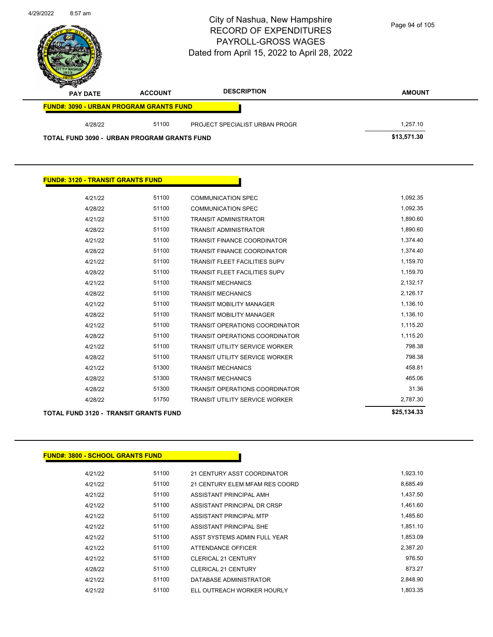| 4/29/2022 | 8:57 am         |                                                | City of Nashua, New Hampshire<br><b>RECORD OF EXPENDITURES</b><br><b>PAYROLL-GROSS WAGES</b><br>Dated from April 15, 2022 to April 28, 2022 | Page 94 of 105 |
|-----------|-----------------|------------------------------------------------|---------------------------------------------------------------------------------------------------------------------------------------------|----------------|
|           | <b>PAY DATE</b> | <b>ACCOUNT</b>                                 | <b>DESCRIPTION</b>                                                                                                                          | <b>AMOUNT</b>  |
|           |                 | <b>FUND#: 3090 - URBAN PROGRAM GRANTS FUND</b> |                                                                                                                                             |                |
|           | 4/28/22         | 51100                                          | PROJECT SPECIALIST URBAN PROGR                                                                                                              | 1,257.10       |
|           |                 | TOTAL FUND 3090 - URBAN PROGRAM GRANTS FUND    |                                                                                                                                             | \$13,571.30    |
|           |                 |                                                |                                                                                                                                             |                |

| <b>FUND#: 3120 - TRANSIT GRANTS FUND</b>     |             |                                       |          |
|----------------------------------------------|-------------|---------------------------------------|----------|
| 4/21/22                                      | 51100       | <b>COMMUNICATION SPEC</b>             | 1,092.35 |
| 4/28/22                                      | 51100       | <b>COMMUNICATION SPEC</b>             | 1,092.35 |
| 4/21/22                                      | 51100       | <b>TRANSIT ADMINISTRATOR</b>          | 1,890.60 |
| 4/28/22                                      | 51100       | <b>TRANSIT ADMINISTRATOR</b>          | 1,890.60 |
| 4/21/22                                      | 51100       | <b>TRANSIT FINANCE COORDINATOR</b>    | 1,374.40 |
| 4/28/22                                      | 51100       | <b>TRANSIT FINANCE COORDINATOR</b>    | 1,374.40 |
| 4/21/22                                      | 51100       | <b>TRANSIT FLEET FACILITIES SUPV</b>  | 1,159.70 |
| 4/28/22                                      | 51100       | <b>TRANSIT FLEET FACILITIES SUPV</b>  | 1,159.70 |
| 4/21/22                                      | 51100       | <b>TRANSIT MECHANICS</b>              | 2,132.17 |
| 4/28/22                                      | 51100       | <b>TRANSIT MECHANICS</b>              | 2,126.17 |
| 4/21/22                                      | 51100       | <b>TRANSIT MOBILITY MANAGER</b>       | 1,136.10 |
| 4/28/22                                      | 51100       | <b>TRANSIT MOBILITY MANAGER</b>       | 1,136.10 |
| 4/21/22                                      | 51100       | <b>TRANSIT OPERATIONS COORDINATOR</b> | 1,115.20 |
| 4/28/22                                      | 51100       | <b>TRANSIT OPERATIONS COORDINATOR</b> | 1,115.20 |
| 4/21/22                                      | 51100       | <b>TRANSIT UTILITY SERVICE WORKER</b> | 798.38   |
| 4/28/22                                      | 51100       | <b>TRANSIT UTILITY SERVICE WORKER</b> | 798.38   |
| 4/21/22                                      | 51300       | <b>TRANSIT MECHANICS</b>              | 458.81   |
| 4/28/22                                      | 51300       | <b>TRANSIT MECHANICS</b>              | 465.06   |
| 4/28/22                                      | 51300       | <b>TRANSIT OPERATIONS COORDINATOR</b> | 31.36    |
| 4/28/22                                      | 51750       | <b>TRANSIT UTILITY SERVICE WORKER</b> | 2,787.30 |
| <b>TOTAL FUND 3120 - TRANSIT GRANTS FUND</b> | \$25,134.33 |                                       |          |

#### **FUND#: 3800 - SCHOOL GRANTS FUND**

| 4/21/22 | 51100 | 21 CENTURY ASST COORDINATOR    | 1,923.10 |
|---------|-------|--------------------------------|----------|
| 4/21/22 | 51100 | 21 CENTURY ELEM MFAM RES COORD | 8,685.49 |
| 4/21/22 | 51100 | ASSISTANT PRINCIPAL AMH        | 1.437.50 |
| 4/21/22 | 51100 | ASSISTANT PRINCIPAL DR CRSP    | 1,461.60 |
| 4/21/22 | 51100 | ASSISTANT PRINCIPAL MTP        | 1.485.60 |
| 4/21/22 | 51100 | ASSISTANT PRINCIPAL SHE        | 1,851.10 |
| 4/21/22 | 51100 | ASST SYSTEMS ADMIN FULL YEAR   | 1.853.09 |
| 4/21/22 | 51100 | ATTENDANCE OFFICER             | 2.387.20 |
| 4/21/22 | 51100 | <b>CLERICAL 21 CENTURY</b>     | 976.50   |
| 4/28/22 | 51100 | <b>CLERICAL 21 CENTURY</b>     | 873.27   |
| 4/21/22 | 51100 | DATABASE ADMINISTRATOR         | 2.848.90 |
| 4/21/22 | 51100 | ELL OUTREACH WORKER HOURLY     | 1.803.35 |

Π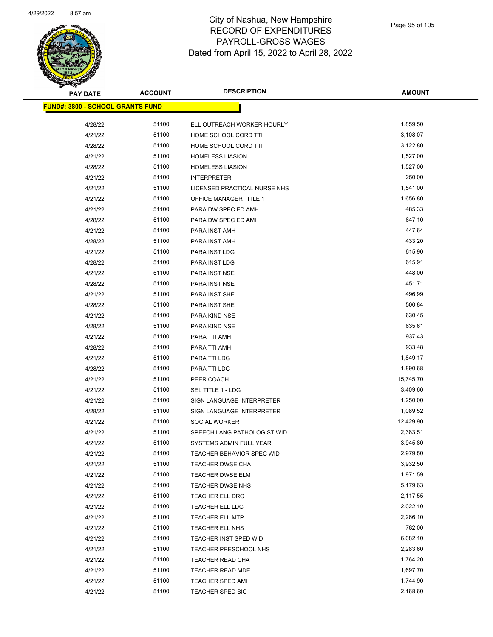

| <b>PAY DATE</b>                         | <b>ACCOUNT</b> | <b>DESCRIPTION</b>               | AMOUNT    |
|-----------------------------------------|----------------|----------------------------------|-----------|
| <b>FUND#: 3800 - SCHOOL GRANTS FUND</b> |                |                                  |           |
| 4/28/22                                 | 51100          | ELL OUTREACH WORKER HOURLY       | 1,859.50  |
| 4/21/22                                 | 51100          | HOME SCHOOL CORD TTI             | 3,108.07  |
| 4/28/22                                 | 51100          | HOME SCHOOL CORD TTI             | 3,122.80  |
| 4/21/22                                 | 51100          | <b>HOMELESS LIASION</b>          | 1,527.00  |
| 4/28/22                                 | 51100          | <b>HOMELESS LIASION</b>          | 1,527.00  |
| 4/21/22                                 | 51100          | <b>INTERPRETER</b>               | 250.00    |
| 4/21/22                                 | 51100          | LICENSED PRACTICAL NURSE NHS     | 1,541.00  |
| 4/21/22                                 | 51100          | <b>OFFICE MANAGER TITLE 1</b>    | 1,656.80  |
| 4/21/22                                 | 51100          | PARA DW SPEC ED AMH              | 485.33    |
| 4/28/22                                 | 51100          | PARA DW SPEC ED AMH              | 647.10    |
| 4/21/22                                 | 51100          | PARA INST AMH                    | 447.64    |
| 4/28/22                                 | 51100          | PARA INST AMH                    | 433.20    |
| 4/21/22                                 | 51100          | PARA INST LDG                    | 615.90    |
| 4/28/22                                 | 51100          | PARA INST LDG                    | 615.91    |
| 4/21/22                                 | 51100          | PARA INST NSE                    | 448.00    |
| 4/28/22                                 | 51100          | PARA INST NSE                    | 451.71    |
| 4/21/22                                 | 51100          | PARA INST SHE                    | 496.99    |
| 4/28/22                                 | 51100          | PARA INST SHE                    | 500.84    |
| 4/21/22                                 | 51100          | PARA KIND NSE                    | 630.45    |
| 4/28/22                                 | 51100          | PARA KIND NSE                    | 635.61    |
| 4/21/22                                 | 51100          | PARA TTI AMH                     | 937.43    |
| 4/28/22                                 | 51100          | PARA TTI AMH                     | 933.48    |
| 4/21/22                                 | 51100          | PARA TTI LDG                     | 1,849.17  |
| 4/28/22                                 | 51100          | PARA TTI LDG                     | 1,890.68  |
| 4/21/22                                 | 51100          | PEER COACH                       | 15,745.70 |
| 4/21/22                                 | 51100          | SEL TITLE 1 - LDG                | 3,409.60  |
| 4/21/22                                 | 51100          | SIGN LANGUAGE INTERPRETER        | 1,250.00  |
| 4/28/22                                 | 51100          | SIGN LANGUAGE INTERPRETER        | 1,089.52  |
| 4/21/22                                 | 51100          | SOCIAL WORKER                    | 12,429.90 |
| 4/21/22                                 | 51100          | SPEECH LANG PATHOLOGIST WID      | 2,383.51  |
| 4/21/22                                 | 51100          | SYSTEMS ADMIN FULL YEAR          | 3,945.80  |
| 4/21/22                                 | 51100          | <b>TEACHER BEHAVIOR SPEC WID</b> | 2,979.50  |
| 4/21/22                                 | 51100          | TEACHER DWSE CHA                 | 3,932.50  |
| 4/21/22                                 | 51100          | TEACHER DWSE ELM                 | 1,971.59  |
| 4/21/22                                 | 51100          | TEACHER DWSE NHS                 | 5,179.63  |
| 4/21/22                                 | 51100          | <b>TEACHER ELL DRC</b>           | 2,117.55  |
| 4/21/22                                 | 51100          | <b>TEACHER ELL LDG</b>           | 2,022.10  |
| 4/21/22                                 | 51100          | <b>TEACHER ELL MTP</b>           | 2,266.10  |
| 4/21/22                                 | 51100          | TEACHER ELL NHS                  | 782.00    |
| 4/21/22                                 | 51100          | TEACHER INST SPED WID            | 6,082.10  |
| 4/21/22                                 | 51100          | <b>TEACHER PRESCHOOL NHS</b>     | 2,283.60  |
| 4/21/22                                 | 51100          | TEACHER READ CHA                 | 1,764.20  |
| 4/21/22                                 | 51100          | TEACHER READ MDE                 | 1,697.70  |
| 4/21/22                                 | 51100          | TEACHER SPED AMH                 | 1,744.90  |
| 4/21/22                                 | 51100          | <b>TEACHER SPED BIC</b>          | 2,168.60  |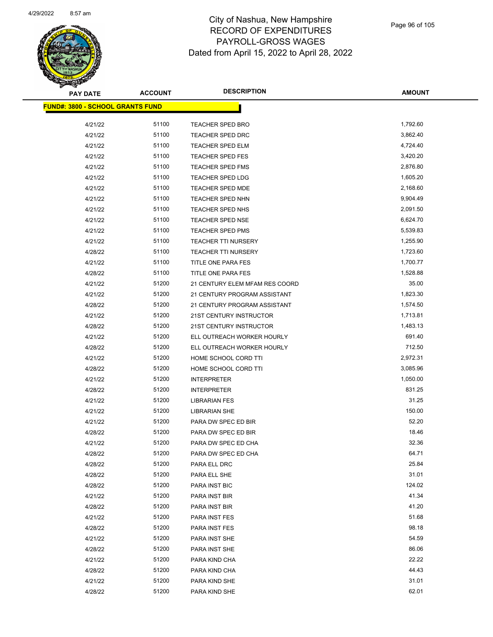

| <b>PAY DATE</b>                         | <b>ACCOUNT</b> | <b>DESCRIPTION</b>             | <b>AMOUNT</b> |
|-----------------------------------------|----------------|--------------------------------|---------------|
| <b>FUND#: 3800 - SCHOOL GRANTS FUND</b> |                |                                |               |
| 4/21/22                                 | 51100          | <b>TEACHER SPED BRO</b>        | 1,792.60      |
| 4/21/22                                 | 51100          | <b>TEACHER SPED DRC</b>        | 3,862.40      |
| 4/21/22                                 | 51100          | <b>TEACHER SPED ELM</b>        | 4,724.40      |
| 4/21/22                                 | 51100          | <b>TEACHER SPED FES</b>        | 3,420.20      |
| 4/21/22                                 | 51100          | <b>TEACHER SPED FMS</b>        | 2,876.80      |
| 4/21/22                                 | 51100          | <b>TEACHER SPED LDG</b>        | 1,605.20      |
| 4/21/22                                 | 51100          | TEACHER SPED MDE               | 2,168.60      |
| 4/21/22                                 | 51100          | <b>TEACHER SPED NHN</b>        | 9,904.49      |
| 4/21/22                                 | 51100          | TEACHER SPED NHS               | 2,091.50      |
| 4/21/22                                 | 51100          | <b>TEACHER SPED NSE</b>        | 6,624.70      |
| 4/21/22                                 | 51100          | <b>TEACHER SPED PMS</b>        | 5,539.83      |
| 4/21/22                                 | 51100          | <b>TEACHER TTI NURSERY</b>     | 1,255.90      |
| 4/28/22                                 | 51100          | <b>TEACHER TTI NURSERY</b>     | 1,723.60      |
| 4/21/22                                 | 51100          | <b>TITLE ONE PARA FES</b>      | 1,700.77      |
| 4/28/22                                 | 51100          | TITLE ONE PARA FES             | 1,528.88      |
| 4/21/22                                 | 51200          | 21 CENTURY ELEM MFAM RES COORD | 35.00         |
| 4/21/22                                 | 51200          | 21 CENTURY PROGRAM ASSISTANT   | 1,823.30      |
| 4/28/22                                 | 51200          | 21 CENTURY PROGRAM ASSISTANT   | 1,574.50      |
| 4/21/22                                 | 51200          | 21ST CENTURY INSTRUCTOR        | 1,713.81      |
| 4/28/22                                 | 51200          | 21ST CENTURY INSTRUCTOR        | 1,483.13      |
| 4/21/22                                 | 51200          | ELL OUTREACH WORKER HOURLY     | 691.40        |
| 4/28/22                                 | 51200          | ELL OUTREACH WORKER HOURLY     | 712.50        |
| 4/21/22                                 | 51200          | HOME SCHOOL CORD TTI           | 2,972.31      |
| 4/28/22                                 | 51200          | HOME SCHOOL CORD TTI           | 3,085.96      |
| 4/21/22                                 | 51200          | <b>INTERPRETER</b>             | 1,050.00      |
| 4/28/22                                 | 51200          | <b>INTERPRETER</b>             | 831.25        |
| 4/21/22                                 | 51200          | <b>LIBRARIAN FES</b>           | 31.25         |
| 4/21/22                                 | 51200          | <b>LIBRARIAN SHE</b>           | 150.00        |
| 4/21/22                                 | 51200          | PARA DW SPEC ED BIR            | 52.20         |
| 4/28/22                                 | 51200          | PARA DW SPEC ED BIR            | 18.46         |
| 4/21/22                                 | 51200          | PARA DW SPEC ED CHA            | 32.36         |
| 4/28/22                                 | 51200          | PARA DW SPEC ED CHA            | 64.71         |
| 4/28/22                                 | 51200          | PARA ELL DRC                   | 25.84         |
| 4/28/22                                 | 51200          | PARA ELL SHE                   | 31.01         |
| 4/28/22                                 | 51200          | PARA INST BIC                  | 124.02        |
| 4/21/22                                 | 51200          | PARA INST BIR                  | 41.34         |
| 4/28/22                                 | 51200          | PARA INST BIR                  | 41.20         |
| 4/21/22                                 | 51200          | PARA INST FES                  | 51.68         |
| 4/28/22                                 | 51200          | PARA INST FES                  | 98.18         |
| 4/21/22                                 | 51200          | PARA INST SHE                  | 54.59         |
| 4/28/22                                 | 51200          | PARA INST SHE                  | 86.06         |
| 4/21/22                                 | 51200          | PARA KIND CHA                  | 22.22         |
| 4/28/22                                 | 51200          | PARA KIND CHA                  | 44.43         |
| 4/21/22                                 | 51200          | PARA KIND SHE                  | 31.01         |
| 4/28/22                                 | 51200          | PARA KIND SHE                  | 62.01         |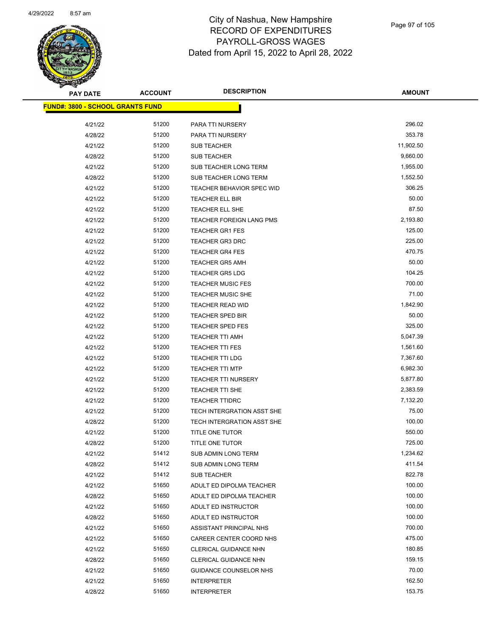

| <b>PAY DATE</b>                         | <b>ACCOUNT</b> | <b>DESCRIPTION</b>               | AMOUNT    |
|-----------------------------------------|----------------|----------------------------------|-----------|
| <b>FUND#: 3800 - SCHOOL GRANTS FUND</b> |                |                                  |           |
| 4/21/22                                 | 51200          | PARA TTI NURSERY                 | 296.02    |
| 4/28/22                                 | 51200          | PARA TTI NURSERY                 | 353.78    |
| 4/21/22                                 | 51200          | <b>SUB TEACHER</b>               | 11,902.50 |
| 4/28/22                                 | 51200          | <b>SUB TEACHER</b>               | 9,660.00  |
| 4/21/22                                 | 51200          | SUB TEACHER LONG TERM            | 1,955.00  |
| 4/28/22                                 | 51200          | SUB TEACHER LONG TERM            | 1,552.50  |
| 4/21/22                                 | 51200          | <b>TEACHER BEHAVIOR SPEC WID</b> | 306.25    |
| 4/21/22                                 | 51200          | <b>TEACHER ELL BIR</b>           | 50.00     |
| 4/21/22                                 | 51200          | <b>TEACHER ELL SHE</b>           | 87.50     |
| 4/21/22                                 | 51200          | TEACHER FOREIGN LANG PMS         | 2,193.80  |
| 4/21/22                                 | 51200          | <b>TEACHER GR1 FES</b>           | 125.00    |
| 4/21/22                                 | 51200          | <b>TEACHER GR3 DRC</b>           | 225.00    |
| 4/21/22                                 | 51200          | <b>TEACHER GR4 FES</b>           | 470.75    |
| 4/21/22                                 | 51200          | <b>TEACHER GR5 AMH</b>           | 50.00     |
| 4/21/22                                 | 51200          | <b>TEACHER GR5 LDG</b>           | 104.25    |
| 4/21/22                                 | 51200          | <b>TEACHER MUSIC FES</b>         | 700.00    |
| 4/21/22                                 | 51200          | <b>TEACHER MUSIC SHE</b>         | 71.00     |
| 4/21/22                                 | 51200          | TEACHER READ WID                 | 1,842.90  |
| 4/21/22                                 | 51200          | <b>TEACHER SPED BIR</b>          | 50.00     |
| 4/21/22                                 | 51200          | <b>TEACHER SPED FES</b>          | 325.00    |
| 4/21/22                                 | 51200          | TEACHER TTI AMH                  | 5,047.39  |
| 4/21/22                                 | 51200          | <b>TEACHER TTI FES</b>           | 1,561.60  |
| 4/21/22                                 | 51200          | <b>TEACHER TTI LDG</b>           | 7,367.60  |
| 4/21/22                                 | 51200          | <b>TEACHER TTI MTP</b>           | 6,982.30  |
| 4/21/22                                 | 51200          | <b>TEACHER TTI NURSERY</b>       | 5,877.80  |
| 4/21/22                                 | 51200          | <b>TEACHER TTI SHE</b>           | 2,383.59  |
| 4/21/22                                 | 51200          | <b>TEACHER TTIDRC</b>            | 7,132.20  |
| 4/21/22                                 | 51200          | TECH INTERGRATION ASST SHE       | 75.00     |
| 4/28/22                                 | 51200          | TECH INTERGRATION ASST SHE       | 100.00    |
| 4/21/22                                 | 51200          | TITLE ONE TUTOR                  | 550.00    |
| 4/28/22                                 | 51200          | <b>TITLE ONE TUTOR</b>           | 725.00    |
| 4/21/22                                 | 51412          | SUB ADMIN LONG TERM              | 1,234.62  |
| 4/28/22                                 | 51412          | SUB ADMIN LONG TERM              | 411.54    |
| 4/21/22                                 | 51412          | SUB TEACHER                      | 822.78    |
| 4/21/22                                 | 51650          | ADULT ED DIPOLMA TEACHER         | 100.00    |
| 4/28/22                                 | 51650          | ADULT ED DIPOLMA TEACHER         | 100.00    |
| 4/21/22                                 | 51650          | ADULT ED INSTRUCTOR              | 100.00    |
| 4/28/22                                 | 51650          | ADULT ED INSTRUCTOR              | 100.00    |
| 4/21/22                                 | 51650          | ASSISTANT PRINCIPAL NHS          | 700.00    |
| 4/21/22                                 | 51650          | CAREER CENTER COORD NHS          | 475.00    |
| 4/21/22                                 | 51650          | CLERICAL GUIDANCE NHN            | 180.85    |
| 4/28/22                                 | 51650          | CLERICAL GUIDANCE NHN            | 159.15    |
| 4/21/22                                 | 51650          | GUIDANCE COUNSELOR NHS           | 70.00     |
| 4/21/22                                 | 51650          | <b>INTERPRETER</b>               | 162.50    |
| 4/28/22                                 | 51650          | <b>INTERPRETER</b>               | 153.75    |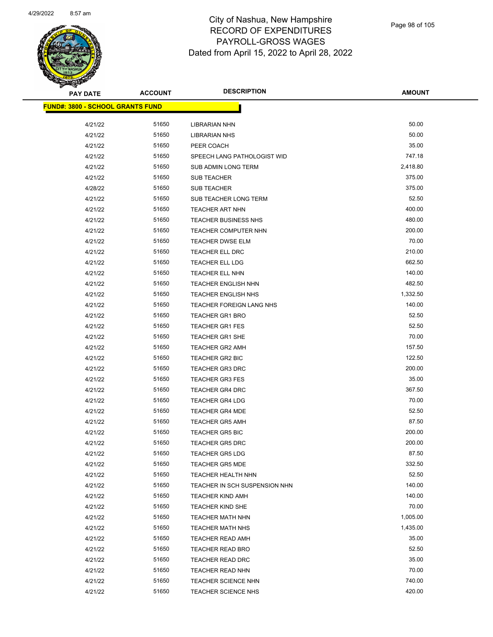

| <b>PAY DATE</b>                         | <b>ACCOUNT</b> | <b>DESCRIPTION</b>              | <b>AMOUNT</b> |
|-----------------------------------------|----------------|---------------------------------|---------------|
| <b>FUND#: 3800 - SCHOOL GRANTS FUND</b> |                |                                 |               |
|                                         |                |                                 |               |
| 4/21/22                                 | 51650          | <b>LIBRARIAN NHN</b>            | 50.00         |
| 4/21/22                                 | 51650          | <b>LIBRARIAN NHS</b>            | 50.00         |
| 4/21/22                                 | 51650          | PEER COACH                      | 35.00         |
| 4/21/22                                 | 51650          | SPEECH LANG PATHOLOGIST WID     | 747.18        |
| 4/21/22                                 | 51650          | SUB ADMIN LONG TERM             | 2,418.80      |
| 4/21/22                                 | 51650          | <b>SUB TEACHER</b>              | 375.00        |
| 4/28/22                                 | 51650          | <b>SUB TEACHER</b>              | 375.00        |
| 4/21/22                                 | 51650          | <b>SUB TEACHER LONG TERM</b>    | 52.50         |
| 4/21/22                                 | 51650          | TEACHER ART NHN                 | 400.00        |
| 4/21/22                                 | 51650          | <b>TEACHER BUSINESS NHS</b>     | 480.00        |
| 4/21/22                                 | 51650          | <b>TEACHER COMPUTER NHN</b>     | 200.00        |
| 4/21/22                                 | 51650          | <b>TEACHER DWSE ELM</b>         | 70.00         |
| 4/21/22                                 | 51650          | TEACHER ELL DRC                 | 210.00        |
| 4/21/22                                 | 51650          | <b>TEACHER ELL LDG</b>          | 662.50        |
| 4/21/22                                 | 51650          | <b>TEACHER ELL NHN</b>          | 140.00        |
| 4/21/22                                 | 51650          | <b>TEACHER ENGLISH NHN</b>      | 482.50        |
| 4/21/22                                 | 51650          | <b>TEACHER ENGLISH NHS</b>      | 1,332.50      |
| 4/21/22                                 | 51650          | <b>TEACHER FOREIGN LANG NHS</b> | 140.00        |
| 4/21/22                                 | 51650          | <b>TEACHER GR1 BRO</b>          | 52.50         |
| 4/21/22                                 | 51650          | <b>TEACHER GR1 FES</b>          | 52.50         |
| 4/21/22                                 | 51650          | <b>TEACHER GR1 SHE</b>          | 70.00         |
| 4/21/22                                 | 51650          | <b>TEACHER GR2 AMH</b>          | 157.50        |
| 4/21/22                                 | 51650          | <b>TEACHER GR2 BIC</b>          | 122.50        |
| 4/21/22                                 | 51650          | <b>TEACHER GR3 DRC</b>          | 200.00        |
| 4/21/22                                 | 51650          | <b>TEACHER GR3 FES</b>          | 35.00         |
| 4/21/22                                 | 51650          | TEACHER GR4 DRC                 | 367.50        |
| 4/21/22                                 | 51650          | <b>TEACHER GR4 LDG</b>          | 70.00         |
| 4/21/22                                 | 51650          | <b>TEACHER GR4 MDE</b>          | 52.50         |
| 4/21/22                                 | 51650          | <b>TEACHER GR5 AMH</b>          | 87.50         |
| 4/21/22                                 | 51650          | <b>TEACHER GR5 BIC</b>          | 200.00        |
| 4/21/22                                 | 51650          | <b>TEACHER GR5 DRC</b>          | 200.00        |
| 4/21/22                                 | 51650          | <b>TEACHER GR5 LDG</b>          | 87.50         |
| 4/21/22                                 | 51650          | <b>TEACHER GR5 MDE</b>          | 332.50        |
| 4/21/22                                 | 51650          | TEACHER HEALTH NHN              | 52.50         |
| 4/21/22                                 | 51650          | TEACHER IN SCH SUSPENSION NHN   | 140.00        |
| 4/21/22                                 | 51650          | <b>TEACHER KIND AMH</b>         | 140.00        |
| 4/21/22                                 | 51650          | TEACHER KIND SHE                | 70.00         |
| 4/21/22                                 | 51650          | <b>TEACHER MATH NHN</b>         | 1,005.00      |
| 4/21/22                                 | 51650          | <b>TEACHER MATH NHS</b>         | 1,435.00      |
| 4/21/22                                 | 51650          | <b>TEACHER READ AMH</b>         | 35.00         |
| 4/21/22                                 | 51650          | TEACHER READ BRO                | 52.50         |
| 4/21/22                                 | 51650          | <b>TEACHER READ DRC</b>         | 35.00         |
| 4/21/22                                 | 51650          | <b>TEACHER READ NHN</b>         | 70.00         |
| 4/21/22                                 | 51650          | <b>TEACHER SCIENCE NHN</b>      | 740.00        |
| 4/21/22                                 | 51650          | <b>TEACHER SCIENCE NHS</b>      | 420.00        |
|                                         |                |                                 |               |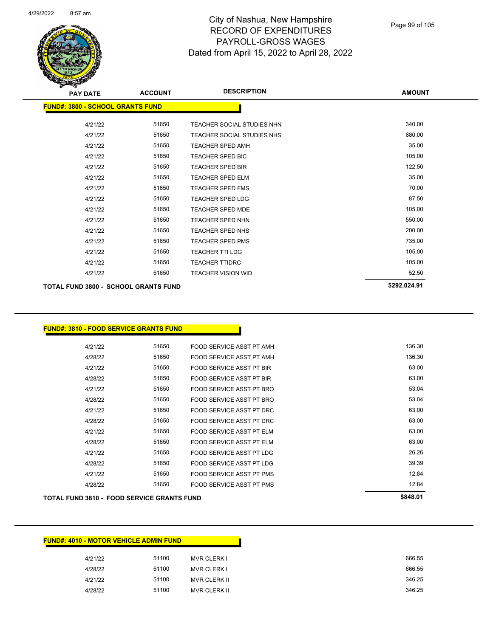

| <b>PAY DATE</b>                             | <b>ACCOUNT</b> | <b>DESCRIPTION</b>                | <b>AMOUNT</b> |
|---------------------------------------------|----------------|-----------------------------------|---------------|
| <b>FUND#: 3800 - SCHOOL GRANTS FUND</b>     |                |                                   |               |
| 4/21/22                                     | 51650          | <b>TEACHER SOCIAL STUDIES NHN</b> | 340.00        |
| 4/21/22                                     | 51650          | <b>TEACHER SOCIAL STUDIES NHS</b> | 680.00        |
| 4/21/22                                     | 51650          | <b>TEACHER SPED AMH</b>           | 35.00         |
| 4/21/22                                     | 51650          | <b>TEACHER SPED BIC</b>           | 105.00        |
| 4/21/22                                     | 51650          | <b>TEACHER SPED BIR</b>           | 122.50        |
| 4/21/22                                     | 51650          | <b>TEACHER SPED ELM</b>           | 35.00         |
| 4/21/22                                     | 51650          | <b>TEACHER SPED FMS</b>           | 70.00         |
| 4/21/22                                     | 51650          | <b>TEACHER SPED LDG</b>           | 87.50         |
| 4/21/22                                     | 51650          | <b>TEACHER SPED MDE</b>           | 105.00        |
| 4/21/22                                     | 51650          | <b>TEACHER SPED NHN</b>           | 550.00        |
| 4/21/22                                     | 51650          | <b>TEACHER SPED NHS</b>           | 200.00        |
| 4/21/22                                     | 51650          | <b>TEACHER SPED PMS</b>           | 735.00        |
| 4/21/22                                     | 51650          | <b>TEACHER TTI LDG</b>            | 105.00        |
| 4/21/22                                     | 51650          | <b>TEACHER TTIDRC</b>             | 105.00        |
| 4/21/22                                     | 51650          | <b>TEACHER VISION WID</b>         | 52.50         |
| <b>TOTAL FUND 3800 - SCHOOL GRANTS FUND</b> |                |                                   | \$292,024.91  |

#### **FUND#: 3810 - FOOD SERVICE GRANTS FUND**

| 4/28/22 | 51650 | FOOD SERVICE ASST PT PMS        | 12.84  |
|---------|-------|---------------------------------|--------|
| 4/21/22 | 51650 | FOOD SERVICE ASST PT PMS        | 12.84  |
| 4/28/22 | 51650 | FOOD SERVICE ASST PT LDG        | 39.39  |
| 4/21/22 | 51650 | FOOD SERVICE ASST PT LDG        | 26.26  |
| 4/28/22 | 51650 | FOOD SERVICE ASST PT ELM        | 63.00  |
| 4/21/22 | 51650 | FOOD SERVICE ASST PT ELM        | 63.00  |
| 4/28/22 | 51650 | FOOD SERVICE ASST PT DRC        | 63.00  |
| 4/21/22 | 51650 | FOOD SERVICE ASST PT DRC        | 63.00  |
| 4/28/22 | 51650 | FOOD SERVICE ASST PT BRO        | 53.04  |
| 4/21/22 | 51650 | FOOD SERVICE ASST PT BRO        | 53.04  |
| 4/28/22 | 51650 | <b>FOOD SERVICE ASST PT BIR</b> | 63.00  |
| 4/21/22 | 51650 | FOOD SERVICE ASST PT BIR        | 63.00  |
| 4/28/22 | 51650 | FOOD SERVICE ASST PT AMH        | 136.30 |
| 4/21/22 | 51650 | FOOD SERVICE ASST PT AMH        | 136.30 |
|         |       |                                 |        |

#### **TOTAL FUND 3810 - FOOD SERVICE GRANTS FUND \$848.01**

| <b>FUND#: 4010 - MOTOR VEHICLE ADMIN FUND</b> |       |                     |
|-----------------------------------------------|-------|---------------------|
| 4/21/22                                       | 51100 | <b>MVR CLERK I</b>  |
| 4/28/22                                       | 51100 | <b>MVR CLERK I</b>  |
| 4/21/22                                       | 51100 | <b>MVR CLERK II</b> |
| 4/28/22                                       | 51100 | <b>MVR CLERK II</b> |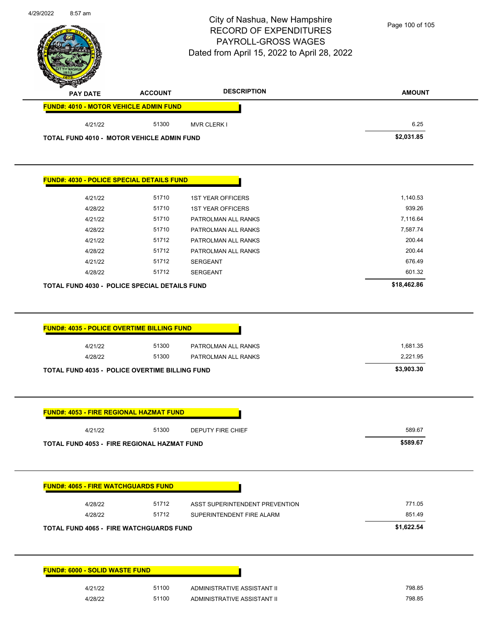|                                                       |                | City of Nashua, New Hampshire<br><b>RECORD OF EXPENDITURES</b><br>PAYROLL-GROSS WAGES<br>Dated from April 15, 2022 to April 28, 2022 | Page 100 of 105 |
|-------------------------------------------------------|----------------|--------------------------------------------------------------------------------------------------------------------------------------|-----------------|
| <b>PAY DATE</b>                                       | <b>ACCOUNT</b> | <b>DESCRIPTION</b>                                                                                                                   | <b>AMOUNT</b>   |
| <b>FUND#: 4010 - MOTOR VEHICLE ADMIN FUND</b>         |                |                                                                                                                                      |                 |
| 4/21/22                                               | 51300          | <b>MVR CLERK I</b>                                                                                                                   | 6.25            |
| <b>TOTAL FUND 4010 - MOTOR VEHICLE ADMIN FUND</b>     |                |                                                                                                                                      | \$2,031.85      |
| <b>FUND#: 4030 - POLICE SPECIAL DETAILS FUND</b>      |                |                                                                                                                                      |                 |
| 4/21/22                                               | 51710          | <b>1ST YEAR OFFICERS</b>                                                                                                             | 1,140.53        |
| 4/28/22                                               | 51710          | <b>1ST YEAR OFFICERS</b>                                                                                                             | 939.26          |
| 4/21/22                                               | 51710          | PATROLMAN ALL RANKS                                                                                                                  | 7,116.64        |
| 4/28/22                                               | 51710          | PATROLMAN ALL RANKS                                                                                                                  | 7,587.74        |
| 4/21/22                                               | 51712          | PATROLMAN ALL RANKS                                                                                                                  | 200.44          |
| 4/28/22                                               | 51712          | PATROLMAN ALL RANKS                                                                                                                  | 200.44          |
| 4/21/22                                               | 51712          | <b>SERGEANT</b>                                                                                                                      | 676.49          |
| 4/28/22                                               | 51712          | <b>SERGEANT</b>                                                                                                                      | 601.32          |
| TOTAL FUND 4030 - POLICE SPECIAL DETAILS FUND         |                |                                                                                                                                      | \$18,462.86     |
| FUND#: 4035 - POLICE OVERTIME BILLING FUND<br>4/21/22 | 51300          | PATROLMAN ALL RANKS                                                                                                                  | 1,681.35        |
| 4/28/22                                               | 51300          | PATROLMAN ALL RANKS                                                                                                                  | 2,221.95        |
| TOTAL FUND 4035 - POLICE OVERTIME BILLING FUND        |                |                                                                                                                                      | \$3,903.30      |
| <b>FUND#: 4053 - FIRE REGIONAL HAZMAT FUND</b>        |                |                                                                                                                                      |                 |
| 4/21/22                                               | 51300          | <b>DEPUTY FIRE CHIEF</b>                                                                                                             | 589.67          |
| <b>TOTAL FUND 4053 - FIRE REGIONAL HAZMAT FUND</b>    |                |                                                                                                                                      | \$589.67        |
| <b>FUND#: 4065 - FIRE WATCHGUARDS FUND</b>            |                |                                                                                                                                      |                 |
| 4/28/22                                               | 51712          | ASST SUPERINTENDENT PREVENTION                                                                                                       | 771.05          |
| 4/28/22                                               | 51712          | SUPERINTENDENT FIRE ALARM                                                                                                            | 851.49          |
| <b>TOTAL FUND 4065 - FIRE WATCHGUARDS FUND</b>        |                |                                                                                                                                      | \$1,622.54      |
| <b>FUND#: 6000 - SOLID WASTE FUND</b>                 |                |                                                                                                                                      |                 |
| 4/21/22                                               | 51100          | ADMINISTRATIVE ASSISTANT II                                                                                                          | 798.85          |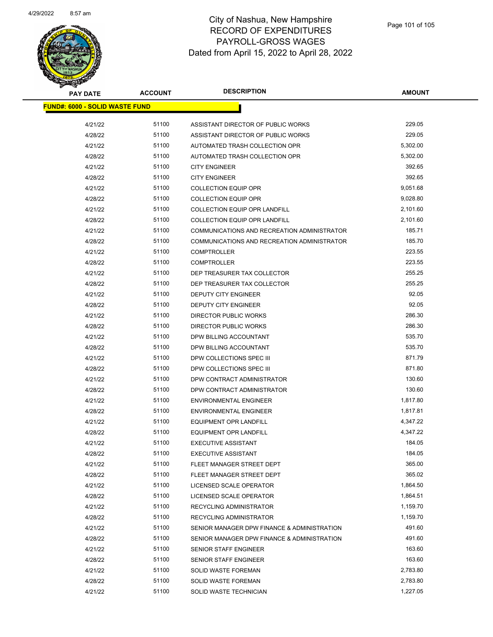

| <b>PAY DATE</b>                       | <b>ACCOUNT</b> | <b>DESCRIPTION</b>                          | <b>AMOUNT</b> |  |
|---------------------------------------|----------------|---------------------------------------------|---------------|--|
| <b>FUND#: 6000 - SOLID WASTE FUND</b> |                |                                             |               |  |
| 4/21/22                               | 51100          | ASSISTANT DIRECTOR OF PUBLIC WORKS          | 229.05        |  |
| 4/28/22                               | 51100          | ASSISTANT DIRECTOR OF PUBLIC WORKS          | 229.05        |  |
| 4/21/22                               | 51100          | AUTOMATED TRASH COLLECTION OPR              | 5,302.00      |  |
| 4/28/22                               | 51100          | AUTOMATED TRASH COLLECTION OPR              | 5,302.00      |  |
| 4/21/22                               | 51100          | <b>CITY ENGINEER</b>                        | 392.65        |  |
| 4/28/22                               | 51100          | <b>CITY ENGINEER</b>                        | 392.65        |  |
| 4/21/22                               | 51100          | <b>COLLECTION EQUIP OPR</b>                 | 9,051.68      |  |
| 4/28/22                               | 51100          | <b>COLLECTION EQUIP OPR</b>                 | 9,028.80      |  |
| 4/21/22                               | 51100          | <b>COLLECTION EQUIP OPR LANDFILL</b>        | 2,101.60      |  |
| 4/28/22                               | 51100          | <b>COLLECTION EQUIP OPR LANDFILL</b>        | 2,101.60      |  |
| 4/21/22                               | 51100          | COMMUNICATIONS AND RECREATION ADMINISTRATOR | 185.71        |  |
| 4/28/22                               | 51100          | COMMUNICATIONS AND RECREATION ADMINISTRATOR | 185.70        |  |
| 4/21/22                               | 51100          | <b>COMPTROLLER</b>                          | 223.55        |  |
| 4/28/22                               | 51100          | <b>COMPTROLLER</b>                          | 223.55        |  |
| 4/21/22                               | 51100          | DEP TREASURER TAX COLLECTOR                 | 255.25        |  |
| 4/28/22                               | 51100          | DEP TREASURER TAX COLLECTOR                 | 255.25        |  |
| 4/21/22                               | 51100          | DEPUTY CITY ENGINEER                        | 92.05         |  |
|                                       | 51100          |                                             | 92.05         |  |
| 4/28/22                               | 51100          | DEPUTY CITY ENGINEER                        | 286.30        |  |
| 4/21/22                               |                | <b>DIRECTOR PUBLIC WORKS</b>                |               |  |
| 4/28/22                               | 51100          | DIRECTOR PUBLIC WORKS                       | 286.30        |  |
| 4/21/22                               | 51100          | DPW BILLING ACCOUNTANT                      | 535.70        |  |
| 4/28/22                               | 51100          | DPW BILLING ACCOUNTANT                      | 535.70        |  |
| 4/21/22                               | 51100          | DPW COLLECTIONS SPEC III                    | 871.79        |  |
| 4/28/22                               | 51100          | DPW COLLECTIONS SPEC III                    | 871.80        |  |
| 4/21/22                               | 51100          | DPW CONTRACT ADMINISTRATOR                  | 130.60        |  |
| 4/28/22                               | 51100          | DPW CONTRACT ADMINISTRATOR                  | 130.60        |  |
| 4/21/22                               | 51100          | <b>ENVIRONMENTAL ENGINEER</b>               | 1,817.80      |  |
| 4/28/22                               | 51100          | <b>ENVIRONMENTAL ENGINEER</b>               | 1,817.81      |  |
| 4/21/22                               | 51100          | <b>EQUIPMENT OPR LANDFILL</b>               | 4,347.22      |  |
| 4/28/22                               | 51100          | <b>EQUIPMENT OPR LANDFILL</b>               | 4,347.22      |  |
| 4/21/22                               | 51100          | <b>EXECUTIVE ASSISTANT</b>                  | 184.05        |  |
| 4/28/22                               | 51100          | <b>EXECUTIVE ASSISTANT</b>                  | 184.05        |  |
| 4/21/22                               | 51100          | FLEET MANAGER STREET DEPT                   | 365.00        |  |
| 4/28/22                               | 51100          | FLEET MANAGER STREET DEPT                   | 365.02        |  |
| 4/21/22                               | 51100          | LICENSED SCALE OPERATOR                     | 1,864.50      |  |
| 4/28/22                               | 51100          | LICENSED SCALE OPERATOR                     | 1,864.51      |  |
| 4/21/22                               | 51100          | RECYCLING ADMINISTRATOR                     | 1,159.70      |  |
| 4/28/22                               | 51100          | RECYCLING ADMINISTRATOR                     | 1,159.70      |  |
| 4/21/22                               | 51100          | SENIOR MANAGER DPW FINANCE & ADMINISTRATION | 491.60        |  |
| 4/28/22                               | 51100          | SENIOR MANAGER DPW FINANCE & ADMINISTRATION | 491.60        |  |
| 4/21/22                               | 51100          | SENIOR STAFF ENGINEER                       | 163.60        |  |
| 4/28/22                               | 51100          | SENIOR STAFF ENGINEER                       | 163.60        |  |
| 4/21/22                               | 51100          | <b>SOLID WASTE FOREMAN</b>                  | 2,783.80      |  |
| 4/28/22                               | 51100          | SOLID WASTE FOREMAN                         | 2,783.80      |  |
| 4/21/22                               | 51100          | SOLID WASTE TECHNICIAN                      | 1,227.05      |  |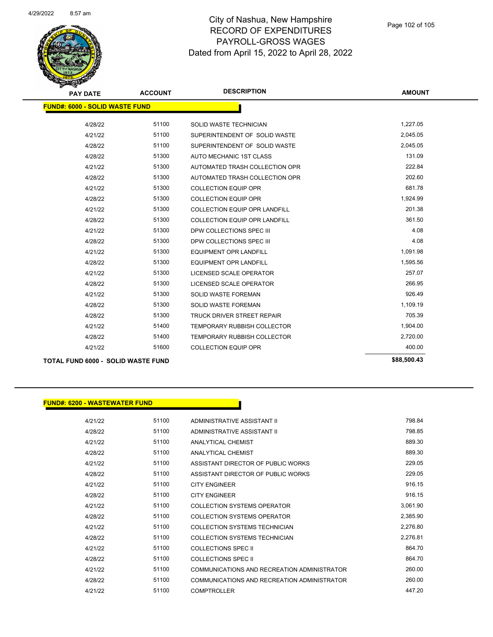

| <b>PAY DATE</b>                           | <b>ACCOUNT</b> | <b>DESCRIPTION</b>                   | <b>AMOUNT</b> |
|-------------------------------------------|----------------|--------------------------------------|---------------|
| <b>FUND#: 6000 - SOLID WASTE FUND</b>     |                |                                      |               |
| 4/28/22                                   | 51100          | SOLID WASTE TECHNICIAN               | 1,227.05      |
| 4/21/22                                   | 51100          | SUPERINTENDENT OF SOLID WASTE        | 2,045.05      |
| 4/28/22                                   | 51100          | SUPERINTENDENT OF SOLID WASTE        | 2,045.05      |
| 4/28/22                                   | 51300          | AUTO MECHANIC 1ST CLASS              | 131.09        |
| 4/21/22                                   | 51300          | AUTOMATED TRASH COLLECTION OPR       | 222.84        |
| 4/28/22                                   | 51300          | AUTOMATED TRASH COLLECTION OPR       | 202.60        |
| 4/21/22                                   | 51300          | <b>COLLECTION EQUIP OPR</b>          | 681.78        |
| 4/28/22                                   | 51300          | <b>COLLECTION EQUIP OPR</b>          | 1,924.99      |
| 4/21/22                                   | 51300          | <b>COLLECTION EQUIP OPR LANDFILL</b> | 201.38        |
| 4/28/22                                   | 51300          | <b>COLLECTION EQUIP OPR LANDFILL</b> | 361.50        |
| 4/21/22                                   | 51300          | DPW COLLECTIONS SPEC III             | 4.08          |
| 4/28/22                                   | 51300          | DPW COLLECTIONS SPEC III             | 4.08          |
| 4/21/22                                   | 51300          | <b>EQUIPMENT OPR LANDFILL</b>        | 1,091.98      |
| 4/28/22                                   | 51300          | <b>EQUIPMENT OPR LANDFILL</b>        | 1,595.56      |
| 4/21/22                                   | 51300          | LICENSED SCALE OPERATOR              | 257.07        |
| 4/28/22                                   | 51300          | <b>LICENSED SCALE OPERATOR</b>       | 266.95        |
| 4/21/22                                   | 51300          | <b>SOLID WASTE FOREMAN</b>           | 926.49        |
| 4/28/22                                   | 51300          | <b>SOLID WASTE FOREMAN</b>           | 1,109.19      |
| 4/28/22                                   | 51300          | <b>TRUCK DRIVER STREET REPAIR</b>    | 705.39        |
| 4/21/22                                   | 51400          | <b>TEMPORARY RUBBISH COLLECTOR</b>   | 1,904.00      |
| 4/28/22                                   | 51400          | <b>TEMPORARY RUBBISH COLLECTOR</b>   | 2,720.00      |
| 4/21/22                                   | 51600          | <b>COLLECTION EQUIP OPR</b>          | 400.00        |
| <b>TOTAL FUND 6000 - SOLID WASTE FUND</b> |                |                                      | \$88,500.43   |

#### **FUND#: 6200 - WASTEWATER FUND**

| 4/21/22 | 51100 | ADMINISTRATIVE ASSISTANT II                 | 798.84   |
|---------|-------|---------------------------------------------|----------|
| 4/28/22 | 51100 | ADMINISTRATIVE ASSISTANT II                 | 798.85   |
| 4/21/22 | 51100 | <b>ANALYTICAL CHEMIST</b>                   | 889.30   |
| 4/28/22 | 51100 | ANAI YTICAL CHEMIST                         | 889.30   |
| 4/21/22 | 51100 | ASSISTANT DIRECTOR OF PUBLIC WORKS          | 229.05   |
| 4/28/22 | 51100 | ASSISTANT DIRECTOR OF PUBLIC WORKS          | 229.05   |
| 4/21/22 | 51100 | <b>CITY ENGINEER</b>                        | 916.15   |
| 4/28/22 | 51100 | <b>CITY ENGINEER</b>                        | 916.15   |
| 4/21/22 | 51100 | COLLECTION SYSTEMS OPERATOR                 | 3,061.90 |
| 4/28/22 | 51100 | <b>COLLECTION SYSTEMS OPERATOR</b>          | 2,385.90 |
| 4/21/22 | 51100 | <b>COLLECTION SYSTEMS TECHNICIAN</b>        | 2,276.80 |
| 4/28/22 | 51100 | <b>COLLECTION SYSTEMS TECHNICIAN</b>        | 2,276.81 |
| 4/21/22 | 51100 | COLLECTIONS SPEC II                         | 864.70   |
| 4/28/22 | 51100 | COLLECTIONS SPEC II                         | 864.70   |
| 4/21/22 | 51100 | COMMUNICATIONS AND RECREATION ADMINISTRATOR | 260.00   |
| 4/28/22 | 51100 | COMMUNICATIONS AND RECREATION ADMINISTRATOR | 260.00   |
| 4/21/22 | 51100 | <b>COMPTROLLER</b>                          | 447.20   |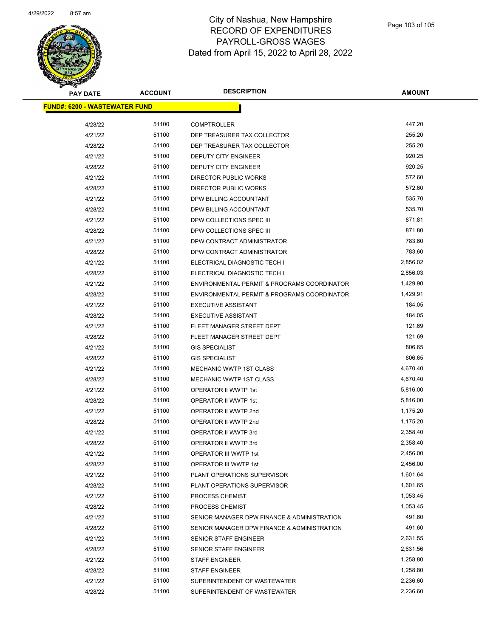

| <b>PAY DATE</b>                       | <b>ACCOUNT</b> | <b>DESCRIPTION</b>                          | <b>AMOUNT</b> |
|---------------------------------------|----------------|---------------------------------------------|---------------|
| <u> FUND#: 6200 - WASTEWATER FUND</u> |                |                                             |               |
|                                       |                |                                             |               |
| 4/28/22                               | 51100          | <b>COMPTROLLER</b>                          | 447.20        |
| 4/21/22                               | 51100          | DEP TREASURER TAX COLLECTOR                 | 255.20        |
| 4/28/22                               | 51100          | DEP TREASURER TAX COLLECTOR                 | 255.20        |
| 4/21/22                               | 51100          | DEPUTY CITY ENGINEER                        | 920.25        |
| 4/28/22                               | 51100          | <b>DEPUTY CITY ENGINEER</b>                 | 920.25        |
| 4/21/22                               | 51100          | <b>DIRECTOR PUBLIC WORKS</b>                | 572.60        |
| 4/28/22                               | 51100          | DIRECTOR PUBLIC WORKS                       | 572.60        |
| 4/21/22                               | 51100          | DPW BILLING ACCOUNTANT                      | 535.70        |
| 4/28/22                               | 51100          | DPW BILLING ACCOUNTANT                      | 535.70        |
| 4/21/22                               | 51100          | DPW COLLECTIONS SPEC III                    | 871.81        |
| 4/28/22                               | 51100          | DPW COLLECTIONS SPEC III                    | 871.80        |
| 4/21/22                               | 51100          | DPW CONTRACT ADMINISTRATOR                  | 783.60        |
| 4/28/22                               | 51100          | DPW CONTRACT ADMINISTRATOR                  | 783.60        |
| 4/21/22                               | 51100          | ELECTRICAL DIAGNOSTIC TECH I                | 2,856.02      |
| 4/28/22                               | 51100          | ELECTRICAL DIAGNOSTIC TECH I                | 2,856.03      |
| 4/21/22                               | 51100          | ENVIRONMENTAL PERMIT & PROGRAMS COORDINATOR | 1,429.90      |
| 4/28/22                               | 51100          | ENVIRONMENTAL PERMIT & PROGRAMS COORDINATOR | 1,429.91      |
| 4/21/22                               | 51100          | <b>EXECUTIVE ASSISTANT</b>                  | 184.05        |
| 4/28/22                               | 51100          | <b>EXECUTIVE ASSISTANT</b>                  | 184.05        |
| 4/21/22                               | 51100          | FLEET MANAGER STREET DEPT                   | 121.69        |
| 4/28/22                               | 51100          | FLEET MANAGER STREET DEPT                   | 121.69        |
| 4/21/22                               | 51100          | <b>GIS SPECIALIST</b>                       | 806.65        |
| 4/28/22                               | 51100          | <b>GIS SPECIALIST</b>                       | 806.65        |
| 4/21/22                               | 51100          | MECHANIC WWTP 1ST CLASS                     | 4,670.40      |
| 4/28/22                               | 51100          | <b>MECHANIC WWTP 1ST CLASS</b>              | 4,670.40      |
| 4/21/22                               | 51100          | OPERATOR II WWTP 1st                        | 5,816.00      |
| 4/28/22                               | 51100          | OPERATOR II WWTP 1st                        | 5,816.00      |
| 4/21/22                               | 51100          | OPERATOR II WWTP 2nd                        | 1,175.20      |
| 4/28/22                               | 51100          | OPERATOR II WWTP 2nd                        | 1,175.20      |
| 4/21/22                               | 51100          | OPERATOR II WWTP 3rd                        | 2,358.40      |
| 4/28/22                               | 51100          | OPERATOR II WWTP 3rd                        | 2,358.40      |
| 4/21/22                               | 51100          | OPERATOR III WWTP 1st                       | 2,456.00      |
| 4/28/22                               | 51100          | <b>OPERATOR III WWTP 1st</b>                | 2,456.00      |
| 4/21/22                               | 51100          | PLANT OPERATIONS SUPERVISOR                 | 1,601.64      |
| 4/28/22                               | 51100          | PLANT OPERATIONS SUPERVISOR                 | 1,601.65      |
| 4/21/22                               | 51100          | PROCESS CHEMIST                             | 1,053.45      |
| 4/28/22                               | 51100          | PROCESS CHEMIST                             | 1,053.45      |
| 4/21/22                               | 51100          | SENIOR MANAGER DPW FINANCE & ADMINISTRATION | 491.60        |
| 4/28/22                               | 51100          | SENIOR MANAGER DPW FINANCE & ADMINISTRATION | 491.60        |
| 4/21/22                               | 51100          | <b>SENIOR STAFF ENGINEER</b>                | 2,631.55      |
| 4/28/22                               | 51100          | SENIOR STAFF ENGINEER                       | 2,631.56      |
| 4/21/22                               | 51100          | <b>STAFF ENGINEER</b>                       | 1,258.80      |
| 4/28/22                               | 51100          | <b>STAFF ENGINEER</b>                       | 1,258.80      |
| 4/21/22                               | 51100          | SUPERINTENDENT OF WASTEWATER                | 2,236.60      |
| 4/28/22                               | 51100          | SUPERINTENDENT OF WASTEWATER                | 2,236.60      |
|                                       |                |                                             |               |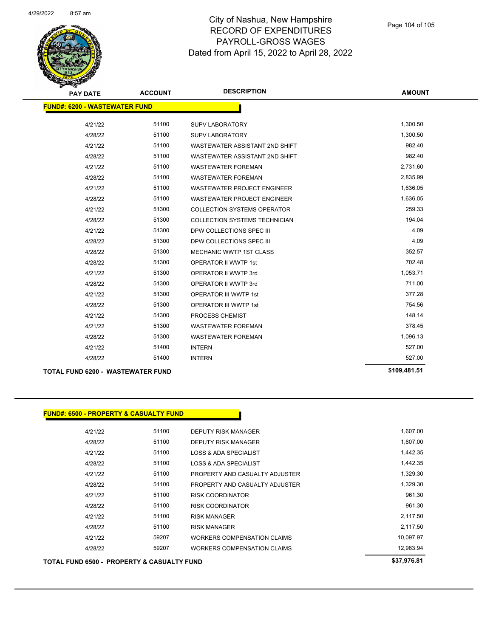

| <b>PAY DATE</b>                          | <b>ACCOUNT</b> | <b>DESCRIPTION</b>                   | <b>AMOUNT</b> |
|------------------------------------------|----------------|--------------------------------------|---------------|
| <b>FUND#: 6200 - WASTEWATER FUND</b>     |                |                                      |               |
| 4/21/22                                  | 51100          | <b>SUPV LABORATORY</b>               | 1,300.50      |
| 4/28/22                                  | 51100          | <b>SUPV LABORATORY</b>               | 1,300.50      |
| 4/21/22                                  | 51100          | WASTEWATER ASSISTANT 2ND SHIFT       | 982.40        |
| 4/28/22                                  | 51100          | WASTEWATER ASSISTANT 2ND SHIFT       | 982.40        |
| 4/21/22                                  | 51100          | <b>WASTEWATER FOREMAN</b>            | 2,731.60      |
| 4/28/22                                  | 51100          | <b>WASTEWATER FOREMAN</b>            | 2,835.99      |
| 4/21/22                                  | 51100          | <b>WASTEWATER PROJECT ENGINEER</b>   | 1,636.05      |
| 4/28/22                                  | 51100          | <b>WASTEWATER PROJECT ENGINEER</b>   | 1,636.05      |
| 4/21/22                                  | 51300          | <b>COLLECTION SYSTEMS OPERATOR</b>   | 259.33        |
| 4/28/22                                  | 51300          | <b>COLLECTION SYSTEMS TECHNICIAN</b> | 194.04        |
| 4/21/22                                  | 51300          | DPW COLLECTIONS SPEC III             | 4.09          |
| 4/28/22                                  | 51300          | DPW COLLECTIONS SPEC III             | 4.09          |
| 4/28/22                                  | 51300          | MECHANIC WWTP 1ST CLASS              | 352.57        |
| 4/28/22                                  | 51300          | <b>OPERATOR II WWTP 1st</b>          | 702.48        |
| 4/21/22                                  | 51300          | OPERATOR II WWTP 3rd                 | 1,053.71      |
| 4/28/22                                  | 51300          | OPERATOR II WWTP 3rd                 | 711.00        |
| 4/21/22                                  | 51300          | <b>OPERATOR III WWTP 1st</b>         | 377.28        |
| 4/28/22                                  | 51300          | <b>OPERATOR III WWTP 1st</b>         | 754.56        |
| 4/21/22                                  | 51300          | PROCESS CHEMIST                      | 148.14        |
| 4/21/22                                  | 51300          | <b>WASTEWATER FOREMAN</b>            | 378.45        |
| 4/28/22                                  | 51300          | <b>WASTEWATER FOREMAN</b>            | 1,096.13      |
| 4/21/22                                  | 51400          | <b>INTERN</b>                        | 527.00        |
| 4/28/22                                  | 51400          | <b>INTERN</b>                        | 527.00        |
| <b>TOTAL FUND 6200 - WASTEWATER FUND</b> | \$109,481.51   |                                      |               |

| TOTAL FUND 6500 - PROPERTY & CASUALTY FUND | \$37,976.81 |                                    |           |
|--------------------------------------------|-------------|------------------------------------|-----------|
| 4/28/22                                    | 59207       | <b>WORKERS COMPENSATION CLAIMS</b> | 12,963.94 |
| 4/21/22                                    | 59207       | <b>WORKERS COMPENSATION CLAIMS</b> | 10,097.97 |
| 4/28/22                                    | 51100       | <b>RISK MANAGER</b>                | 2,117.50  |
| 4/21/22                                    | 51100       | <b>RISK MANAGER</b>                | 2,117.50  |
| 4/28/22                                    | 51100       | <b>RISK COORDINATOR</b>            | 961.30    |
| 4/21/22                                    | 51100       | <b>RISK COORDINATOR</b>            | 961.30    |
| 4/28/22                                    | 51100       | PROPERTY AND CASUALTY ADJUSTER     | 1,329.30  |
| 4/21/22                                    | 51100       | PROPERTY AND CASUALTY ADJUSTER     | 1,329.30  |
| 4/28/22                                    | 51100       | <b>LOSS &amp; ADA SPECIALIST</b>   | 1,442.35  |
| 4/21/22                                    | 51100       | LOSS & ADA SPECIALIST              | 1,442.35  |
| 4/28/22                                    | 51100       | DEPUTY RISK MANAGER                | 1,607.00  |
| 4/21/22                                    | 51100       | <b>DEPUTY RISK MANAGER</b>         | 1,607.00  |